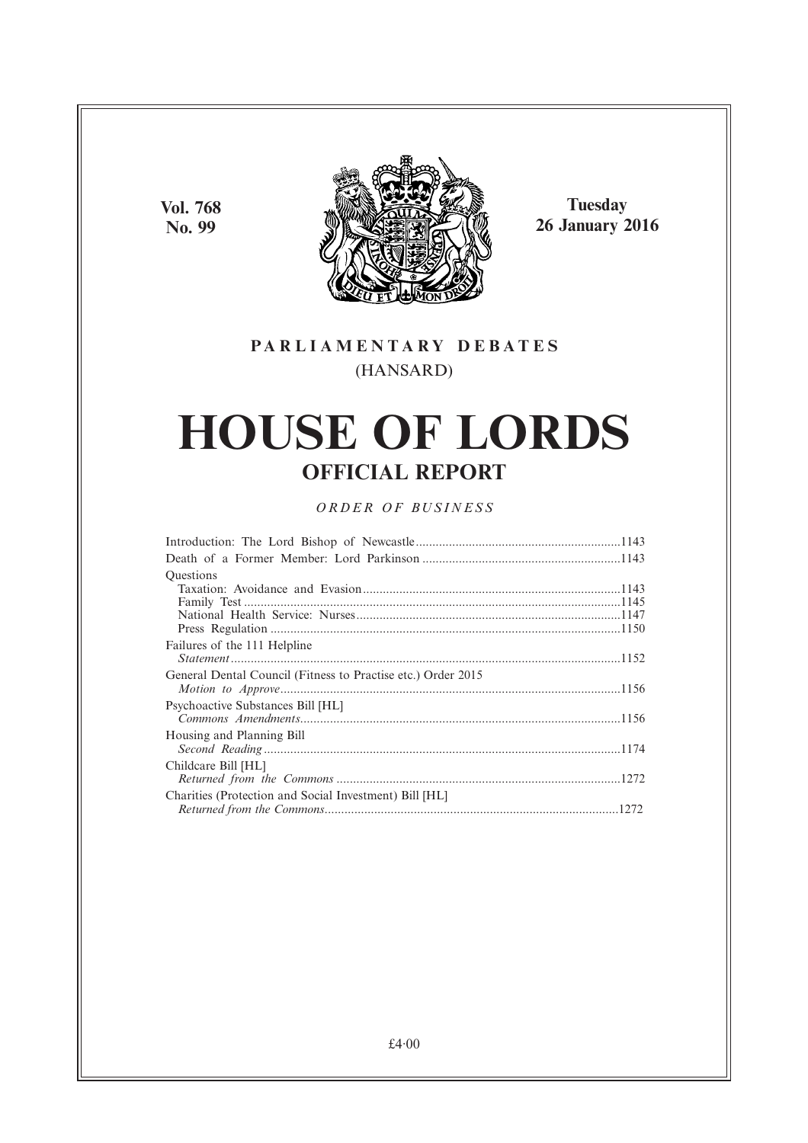**Vol. 768 No. 99**



**Tuesday 26 January 2016**

# **PARL IAMENTARY DEBATES** (HANSARD)

# **HOUSE OF LORDS OFFICIAL REPORT**

# *ORDER OF BUSINESS*

| <b>Ouestions</b>                                             |
|--------------------------------------------------------------|
|                                                              |
|                                                              |
|                                                              |
|                                                              |
| Failures of the 111 Helpline                                 |
|                                                              |
| General Dental Council (Fitness to Practise etc.) Order 2015 |
|                                                              |
| Psychoactive Substances Bill [HL]                            |
|                                                              |
| Housing and Planning Bill                                    |
|                                                              |
| Childcare Bill [HL]                                          |
|                                                              |
| Charities (Protection and Social Investment) Bill [HL]       |
|                                                              |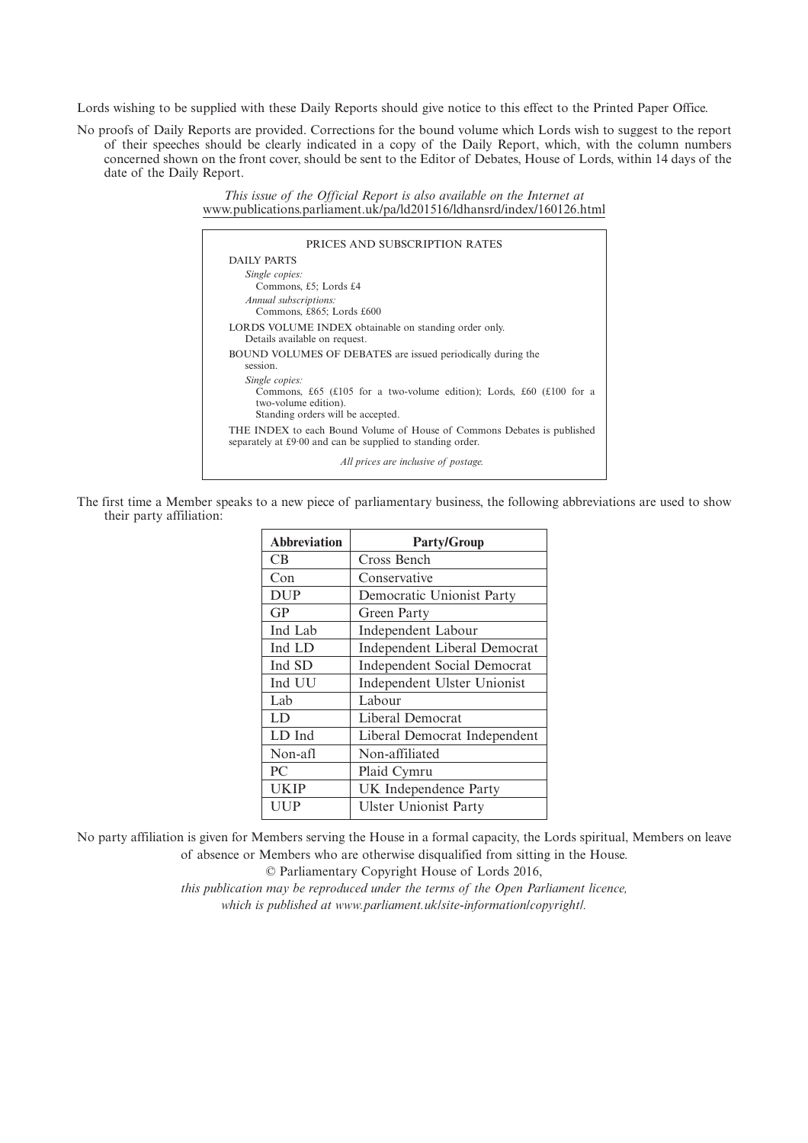Lords wishing to be supplied with these Daily Reports should give notice to this effect to the Printed Paper Office.

No proofs of Daily Reports are provided. Corrections for the bound volume which Lords wish to suggest to the report of their speeches should be clearly indicated in a copy of the Daily Report, which, with the column numbers concerned shown on the front cover, should be sent to the Editor of Debates, House of Lords, within 14 days of the date of the Daily Report.

> *This issue of the Official Report is also available on the Internet at* www.publications.parliament.uk/pa/ld201516/ldhansrd/index/160126.html

| PRICES AND SUBSCRIPTION RATES                                                                                                                       |
|-----------------------------------------------------------------------------------------------------------------------------------------------------|
| DAILY PARTS                                                                                                                                         |
| Single copies:<br>Commons, £5; Lords £4                                                                                                             |
| Annual subscriptions:<br>Commons, £865; Lords £600                                                                                                  |
| LORDS VOLUME INDEX obtainable on standing order only.<br>Details available on request.                                                              |
| BOUND VOLUMES OF DEBATES are issued periodically during the<br>session.                                                                             |
| Single copies:<br>Commons, £65 (£105 for a two-volume edition); Lords, £60 (£100 for a<br>two-volume edition).<br>Standing orders will be accepted. |
| THE INDEX to each Bound Volume of House of Commons Debates is published<br>separately at £9.00 and can be supplied to standing order.               |
| All prices are inclusive of postage.                                                                                                                |

The first time a Member speaks to a new piece of parliamentary business, the following abbreviations are used to show their party affiliation:

| <b>Abbreviation</b> | <b>Party/Group</b>                  |  |
|---------------------|-------------------------------------|--|
| <b>CB</b>           | Cross Bench                         |  |
| Con                 | Conservative                        |  |
| <b>DUP</b>          | Democratic Unionist Party           |  |
| GP                  | Green Party                         |  |
| Ind Lab             | <b>Independent Labour</b>           |  |
| Ind LD              | <b>Independent Liberal Democrat</b> |  |
| Ind SD              | <b>Independent Social Democrat</b>  |  |
| Ind UU              | Independent Ulster Unionist         |  |
| Lab                 | Labour                              |  |
| LD                  | Liberal Democrat                    |  |
| LD Ind              | Liberal Democrat Independent        |  |
| Non-afl             | Non-affiliated                      |  |
| PC.                 | Plaid Cymru                         |  |
| <b>UKIP</b>         | UK Independence Party               |  |
| UUP                 | <b>Ulster Unionist Party</b>        |  |

No party affiliation is given for Members serving the House in a formal capacity, the Lords spiritual, Members on leave of absence or Members who are otherwise disqualified from sitting in the House.

© Parliamentary Copyright House of Lords 2016,

*this publication may be reproduced under the terms of the Open Parliament licence, which is published at www.parliament.uk/site-information/copyright/.*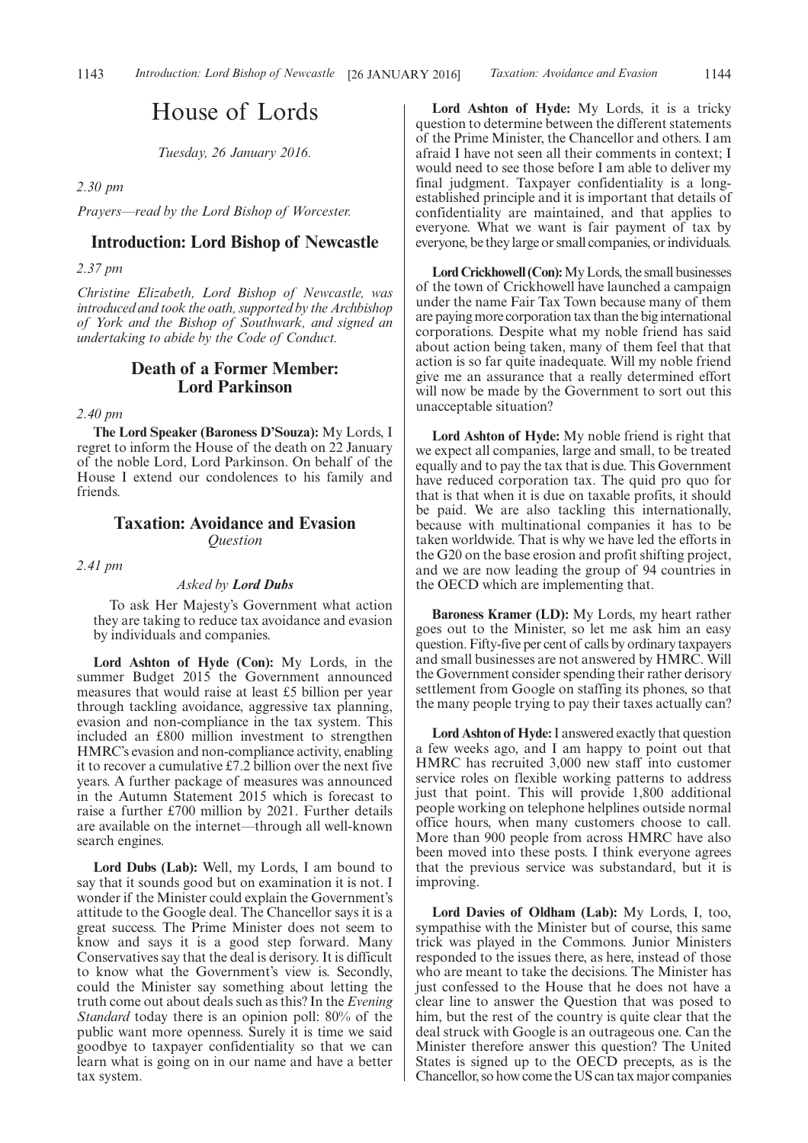# House of Lords

*Tuesday, 26 January 2016.*

*2.30 pm*

*Prayers—read by the Lord Bishop of Worcester.*

#### **Introduction: Lord Bishop of Newcastle**

*2.37 pm*

*Christine Elizabeth, Lord Bishop of Newcastle, was introduced and took the oath, supported by the Archbishop of York and the Bishop of Southwark, and signed an undertaking to abide by the Code of Conduct.*

# **Death of a Former Member: Lord Parkinson**

*2.40 pm*

**The Lord Speaker (Baroness D'Souza):** My Lords, I regret to inform the House of the death on 22 January of the noble Lord, Lord Parkinson. On behalf of the House I extend our condolences to his family and friends.

#### **Taxation: Avoidance and Evasion** *Question*

*2.41 pm*

#### *Asked by Lord Dubs*

To ask Her Majesty's Government what action they are taking to reduce tax avoidance and evasion by individuals and companies.

**Lord Ashton of Hyde (Con):** My Lords, in the summer Budget 2015 the Government announced measures that would raise at least £5 billion per year through tackling avoidance, aggressive tax planning, evasion and non-compliance in the tax system. This included an £800 million investment to strengthen HMRC's evasion and non-compliance activity, enabling it to recover a cumulative £7.2 billion over the next five years. A further package of measures was announced in the Autumn Statement 2015 which is forecast to raise a further £700 million by 2021. Further details are available on the internet—through all well-known search engines.

**Lord Dubs (Lab):** Well, my Lords, I am bound to say that it sounds good but on examination it is not. I wonder if the Minister could explain the Government's attitude to the Google deal. The Chancellor says it is a great success. The Prime Minister does not seem to know and says it is a good step forward. Many Conservatives say that the deal is derisory. It is difficult to know what the Government's view is. Secondly, could the Minister say something about letting the truth come out about deals such as this? In the *Evening Standard* today there is an opinion poll: 80% of the public want more openness. Surely it is time we said goodbye to taxpayer confidentiality so that we can learn what is going on in our name and have a better tax system.

**Lord Ashton of Hyde:** My Lords, it is a tricky question to determine between the different statements of the Prime Minister, the Chancellor and others. I am afraid I have not seen all their comments in context; I would need to see those before I am able to deliver my final judgment. Taxpayer confidentiality is a longestablished principle and it is important that details of confidentiality are maintained, and that applies to everyone. What we want is fair payment of tax by everyone, be they large or small companies, or individuals.

**Lord Crickhowell (Con):**My Lords, the small businesses of the town of Crickhowell have launched a campaign under the name Fair Tax Town because many of them are paying more corporation tax than the big international corporations. Despite what my noble friend has said about action being taken, many of them feel that that action is so far quite inadequate. Will my noble friend give me an assurance that a really determined effort will now be made by the Government to sort out this unacceptable situation?

**Lord Ashton of Hyde:** My noble friend is right that we expect all companies, large and small, to be treated equally and to pay the tax that is due. This Government have reduced corporation tax. The quid pro quo for that is that when it is due on taxable profits, it should be paid. We are also tackling this internationally, because with multinational companies it has to be taken worldwide. That is why we have led the efforts in the G20 on the base erosion and profit shifting project, and we are now leading the group of 94 countries in the OECD which are implementing that.

**Baroness Kramer (LD):** My Lords, my heart rather goes out to the Minister, so let me ask him an easy question. Fifty-five per cent of calls by ordinary taxpayers and small businesses are not answered by HMRC. Will the Government consider spending their rather derisory settlement from Google on staffing its phones, so that the many people trying to pay their taxes actually can?

**Lord Ashton of Hyde:**I answered exactly that question a few weeks ago, and I am happy to point out that HMRC has recruited 3,000 new staff into customer service roles on flexible working patterns to address just that point. This will provide 1,800 additional people working on telephone helplines outside normal office hours, when many customers choose to call. More than 900 people from across HMRC have also been moved into these posts. I think everyone agrees that the previous service was substandard, but it is improving.

**Lord Davies of Oldham (Lab):** My Lords, I, too, sympathise with the Minister but of course, this same trick was played in the Commons. Junior Ministers responded to the issues there, as here, instead of those who are meant to take the decisions. The Minister has just confessed to the House that he does not have a clear line to answer the Question that was posed to him, but the rest of the country is quite clear that the deal struck with Google is an outrageous one. Can the Minister therefore answer this question? The United States is signed up to the OECD precepts, as is the Chancellor, so how come the US can tax major companies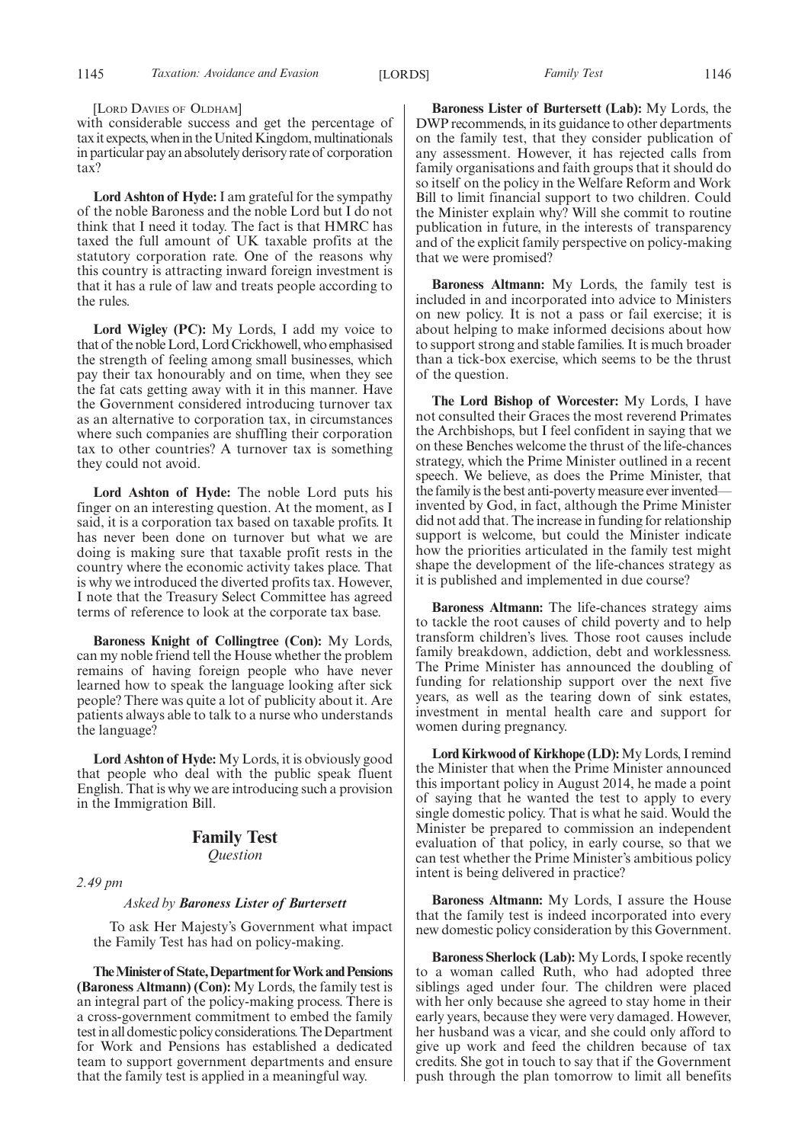[LORD DAVIES OF OLDHAM]

with considerable success and get the percentage of tax it expects, when in the United Kingdom, multinationals in particular pay an absolutely derisory rate of corporation tax?

**Lord Ashton of Hyde:**I am grateful for the sympathy of the noble Baroness and the noble Lord but I do not think that I need it today. The fact is that HMRC has taxed the full amount of UK taxable profits at the statutory corporation rate. One of the reasons why this country is attracting inward foreign investment is that it has a rule of law and treats people according to the rules.

**Lord Wigley (PC):** My Lords, I add my voice to that of the nobleLord,Lord Crickhowell, who emphasised the strength of feeling among small businesses, which pay their tax honourably and on time, when they see the fat cats getting away with it in this manner. Have the Government considered introducing turnover tax as an alternative to corporation tax, in circumstances where such companies are shuffling their corporation tax to other countries? A turnover tax is something they could not avoid.

**Lord Ashton of Hyde:** The noble Lord puts his finger on an interesting question. At the moment, as I said, it is a corporation tax based on taxable profits. It has never been done on turnover but what we are doing is making sure that taxable profit rests in the country where the economic activity takes place. That is why we introduced the diverted profits tax. However, I note that the Treasury Select Committee has agreed terms of reference to look at the corporate tax base.

**Baroness Knight of Collingtree (Con):** My Lords, can my noble friend tell the House whether the problem remains of having foreign people who have never learned how to speak the language looking after sick people? There was quite a lot of publicity about it. Are patients always able to talk to a nurse who understands the language?

**Lord Ashton of Hyde:** My Lords, it is obviously good that people who deal with the public speak fluent English. That is why we are introducing such a provision in the Immigration Bill.

# **Family Test**

*Question*

*2.49 pm*

#### *Asked by Baroness Lister of Burtersett*

To ask Her Majesty's Government what impact the Family Test has had on policy-making.

**TheMinister of State,Department forWork andPensions (Baroness Altmann) (Con):** My Lords, the family test is an integral part of the policy-making process. There is a cross-government commitment to embed the family test in all domestic policy considerations. The Department for Work and Pensions has established a dedicated team to support government departments and ensure that the family test is applied in a meaningful way.

**Baroness Lister of Burtersett (Lab):** My Lords, the DWP recommends, in its guidance to other departments on the family test, that they consider publication of any assessment. However, it has rejected calls from family organisations and faith groups that it should do so itself on the policy in the Welfare Reform and Work Bill to limit financial support to two children. Could the Minister explain why? Will she commit to routine publication in future, in the interests of transparency and of the explicit family perspective on policy-making that we were promised?

**Baroness Altmann:** My Lords, the family test is included in and incorporated into advice to Ministers on new policy. It is not a pass or fail exercise; it is about helping to make informed decisions about how to support strong and stable families. It is much broader than a tick-box exercise, which seems to be the thrust of the question.

**The Lord Bishop of Worcester:** My Lords, I have not consulted their Graces the most reverend Primates the Archbishops, but I feel confident in saying that we on these Benches welcome the thrust of the life-chances strategy, which the Prime Minister outlined in a recent speech. We believe, as does the Prime Minister, that the family is the best anti-poverty measure ever invented invented by God, in fact, although the Prime Minister did not add that. The increase in funding for relationship support is welcome, but could the Minister indicate how the priorities articulated in the family test might shape the development of the life-chances strategy as it is published and implemented in due course?

**Baroness Altmann:** The life-chances strategy aims to tackle the root causes of child poverty and to help transform children's lives. Those root causes include family breakdown, addiction, debt and worklessness. The Prime Minister has announced the doubling of funding for relationship support over the next five years, as well as the tearing down of sink estates, investment in mental health care and support for women during pregnancy.

**Lord Kirkwood of Kirkhope (LD):**My Lords, I remind the Minister that when the Prime Minister announced this important policy in August 2014, he made a point of saying that he wanted the test to apply to every single domestic policy. That is what he said. Would the Minister be prepared to commission an independent evaluation of that policy, in early course, so that we can test whether the Prime Minister's ambitious policy intent is being delivered in practice?

**Baroness Altmann:** My Lords, I assure the House that the family test is indeed incorporated into every new domestic policy consideration by this Government.

**Baroness Sherlock (Lab):** My Lords, I spoke recently to a woman called Ruth, who had adopted three siblings aged under four. The children were placed with her only because she agreed to stay home in their early years, because they were very damaged. However, her husband was a vicar, and she could only afford to give up work and feed the children because of tax credits. She got in touch to say that if the Government push through the plan tomorrow to limit all benefits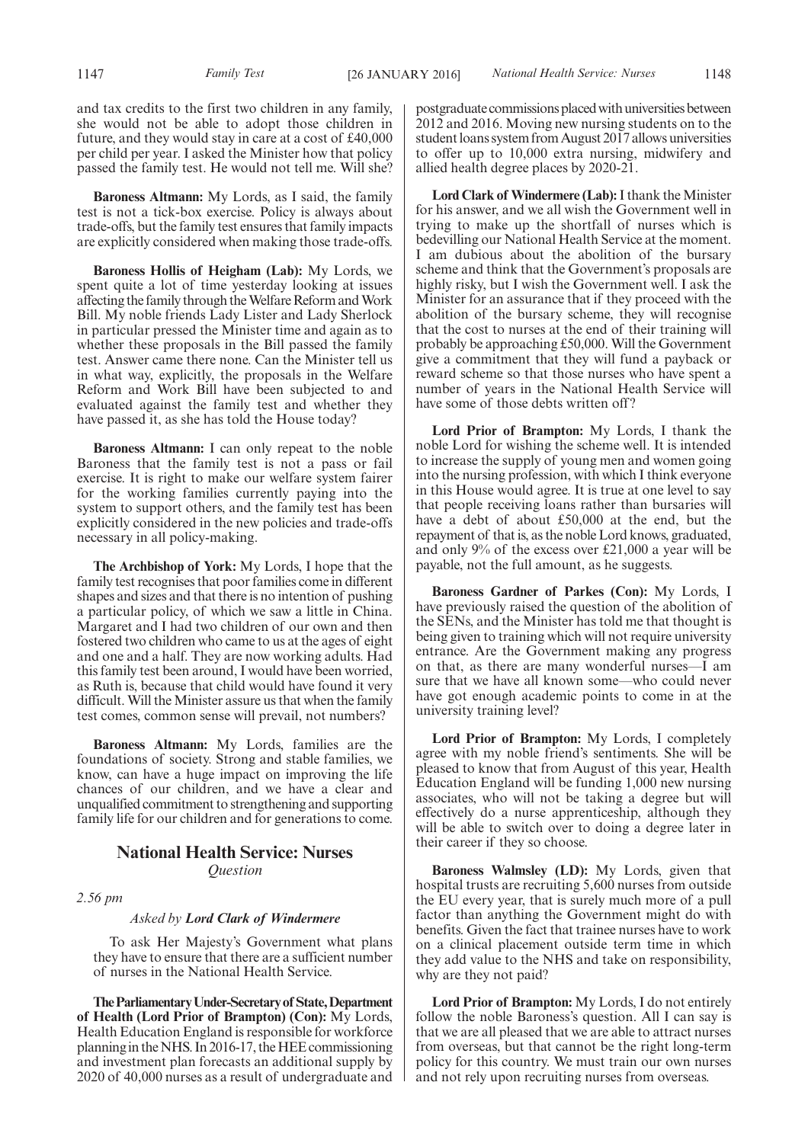and tax credits to the first two children in any family, she would not be able to adopt those children in future, and they would stay in care at a cost of £40,000 per child per year. I asked the Minister how that policy passed the family test. He would not tell me. Will she?

**Baroness Altmann:** My Lords, as I said, the family test is not a tick-box exercise. Policy is always about trade-offs, but the family test ensures that family impacts are explicitly considered when making those trade-offs.

**Baroness Hollis of Heigham (Lab):** My Lords, we spent quite a lot of time yesterday looking at issues affecting the family through the Welfare Reform and Work Bill. My noble friends Lady Lister and Lady Sherlock in particular pressed the Minister time and again as to whether these proposals in the Bill passed the family test. Answer came there none. Can the Minister tell us in what way, explicitly, the proposals in the Welfare Reform and Work Bill have been subjected to and evaluated against the family test and whether they have passed it, as she has told the House today?

**Baroness Altmann:** I can only repeat to the noble Baroness that the family test is not a pass or fail exercise. It is right to make our welfare system fairer for the working families currently paying into the system to support others, and the family test has been explicitly considered in the new policies and trade-offs necessary in all policy-making.

**The Archbishop of York:** My Lords, I hope that the family test recognises that poor families come in different shapes and sizes and that there is no intention of pushing a particular policy, of which we saw a little in China. Margaret and I had two children of our own and then fostered two children who came to us at the ages of eight and one and a half. They are now working adults. Had this family test been around, I would have been worried, as Ruth is, because that child would have found it very difficult. Will the Minister assure us that when the family test comes, common sense will prevail, not numbers?

**Baroness Altmann:** My Lords, families are the foundations of society. Strong and stable families, we know, can have a huge impact on improving the life chances of our children, and we have a clear and unqualified commitment to strengthening and supporting family life for our children and for generations to come.

### **National Health Service: Nurses** *Question*

*2.56 pm*

#### *Asked by Lord Clark of Windermere*

To ask Her Majesty's Government what plans they have to ensure that there are a sufficient number of nurses in the National Health Service.

**TheParliamentaryUnder-Secretaryof State,Department of Health (Lord Prior of Brampton) (Con):** My Lords, Health Education England is responsible for workforce planning in the NHS. In 2016-17, the HEE commissioning and investment plan forecasts an additional supply by 2020 of 40,000 nurses as a result of undergraduate and postgraduate commissions placed with universities between 2012 and 2016. Moving new nursing students on to the student loans system from August 2017 allows universities to offer up to 10,000 extra nursing, midwifery and allied health degree places by 2020-21.

Lord Clark of Windermere (Lab): I thank the Minister for his answer, and we all wish the Government well in trying to make up the shortfall of nurses which is bedevilling our National Health Service at the moment. I am dubious about the abolition of the bursary scheme and think that the Government's proposals are highly risky, but I wish the Government well. I ask the Minister for an assurance that if they proceed with the abolition of the bursary scheme, they will recognise that the cost to nurses at the end of their training will probably be approaching £50,000. Will the Government give a commitment that they will fund a payback or reward scheme so that those nurses who have spent a number of years in the National Health Service will have some of those debts written off?

**Lord Prior of Brampton:** My Lords, I thank the noble Lord for wishing the scheme well. It is intended to increase the supply of young men and women going into the nursing profession, with which I think everyone in this House would agree. It is true at one level to say that people receiving loans rather than bursaries will have a debt of about £50,000 at the end, but the repayment of that is, as the noble Lord knows, graduated, and only 9% of the excess over £21,000 a year will be payable, not the full amount, as he suggests.

**Baroness Gardner of Parkes (Con):** My Lords, I have previously raised the question of the abolition of the SENs, and the Minister has told me that thought is being given to training which will not require university entrance. Are the Government making any progress on that, as there are many wonderful nurses—I am sure that we have all known some—who could never have got enough academic points to come in at the university training level?

**Lord Prior of Brampton:** My Lords, I completely agree with my noble friend's sentiments. She will be pleased to know that from August of this year, Health Education England will be funding 1,000 new nursing associates, who will not be taking a degree but will effectively do a nurse apprenticeship, although they will be able to switch over to doing a degree later in their career if they so choose.

**Baroness Walmsley (LD):** My Lords, given that hospital trusts are recruiting 5,600 nurses from outside the EU every year, that is surely much more of a pull factor than anything the Government might do with benefits. Given the fact that trainee nurses have to work on a clinical placement outside term time in which they add value to the NHS and take on responsibility, why are they not paid?

**Lord Prior of Brampton:** My Lords, I do not entirely follow the noble Baroness's question. All I can say is that we are all pleased that we are able to attract nurses from overseas, but that cannot be the right long-term policy for this country. We must train our own nurses and not rely upon recruiting nurses from overseas.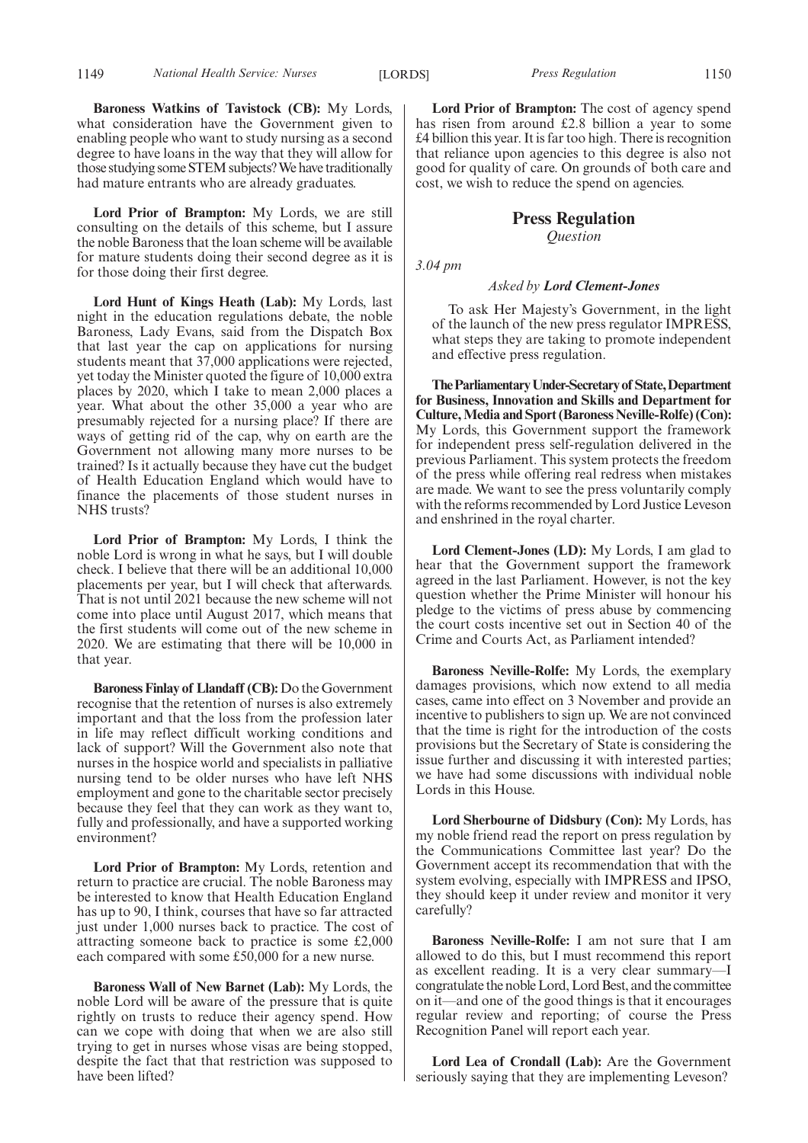**Baroness Watkins of Tavistock (CB):** My Lords, what consideration have the Government given to enabling people who want to study nursing as a second degree to have loans in the way that they will allow for those studying some STEM subjects?We have traditionally had mature entrants who are already graduates.

**Lord Prior of Brampton:** My Lords, we are still consulting on the details of this scheme, but I assure the noble Baroness that the loan scheme will be available for mature students doing their second degree as it is for those doing their first degree.

**Lord Hunt of Kings Heath (Lab):** My Lords, last night in the education regulations debate, the noble Baroness, Lady Evans, said from the Dispatch Box that last year the cap on applications for nursing students meant that 37,000 applications were rejected, yet today the Minister quoted the figure of 10,000 extra places by 2020, which I take to mean 2,000 places a year. What about the other 35,000 a year who are presumably rejected for a nursing place? If there are ways of getting rid of the cap, why on earth are the Government not allowing many more nurses to be trained? Is it actually because they have cut the budget of Health Education England which would have to finance the placements of those student nurses in NHS trusts?

**Lord Prior of Brampton:** My Lords, I think the noble Lord is wrong in what he says, but I will double check. I believe that there will be an additional 10,000 placements per year, but I will check that afterwards. That is not until 2021 because the new scheme will not come into place until August 2017, which means that the first students will come out of the new scheme in 2020. We are estimating that there will be 10,000 in that year.

**Baroness Finlay of Llandaff (CB):** Do the Government recognise that the retention of nurses is also extremely important and that the loss from the profession later in life may reflect difficult working conditions and lack of support? Will the Government also note that nurses in the hospice world and specialists in palliative nursing tend to be older nurses who have left NHS employment and gone to the charitable sector precisely because they feel that they can work as they want to, fully and professionally, and have a supported working environment?

**Lord Prior of Brampton:** My Lords, retention and return to practice are crucial. The noble Baroness may be interested to know that Health Education England has up to 90, I think, courses that have so far attracted just under 1,000 nurses back to practice. The cost of attracting someone back to practice is some £2,000 each compared with some £50,000 for a new nurse.

**Baroness Wall of New Barnet (Lab):** My Lords, the noble Lord will be aware of the pressure that is quite rightly on trusts to reduce their agency spend. How can we cope with doing that when we are also still trying to get in nurses whose visas are being stopped, despite the fact that that restriction was supposed to have been lifted?

**Lord Prior of Brampton:** The cost of agency spend has risen from around £2.8 billion a year to some £4 billion this year. It is far too high. There is recognition that reliance upon agencies to this degree is also not good for quality of care. On grounds of both care and cost, we wish to reduce the spend on agencies.

### **Press Regulation**

*Question*

*3.04 pm*

#### *Asked by Lord Clement-Jones*

To ask Her Majesty's Government, in the light of the launch of the new press regulator IMPRESS, what steps they are taking to promote independent and effective press regulation.

**TheParliamentaryUnder-Secretaryof State,Department for Business, Innovation and Skills and Department for Culture,Media and Sport (Baroness Neville-Rolfe) (Con):** My Lords, this Government support the framework for independent press self-regulation delivered in the previous Parliament. This system protects the freedom of the press while offering real redress when mistakes are made. We want to see the press voluntarily comply with the reforms recommended by Lord Justice Leveson and enshrined in the royal charter.

**Lord Clement-Jones (LD):** My Lords, I am glad to hear that the Government support the framework agreed in the last Parliament. However, is not the key question whether the Prime Minister will honour his pledge to the victims of press abuse by commencing the court costs incentive set out in Section 40 of the Crime and Courts Act, as Parliament intended?

**Baroness Neville-Rolfe:** My Lords, the exemplary damages provisions, which now extend to all media cases, came into effect on 3 November and provide an incentive to publishers to sign up. We are not convinced that the time is right for the introduction of the costs provisions but the Secretary of State is considering the issue further and discussing it with interested parties; we have had some discussions with individual noble Lords in this House.

**Lord Sherbourne of Didsbury (Con):** My Lords, has my noble friend read the report on press regulation by the Communications Committee last year? Do the Government accept its recommendation that with the system evolving, especially with IMPRESS and IPSO, they should keep it under review and monitor it very carefully?

**Baroness Neville-Rolfe:** I am not sure that I am allowed to do this, but I must recommend this report as excellent reading. It is a very clear summary—I congratulate the noble Lord, Lord Best, and the committee on it—and one of the good things is that it encourages regular review and reporting; of course the Press Recognition Panel will report each year.

**Lord Lea of Crondall (Lab):** Are the Government seriously saying that they are implementing Leveson?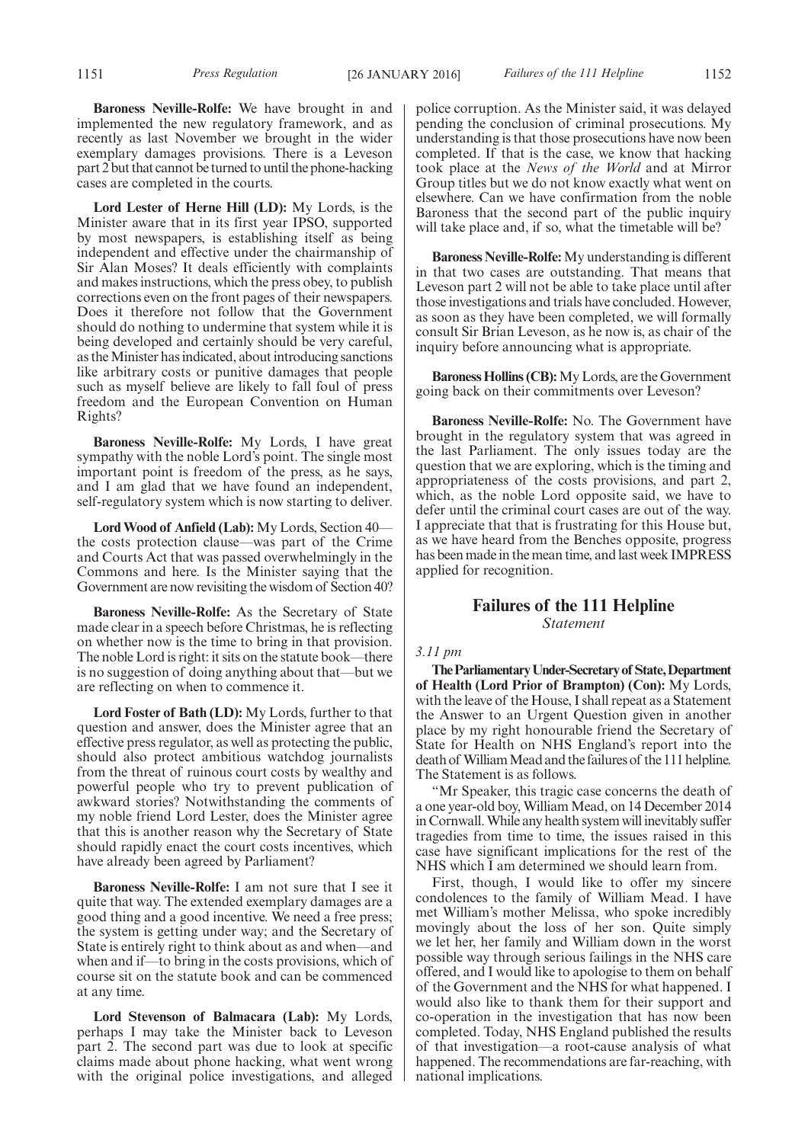**Baroness Neville-Rolfe:** We have brought in and implemented the new regulatory framework, and as recently as last November we brought in the wider exemplary damages provisions. There is a Leveson part 2 but that cannot be turned to until the phone-hacking cases are completed in the courts.

**Lord Lester of Herne Hill (LD):** My Lords, is the Minister aware that in its first year IPSO, supported by most newspapers, is establishing itself as being independent and effective under the chairmanship of Sir Alan Moses? It deals efficiently with complaints and makes instructions, which the press obey, to publish corrections even on the front pages of their newspapers. Does it therefore not follow that the Government should do nothing to undermine that system while it is being developed and certainly should be very careful, as theMinister has indicated, about introducing sanctions like arbitrary costs or punitive damages that people such as myself believe are likely to fall foul of press freedom and the European Convention on Human Rights?

**Baroness Neville-Rolfe:** My Lords, I have great sympathy with the noble Lord's point. The single most important point is freedom of the press, as he says, and I am glad that we have found an independent, self-regulatory system which is now starting to deliver.

**Lord Wood of Anfield (Lab):** My Lords, Section 40 the costs protection clause—was part of the Crime and Courts Act that was passed overwhelmingly in the Commons and here. Is the Minister saying that the Government are now revisiting the wisdom of Section 40?

**Baroness Neville-Rolfe:** As the Secretary of State made clear in a speech before Christmas, he is reflecting on whether now is the time to bring in that provision. The noble Lord is right: it sits on the statute book—there is no suggestion of doing anything about that—but we are reflecting on when to commence it.

**Lord Foster of Bath (LD):** My Lords, further to that question and answer, does the Minister agree that an effective press regulator, as well as protecting the public, should also protect ambitious watchdog journalists from the threat of ruinous court costs by wealthy and powerful people who try to prevent publication of awkward stories? Notwithstanding the comments of my noble friend Lord Lester, does the Minister agree that this is another reason why the Secretary of State should rapidly enact the court costs incentives, which have already been agreed by Parliament?

**Baroness Neville-Rolfe:** I am not sure that I see it quite that way. The extended exemplary damages are a good thing and a good incentive. We need a free press; the system is getting under way; and the Secretary of State is entirely right to think about as and when—and when and if—to bring in the costs provisions, which of course sit on the statute book and can be commenced at any time.

**Lord Stevenson of Balmacara (Lab):** My Lords, perhaps I may take the Minister back to Leveson part 2. The second part was due to look at specific claims made about phone hacking, what went wrong with the original police investigations, and alleged police corruption. As the Minister said, it was delayed pending the conclusion of criminal prosecutions. My understanding is that those prosecutions have now been completed. If that is the case, we know that hacking took place at the *News of the World* and at Mirror Group titles but we do not know exactly what went on elsewhere. Can we have confirmation from the noble Baroness that the second part of the public inquiry will take place and, if so, what the timetable will be?

**Baroness Neville-Rolfe:** My understanding is different in that two cases are outstanding. That means that Leveson part 2 will not be able to take place until after those investigations and trials have concluded. However, as soon as they have been completed, we will formally consult Sir Brian Leveson, as he now is, as chair of the inquiry before announcing what is appropriate.

**Baroness Hollins (CB):**My Lords, are the Government going back on their commitments over Leveson?

**Baroness Neville-Rolfe:** No. The Government have brought in the regulatory system that was agreed in the last Parliament. The only issues today are the question that we are exploring, which is the timing and appropriateness of the costs provisions, and part 2, which, as the noble Lord opposite said, we have to defer until the criminal court cases are out of the way. I appreciate that that is frustrating for this House but, as we have heard from the Benches opposite, progress has been made in the mean time, and last week IMPRESS applied for recognition.

#### **Failures of the 111 Helpline** *Statement*

#### *3.11 pm*

**TheParliamentaryUnder-Secretaryof State,Department of Health (Lord Prior of Brampton) (Con):** My Lords, with the leave of the House, I shall repeat as a Statement the Answer to an Urgent Question given in another place by my right honourable friend the Secretary of State for Health on NHS England's report into the death of WilliamMead and the failures of the 111 helpline. The Statement is as follows.

"Mr Speaker, this tragic case concerns the death of a one year-old boy,WilliamMead, on 14 December 2014 in Cornwall.While any health system will inevitably suffer tragedies from time to time, the issues raised in this case have significant implications for the rest of the NHS which I am determined we should learn from.

First, though, I would like to offer my sincere condolences to the family of William Mead. I have met William's mother Melissa, who spoke incredibly movingly about the loss of her son. Quite simply we let her, her family and William down in the worst possible way through serious failings in the NHS care offered, and I would like to apologise to them on behalf of the Government and the NHS for what happened. I would also like to thank them for their support and co-operation in the investigation that has now been completed. Today, NHS England published the results of that investigation—a root-cause analysis of what happened. The recommendations are far-reaching, with national implications.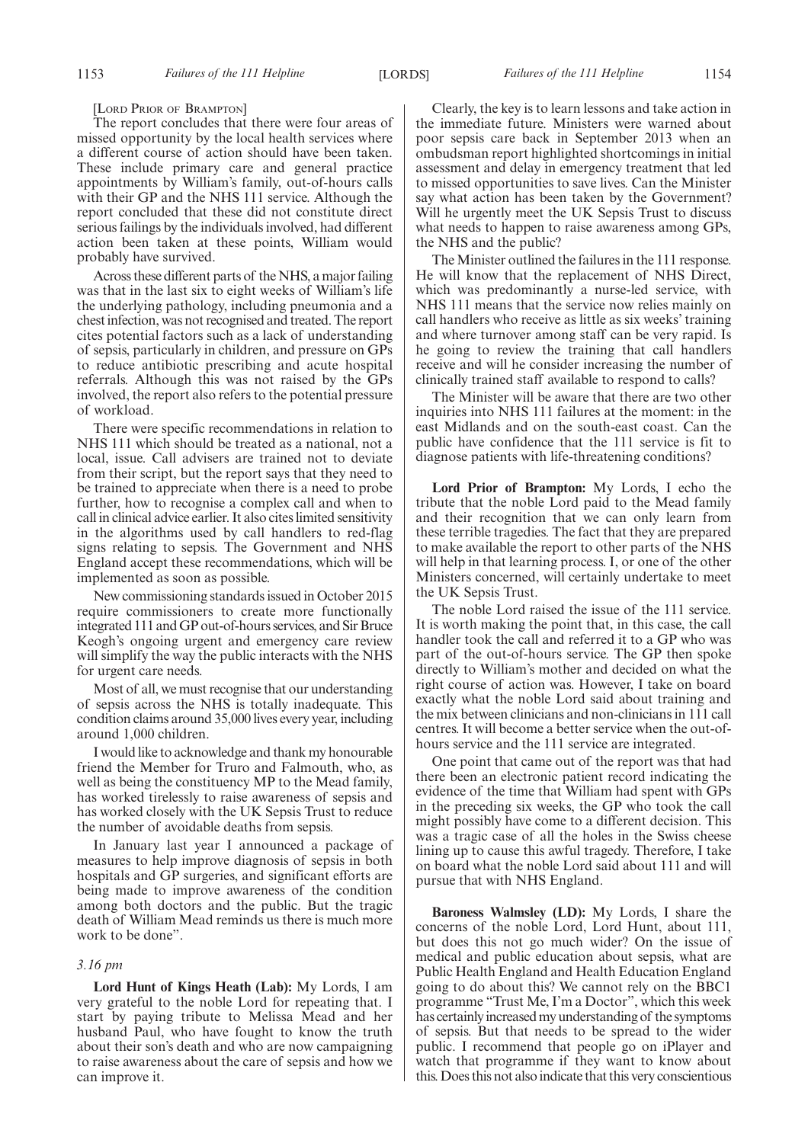[LORD PRIOR OF BRAMPTON]

The report concludes that there were four areas of missed opportunity by the local health services where a different course of action should have been taken. These include primary care and general practice appointments by William's family, out-of-hours calls with their GP and the NHS 111 service. Although the report concluded that these did not constitute direct serious failings by the individuals involved, had different action been taken at these points, William would probably have survived.

Across these different parts of the NHS, a major failing was that in the last six to eight weeks of William's life the underlying pathology, including pneumonia and a chest infection, was not recognised and treated. The report cites potential factors such as a lack of understanding of sepsis, particularly in children, and pressure on GPs to reduce antibiotic prescribing and acute hospital referrals. Although this was not raised by the GPs involved, the report also refers to the potential pressure of workload.

There were specific recommendations in relation to NHS 111 which should be treated as a national, not a local, issue. Call advisers are trained not to deviate from their script, but the report says that they need to be trained to appreciate when there is a need to probe further, how to recognise a complex call and when to call in clinical advice earlier. It also cites limited sensitivity in the algorithms used by call handlers to red-flag signs relating to sepsis. The Government and NHS England accept these recommendations, which will be implemented as soon as possible.

New commissioning standards issued in October 2015 require commissioners to create more functionally integrated 111 andGP out-of-hours services, and Sir Bruce Keogh's ongoing urgent and emergency care review will simplify the way the public interacts with the NHS for urgent care needs.

Most of all, we must recognise that our understanding of sepsis across the NHS is totally inadequate. This condition claims around 35,000 lives every year, including around 1,000 children.

I would like to acknowledge and thank my honourable friend the Member for Truro and Falmouth, who, as well as being the constituency MP to the Mead family, has worked tirelessly to raise awareness of sepsis and has worked closely with the UK Sepsis Trust to reduce the number of avoidable deaths from sepsis.

In January last year I announced a package of measures to help improve diagnosis of sepsis in both hospitals and GP surgeries, and significant efforts are being made to improve awareness of the condition among both doctors and the public. But the tragic death of William Mead reminds us there is much more work to be done".

#### *3.16 pm*

**Lord Hunt of Kings Heath (Lab):** My Lords, I am very grateful to the noble Lord for repeating that. I start by paying tribute to Melissa Mead and her husband Paul, who have fought to know the truth about their son's death and who are now campaigning to raise awareness about the care of sepsis and how we can improve it.

Clearly, the key is to learn lessons and take action in the immediate future. Ministers were warned about poor sepsis care back in September 2013 when an ombudsman report highlighted shortcomings in initial assessment and delay in emergency treatment that led to missed opportunities to save lives. Can the Minister say what action has been taken by the Government? Will he urgently meet the UK Sepsis Trust to discuss what needs to happen to raise awareness among GPs, the NHS and the public?

The Minister outlined the failures in the 111 response. He will know that the replacement of NHS Direct, which was predominantly a nurse-led service, with NHS 111 means that the service now relies mainly on call handlers who receive as little as six weeks' training and where turnover among staff can be very rapid. Is he going to review the training that call handlers receive and will he consider increasing the number of clinically trained staff available to respond to calls?

The Minister will be aware that there are two other inquiries into NHS 111 failures at the moment: in the east Midlands and on the south-east coast. Can the public have confidence that the 111 service is fit to diagnose patients with life-threatening conditions?

**Lord Prior of Brampton:** My Lords, I echo the tribute that the noble Lord paid to the Mead family and their recognition that we can only learn from these terrible tragedies. The fact that they are prepared to make available the report to other parts of the NHS will help in that learning process. I, or one of the other Ministers concerned, will certainly undertake to meet the UK Sepsis Trust.

The noble Lord raised the issue of the 111 service. It is worth making the point that, in this case, the call handler took the call and referred it to a GP who was part of the out-of-hours service. The GP then spoke directly to William's mother and decided on what the right course of action was. However, I take on board exactly what the noble Lord said about training and the mix between clinicians and non-clinicians in 111 call centres. It will become a better service when the out-ofhours service and the 111 service are integrated.

One point that came out of the report was that had there been an electronic patient record indicating the evidence of the time that William had spent with GPs in the preceding six weeks, the GP who took the call might possibly have come to a different decision. This was a tragic case of all the holes in the Swiss cheese lining up to cause this awful tragedy. Therefore, I take on board what the noble Lord said about 111 and will pursue that with NHS England.

**Baroness Walmsley (LD):** My Lords, I share the concerns of the noble Lord, Lord Hunt, about 111, but does this not go much wider? On the issue of medical and public education about sepsis, what are Public Health England and Health Education England going to do about this? We cannot rely on the BBC1 programme "Trust Me, I'm a Doctor", which this week has certainly increased my understanding of the symptoms of sepsis. But that needs to be spread to the wider public. I recommend that people go on iPlayer and watch that programme if they want to know about this. Does this not also indicate that this very conscientious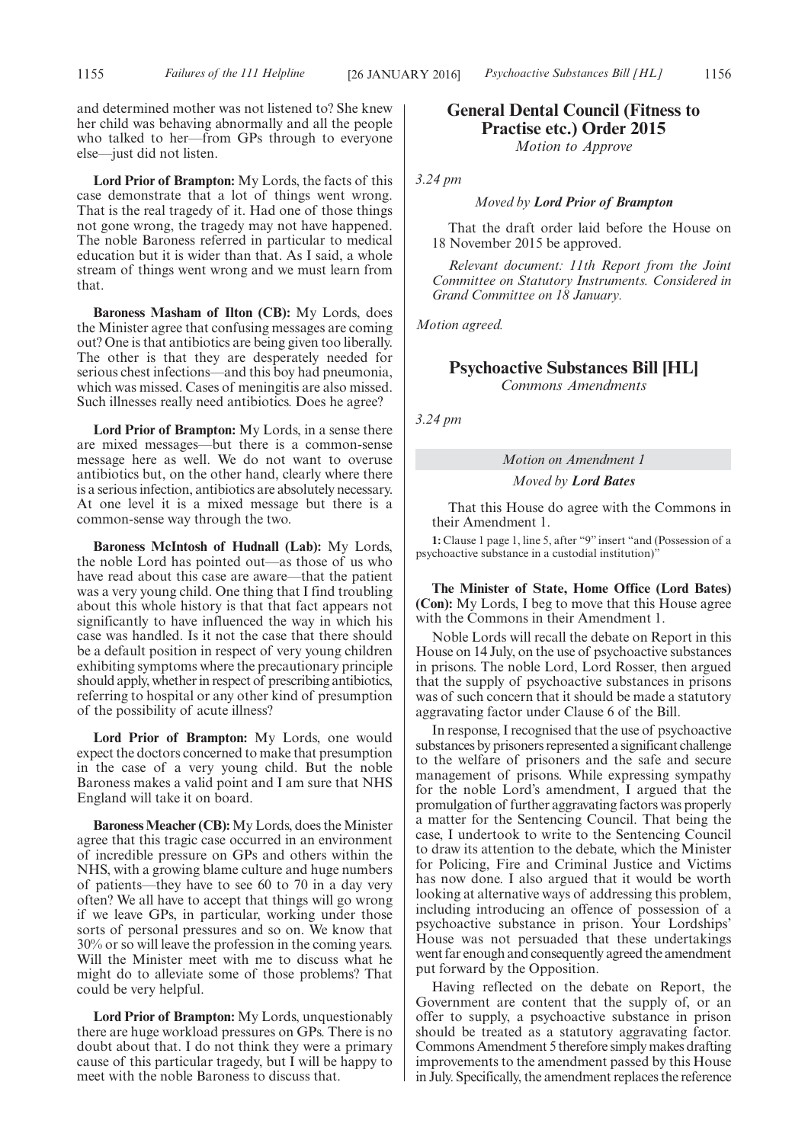and determined mother was not listened to? She knew her child was behaving abnormally and all the people who talked to her—from GPs through to everyone else—just did not listen.

**Lord Prior of Brampton:** My Lords, the facts of this case demonstrate that a lot of things went wrong. That is the real tragedy of it. Had one of those things not gone wrong, the tragedy may not have happened. The noble Baroness referred in particular to medical education but it is wider than that. As I said, a whole stream of things went wrong and we must learn from that.

**Baroness Masham of Ilton (CB):** My Lords, does the Minister agree that confusing messages are coming out? One is that antibiotics are being given too liberally. The other is that they are desperately needed for serious chest infections—and this boy had pneumonia, which was missed. Cases of meningitis are also missed. Such illnesses really need antibiotics. Does he agree?

**Lord Prior of Brampton:** My Lords, in a sense there are mixed messages—but there is a common-sense message here as well. We do not want to overuse antibiotics but, on the other hand, clearly where there is a serious infection, antibiotics are absolutely necessary. At one level it is a mixed message but there is a common-sense way through the two.

**Baroness McIntosh of Hudnall (Lab):** My Lords, the noble Lord has pointed out—as those of us who have read about this case are aware—that the patient was a very young child. One thing that I find troubling about this whole history is that that fact appears not significantly to have influenced the way in which his case was handled. Is it not the case that there should be a default position in respect of very young children exhibiting symptoms where the precautionary principle should apply, whether in respect of prescribing antibiotics, referring to hospital or any other kind of presumption of the possibility of acute illness?

**Lord Prior of Brampton:** My Lords, one would expect the doctors concerned to make that presumption in the case of a very young child. But the noble Baroness makes a valid point and I am sure that NHS England will take it on board.

**Baroness Meacher (CB):** My Lords, does the Minister agree that this tragic case occurred in an environment of incredible pressure on GPs and others within the NHS, with a growing blame culture and huge numbers of patients—they have to see 60 to 70 in a day very often? We all have to accept that things will go wrong if we leave GPs, in particular, working under those sorts of personal pressures and so on. We know that 30% or so will leave the profession in the coming years. Will the Minister meet with me to discuss what he might do to alleviate some of those problems? That could be very helpful.

**Lord Prior of Brampton:** My Lords, unquestionably there are huge workload pressures on GPs. There is no doubt about that. I do not think they were a primary cause of this particular tragedy, but I will be happy to meet with the noble Baroness to discuss that.

# **General Dental Council (Fitness to Practise etc.) Order 2015**

*Motion to Approve*

*3.24 pm*

#### *Moved by Lord Prior of Brampton*

That the draft order laid before the House on 18 November 2015 be approved.

*Relevant document: 11th Report from the Joint Committee on Statutory Instruments. Considered in Grand Committee on 18 January.*

*Motion agreed.*

### **Psychoactive Substances Bill [HL]**

*Commons Amendments*

*3.24 pm*

# *Motion on Amendment 1*

*Moved by Lord Bates*

That this House do agree with the Commons in their Amendment 1.

**1:** Clause 1 page 1, line 5, after "9" insert "and (Possession of a psychoactive substance in a custodial institution)"

**The Minister of State, Home Office (Lord Bates) (Con):** My Lords, I beg to move that this House agree with the Commons in their Amendment 1.

Noble Lords will recall the debate on Report in this House on 14 July, on the use of psychoactive substances in prisons. The noble Lord, Lord Rosser, then argued that the supply of psychoactive substances in prisons was of such concern that it should be made a statutory aggravating factor under Clause 6 of the Bill.

In response, I recognised that the use of psychoactive substances by prisoners represented a significant challenge to the welfare of prisoners and the safe and secure management of prisons. While expressing sympathy for the noble Lord's amendment, I argued that the promulgation of further aggravating factors was properly a matter for the Sentencing Council. That being the case, I undertook to write to the Sentencing Council to draw its attention to the debate, which the Minister for Policing, Fire and Criminal Justice and Victims has now done. I also argued that it would be worth looking at alternative ways of addressing this problem, including introducing an offence of possession of a psychoactive substance in prison. Your Lordships' House was not persuaded that these undertakings went far enough and consequently agreed the amendment put forward by the Opposition.

Having reflected on the debate on Report, the Government are content that the supply of, or an offer to supply, a psychoactive substance in prison should be treated as a statutory aggravating factor. Commons Amendment 5 therefore simply makes drafting improvements to the amendment passed by this House in July. Specifically, the amendment replaces the reference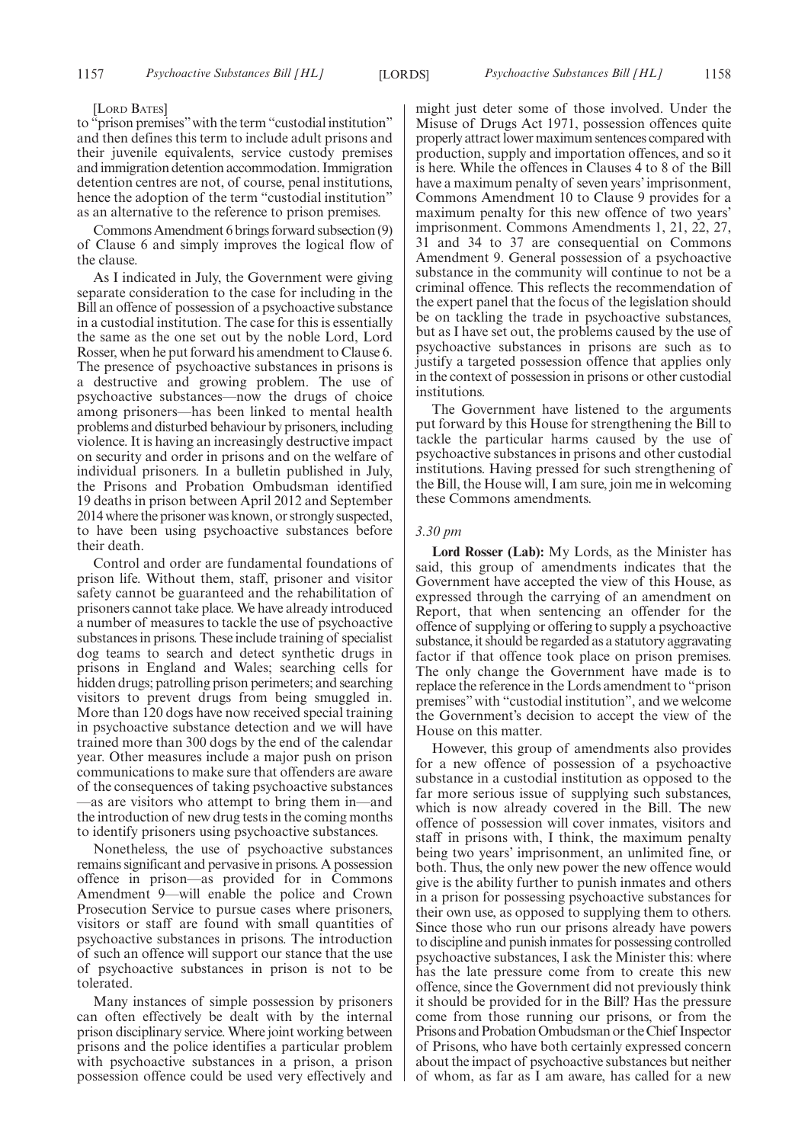#### [LORD BATES]

to "prison premises"with the term "custodial institution" and then defines this term to include adult prisons and their juvenile equivalents, service custody premises and immigration detention accommodation. Immigration detention centres are not, of course, penal institutions, hence the adoption of the term "custodial institution" as an alternative to the reference to prison premises.

Commons Amendment 6 brings forward subsection (9) of Clause 6 and simply improves the logical flow of the clause.

As I indicated in July, the Government were giving separate consideration to the case for including in the Bill an offence of possession of a psychoactive substance in a custodial institution. The case for this is essentially the same as the one set out by the noble Lord, Lord Rosser, when he put forward his amendment to Clause 6. The presence of psychoactive substances in prisons is a destructive and growing problem. The use of psychoactive substances—now the drugs of choice among prisoners—has been linked to mental health problems and disturbed behaviour by prisoners, including violence. It is having an increasingly destructive impact on security and order in prisons and on the welfare of individual prisoners. In a bulletin published in July, the Prisons and Probation Ombudsman identified 19 deaths in prison between April 2012 and September 2014 where the prisoner was known, or strongly suspected, to have been using psychoactive substances before their death.

Control and order are fundamental foundations of prison life. Without them, staff, prisoner and visitor safety cannot be guaranteed and the rehabilitation of prisoners cannot take place. We have already introduced a number of measures to tackle the use of psychoactive substances in prisons. These include training of specialist dog teams to search and detect synthetic drugs in prisons in England and Wales; searching cells for hidden drugs; patrolling prison perimeters; and searching visitors to prevent drugs from being smuggled in. More than 120 dogs have now received special training in psychoactive substance detection and we will have trained more than 300 dogs by the end of the calendar year. Other measures include a major push on prison communications to make sure that offenders are aware of the consequences of taking psychoactive substances —as are visitors who attempt to bring them in—and the introduction of new drug tests in the coming months to identify prisoners using psychoactive substances.

Nonetheless, the use of psychoactive substances remains significant and pervasive in prisons. A possession offence in prison—as provided for in Commons Amendment 9—will enable the police and Crown Prosecution Service to pursue cases where prisoners, visitors or staff are found with small quantities of psychoactive substances in prisons. The introduction of such an offence will support our stance that the use of psychoactive substances in prison is not to be tolerated.

Many instances of simple possession by prisoners can often effectively be dealt with by the internal prison disciplinary service. Where joint working between prisons and the police identifies a particular problem with psychoactive substances in a prison, a prison possession offence could be used very effectively and might just deter some of those involved. Under the Misuse of Drugs Act 1971, possession offences quite properly attract lower maximum sentences compared with production, supply and importation offences, and so it is here. While the offences in Clauses 4 to 8 of the Bill have a maximum penalty of seven years' imprisonment, Commons Amendment 10 to Clause 9 provides for a maximum penalty for this new offence of two years' imprisonment. Commons Amendments 1, 21, 22, 27, 31 and 34 to 37 are consequential on Commons Amendment 9. General possession of a psychoactive substance in the community will continue to not be a criminal offence. This reflects the recommendation of the expert panel that the focus of the legislation should be on tackling the trade in psychoactive substances, but as I have set out, the problems caused by the use of psychoactive substances in prisons are such as to justify a targeted possession offence that applies only in the context of possession in prisons or other custodial institutions.

The Government have listened to the arguments put forward by this House for strengthening the Bill to tackle the particular harms caused by the use of psychoactive substances in prisons and other custodial institutions. Having pressed for such strengthening of the Bill, the House will, I am sure, join me in welcoming these Commons amendments.

#### *3.30 pm*

**Lord Rosser (Lab):** My Lords, as the Minister has said, this group of amendments indicates that the Government have accepted the view of this House, as expressed through the carrying of an amendment on Report, that when sentencing an offender for the offence of supplying or offering to supply a psychoactive substance, it should be regarded as a statutory aggravating factor if that offence took place on prison premises. The only change the Government have made is to replace the reference in the Lords amendment to "prison premises" with "custodial institution", and we welcome the Government's decision to accept the view of the House on this matter.

However, this group of amendments also provides for a new offence of possession of a psychoactive substance in a custodial institution as opposed to the far more serious issue of supplying such substances, which is now already covered in the Bill. The new offence of possession will cover inmates, visitors and staff in prisons with, I think, the maximum penalty being two years' imprisonment, an unlimited fine, or both. Thus, the only new power the new offence would give is the ability further to punish inmates and others in a prison for possessing psychoactive substances for their own use, as opposed to supplying them to others. Since those who run our prisons already have powers to discipline and punish inmates for possessing controlled psychoactive substances, I ask the Minister this: where has the late pressure come from to create this new offence, since the Government did not previously think it should be provided for in the Bill? Has the pressure come from those running our prisons, or from the Prisons and Probation Ombudsman or the Chief Inspector of Prisons, who have both certainly expressed concern about the impact of psychoactive substances but neither of whom, as far as I am aware, has called for a new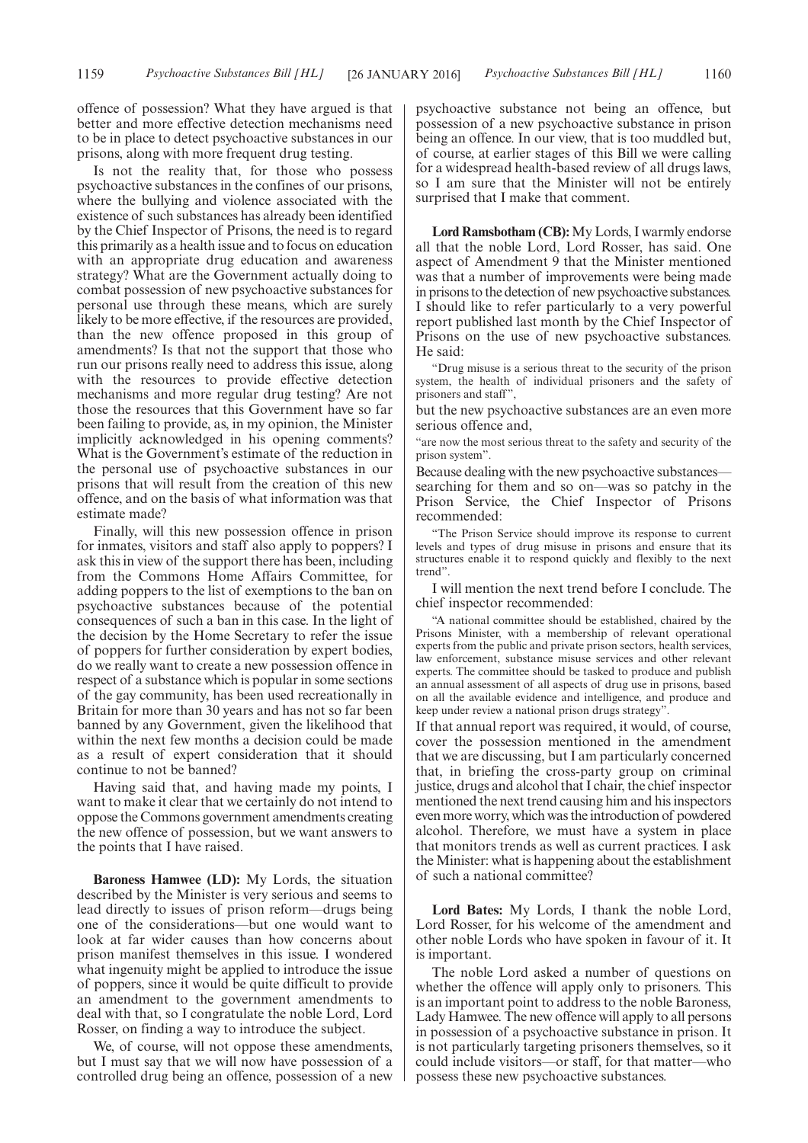offence of possession? What they have argued is that better and more effective detection mechanisms need to be in place to detect psychoactive substances in our prisons, along with more frequent drug testing.

Is not the reality that, for those who possess psychoactive substances in the confines of our prisons, where the bullying and violence associated with the existence of such substances has already been identified by the Chief Inspector of Prisons, the need is to regard this primarily as a health issue and to focus on education with an appropriate drug education and awareness strategy? What are the Government actually doing to combat possession of new psychoactive substances for personal use through these means, which are surely likely to be more effective, if the resources are provided, than the new offence proposed in this group of amendments? Is that not the support that those who run our prisons really need to address this issue, along with the resources to provide effective detection mechanisms and more regular drug testing? Are not those the resources that this Government have so far been failing to provide, as, in my opinion, the Minister implicitly acknowledged in his opening comments? What is the Government's estimate of the reduction in the personal use of psychoactive substances in our prisons that will result from the creation of this new offence, and on the basis of what information was that estimate made?

Finally, will this new possession offence in prison for inmates, visitors and staff also apply to poppers? I ask this in view of the support there has been, including from the Commons Home Affairs Committee, for adding poppers to the list of exemptions to the ban on psychoactive substances because of the potential consequences of such a ban in this case. In the light of the decision by the Home Secretary to refer the issue of poppers for further consideration by expert bodies, do we really want to create a new possession offence in respect of a substance which is popular in some sections of the gay community, has been used recreationally in Britain for more than 30 years and has not so far been banned by any Government, given the likelihood that within the next few months a decision could be made as a result of expert consideration that it should continue to not be banned?

Having said that, and having made my points, I want to make it clear that we certainly do not intend to oppose the Commons government amendments creating the new offence of possession, but we want answers to the points that I have raised.

**Baroness Hamwee (LD):** My Lords, the situation described by the Minister is very serious and seems to lead directly to issues of prison reform—drugs being one of the considerations—but one would want to look at far wider causes than how concerns about prison manifest themselves in this issue. I wondered what ingenuity might be applied to introduce the issue of poppers, since it would be quite difficult to provide an amendment to the government amendments to deal with that, so I congratulate the noble Lord, Lord Rosser, on finding a way to introduce the subject.

We, of course, will not oppose these amendments, but I must say that we will now have possession of a controlled drug being an offence, possession of a new psychoactive substance not being an offence, but possession of a new psychoactive substance in prison being an offence. In our view, that is too muddled but, of course, at earlier stages of this Bill we were calling for a widespread health-based review of all drugs laws, so I am sure that the Minister will not be entirely surprised that I make that comment.

**Lord Ramsbotham (CB):** My Lords, I warmly endorse all that the noble Lord, Lord Rosser, has said. One aspect of Amendment 9 that the Minister mentioned was that a number of improvements were being made in prisons to the detection of new psychoactive substances. I should like to refer particularly to a very powerful report published last month by the Chief Inspector of Prisons on the use of new psychoactive substances. He said:

"Drug misuse is a serious threat to the security of the prison system, the health of individual prisoners and the safety of prisoners and staff",

but the new psychoactive substances are an even more serious offence and,

"are now the most serious threat to the safety and security of the prison system".

Because dealing with the new psychoactive substances searching for them and so on—was so patchy in the Prison Service, the Chief Inspector of Prisons recommended:

"The Prison Service should improve its response to current levels and types of drug misuse in prisons and ensure that its structures enable it to respond quickly and flexibly to the next trend".

I will mention the next trend before I conclude. The chief inspector recommended:

"A national committee should be established, chaired by the Prisons Minister, with a membership of relevant operational experts from the public and private prison sectors, health services, law enforcement, substance misuse services and other relevant experts. The committee should be tasked to produce and publish an annual assessment of all aspects of drug use in prisons, based on all the available evidence and intelligence, and produce and keep under review a national prison drugs strategy".

If that annual report was required, it would, of course, cover the possession mentioned in the amendment that we are discussing, but I am particularly concerned that, in briefing the cross-party group on criminal justice, drugs and alcohol that I chair, the chief inspector mentioned the next trend causing him and his inspectors even more worry, which was the introduction of powdered alcohol. Therefore, we must have a system in place that monitors trends as well as current practices. I ask the Minister: what is happening about the establishment of such a national committee?

**Lord Bates:** My Lords, I thank the noble Lord, Lord Rosser, for his welcome of the amendment and other noble Lords who have spoken in favour of it. It is important.

The noble Lord asked a number of questions on whether the offence will apply only to prisoners. This is an important point to address to the noble Baroness, Lady Hamwee. The new offence will apply to all persons in possession of a psychoactive substance in prison. It is not particularly targeting prisoners themselves, so it could include visitors—or staff, for that matter—who possess these new psychoactive substances.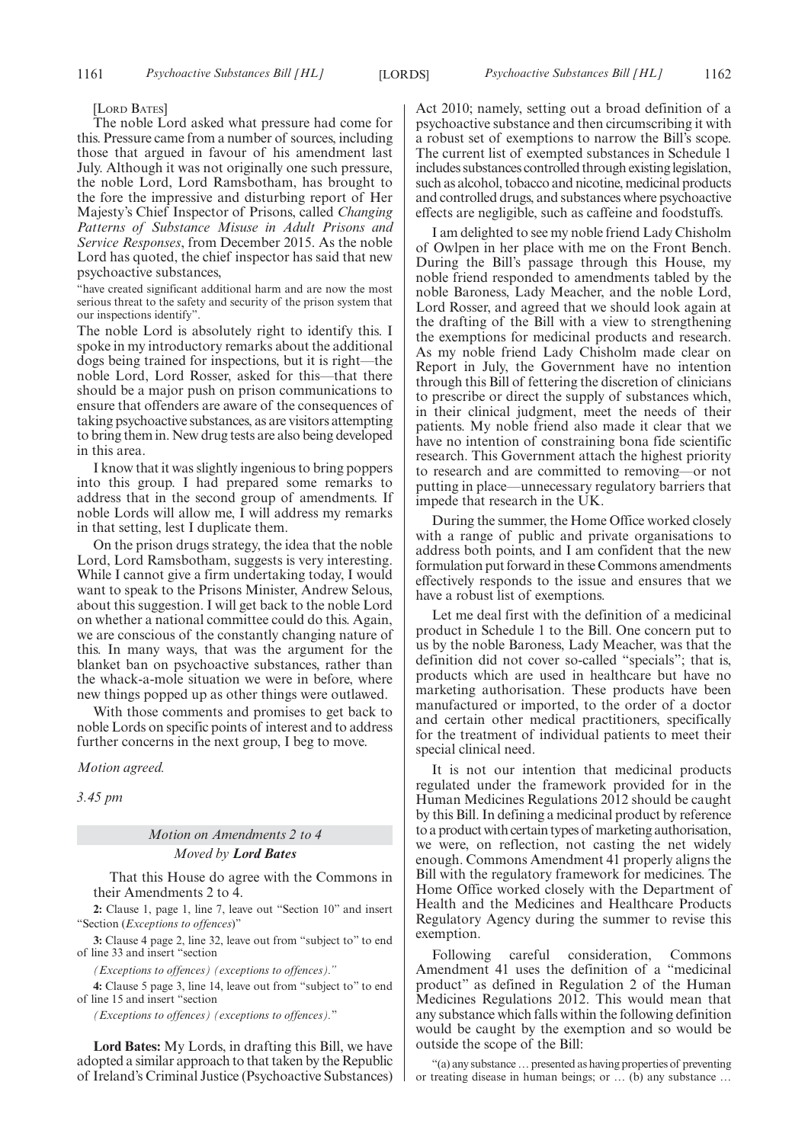[LORD BATES]

The noble Lord asked what pressure had come for this. Pressure came from a number of sources, including those that argued in favour of his amendment last July. Although it was not originally one such pressure, the noble Lord, Lord Ramsbotham, has brought to the fore the impressive and disturbing report of Her Majesty's Chief Inspector of Prisons, called *Changing Patterns of Substance Misuse in Adult Prisons and Service Responses*, from December 2015. As the noble Lord has quoted, the chief inspector has said that new psychoactive substances,

"have created significant additional harm and are now the most serious threat to the safety and security of the prison system that our inspections identify".

The noble Lord is absolutely right to identify this. I spoke in my introductory remarks about the additional dogs being trained for inspections, but it is right—the noble Lord, Lord Rosser, asked for this—that there should be a major push on prison communications to ensure that offenders are aware of the consequences of taking psychoactive substances, as are visitors attempting to bring them in. New drug tests are also being developed in this area.

I know that it was slightly ingenious to bring poppers into this group. I had prepared some remarks to address that in the second group of amendments. If noble Lords will allow me, I will address my remarks in that setting, lest I duplicate them.

On the prison drugs strategy, the idea that the noble Lord, Lord Ramsbotham, suggests is very interesting. While I cannot give a firm undertaking today, I would want to speak to the Prisons Minister, Andrew Selous, about this suggestion. I will get back to the noble Lord on whether a national committee could do this. Again, we are conscious of the constantly changing nature of this. In many ways, that was the argument for the blanket ban on psychoactive substances, rather than the whack-a-mole situation we were in before, where new things popped up as other things were outlawed.

With those comments and promises to get back to noble Lords on specific points of interest and to address further concerns in the next group, I beg to move.

*Motion agreed.*

*3.45 pm*

### *Motion on Amendments 2 to 4*

#### *Moved by Lord Bates*

That this House do agree with the Commons in their Amendments 2 to 4.

**2:** Clause 1, page 1, line 7, leave out "Section 10" and insert "Section (*Exceptions to offences*)"

**3:** Clause 4 page 2, line 32, leave out from "subject to" to end of line 33 and insert "section

*(Exceptions to offences) (exceptions to offences)."*

**4:** Clause 5 page 3, line 14, leave out from "subject to" to end of line 15 and insert "section

*(Exceptions to offences) (exceptions to offences).*"

**Lord Bates:** My Lords, in drafting this Bill, we have adopted a similar approach to that taken by the Republic of Ireland's Criminal Justice (Psychoactive Substances) Act 2010; namely, setting out a broad definition of a psychoactive substance and then circumscribing it with a robust set of exemptions to narrow the Bill's scope. The current list of exempted substances in Schedule 1 includes substances controlled through existing legislation, such as alcohol, tobacco and nicotine, medicinal products and controlled drugs, and substances where psychoactive effects are negligible, such as caffeine and foodstuffs.

I am delighted to see my noble friend Lady Chisholm of Owlpen in her place with me on the Front Bench. During the Bill's passage through this House, my noble friend responded to amendments tabled by the noble Baroness, Lady Meacher, and the noble Lord, Lord Rosser, and agreed that we should look again at the drafting of the Bill with a view to strengthening the exemptions for medicinal products and research. As my noble friend Lady Chisholm made clear on Report in July, the Government have no intention through this Bill of fettering the discretion of clinicians to prescribe or direct the supply of substances which, in their clinical judgment, meet the needs of their patients. My noble friend also made it clear that we have no intention of constraining bona fide scientific research. This Government attach the highest priority to research and are committed to removing—or not putting in place—unnecessary regulatory barriers that impede that research in the UK.

During the summer, the Home Office worked closely with a range of public and private organisations to address both points, and I am confident that the new formulation put forward in these Commons amendments effectively responds to the issue and ensures that we have a robust list of exemptions.

Let me deal first with the definition of a medicinal product in Schedule 1 to the Bill. One concern put to us by the noble Baroness, Lady Meacher, was that the definition did not cover so-called "specials"; that is, products which are used in healthcare but have no marketing authorisation. These products have been manufactured or imported, to the order of a doctor and certain other medical practitioners, specifically for the treatment of individual patients to meet their special clinical need.

It is not our intention that medicinal products regulated under the framework provided for in the Human Medicines Regulations 2012 should be caught by this Bill. In defining a medicinal product by reference to a product with certain types of marketing authorisation, we were, on reflection, not casting the net widely enough. Commons Amendment 41 properly aligns the Bill with the regulatory framework for medicines. The Home Office worked closely with the Department of Health and the Medicines and Healthcare Products Regulatory Agency during the summer to revise this exemption.

Following careful consideration, Commons Amendment 41 uses the definition of a "medicinal product" as defined in Regulation 2 of the Human Medicines Regulations 2012. This would mean that any substance which falls within the following definition would be caught by the exemption and so would be outside the scope of the Bill:

"(a) any substance… presented as having properties of preventing or treating disease in human beings; or … (b) any substance …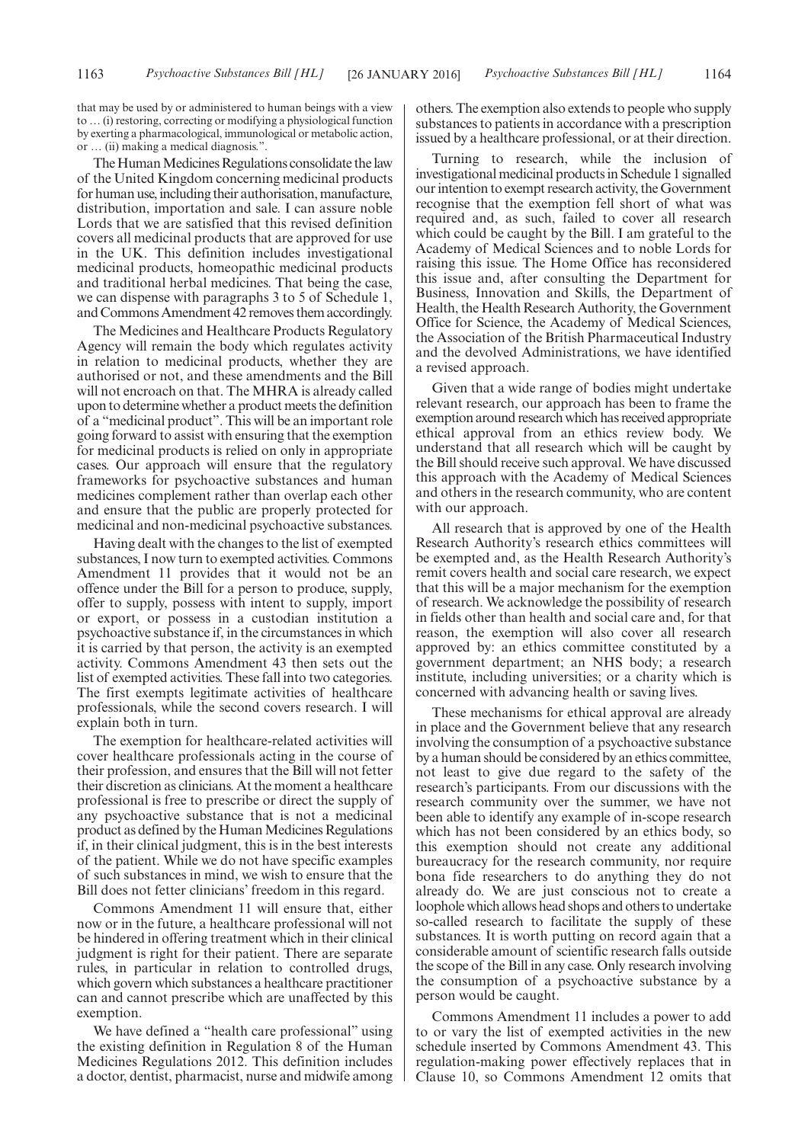that may be used by or administered to human beings with a view to … (i) restoring, correcting or modifying a physiological function by exerting a pharmacological, immunological or metabolic action, or … (ii) making a medical diagnosis.".

The Human Medicines Regulations consolidate the law of the United Kingdom concerning medicinal products for human use, including their authorisation, manufacture, distribution, importation and sale. I can assure noble Lords that we are satisfied that this revised definition covers all medicinal products that are approved for use in the UK. This definition includes investigational medicinal products, homeopathic medicinal products and traditional herbal medicines. That being the case, we can dispense with paragraphs 3 to 5 of Schedule 1, and Commons Amendment 42 removes them accordingly.

The Medicines and Healthcare Products Regulatory Agency will remain the body which regulates activity in relation to medicinal products, whether they are authorised or not, and these amendments and the Bill will not encroach on that. The MHRA is already called upon to determine whether a product meets the definition of a "medicinal product". This will be an important role going forward to assist with ensuring that the exemption for medicinal products is relied on only in appropriate cases. Our approach will ensure that the regulatory frameworks for psychoactive substances and human medicines complement rather than overlap each other and ensure that the public are properly protected for medicinal and non-medicinal psychoactive substances.

Having dealt with the changes to the list of exempted substances, I now turn to exempted activities. Commons Amendment 11 provides that it would not be an offence under the Bill for a person to produce, supply, offer to supply, possess with intent to supply, import or export, or possess in a custodian institution a psychoactive substance if, in the circumstances in which it is carried by that person, the activity is an exempted activity. Commons Amendment 43 then sets out the list of exempted activities. These fall into two categories. The first exempts legitimate activities of healthcare professionals, while the second covers research. I will explain both in turn.

The exemption for healthcare-related activities will cover healthcare professionals acting in the course of their profession, and ensures that the Bill will not fetter their discretion as clinicians. At the moment a healthcare professional is free to prescribe or direct the supply of any psychoactive substance that is not a medicinal product as defined by the Human Medicines Regulations if, in their clinical judgment, this is in the best interests of the patient. While we do not have specific examples of such substances in mind, we wish to ensure that the Bill does not fetter clinicians' freedom in this regard.

Commons Amendment 11 will ensure that, either now or in the future, a healthcare professional will not be hindered in offering treatment which in their clinical judgment is right for their patient. There are separate rules, in particular in relation to controlled drugs, which govern which substances a healthcare practitioner can and cannot prescribe which are unaffected by this exemption.

We have defined a "health care professional" using the existing definition in Regulation 8 of the Human Medicines Regulations 2012. This definition includes a doctor, dentist, pharmacist, nurse and midwife among others. The exemption also extends to people who supply substances to patients in accordance with a prescription issued by a healthcare professional, or at their direction.

Turning to research, while the inclusion of investigational medicinal products in Schedule 1 signalled our intention to exempt research activity, the Government recognise that the exemption fell short of what was required and, as such, failed to cover all research which could be caught by the Bill. I am grateful to the Academy of Medical Sciences and to noble Lords for raising this issue. The Home Office has reconsidered this issue and, after consulting the Department for Business, Innovation and Skills, the Department of Health, the Health Research Authority, the Government Office for Science, the Academy of Medical Sciences, the Association of the British Pharmaceutical Industry and the devolved Administrations, we have identified a revised approach.

Given that a wide range of bodies might undertake relevant research, our approach has been to frame the exemption around research which has received appropriate ethical approval from an ethics review body. We understand that all research which will be caught by the Bill should receive such approval. We have discussed this approach with the Academy of Medical Sciences and others in the research community, who are content with our approach.

All research that is approved by one of the Health Research Authority's research ethics committees will be exempted and, as the Health Research Authority's remit covers health and social care research, we expect that this will be a major mechanism for the exemption of research. We acknowledge the possibility of research in fields other than health and social care and, for that reason, the exemption will also cover all research approved by: an ethics committee constituted by a government department; an NHS body; a research institute, including universities; or a charity which is concerned with advancing health or saving lives.

These mechanisms for ethical approval are already in place and the Government believe that any research involving the consumption of a psychoactive substance by a human should be considered by an ethics committee, not least to give due regard to the safety of the research's participants. From our discussions with the research community over the summer, we have not been able to identify any example of in-scope research which has not been considered by an ethics body, so this exemption should not create any additional bureaucracy for the research community, nor require bona fide researchers to do anything they do not already do. We are just conscious not to create a loophole which allows head shops and others to undertake so-called research to facilitate the supply of these substances. It is worth putting on record again that a considerable amount of scientific research falls outside the scope of the Bill in any case. Only research involving the consumption of a psychoactive substance by a person would be caught.

Commons Amendment 11 includes a power to add to or vary the list of exempted activities in the new schedule inserted by Commons Amendment 43. This regulation-making power effectively replaces that in Clause 10, so Commons Amendment 12 omits that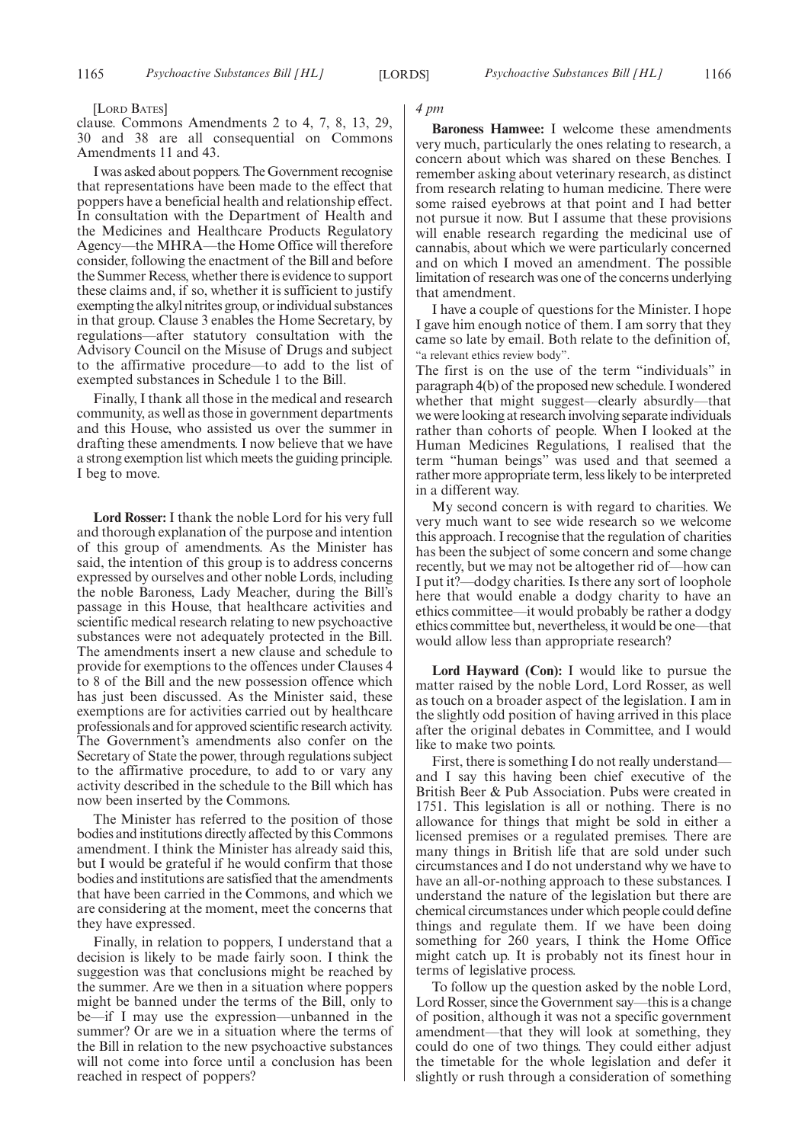[LORD BATES]

clause. Commons Amendments 2 to 4, 7, 8, 13, 29, 30 and 38 are all consequential on Commons Amendments 11 and 43.

I was asked about poppers. The Government recognise that representations have been made to the effect that poppers have a beneficial health and relationship effect. In consultation with the Department of Health and the Medicines and Healthcare Products Regulatory Agency—the MHRA—the Home Office will therefore consider, following the enactment of the Bill and before the Summer Recess, whether there is evidence to support these claims and, if so, whether it is sufficient to justify exempting the alkyl nitrites group, or individual substances in that group. Clause 3 enables the Home Secretary, by regulations—after statutory consultation with the Advisory Council on the Misuse of Drugs and subject to the affirmative procedure—to add to the list of exempted substances in Schedule 1 to the Bill.

Finally, I thank all those in the medical and research community, as well as those in government departments and this House, who assisted us over the summer in drafting these amendments. I now believe that we have a strong exemption list which meets the guiding principle. I beg to move.

**Lord Rosser:** I thank the noble Lord for his very full and thorough explanation of the purpose and intention of this group of amendments. As the Minister has said, the intention of this group is to address concerns expressed by ourselves and other noble Lords, including the noble Baroness, Lady Meacher, during the Bill's passage in this House, that healthcare activities and scientific medical research relating to new psychoactive substances were not adequately protected in the Bill. The amendments insert a new clause and schedule to provide for exemptions to the offences under Clauses 4 to 8 of the Bill and the new possession offence which has just been discussed. As the Minister said, these exemptions are for activities carried out by healthcare professionals and for approved scientific research activity. The Government's amendments also confer on the Secretary of State the power, through regulations subject to the affirmative procedure, to add to or vary any activity described in the schedule to the Bill which has now been inserted by the Commons.

The Minister has referred to the position of those bodies and institutions directly affected by this Commons amendment. I think the Minister has already said this, but I would be grateful if he would confirm that those bodies and institutions are satisfied that the amendments that have been carried in the Commons, and which we are considering at the moment, meet the concerns that they have expressed.

Finally, in relation to poppers, I understand that a decision is likely to be made fairly soon. I think the suggestion was that conclusions might be reached by the summer. Are we then in a situation where poppers might be banned under the terms of the Bill, only to be—if I may use the expression—unbanned in the summer? Or are we in a situation where the terms of the Bill in relation to the new psychoactive substances will not come into force until a conclusion has been reached in respect of poppers?

#### *4 pm*

**Baroness Hamwee:** I welcome these amendments very much, particularly the ones relating to research, a concern about which was shared on these Benches. I remember asking about veterinary research, as distinct from research relating to human medicine. There were some raised eyebrows at that point and I had better not pursue it now. But I assume that these provisions will enable research regarding the medicinal use of cannabis, about which we were particularly concerned and on which I moved an amendment. The possible limitation of research was one of the concerns underlying that amendment.

I have a couple of questions for the Minister. I hope I gave him enough notice of them. I am sorry that they came so late by email. Both relate to the definition of, "a relevant ethics review body".

The first is on the use of the term "individuals" in paragraph 4(b) of the proposed new schedule. I wondered whether that might suggest—clearly absurdly—that we were looking at research involving separate individuals rather than cohorts of people. When I looked at the Human Medicines Regulations, I realised that the term "human beings" was used and that seemed a rather more appropriate term, less likely to be interpreted in a different way.

My second concern is with regard to charities. We very much want to see wide research so we welcome this approach. I recognise that the regulation of charities has been the subject of some concern and some change recently, but we may not be altogether rid of—how can I put it?—dodgy charities. Is there any sort of loophole here that would enable a dodgy charity to have an ethics committee—it would probably be rather a dodgy ethics committee but, nevertheless, it would be one—that would allow less than appropriate research?

**Lord Hayward (Con):** I would like to pursue the matter raised by the noble Lord, Lord Rosser, as well as touch on a broader aspect of the legislation. I am in the slightly odd position of having arrived in this place after the original debates in Committee, and I would like to make two points.

First, there is something I do not really understand and I say this having been chief executive of the British Beer & Pub Association. Pubs were created in 1751. This legislation is all or nothing. There is no allowance for things that might be sold in either a licensed premises or a regulated premises. There are many things in British life that are sold under such circumstances and I do not understand why we have to have an all-or-nothing approach to these substances. I understand the nature of the legislation but there are chemical circumstances under which people could define things and regulate them. If we have been doing something for 260 years, I think the Home Office might catch up. It is probably not its finest hour in terms of legislative process.

To follow up the question asked by the noble Lord, Lord Rosser, since the Government say—this is a change of position, although it was not a specific government amendment—that they will look at something, they could do one of two things. They could either adjust the timetable for the whole legislation and defer it slightly or rush through a consideration of something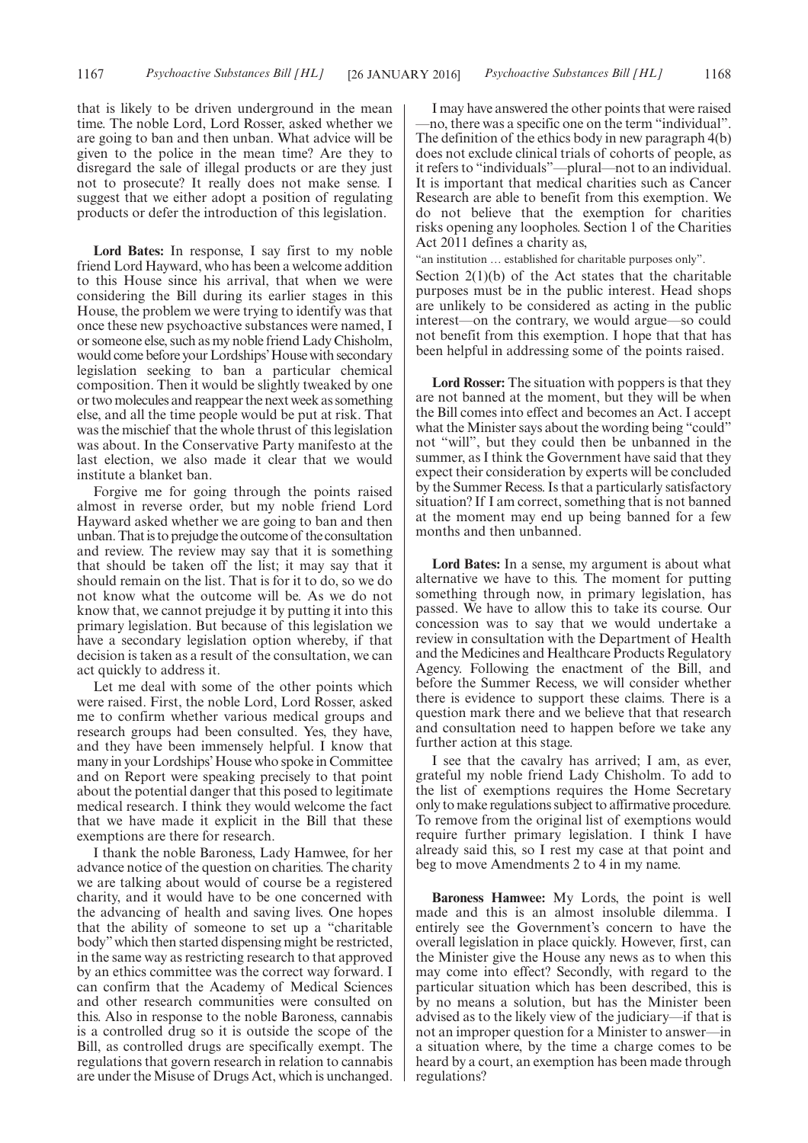that is likely to be driven underground in the mean time. The noble Lord, Lord Rosser, asked whether we are going to ban and then unban. What advice will be given to the police in the mean time? Are they to disregard the sale of illegal products or are they just not to prosecute? It really does not make sense. I suggest that we either adopt a position of regulating products or defer the introduction of this legislation.

**Lord Bates:** In response, I say first to my noble friend Lord Hayward, who has been a welcome addition to this House since his arrival, that when we were considering the Bill during its earlier stages in this House, the problem we were trying to identify was that once these new psychoactive substances were named, I or someone else, such as my noble friend Lady Chisholm, would come before your Lordships'House with secondary legislation seeking to ban a particular chemical composition. Then it would be slightly tweaked by one or two molecules and reappear the next week as something else, and all the time people would be put at risk. That was the mischief that the whole thrust of this legislation was about. In the Conservative Party manifesto at the last election, we also made it clear that we would institute a blanket ban.

Forgive me for going through the points raised almost in reverse order, but my noble friend Lord Hayward asked whether we are going to ban and then unban. Thatis to prejudge the outcome of the consultation and review. The review may say that it is something that should be taken off the list; it may say that it should remain on the list. That is for it to do, so we do not know what the outcome will be. As we do not know that, we cannot prejudge it by putting it into this primary legislation. But because of this legislation we have a secondary legislation option whereby, if that decision is taken as a result of the consultation, we can act quickly to address it.

Let me deal with some of the other points which were raised. First, the noble Lord, Lord Rosser, asked me to confirm whether various medical groups and research groups had been consulted. Yes, they have, and they have been immensely helpful. I know that many in your Lordships'House who spoke in Committee and on Report were speaking precisely to that point about the potential danger that this posed to legitimate medical research. I think they would welcome the fact that we have made it explicit in the Bill that these exemptions are there for research.

I thank the noble Baroness, Lady Hamwee, for her advance notice of the question on charities. The charity we are talking about would of course be a registered charity, and it would have to be one concerned with the advancing of health and saving lives. One hopes that the ability of someone to set up a "charitable body"which then started dispensing might be restricted, in the same way as restricting research to that approved by an ethics committee was the correct way forward. I can confirm that the Academy of Medical Sciences and other research communities were consulted on this. Also in response to the noble Baroness, cannabis is a controlled drug so it is outside the scope of the Bill, as controlled drugs are specifically exempt. The regulations that govern research in relation to cannabis are under the Misuse of Drugs Act, which is unchanged.

I may have answered the other points that were raised —no, there was a specific one on the term "individual". The definition of the ethics body in new paragraph 4(b) does not exclude clinical trials of cohorts of people, as it refers to "individuals"—plural—not to an individual. It is important that medical charities such as Cancer Research are able to benefit from this exemption. We do not believe that the exemption for charities risks opening any loopholes. Section 1 of the Charities Act 2011 defines a charity as,

'an institution ... established for charitable purposes only". Section  $2(1)(b)$  of the Act states that the charitable purposes must be in the public interest. Head shops are unlikely to be considered as acting in the public interest—on the contrary, we would argue—so could not benefit from this exemption. I hope that that has been helpful in addressing some of the points raised.

**Lord Rosser:** The situation with poppers is that they are not banned at the moment, but they will be when the Bill comes into effect and becomes an Act. I accept what the Minister says about the wording being "could" not "will", but they could then be unbanned in the summer, as I think the Government have said that they expect their consideration by experts will be concluded by the Summer Recess. Is that a particularly satisfactory situation? If I am correct, something that is not banned at the moment may end up being banned for a few months and then unbanned.

**Lord Bates:** In a sense, my argument is about what alternative we have to this. The moment for putting something through now, in primary legislation, has passed. We have to allow this to take its course. Our concession was to say that we would undertake a review in consultation with the Department of Health and the Medicines and Healthcare Products Regulatory Agency. Following the enactment of the Bill, and before the Summer Recess, we will consider whether there is evidence to support these claims. There is a question mark there and we believe that that research and consultation need to happen before we take any further action at this stage.

I see that the cavalry has arrived; I am, as ever, grateful my noble friend Lady Chisholm. To add to the list of exemptions requires the Home Secretary only to make regulations subject to affirmative procedure. To remove from the original list of exemptions would require further primary legislation. I think I have already said this, so I rest my case at that point and beg to move Amendments 2 to 4 in my name.

**Baroness Hamwee:** My Lords, the point is well made and this is an almost insoluble dilemma. I entirely see the Government's concern to have the overall legislation in place quickly. However, first, can the Minister give the House any news as to when this may come into effect? Secondly, with regard to the particular situation which has been described, this is by no means a solution, but has the Minister been advised as to the likely view of the judiciary—if that is not an improper question for a Minister to answer—in a situation where, by the time a charge comes to be heard by a court, an exemption has been made through regulations?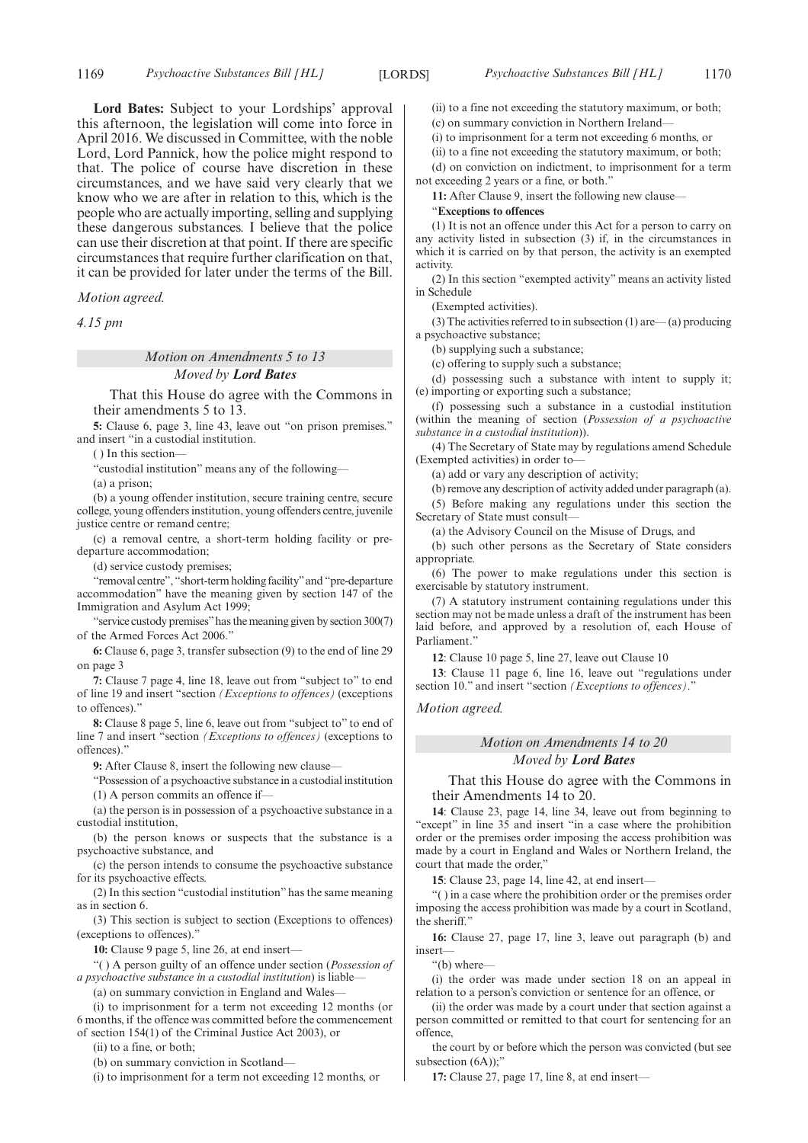**Lord Bates:** Subject to your Lordships' approval this afternoon, the legislation will come into force in April 2016. We discussed in Committee, with the noble Lord, Lord Pannick, how the police might respond to that. The police of course have discretion in these circumstances, and we have said very clearly that we know who we are after in relation to this, which is the people who are actually importing, selling and supplying these dangerous substances. I believe that the police can use their discretion at that point. If there are specific circumstances that require further clarification on that, it can be provided for later under the terms of the Bill.

*Motion agreed.*

*4.15 pm*

*Motion on Amendments 5 to 13 Moved by Lord Bates*

That this House do agree with the Commons in their amendments 5 to 13.

**5:** Clause 6, page 3, line 43, leave out "on prison premises." and insert "in a custodial institution.

( ) In this section—

"custodial institution" means any of the following—

(a) a prison;

(b) a young offender institution, secure training centre, secure college, young offenders institution, young offenders centre, juvenile justice centre or remand centre;

(c) a removal centre, a short-term holding facility or predeparture accommodation;

(d) service custody premises;

"removal centre", "short-term holding facility"and "pre-departure accommodation" have the meaning given by section 147 of the Immigration and Asylum Act 1999;

"service custody premises"has the meaning given by section 300(7) of the Armed Forces Act 2006."

**6:** Clause 6, page 3, transfer subsection (9) to the end of line 29 on page 3

**7:** Clause 7 page 4, line 18, leave out from "subject to" to end of line 19 and insert "section *(Exceptions to offences)* (exceptions to offences)."

**8:** Clause 8 page 5, line 6, leave out from "subject to" to end of line 7 and insert "section *(Exceptions to offences)* (exceptions to offences)."

**9:** After Clause 8, insert the following new clause—

"Possession of a psychoactive substance in a custodial institution (1) A person commits an offence if—

(a) the person is in possession of a psychoactive substance in a

custodial institution,

(b) the person knows or suspects that the substance is a psychoactive substance, and

(c) the person intends to consume the psychoactive substance for its psychoactive effects.

(2) In this section "custodial institution" has the same meaning as in section 6.

(3) This section is subject to section (Exceptions to offences) (exceptions to offences)."

**10:** Clause 9 page 5, line 26, at end insert—

"( ) A person guilty of an offence under section (*Possession of a psychoactive substance in a custodial institution*) is liable—

(a) on summary conviction in England and Wales—

(i) to imprisonment for a term not exceeding 12 months (or 6 months, if the offence was committed before the commencement of section 154(1) of the Criminal Justice Act 2003), or

(ii) to a fine, or both;

(b) on summary conviction in Scotland—

(i) to imprisonment for a term not exceeding 12 months, or

(ii) to a fine not exceeding the statutory maximum, or both;

(c) on summary conviction in Northern Ireland—

(i) to imprisonment for a term not exceeding 6 months, or

(ii) to a fine not exceeding the statutory maximum, or both;

(d) on conviction on indictment, to imprisonment for a term not exceeding 2 years or a fine, or both."

**11:** After Clause 9, insert the following new clause—

"**Exceptions to offences**

(1) It is not an offence under this Act for a person to carry on any activity listed in subsection (3) if, in the circumstances in which it is carried on by that person, the activity is an exempted activity.

(2) In this section "exempted activity" means an activity listed in Schedule

(Exempted activities).

(3) The activities referred to in subsection (1) are— (a) producing a psychoactive substance;

(b) supplying such a substance;

(c) offering to supply such a substance;

(d) possessing such a substance with intent to supply it; (e) importing or exporting such a substance;

(f) possessing such a substance in a custodial institution (within the meaning of section (*Possession of a psychoactive substance in a custodial institution*)).

(4) The Secretary of State may by regulations amend Schedule (Exempted activities) in order to—

(a) add or vary any description of activity;

(b) remove any description of activity added under paragraph (a).

(5) Before making any regulations under this section the Secretary of State must consult—

(a) the Advisory Council on the Misuse of Drugs, and

(b) such other persons as the Secretary of State considers appropriate.

(6) The power to make regulations under this section is exercisable by statutory instrument.

(7) A statutory instrument containing regulations under this section may not be made unless a draft of the instrument has been laid before, and approved by a resolution of, each House of Parliament."

**12**: Clause 10 page 5, line 27, leave out Clause 10

**13**: Clause 11 page 6, line 16, leave out "regulations under section 10." and insert "section *(Exceptions to offences)*."

*Motion agreed.*

#### *Motion on Amendments 14 to 20 Moved by Lord Bates*

That this House do agree with the Commons in their Amendments 14 to 20.

**14**: Clause 23, page 14, line 34, leave out from beginning to "except" in line 35 and insert "in a case where the prohibition order or the premises order imposing the access prohibition was made by a court in England and Wales or Northern Ireland, the court that made the order,"

**15**: Clause 23, page 14, line 42, at end insert—

"( ) in a case where the prohibition order or the premises order imposing the access prohibition was made by a court in Scotland, the sheriff."

**16:** Clause 27, page 17, line 3, leave out paragraph (b) and insert—

"(b) where—

(i) the order was made under section 18 on an appeal in relation to a person's conviction or sentence for an offence, or

(ii) the order was made by a court under that section against a person committed or remitted to that court for sentencing for an offence,

the court by or before which the person was convicted (but see subsection (6A));"

**17:** Clause 27, page 17, line 8, at end insert—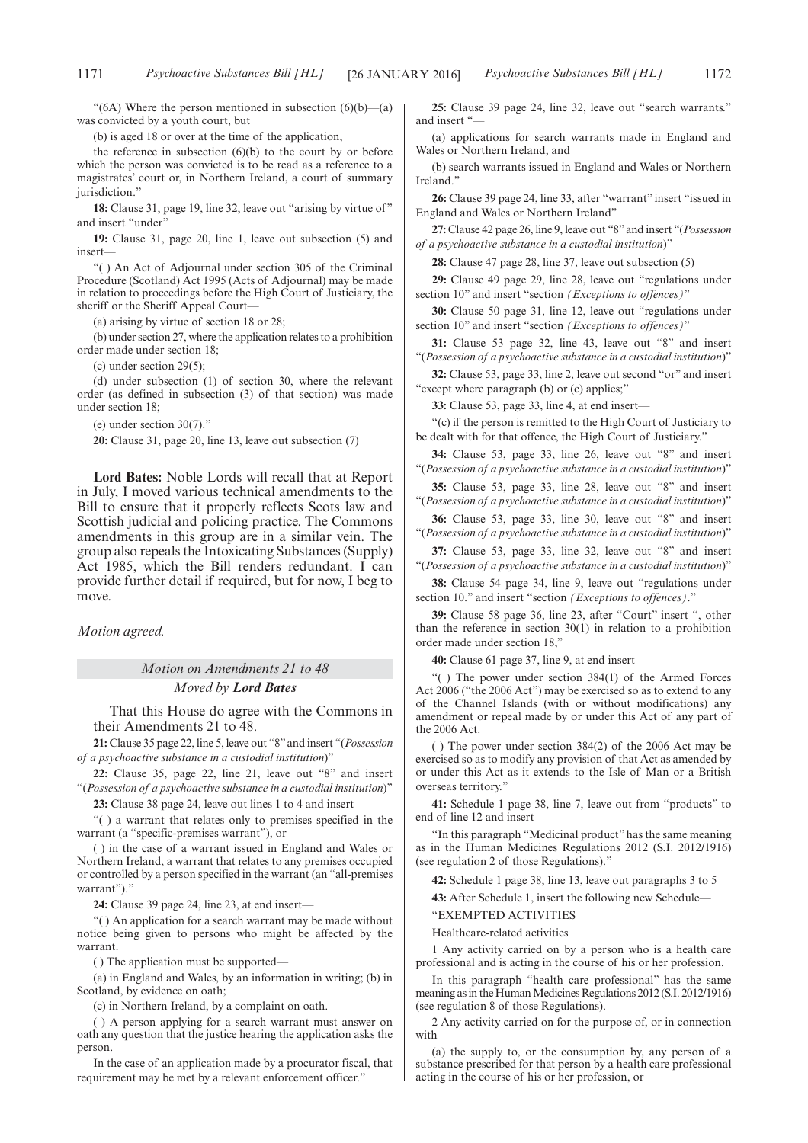was convicted by a youth court, but

the reference in subsection  $(6)(b)$  to the court by or before which the person was convicted is to be read as a reference to a magistrates' court or, in Northern Ireland, a court of summary jurisdiction."

**18:** Clause 31, page 19, line 32, leave out "arising by virtue of " and insert "under"

**19:** Clause 31, page 20, line 1, leave out subsection (5) and insert—

"( ) An Act of Adjournal under section 305 of the Criminal Procedure (Scotland) Act 1995 (Acts of Adjournal) may be made in relation to proceedings before the High Court of Justiciary, the sheriff or the Sheriff Appeal Court—

(a) arising by virtue of section 18 or 28;

(b) under section 27, where the application relates to a prohibition order made under section 18;

(c) under section 29(5);

(d) under subsection (1) of section 30, where the relevant order (as defined in subsection (3) of that section) was made under section 18;

(e) under section 30(7)."

**20:** Clause 31, page 20, line 13, leave out subsection (7)

**Lord Bates:** Noble Lords will recall that at Report in July, I moved various technical amendments to the Bill to ensure that it properly reflects Scots law and Scottish judicial and policing practice. The Commons amendments in this group are in a similar vein. The group also repeals the Intoxicating Substances (Supply) Act 1985, which the Bill renders redundant. I can provide further detail if required, but for now, I beg to move.

*Motion agreed.*

*Motion on Amendments 21 to 48 Moved by Lord Bates*

That this House do agree with the Commons in their Amendments 21 to 48.

**21:** Clause 35 page 22, line 5, leave out "8" and insert "(*Possession of a psychoactive substance in a custodial institution*)"

**22:** Clause 35, page 22, line 21, leave out "8" and insert "(*Possession of a psychoactive substance in a custodial institution*)"

23: Clause 38 page 24, leave out lines 1 to 4 and insert-

"( ) a warrant that relates only to premises specified in the warrant (a "specific-premises warrant"), or

( ) in the case of a warrant issued in England and Wales or Northern Ireland, a warrant that relates to any premises occupied or controlled by a person specified in the warrant (an "all-premises warrant")."

**24:** Clause 39 page 24, line 23, at end insert—

"( ) An application for a search warrant may be made without notice being given to persons who might be affected by the warrant.

( ) The application must be supported—

(a) in England and Wales, by an information in writing; (b) in Scotland, by evidence on oath;

(c) in Northern Ireland, by a complaint on oath.

( ) A person applying for a search warrant must answer on oath any question that the justice hearing the application asks the person.

In the case of an application made by a procurator fiscal, that requirement may be met by a relevant enforcement officer."

**25:** Clause 39 page 24, line 32, leave out "search warrants." and insert "

(a) applications for search warrants made in England and Wales or Northern Ireland, and

(b) search warrants issued in England and Wales or Northern Ireland."

**26:** Clause 39 page 24, line 33, after "warrant" insert "issued in England and Wales or Northern Ireland"

**27:** Clause 42 page 26, line 9, leave out "8" and insert "(*Possession of a psychoactive substance in a custodial institution*)"

**28:** Clause 47 page 28, line 37, leave out subsection (5)

**29:** Clause 49 page 29, line 28, leave out "regulations under section 10" and insert "section *(Exceptions to offences)*"

**30:** Clause 50 page 31, line 12, leave out "regulations under section 10" and insert "section *(Exceptions to offences)*"

**31:** Clause 53 page 32, line 43, leave out "8" and insert "(*Possession of a psychoactive substance in a custodial institution*)"

**32:** Clause 53, page 33, line 2, leave out second "or" and insert "except where paragraph (b) or (c) applies;"

**33:** Clause 53, page 33, line 4, at end insert—

"(c) if the person is remitted to the High Court of Justiciary to be dealt with for that offence, the High Court of Justiciary."

**34:** Clause 53, page 33, line 26, leave out "8" and insert "(*Possession of a psychoactive substance in a custodial institution*)"

**35:** Clause 53, page 33, line 28, leave out "8" and insert "(*Possession of a psychoactive substance in a custodial institution*)"

**36:** Clause 53, page 33, line 30, leave out "8" and insert "(*Possession of a psychoactive substance in a custodial institution*)"

**37:** Clause 53, page 33, line 32, leave out "8" and insert "(*Possession of a psychoactive substance in a custodial institution*)"

**38:** Clause 54 page 34, line 9, leave out "regulations under section 10." and insert "section *(Exceptions to offences)*."

**39:** Clause 58 page 36, line 23, after "Court" insert ", other than the reference in section 30(1) in relation to a prohibition order made under section 18,"

**40:** Clause 61 page 37, line 9, at end insert—

"( ) The power under section 384(1) of the Armed Forces Act 2006 ("the 2006 Act") may be exercised so as to extend to any of the Channel Islands (with or without modifications) any amendment or repeal made by or under this Act of any part of the 2006 Act.

( ) The power under section 384(2) of the 2006 Act may be exercised so as to modify any provision of that Act as amended by or under this Act as it extends to the Isle of Man or a British overseas territory."

**41:** Schedule 1 page 38, line 7, leave out from "products" to end of line 12 and insert—

"In this paragraph "Medicinal product" has the same meaning as in the Human Medicines Regulations 2012 (S.I. 2012/1916) (see regulation 2 of those Regulations)."

**42:** Schedule 1 page 38, line 13, leave out paragraphs 3 to 5

**43:** After Schedule 1, insert the following new Schedule—

"EXEMPTED ACTIVITIES

Healthcare-related activities

1 Any activity carried on by a person who is a health care professional and is acting in the course of his or her profession.

In this paragraph "health care professional" has the same meaning as in the Human Medicines Regulations 2012 (S.I. 2012/1916) (see regulation 8 of those Regulations).

2 Any activity carried on for the purpose of, or in connection with—

(a) the supply to, or the consumption by, any person of a substance prescribed for that person by a health care professional acting in the course of his or her profession, or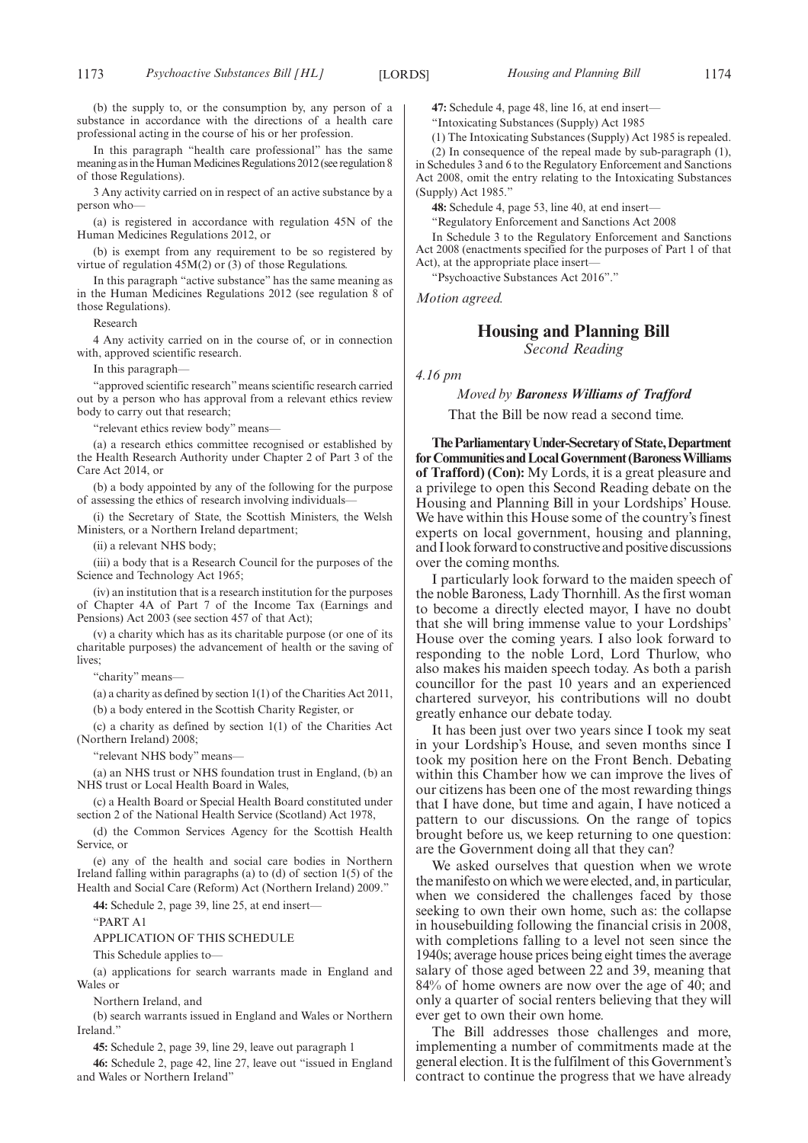(b) the supply to, or the consumption by, any person of a substance in accordance with the directions of a health care professional acting in the course of his or her profession.

In this paragraph "health care professional" has the same meaning as in the Human Medicines Regulations 2012 (see regulation 8 of those Regulations).

3 Any activity carried on in respect of an active substance by a person who—

(a) is registered in accordance with regulation 45N of the Human Medicines Regulations 2012, or

(b) is exempt from any requirement to be so registered by virtue of regulation  $45M(2)$  or (3) of those Regulations.

In this paragraph "active substance" has the same meaning as in the Human Medicines Regulations 2012 (see regulation  $\frac{8}{9}$  of those Regulations).

Research

4 Any activity carried on in the course of, or in connection with, approved scientific research.

In this paragraph-

"approved scientific research" means scientific research carried out by a person who has approval from a relevant ethics review body to carry out that research;

"relevant ethics review body" means—

(a) a research ethics committee recognised or established by the Health Research Authority under Chapter 2 of Part 3 of the Care Act 2014, or

(b) a body appointed by any of the following for the purpose of assessing the ethics of research involving individuals—

(i) the Secretary of State, the Scottish Ministers, the Welsh Ministers, or a Northern Ireland department;

(ii) a relevant NHS body;

(iii) a body that is a Research Council for the purposes of the Science and Technology Act 1965;

(iv) an institution that is a research institution for the purposes of Chapter 4A of Part 7 of the Income Tax (Earnings and Pensions) Act 2003 (see section 457 of that Act);

(v) a charity which has as its charitable purpose (or one of its charitable purposes) the advancement of health or the saving of lives:

"charity" means—

(a) a charity as defined by section 1(1) of the Charities Act 2011,

(b) a body entered in the Scottish Charity Register, or

(c) a charity as defined by section 1(1) of the Charities Act (Northern Ireland) 2008;

"relevant NHS body" means—

(a) an NHS trust or NHS foundation trust in England, (b) an NHS trust or Local Health Board in Wales,

(c) a Health Board or Special Health Board constituted under section 2 of the National Health Service (Scotland) Act 1978,

(d) the Common Services Agency for the Scottish Health Service, or

(e) any of the health and social care bodies in Northern Ireland falling within paragraphs (a) to (d) of section 1(5) of the Health and Social Care (Reform) Act (Northern Ireland) 2009."

**44:** Schedule 2, page 39, line 25, at end insert—

"PART A1

APPLICATION OF THIS SCHEDULE

This Schedule applies to—

(a) applications for search warrants made in England and Wales or

Northern Ireland, and

(b) search warrants issued in England and Wales or Northern Ireland."

**45:** Schedule 2, page 39, line 29, leave out paragraph 1

**46:** Schedule 2, page 42, line 27, leave out "issued in England and Wales or Northern Ireland"

**47:** Schedule 4, page 48, line 16, at end insert—

"Intoxicating Substances (Supply) Act 1985

(1) The Intoxicating Substances (Supply) Act 1985 is repealed.

(2) In consequence of the repeal made by sub-paragraph (1), in Schedules 3 and 6 to the Regulatory Enforcement and Sanctions Act 2008, omit the entry relating to the Intoxicating Substances (Supply) Act 1985."

**48:** Schedule 4, page 53, line 40, at end insert—

"Regulatory Enforcement and Sanctions Act 2008

In Schedule 3 to the Regulatory Enforcement and Sanctions Act 2008 (enactments specified for the purposes of Part 1 of that Act), at the appropriate place insert—

"Psychoactive Substances Act 2016"."

*Motion agreed.*

#### **Housing and Planning Bill**

*Second Reading*

*4.16 pm*

*Moved by Baroness Williams of Trafford* That the Bill be now read a second time.

**TheParliamentaryUnder-Secretaryof State,Department forCommunities andLocalGovernment (BaronessWilliams of Trafford) (Con):** My Lords, it is a great pleasure and a privilege to open this Second Reading debate on the Housing and Planning Bill in your Lordships' House. We have within this House some of the country's finest experts on local government, housing and planning, and Ilook forward to constructive and positive discussions over the coming months.

I particularly look forward to the maiden speech of the noble Baroness, Lady Thornhill. As the first woman to become a directly elected mayor, I have no doubt that she will bring immense value to your Lordships' House over the coming years. I also look forward to responding to the noble Lord, Lord Thurlow, who also makes his maiden speech today. As both a parish councillor for the past 10 years and an experienced chartered surveyor, his contributions will no doubt greatly enhance our debate today.

It has been just over two years since I took my seat in your Lordship's House, and seven months since I took my position here on the Front Bench. Debating within this Chamber how we can improve the lives of our citizens has been one of the most rewarding things that I have done, but time and again, I have noticed a pattern to our discussions. On the range of topics brought before us, we keep returning to one question: are the Government doing all that they can?

We asked ourselves that question when we wrote the manifesto on which we were elected, and, in particular, when we considered the challenges faced by those seeking to own their own home, such as: the collapse in housebuilding following the financial crisis in 2008, with completions falling to a level not seen since the 1940s; average house prices being eight times the average salary of those aged between 22 and 39, meaning that 84% of home owners are now over the age of 40; and only a quarter of social renters believing that they will ever get to own their own home.

The Bill addresses those challenges and more, implementing a number of commitments made at the general election. It is the fulfilment of this Government's contract to continue the progress that we have already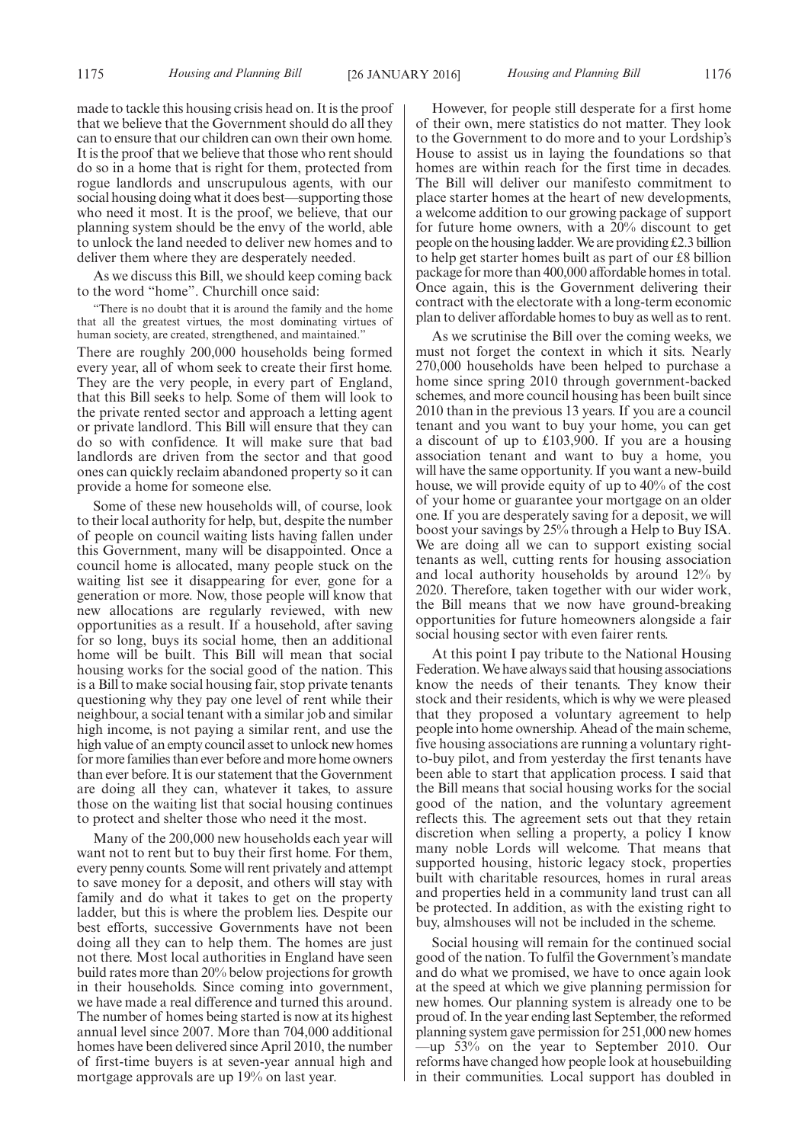made to tackle this housing crisis head on. It is the proof that we believe that the Government should do all they can to ensure that our children can own their own home. It is the proof that we believe that those who rent should do so in a home that is right for them, protected from rogue landlords and unscrupulous agents, with our social housing doing what it does best—supporting those who need it most. It is the proof, we believe, that our planning system should be the envy of the world, able to unlock the land needed to deliver new homes and to deliver them where they are desperately needed.

As we discuss this Bill, we should keep coming back to the word "home". Churchill once said:

"There is no doubt that it is around the family and the home that all the greatest virtues, the most dominating virtues of human society, are created, strengthened, and maintained.'

There are roughly 200,000 households being formed every year, all of whom seek to create their first home. They are the very people, in every part of England, that this Bill seeks to help. Some of them will look to the private rented sector and approach a letting agent or private landlord. This Bill will ensure that they can do so with confidence. It will make sure that bad landlords are driven from the sector and that good ones can quickly reclaim abandoned property so it can provide a home for someone else.

Some of these new households will, of course, look to their local authority for help, but, despite the number of people on council waiting lists having fallen under this Government, many will be disappointed. Once a council home is allocated, many people stuck on the waiting list see it disappearing for ever, gone for a generation or more. Now, those people will know that new allocations are regularly reviewed, with new opportunities as a result. If a household, after saving for so long, buys its social home, then an additional home will be built. This Bill will mean that social housing works for the social good of the nation. This is a Bill to make social housing fair, stop private tenants questioning why they pay one level of rent while their neighbour, a social tenant with a similar job and similar high income, is not paying a similar rent, and use the high value of an empty council asset to unlock new homes for more families than ever before and more home owners than ever before. It is our statement that the Government are doing all they can, whatever it takes, to assure those on the waiting list that social housing continues to protect and shelter those who need it the most.

Many of the 200,000 new households each year will want not to rent but to buy their first home. For them, every penny counts. Some will rent privately and attempt to save money for a deposit, and others will stay with family and do what it takes to get on the property ladder, but this is where the problem lies. Despite our best efforts, successive Governments have not been doing all they can to help them. The homes are just not there. Most local authorities in England have seen build rates more than 20% below projections for growth in their households. Since coming into government, we have made a real difference and turned this around. The number of homes being started is now at its highest annual level since 2007. More than 704,000 additional homes have been delivered since April 2010, the number of first-time buyers is at seven-year annual high and mortgage approvals are up 19% on last year.

However, for people still desperate for a first home of their own, mere statistics do not matter. They look to the Government to do more and to your Lordship's House to assist us in laying the foundations so that homes are within reach for the first time in decades. The Bill will deliver our manifesto commitment to place starter homes at the heart of new developments, a welcome addition to our growing package of support for future home owners, with a 20% discount to get people on the housing ladder.We are providing £2.3 billion to help get starter homes built as part of our £8 billion package for more than 400,000 affordable homes in total. Once again, this is the Government delivering their contract with the electorate with a long-term economic plan to deliver affordable homes to buy as well as to rent.

As we scrutinise the Bill over the coming weeks, we must not forget the context in which it sits. Nearly 270,000 households have been helped to purchase a home since spring 2010 through government-backed schemes, and more council housing has been built since 2010 than in the previous 13 years. If you are a council tenant and you want to buy your home, you can get a discount of up to £103,900. If you are a housing association tenant and want to buy a home, you will have the same opportunity. If you want a new-build house, we will provide equity of up to 40% of the cost of your home or guarantee your mortgage on an older one. If you are desperately saving for a deposit, we will boost your savings by 25% through a Help to Buy ISA. We are doing all we can to support existing social tenants as well, cutting rents for housing association and local authority households by around 12% by 2020. Therefore, taken together with our wider work, the Bill means that we now have ground-breaking opportunities for future homeowners alongside a fair social housing sector with even fairer rents.

At this point I pay tribute to the National Housing Federation.We have always said that housing associations know the needs of their tenants. They know their stock and their residents, which is why we were pleased that they proposed a voluntary agreement to help people into home ownership. Ahead of the main scheme, five housing associations are running a voluntary rightto-buy pilot, and from yesterday the first tenants have been able to start that application process. I said that the Bill means that social housing works for the social good of the nation, and the voluntary agreement reflects this. The agreement sets out that they retain discretion when selling a property, a policy I know many noble Lords will welcome. That means that supported housing, historic legacy stock, properties built with charitable resources, homes in rural areas and properties held in a community land trust can all be protected. In addition, as with the existing right to buy, almshouses will not be included in the scheme.

Social housing will remain for the continued social good of the nation. To fulfil the Government's mandate and do what we promised, we have to once again look at the speed at which we give planning permission for new homes. Our planning system is already one to be proud of. In the year ending last September, the reformed planning system gave permission for 251,000 new homes —up 53% on the year to September 2010. Our reforms have changed how people look at housebuilding in their communities. Local support has doubled in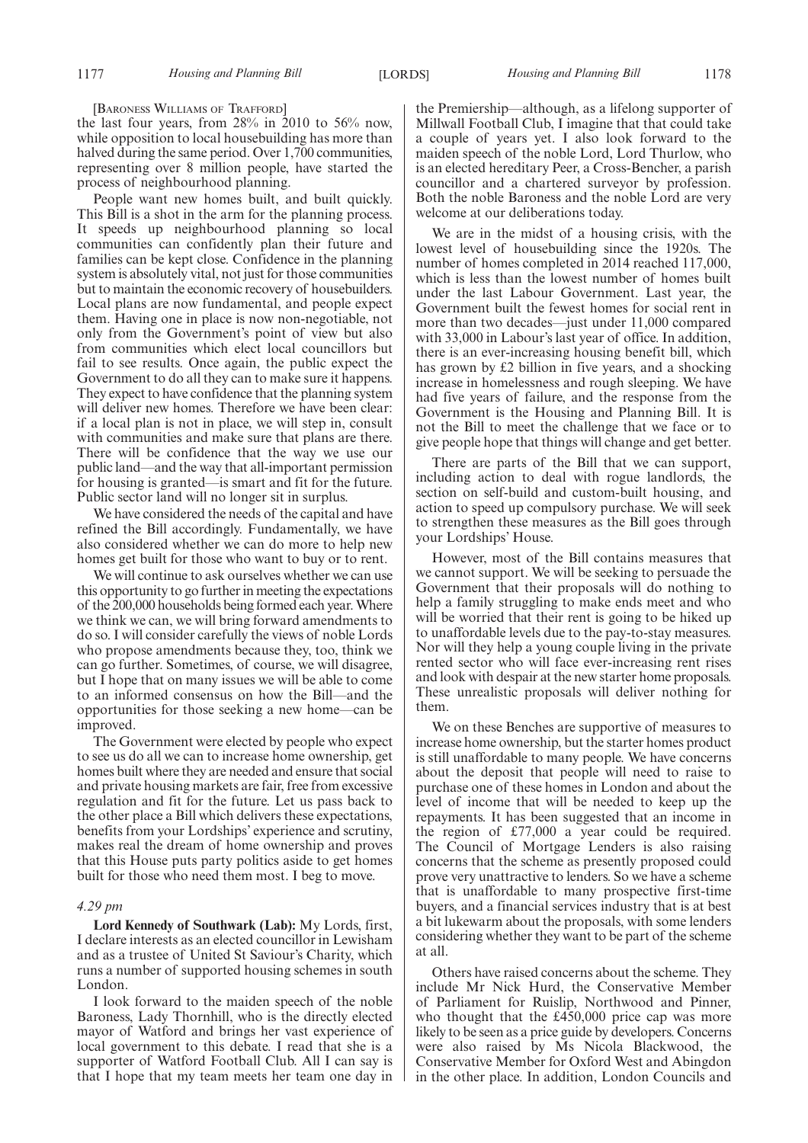[BARONESS WILLIAMS OF TRAFFORD]

the last four years, from 28% in 2010 to 56% now, while opposition to local housebuilding has more than halved during the same period. Over 1,700 communities, representing over 8 million people, have started the process of neighbourhood planning.

People want new homes built, and built quickly. This Bill is a shot in the arm for the planning process. It speeds up neighbourhood planning so local communities can confidently plan their future and families can be kept close. Confidence in the planning system is absolutely vital, not just for those communities but to maintain the economic recovery of housebuilders. Local plans are now fundamental, and people expect them. Having one in place is now non-negotiable, not only from the Government's point of view but also from communities which elect local councillors but fail to see results. Once again, the public expect the Government to do all they can to make sure it happens. They expect to have confidence that the planning system will deliver new homes. Therefore we have been clear: if a local plan is not in place, we will step in, consult with communities and make sure that plans are there. There will be confidence that the way we use our public land—and the way that all-important permission for housing is granted—is smart and fit for the future. Public sector land will no longer sit in surplus.

We have considered the needs of the capital and have refined the Bill accordingly. Fundamentally, we have also considered whether we can do more to help new homes get built for those who want to buy or to rent.

We will continue to ask ourselves whether we can use this opportunity to go further in meeting the expectations of the 200,000 households being formed each year.Where we think we can, we will bring forward amendments to do so. I will consider carefully the views of noble Lords who propose amendments because they, too, think we can go further. Sometimes, of course, we will disagree, but I hope that on many issues we will be able to come to an informed consensus on how the Bill—and the opportunities for those seeking a new home—can be improved.

The Government were elected by people who expect to see us do all we can to increase home ownership, get homes built where they are needed and ensure that social and private housing markets are fair, free from excessive regulation and fit for the future. Let us pass back to the other place a Bill which delivers these expectations, benefits from your Lordships' experience and scrutiny, makes real the dream of home ownership and proves that this House puts party politics aside to get homes built for those who need them most. I beg to move.

#### *4.29 pm*

**Lord Kennedy of Southwark (Lab):** My Lords, first, I declare interests as an elected councillor in Lewisham and as a trustee of United St Saviour's Charity, which runs a number of supported housing schemes in south London.

I look forward to the maiden speech of the noble Baroness, Lady Thornhill, who is the directly elected mayor of Watford and brings her vast experience of local government to this debate. I read that she is a supporter of Watford Football Club. All I can say is that I hope that my team meets her team one day in the Premiership—although, as a lifelong supporter of Millwall Football Club, I imagine that that could take a couple of years yet. I also look forward to the maiden speech of the noble Lord, Lord Thurlow, who is an elected hereditary Peer, a Cross-Bencher, a parish councillor and a chartered surveyor by profession. Both the noble Baroness and the noble Lord are very welcome at our deliberations today.

We are in the midst of a housing crisis, with the lowest level of housebuilding since the 1920s. The number of homes completed in 2014 reached 117,000, which is less than the lowest number of homes built under the last Labour Government. Last year, the Government built the fewest homes for social rent in more than two decades—just under 11,000 compared with 33,000 in Labour's last year of office. In addition, there is an ever-increasing housing benefit bill, which has grown by £2 billion in five years, and a shocking increase in homelessness and rough sleeping. We have had five years of failure, and the response from the Government is the Housing and Planning Bill. It is not the Bill to meet the challenge that we face or to give people hope that things will change and get better.

There are parts of the Bill that we can support, including action to deal with rogue landlords, the section on self-build and custom-built housing, and action to speed up compulsory purchase. We will seek to strengthen these measures as the Bill goes through your Lordships' House.

However, most of the Bill contains measures that we cannot support. We will be seeking to persuade the Government that their proposals will do nothing to help a family struggling to make ends meet and who will be worried that their rent is going to be hiked up to unaffordable levels due to the pay-to-stay measures. Nor will they help a young couple living in the private rented sector who will face ever-increasing rent rises and look with despair at the new starter home proposals. These unrealistic proposals will deliver nothing for them.

We on these Benches are supportive of measures to increase home ownership, but the starter homes product is still unaffordable to many people. We have concerns about the deposit that people will need to raise to purchase one of these homes in London and about the level of income that will be needed to keep up the repayments. It has been suggested that an income in the region of £77,000 a year could be required. The Council of Mortgage Lenders is also raising concerns that the scheme as presently proposed could prove very unattractive to lenders. So we have a scheme that is unaffordable to many prospective first-time buyers, and a financial services industry that is at best a bit lukewarm about the proposals, with some lenders considering whether they want to be part of the scheme at all.

Others have raised concerns about the scheme. They include Mr Nick Hurd, the Conservative Member of Parliament for Ruislip, Northwood and Pinner, who thought that the £450,000 price cap was more likely to be seen as a price guide by developers. Concerns were also raised by Ms Nicola Blackwood, the Conservative Member for Oxford West and Abingdon in the other place. In addition, London Councils and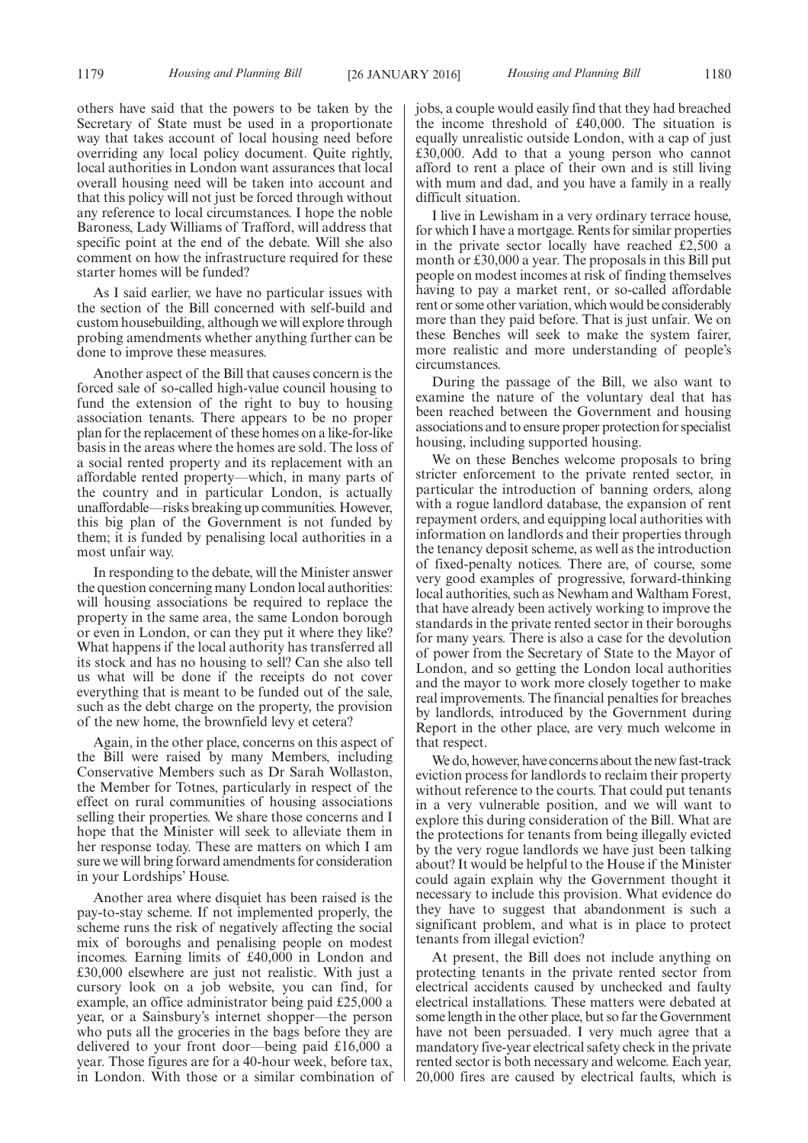others have said that the powers to be taken by the Secretary of State must be used in a proportionate way that takes account of local housing need before overriding any local policy document. Quite rightly, local authorities in London want assurances that local overall housing need will be taken into account and that this policy will not just be forced through without any reference to local circumstances. I hope the noble Baroness, Lady Williams of Trafford, will address that specific point at the end of the debate. Will she also comment on how the infrastructure required for these starter homes will be funded?

As I said earlier, we have no particular issues with the section of the Bill concerned with self-build and custom housebuilding, although we will explore through probing amendments whether anything further can be done to improve these measures.

Another aspect of the Bill that causes concern is the forced sale of so-called high-value council housing to fund the extension of the right to buy to housing association tenants. There appears to be no proper plan for the replacement of these homes on a like-for-like basis in the areas where the homes are sold. The loss of a social rented property and its replacement with an affordable rented property—which, in many parts of the country and in particular London, is actually unaffordable—risks breaking up communities. However, this big plan of the Government is not funded by them; it is funded by penalising local authorities in a most unfair way.

In responding to the debate, will the Minister answer the question concerning many London local authorities: will housing associations be required to replace the property in the same area, the same London borough or even in London, or can they put it where they like? What happens if the local authority has transferred all its stock and has no housing to sell? Can she also tell us what will be done if the receipts do not cover everything that is meant to be funded out of the sale, such as the debt charge on the property, the provision of the new home, the brownfield levy et cetera?

Again, in the other place, concerns on this aspect of the Bill were raised by many Members, including Conservative Members such as Dr Sarah Wollaston, the Member for Totnes, particularly in respect of the effect on rural communities of housing associations selling their properties. We share those concerns and I hope that the Minister will seek to alleviate them in her response today. These are matters on which I am sure we will bring forward amendments for consideration in your Lordships' House.

Another area where disquiet has been raised is the pay-to-stay scheme. If not implemented properly, the scheme runs the risk of negatively affecting the social mix of boroughs and penalising people on modest incomes. Earning limits of £40,000 in London and £30,000 elsewhere are just not realistic. With just a cursory look on a job website, you can find, for example, an office administrator being paid £25,000 a year, or a Sainsbury's internet shopper—the person who puts all the groceries in the bags before they are delivered to your front door—being paid £16,000 a year. Those figures are for a 40-hour week, before tax, in London. With those or a similar combination of jobs, a couple would easily find that they had breached the income threshold of £40,000. The situation is equally unrealistic outside London, with a cap of just £30,000. Add to that a young person who cannot afford to rent a place of their own and is still living with mum and dad, and you have a family in a really difficult situation.

I live in Lewisham in a very ordinary terrace house, for which I have a mortgage. Rents for similar properties in the private sector locally have reached £2,500 a month or £30,000 a year. The proposals in this Bill put people on modest incomes at risk of finding themselves having to pay a market rent, or so-called affordable rent or some other variation, which would be considerably more than they paid before. That is just unfair. We on these Benches will seek to make the system fairer, more realistic and more understanding of people's circumstances.

During the passage of the Bill, we also want to examine the nature of the voluntary deal that has been reached between the Government and housing associations and to ensure proper protection for specialist housing, including supported housing.

We on these Benches welcome proposals to bring stricter enforcement to the private rented sector, in particular the introduction of banning orders, along with a rogue landlord database, the expansion of rent repayment orders, and equipping local authorities with information on landlords and their properties through the tenancy deposit scheme, as well as the introduction of fixed-penalty notices. There are, of course, some very good examples of progressive, forward-thinking local authorities, such as Newham and Waltham Forest, that have already been actively working to improve the standards in the private rented sector in their boroughs for many years. There is also a case for the devolution of power from the Secretary of State to the Mayor of London, and so getting the London local authorities and the mayor to work more closely together to make real improvements. The financial penalties for breaches by landlords, introduced by the Government during Report in the other place, are very much welcome in that respect.

We do, however, have concerns about the new fast-track eviction process for landlords to reclaim their property without reference to the courts. That could put tenants in a very vulnerable position, and we will want to explore this during consideration of the Bill. What are the protections for tenants from being illegally evicted by the very rogue landlords we have just been talking about? It would be helpful to the House if the Minister could again explain why the Government thought it necessary to include this provision. What evidence do they have to suggest that abandonment is such a significant problem, and what is in place to protect tenants from illegal eviction?

At present, the Bill does not include anything on protecting tenants in the private rented sector from electrical accidents caused by unchecked and faulty electrical installations. These matters were debated at some length in the other place, but so far the Government have not been persuaded. I very much agree that a mandatory five-year electrical safety check in the private rented sector is both necessary and welcome. Each year, 20,000 fires are caused by electrical faults, which is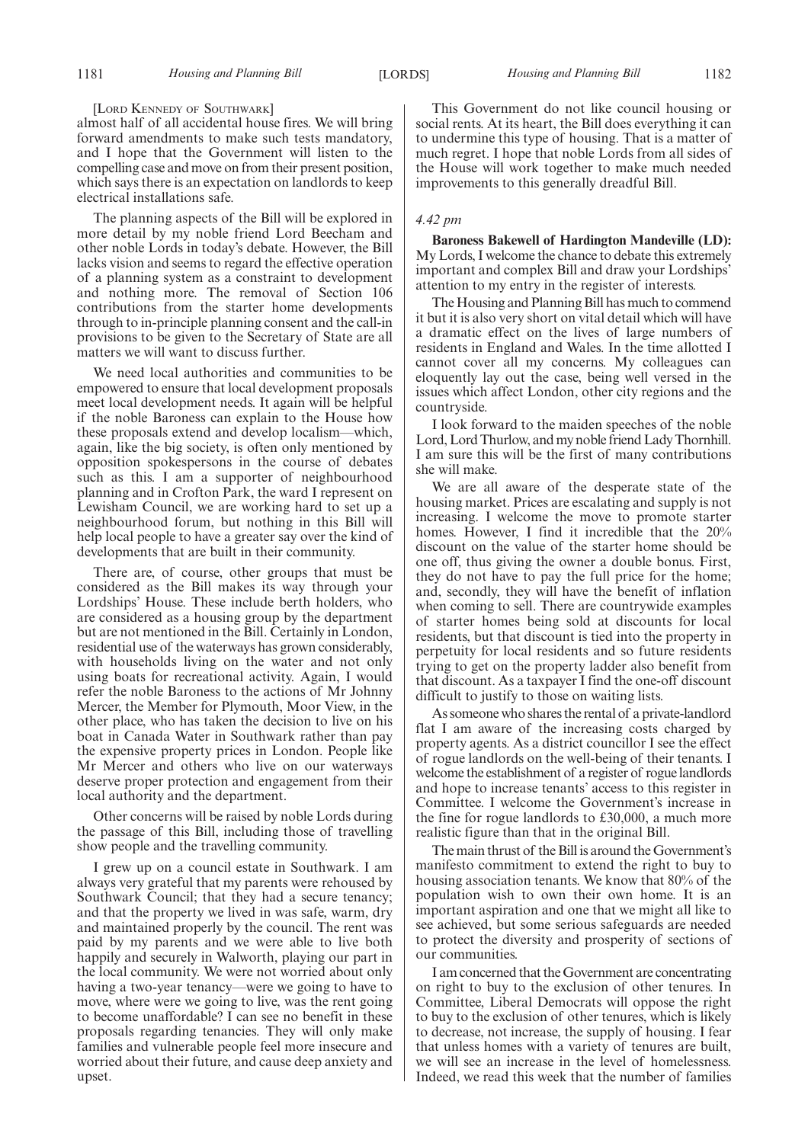#### [LORD KENNEDY OF SOUTHWARK]

almost half of all accidental house fires. We will bring forward amendments to make such tests mandatory, and I hope that the Government will listen to the compelling case and move on from their present position, which says there is an expectation on landlords to keep electrical installations safe.

The planning aspects of the Bill will be explored in more detail by my noble friend Lord Beecham and other noble Lords in today's debate. However, the Bill lacks vision and seems to regard the effective operation of a planning system as a constraint to development and nothing more. The removal of Section 106 contributions from the starter home developments through to in-principle planning consent and the call-in provisions to be given to the Secretary of State are all matters we will want to discuss further.

We need local authorities and communities to be empowered to ensure that local development proposals meet local development needs. It again will be helpful if the noble Baroness can explain to the House how these proposals extend and develop localism—which, again, like the big society, is often only mentioned by opposition spokespersons in the course of debates such as this. I am a supporter of neighbourhood planning and in Crofton Park, the ward I represent on Lewisham Council, we are working hard to set up a neighbourhood forum, but nothing in this Bill will help local people to have a greater say over the kind of developments that are built in their community.

There are, of course, other groups that must be considered as the Bill makes its way through your Lordships' House. These include berth holders, who are considered as a housing group by the department but are not mentioned in the Bill. Certainly in London, residential use of the waterways has grown considerably, with households living on the water and not only using boats for recreational activity. Again, I would refer the noble Baroness to the actions of Mr Johnny Mercer, the Member for Plymouth, Moor View, in the other place, who has taken the decision to live on his boat in Canada Water in Southwark rather than pay the expensive property prices in London. People like Mr Mercer and others who live on our waterways deserve proper protection and engagement from their local authority and the department.

Other concerns will be raised by noble Lords during the passage of this Bill, including those of travelling show people and the travelling community.

I grew up on a council estate in Southwark. I am always very grateful that my parents were rehoused by Southwark Council; that they had a secure tenancy; and that the property we lived in was safe, warm, dry and maintained properly by the council. The rent was paid by my parents and we were able to live both happily and securely in Walworth, playing our part in the local community. We were not worried about only having a two-year tenancy—were we going to have to move, where were we going to live, was the rent going to become unaffordable? I can see no benefit in these proposals regarding tenancies. They will only make families and vulnerable people feel more insecure and worried about their future, and cause deep anxiety and upset.

This Government do not like council housing or social rents. At its heart, the Bill does everything it can to undermine this type of housing. That is a matter of much regret. I hope that noble Lords from all sides of the House will work together to make much needed improvements to this generally dreadful Bill.

#### *4.42 pm*

**Baroness Bakewell of Hardington Mandeville (LD):** My Lords, I welcome the chance to debate this extremely important and complex Bill and draw your Lordships' attention to my entry in the register of interests.

The Housing and Planning Bill has much to commend it but it is also very short on vital detail which will have a dramatic effect on the lives of large numbers of residents in England and Wales. In the time allotted I cannot cover all my concerns. My colleagues can eloquently lay out the case, being well versed in the issues which affect London, other city regions and the countryside.

I look forward to the maiden speeches of the noble Lord, Lord Thurlow, and my noble friend Lady Thornhill. I am sure this will be the first of many contributions she will make.

We are all aware of the desperate state of the housing market. Prices are escalating and supply is not increasing. I welcome the move to promote starter homes. However, I find it incredible that the 20% discount on the value of the starter home should be one off, thus giving the owner a double bonus. First, they do not have to pay the full price for the home; and, secondly, they will have the benefit of inflation when coming to sell. There are countrywide examples of starter homes being sold at discounts for local residents, but that discount is tied into the property in perpetuity for local residents and so future residents trying to get on the property ladder also benefit from that discount. As a taxpayer I find the one-off discount difficult to justify to those on waiting lists.

As someone who shares the rental of a private-landlord flat I am aware of the increasing costs charged by property agents. As a district councillor I see the effect of rogue landlords on the well-being of their tenants. I welcome the establishment of a register of rogue landlords and hope to increase tenants' access to this register in Committee. I welcome the Government's increase in the fine for rogue landlords to £30,000, a much more realistic figure than that in the original Bill.

The main thrust of the Bill is around the Government's manifesto commitment to extend the right to buy to housing association tenants. We know that 80% of the population wish to own their own home. It is an important aspiration and one that we might all like to see achieved, but some serious safeguards are needed to protect the diversity and prosperity of sections of our communities.

I am concerned that the Government are concentrating on right to buy to the exclusion of other tenures. In Committee, Liberal Democrats will oppose the right to buy to the exclusion of other tenures, which is likely to decrease, not increase, the supply of housing. I fear that unless homes with a variety of tenures are built, we will see an increase in the level of homelessness. Indeed, we read this week that the number of families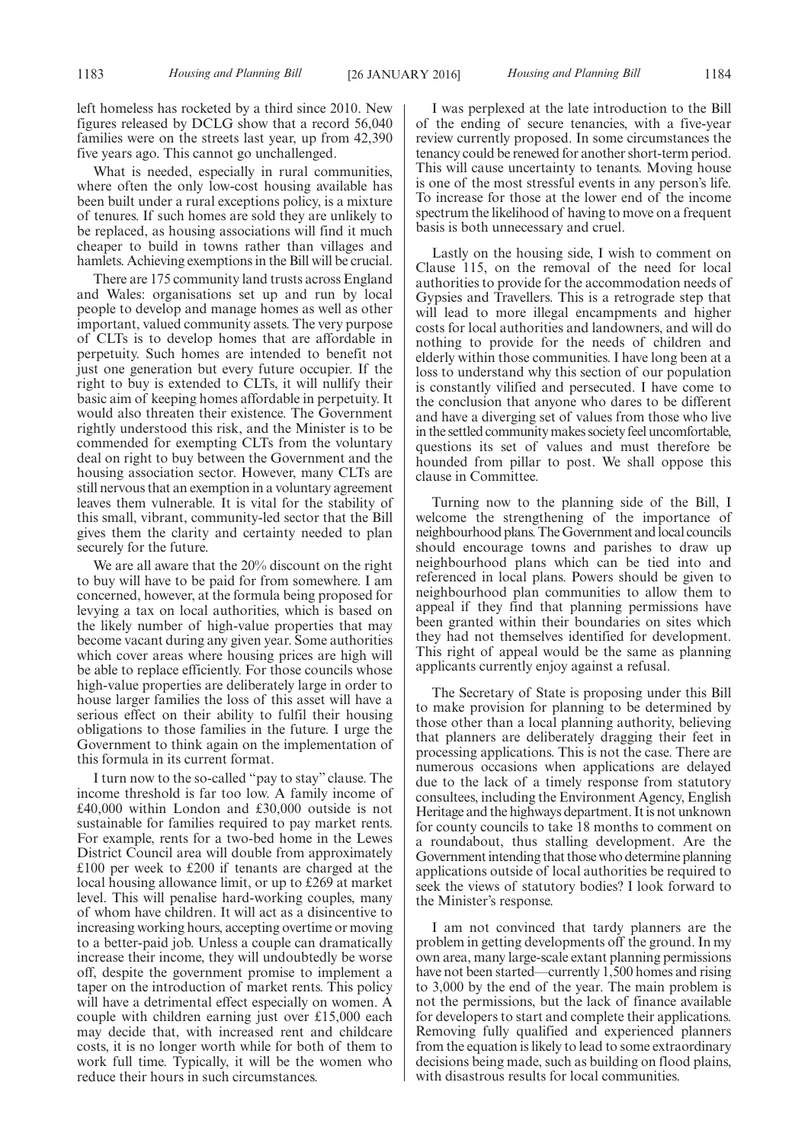left homeless has rocketed by a third since 2010. New figures released by DCLG show that a record 56,040 families were on the streets last year, up from 42,390 five years ago. This cannot go unchallenged.

What is needed, especially in rural communities, where often the only low-cost housing available has been built under a rural exceptions policy, is a mixture of tenures. If such homes are sold they are unlikely to be replaced, as housing associations will find it much cheaper to build in towns rather than villages and hamlets. Achieving exemptions in the Bill will be crucial.

There are 175 community land trusts across England and Wales: organisations set up and run by local people to develop and manage homes as well as other important, valued community assets. The very purpose of CLTs is to develop homes that are affordable in perpetuity. Such homes are intended to benefit not just one generation but every future occupier. If the right to buy is extended to CLTs, it will nullify their basic aim of keeping homes affordable in perpetuity. It would also threaten their existence. The Government rightly understood this risk, and the Minister is to be commended for exempting CLTs from the voluntary deal on right to buy between the Government and the housing association sector. However, many CLTs are still nervous that an exemption in a voluntary agreement leaves them vulnerable. It is vital for the stability of this small, vibrant, community-led sector that the Bill gives them the clarity and certainty needed to plan securely for the future.

We are all aware that the 20% discount on the right to buy will have to be paid for from somewhere. I am concerned, however, at the formula being proposed for levying a tax on local authorities, which is based on the likely number of high-value properties that may become vacant during any given year. Some authorities which cover areas where housing prices are high will be able to replace efficiently. For those councils whose high-value properties are deliberately large in order to house larger families the loss of this asset will have a serious effect on their ability to fulfil their housing obligations to those families in the future. I urge the Government to think again on the implementation of this formula in its current format.

I turn now to the so-called "pay to stay" clause. The income threshold is far too low. A family income of £40,000 within London and £30,000 outside is not sustainable for families required to pay market rents. For example, rents for a two-bed home in the Lewes District Council area will double from approximately £100 per week to £200 if tenants are charged at the local housing allowance limit, or up to £269 at market level. This will penalise hard-working couples, many of whom have children. It will act as a disincentive to increasing working hours, accepting overtime or moving to a better-paid job. Unless a couple can dramatically increase their income, they will undoubtedly be worse off, despite the government promise to implement a taper on the introduction of market rents. This policy will have a detrimental effect especially on women. A couple with children earning just over £15,000 each may decide that, with increased rent and childcare costs, it is no longer worth while for both of them to work full time. Typically, it will be the women who reduce their hours in such circumstances.

I was perplexed at the late introduction to the Bill of the ending of secure tenancies, with a five-year review currently proposed. In some circumstances the tenancy could be renewed for another short-term period. This will cause uncertainty to tenants. Moving house is one of the most stressful events in any person's life. To increase for those at the lower end of the income spectrum the likelihood of having to move on a frequent basis is both unnecessary and cruel.

Lastly on the housing side, I wish to comment on Clause 115, on the removal of the need for local authorities to provide for the accommodation needs of Gypsies and Travellers. This is a retrograde step that will lead to more illegal encampments and higher costs for local authorities and landowners, and will do nothing to provide for the needs of children and elderly within those communities. I have long been at a loss to understand why this section of our population is constantly vilified and persecuted. I have come to the conclusion that anyone who dares to be different and have a diverging set of values from those who live in the settled community makes society feel uncomfortable, questions its set of values and must therefore be hounded from pillar to post. We shall oppose this clause in Committee.

Turning now to the planning side of the Bill, I welcome the strengthening of the importance of neighbourhood plans. The Government and local councils should encourage towns and parishes to draw up neighbourhood plans which can be tied into and referenced in local plans. Powers should be given to neighbourhood plan communities to allow them to appeal if they find that planning permissions have been granted within their boundaries on sites which they had not themselves identified for development. This right of appeal would be the same as planning applicants currently enjoy against a refusal.

The Secretary of State is proposing under this Bill to make provision for planning to be determined by those other than a local planning authority, believing that planners are deliberately dragging their feet in processing applications. This is not the case. There are numerous occasions when applications are delayed due to the lack of a timely response from statutory consultees, including the Environment Agency, English Heritage and the highways department. It is not unknown for county councils to take 18 months to comment on a roundabout, thus stalling development. Are the Government intending that those who determine planning applications outside of local authorities be required to seek the views of statutory bodies? I look forward to the Minister's response.

I am not convinced that tardy planners are the problem in getting developments off the ground. In my own area, many large-scale extant planning permissions have not been started—currently 1,500 homes and rising to 3,000 by the end of the year. The main problem is not the permissions, but the lack of finance available for developers to start and complete their applications. Removing fully qualified and experienced planners from the equation is likely to lead to some extraordinary decisions being made, such as building on flood plains, with disastrous results for local communities.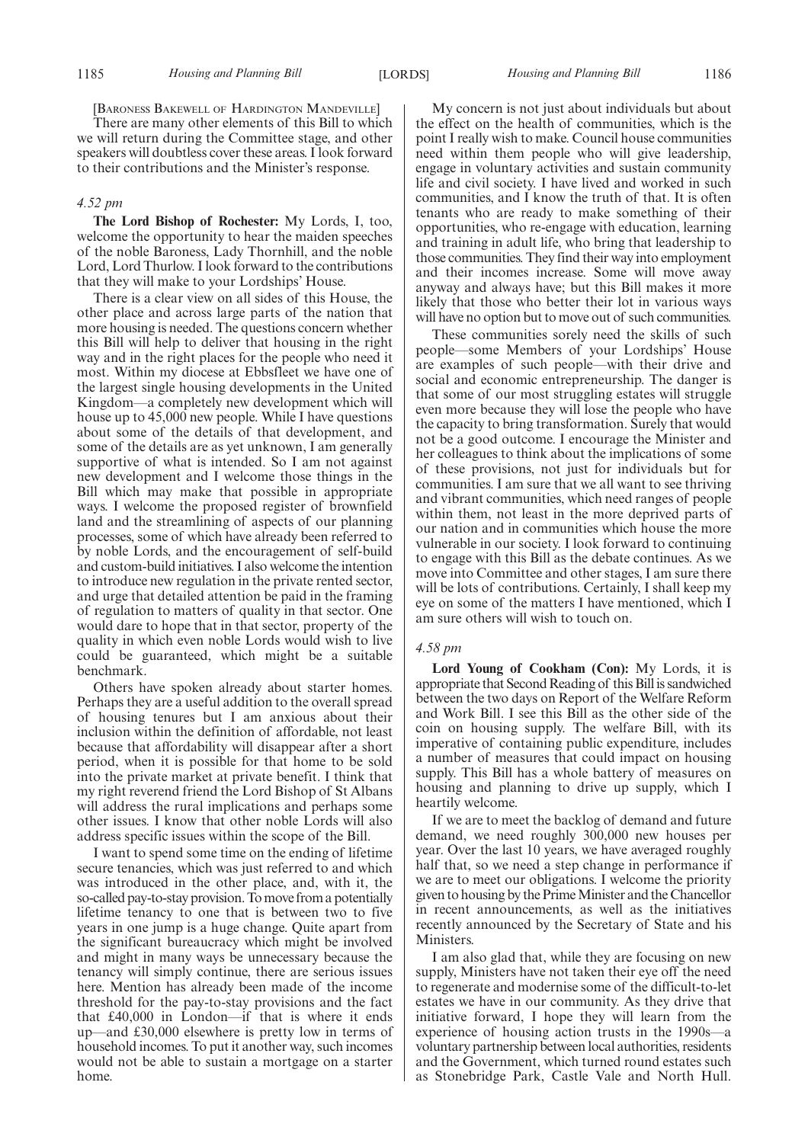[BARONESS BAKEWELL OF HARDINGTON MANDEVILLE]

There are many other elements of this Bill to which we will return during the Committee stage, and other speakers will doubtless cover these areas. I look forward to their contributions and the Minister's response.

#### *4.52 pm*

**The Lord Bishop of Rochester:** My Lords, I, too, welcome the opportunity to hear the maiden speeches of the noble Baroness, Lady Thornhill, and the noble Lord, Lord Thurlow. I look forward to the contributions that they will make to your Lordships' House.

There is a clear view on all sides of this House, the other place and across large parts of the nation that more housing is needed. The questions concern whether this Bill will help to deliver that housing in the right way and in the right places for the people who need it most. Within my diocese at Ebbsfleet we have one of the largest single housing developments in the United Kingdom—a completely new development which will house up to 45,000 new people. While I have questions about some of the details of that development, and some of the details are as yet unknown, I am generally supportive of what is intended. So I am not against new development and I welcome those things in the Bill which may make that possible in appropriate ways. I welcome the proposed register of brownfield land and the streamlining of aspects of our planning processes, some of which have already been referred to by noble Lords, and the encouragement of self-build and custom-build initiatives. I also welcome the intention to introduce new regulation in the private rented sector, and urge that detailed attention be paid in the framing of regulation to matters of quality in that sector. One would dare to hope that in that sector, property of the quality in which even noble Lords would wish to live could be guaranteed, which might be a suitable benchmark.

Others have spoken already about starter homes. Perhaps they are a useful addition to the overall spread of housing tenures but I am anxious about their inclusion within the definition of affordable, not least because that affordability will disappear after a short period, when it is possible for that home to be sold into the private market at private benefit. I think that my right reverend friend the Lord Bishop of St Albans will address the rural implications and perhaps some other issues. I know that other noble Lords will also address specific issues within the scope of the Bill.

I want to spend some time on the ending of lifetime secure tenancies, which was just referred to and which was introduced in the other place, and, with it, the so-called pay-to-stay provision. To move from a potentially lifetime tenancy to one that is between two to five years in one jump is a huge change. Quite apart from the significant bureaucracy which might be involved and might in many ways be unnecessary because the tenancy will simply continue, there are serious issues here. Mention has already been made of the income threshold for the pay-to-stay provisions and the fact that £40,000 in London—if that is where it ends up—and £30,000 elsewhere is pretty low in terms of household incomes. To put it another way, such incomes would not be able to sustain a mortgage on a starter home.

My concern is not just about individuals but about the effect on the health of communities, which is the point I really wish to make. Council house communities need within them people who will give leadership, engage in voluntary activities and sustain community life and civil society. I have lived and worked in such communities, and I know the truth of that. It is often tenants who are ready to make something of their opportunities, who re-engage with education, learning and training in adult life, who bring that leadership to those communities. They find their way into employment and their incomes increase. Some will move away anyway and always have; but this Bill makes it more likely that those who better their lot in various ways will have no option but to move out of such communities.

These communities sorely need the skills of such people—some Members of your Lordships' House are examples of such people—with their drive and social and economic entrepreneurship. The danger is that some of our most struggling estates will struggle even more because they will lose the people who have the capacity to bring transformation. Surely that would not be a good outcome. I encourage the Minister and her colleagues to think about the implications of some of these provisions, not just for individuals but for communities. I am sure that we all want to see thriving and vibrant communities, which need ranges of people within them, not least in the more deprived parts of our nation and in communities which house the more vulnerable in our society. I look forward to continuing to engage with this Bill as the debate continues. As we move into Committee and other stages, I am sure there will be lots of contributions. Certainly, I shall keep my eye on some of the matters I have mentioned, which I am sure others will wish to touch on.

#### *4.58 pm*

**Lord Young of Cookham (Con):** My Lords, it is appropriate that Second Reading of this Bill is sandwiched between the two days on Report of the Welfare Reform and Work Bill. I see this Bill as the other side of the coin on housing supply. The welfare Bill, with its imperative of containing public expenditure, includes a number of measures that could impact on housing supply. This Bill has a whole battery of measures on housing and planning to drive up supply, which I heartily welcome.

If we are to meet the backlog of demand and future demand, we need roughly 300,000 new houses per year. Over the last 10 years, we have averaged roughly half that, so we need a step change in performance if we are to meet our obligations. I welcome the priority given to housing by the PrimeMinister and the Chancellor in recent announcements, as well as the initiatives recently announced by the Secretary of State and his Ministers.

I am also glad that, while they are focusing on new supply, Ministers have not taken their eye off the need to regenerate and modernise some of the difficult-to-let estates we have in our community. As they drive that initiative forward, I hope they will learn from the experience of housing action trusts in the 1990s—a voluntary partnership between local authorities, residents and the Government, which turned round estates such as Stonebridge Park, Castle Vale and North Hull.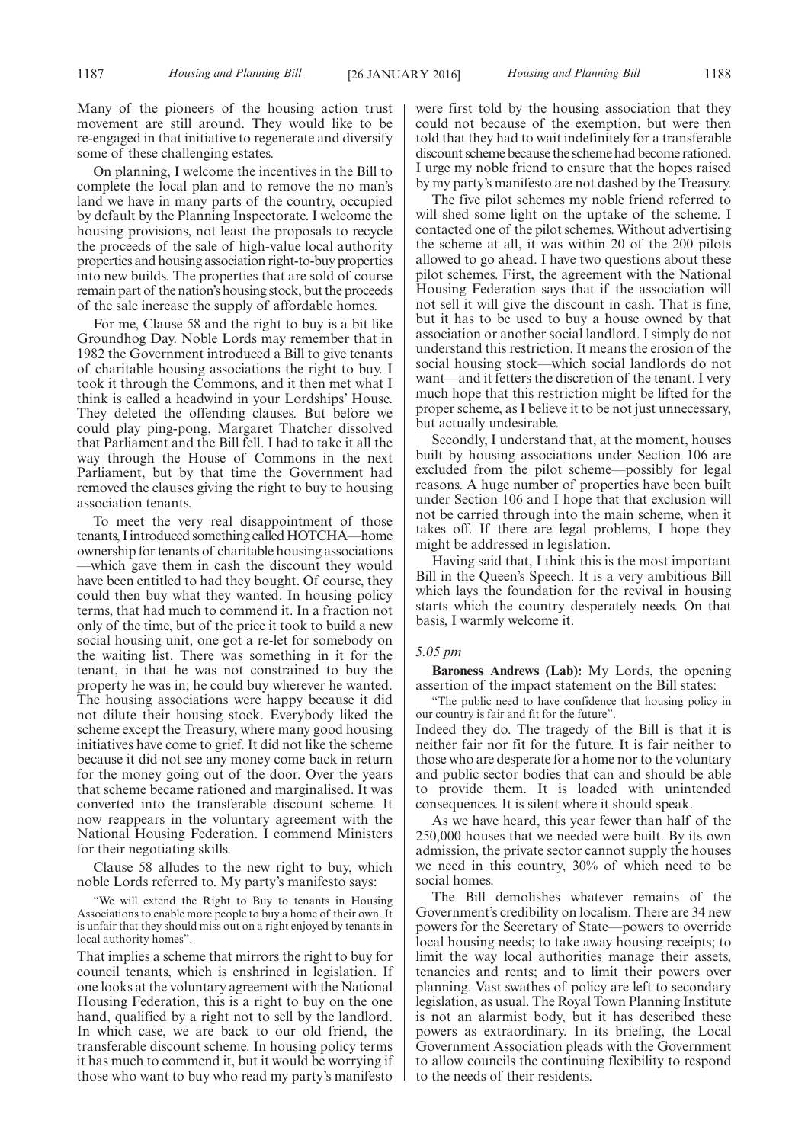Many of the pioneers of the housing action trust movement are still around. They would like to be re-engaged in that initiative to regenerate and diversify some of these challenging estates.

On planning, I welcome the incentives in the Bill to complete the local plan and to remove the no man's land we have in many parts of the country, occupied by default by the Planning Inspectorate. I welcome the housing provisions, not least the proposals to recycle the proceeds of the sale of high-value local authority properties and housing association right-to-buy properties into new builds. The properties that are sold of course remain part of the nation's housing stock, but the proceeds of the sale increase the supply of affordable homes.

For me, Clause 58 and the right to buy is a bit like Groundhog Day. Noble Lords may remember that in 1982 the Government introduced a Bill to give tenants of charitable housing associations the right to buy. I took it through the Commons, and it then met what I think is called a headwind in your Lordships' House. They deleted the offending clauses. But before we could play ping-pong, Margaret Thatcher dissolved that Parliament and the Bill fell. I had to take it all the way through the House of Commons in the next Parliament, but by that time the Government had removed the clauses giving the right to buy to housing association tenants.

To meet the very real disappointment of those tenants, I introduced something called HOTCHA—home ownership for tenants of charitable housing associations —which gave them in cash the discount they would have been entitled to had they bought. Of course, they could then buy what they wanted. In housing policy terms, that had much to commend it. In a fraction not only of the time, but of the price it took to build a new social housing unit, one got a re-let for somebody on the waiting list. There was something in it for the tenant, in that he was not constrained to buy the property he was in; he could buy wherever he wanted. The housing associations were happy because it did not dilute their housing stock. Everybody liked the scheme except the Treasury, where many good housing initiatives have come to grief. It did not like the scheme because it did not see any money come back in return for the money going out of the door. Over the years that scheme became rationed and marginalised. It was converted into the transferable discount scheme. It now reappears in the voluntary agreement with the National Housing Federation. I commend Ministers for their negotiating skills.

Clause 58 alludes to the new right to buy, which noble Lords referred to. My party's manifesto says:

"We will extend the Right to Buy to tenants in Housing Associations to enable more people to buy a home of their own. It is unfair that they should miss out on a right enjoyed by tenants in local authority homes".

That implies a scheme that mirrors the right to buy for council tenants, which is enshrined in legislation. If one looks at the voluntary agreement with the National Housing Federation, this is a right to buy on the one hand, qualified by a right not to sell by the landlord. In which case, we are back to our old friend, the transferable discount scheme. In housing policy terms it has much to commend it, but it would be worrying if those who want to buy who read my party's manifesto

were first told by the housing association that they could not because of the exemption, but were then told that they had to wait indefinitely for a transferable discount scheme because the scheme had become rationed. I urge my noble friend to ensure that the hopes raised by my party's manifesto are not dashed by the Treasury.

The five pilot schemes my noble friend referred to will shed some light on the uptake of the scheme. I contacted one of the pilot schemes. Without advertising the scheme at all, it was within 20 of the 200 pilots allowed to go ahead. I have two questions about these pilot schemes. First, the agreement with the National Housing Federation says that if the association will not sell it will give the discount in cash. That is fine, but it has to be used to buy a house owned by that association or another social landlord. I simply do not understand this restriction. It means the erosion of the social housing stock—which social landlords do not want—and it fetters the discretion of the tenant. I very much hope that this restriction might be lifted for the proper scheme, as I believe it to be not just unnecessary, but actually undesirable.

Secondly, I understand that, at the moment, houses built by housing associations under Section 106 are excluded from the pilot scheme—possibly for legal reasons. A huge number of properties have been built under Section 106 and I hope that that exclusion will not be carried through into the main scheme, when it takes off. If there are legal problems, I hope they might be addressed in legislation.

Having said that, I think this is the most important Bill in the Queen's Speech. It is a very ambitious Bill which lays the foundation for the revival in housing starts which the country desperately needs. On that basis, I warmly welcome it.

#### *5.05 pm*

**Baroness Andrews (Lab):** My Lords, the opening assertion of the impact statement on the Bill states:

"The public need to have confidence that housing policy in our country is fair and fit for the future".

Indeed they do. The tragedy of the Bill is that it is neither fair nor fit for the future. It is fair neither to those who are desperate for a home nor to the voluntary and public sector bodies that can and should be able to provide them. It is loaded with unintended consequences. It is silent where it should speak.

As we have heard, this year fewer than half of the 250,000 houses that we needed were built. By its own admission, the private sector cannot supply the houses we need in this country, 30% of which need to be social homes.

The Bill demolishes whatever remains of the Government's credibility on localism. There are 34 new powers for the Secretary of State—powers to override local housing needs; to take away housing receipts; to limit the way local authorities manage their assets, tenancies and rents; and to limit their powers over planning. Vast swathes of policy are left to secondary legislation, as usual. The Royal Town Planning Institute is not an alarmist body, but it has described these powers as extraordinary. In its briefing, the Local Government Association pleads with the Government to allow councils the continuing flexibility to respond to the needs of their residents.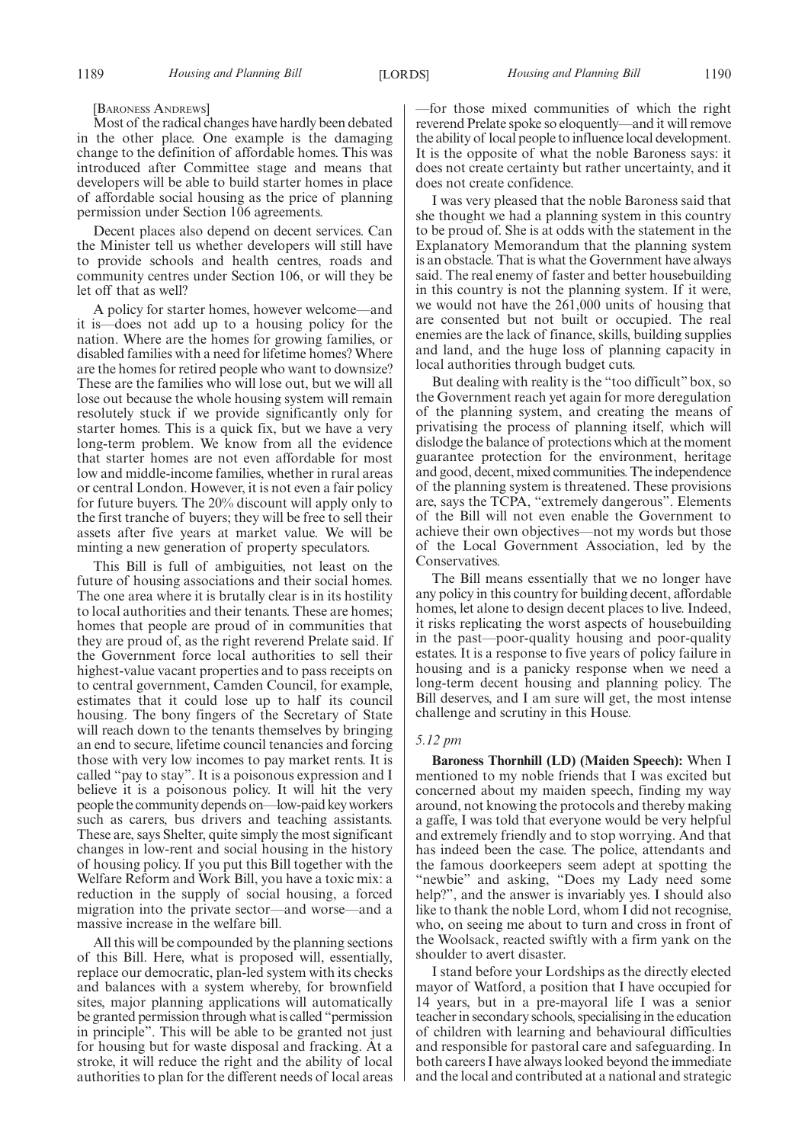[BARONESS ANDREWS]

Most of the radical changes have hardly been debated in the other place. One example is the damaging change to the definition of affordable homes. This was introduced after Committee stage and means that developers will be able to build starter homes in place of affordable social housing as the price of planning permission under Section 106 agreements.

Decent places also depend on decent services. Can the Minister tell us whether developers will still have to provide schools and health centres, roads and community centres under Section 106, or will they be let off that as well?

A policy for starter homes, however welcome—and it is—does not add up to a housing policy for the nation. Where are the homes for growing families, or disabled families with a need for lifetime homes? Where are the homes for retired people who want to downsize? These are the families who will lose out, but we will all lose out because the whole housing system will remain resolutely stuck if we provide significantly only for starter homes. This is a quick fix, but we have a very long-term problem. We know from all the evidence that starter homes are not even affordable for most low and middle-income families, whether in rural areas or central London. However, it is not even a fair policy for future buyers. The 20% discount will apply only to the first tranche of buyers; they will be free to sell their assets after five years at market value. We will be minting a new generation of property speculators.

This Bill is full of ambiguities, not least on the future of housing associations and their social homes. The one area where it is brutally clear is in its hostility to local authorities and their tenants. These are homes; homes that people are proud of in communities that they are proud of, as the right reverend Prelate said. If the Government force local authorities to sell their highest-value vacant properties and to pass receipts on to central government, Camden Council, for example, estimates that it could lose up to half its council housing. The bony fingers of the Secretary of State will reach down to the tenants themselves by bringing an end to secure, lifetime council tenancies and forcing those with very low incomes to pay market rents. It is called "pay to stay". It is a poisonous expression and I believe it is a poisonous policy. It will hit the very people the community depends on—low-paid key workers such as carers, bus drivers and teaching assistants. These are, says Shelter, quite simply the most significant changes in low-rent and social housing in the history of housing policy. If you put this Bill together with the Welfare Reform and Work Bill, you have a toxic mix: a reduction in the supply of social housing, a forced migration into the private sector—and worse—and a massive increase in the welfare bill.

All this will be compounded by the planning sections of this Bill. Here, what is proposed will, essentially, replace our democratic, plan-led system with its checks and balances with a system whereby, for brownfield sites, major planning applications will automatically be granted permission through what is called "permission in principle". This will be able to be granted not just for housing but for waste disposal and fracking. At a stroke, it will reduce the right and the ability of local authorities to plan for the different needs of local areas —for those mixed communities of which the right reverend Prelate spoke so eloquently—and it will remove the ability of local people to influence local development. It is the opposite of what the noble Baroness says: it does not create certainty but rather uncertainty, and it does not create confidence.

I was very pleased that the noble Baroness said that she thought we had a planning system in this country to be proud of. She is at odds with the statement in the Explanatory Memorandum that the planning system is an obstacle. That is what the Government have always said. The real enemy of faster and better housebuilding in this country is not the planning system. If it were, we would not have the 261,000 units of housing that are consented but not built or occupied. The real enemies are the lack of finance, skills, building supplies and land, and the huge loss of planning capacity in local authorities through budget cuts.

But dealing with reality is the "too difficult" box, so the Government reach yet again for more deregulation of the planning system, and creating the means of privatising the process of planning itself, which will dislodge the balance of protections which at the moment guarantee protection for the environment, heritage and good, decent, mixed communities. The independence of the planning system is threatened. These provisions are, says the TCPA, "extremely dangerous". Elements of the Bill will not even enable the Government to achieve their own objectives—not my words but those of the Local Government Association, led by the Conservatives.

The Bill means essentially that we no longer have any policy in this country for building decent, affordable homes, let alone to design decent places to live. Indeed, it risks replicating the worst aspects of housebuilding in the past—poor-quality housing and poor-quality estates. It is a response to five years of policy failure in housing and is a panicky response when we need a long-term decent housing and planning policy. The Bill deserves, and I am sure will get, the most intense challenge and scrutiny in this House.

#### *5.12 pm*

**Baroness Thornhill (LD) (Maiden Speech):** When I mentioned to my noble friends that I was excited but concerned about my maiden speech, finding my way around, not knowing the protocols and thereby making a gaffe, I was told that everyone would be very helpful and extremely friendly and to stop worrying. And that has indeed been the case. The police, attendants and the famous doorkeepers seem adept at spotting the "newbie" and asking, "Does my Lady need some help?", and the answer is invariably yes. I should also like to thank the noble Lord, whom I did not recognise, who, on seeing me about to turn and cross in front of the Woolsack, reacted swiftly with a firm yank on the shoulder to avert disaster.

I stand before your Lordships as the directly elected mayor of Watford, a position that I have occupied for 14 years, but in a pre-mayoral life I was a senior teacher in secondary schools, specialising in the education of children with learning and behavioural difficulties and responsible for pastoral care and safeguarding. In both careers I have always looked beyond the immediate and the local and contributed at a national and strategic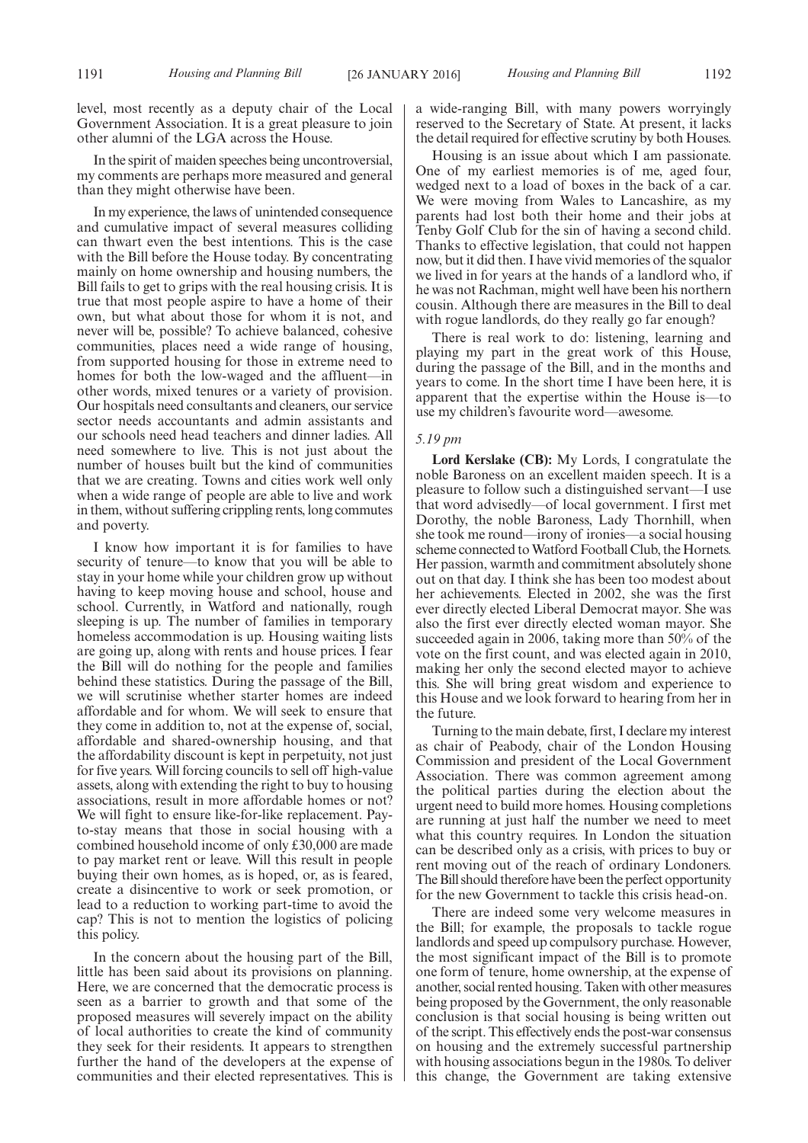level, most recently as a deputy chair of the Local Government Association. It is a great pleasure to join other alumni of the LGA across the House.

In the spirit of maiden speeches being uncontroversial, my comments are perhaps more measured and general than they might otherwise have been.

In my experience, the laws of unintended consequence and cumulative impact of several measures colliding can thwart even the best intentions. This is the case with the Bill before the House today. By concentrating mainly on home ownership and housing numbers, the Bill fails to get to grips with the real housing crisis. It is true that most people aspire to have a home of their own, but what about those for whom it is not, and never will be, possible? To achieve balanced, cohesive communities, places need a wide range of housing, from supported housing for those in extreme need to homes for both the low-waged and the affluent—in other words, mixed tenures or a variety of provision. Our hospitals need consultants and cleaners, our service sector needs accountants and admin assistants and our schools need head teachers and dinner ladies. All need somewhere to live. This is not just about the number of houses built but the kind of communities that we are creating. Towns and cities work well only when a wide range of people are able to live and work in them, without suffering crippling rents, long commutes and poverty.

I know how important it is for families to have security of tenure—to know that you will be able to stay in your home while your children grow up without having to keep moving house and school, house and school. Currently, in Watford and nationally, rough sleeping is up. The number of families in temporary homeless accommodation is up. Housing waiting lists are going up, along with rents and house prices. I fear the Bill will do nothing for the people and families behind these statistics. During the passage of the Bill, we will scrutinise whether starter homes are indeed affordable and for whom. We will seek to ensure that they come in addition to, not at the expense of, social, affordable and shared-ownership housing, and that the affordability discount is kept in perpetuity, not just for five years. Will forcing councils to sell off high-value assets, along with extending the right to buy to housing associations, result in more affordable homes or not? We will fight to ensure like-for-like replacement. Payto-stay means that those in social housing with a combined household income of only £30,000 are made to pay market rent or leave. Will this result in people buying their own homes, as is hoped, or, as is feared, create a disincentive to work or seek promotion, or lead to a reduction to working part-time to avoid the cap? This is not to mention the logistics of policing this policy.

In the concern about the housing part of the Bill, little has been said about its provisions on planning. Here, we are concerned that the democratic process is seen as a barrier to growth and that some of the proposed measures will severely impact on the ability of local authorities to create the kind of community they seek for their residents. It appears to strengthen further the hand of the developers at the expense of communities and their elected representatives. This is a wide-ranging Bill, with many powers worryingly reserved to the Secretary of State. At present, it lacks the detail required for effective scrutiny by both Houses.

Housing is an issue about which I am passionate. One of my earliest memories is of me, aged four, wedged next to a load of boxes in the back of a car. We were moving from Wales to Lancashire, as my parents had lost both their home and their jobs at Tenby Golf Club for the sin of having a second child. Thanks to effective legislation, that could not happen now, but it did then. I have vivid memories of the squalor we lived in for years at the hands of a landlord who, if he was not Rachman, might well have been his northern cousin. Although there are measures in the Bill to deal with rogue landlords, do they really go far enough?

There is real work to do: listening, learning and playing my part in the great work of this House, during the passage of the Bill, and in the months and years to come. In the short time I have been here, it is apparent that the expertise within the House is—to use my children's favourite word—awesome.

#### *5.19 pm*

**Lord Kerslake (CB):** My Lords, I congratulate the noble Baroness on an excellent maiden speech. It is a pleasure to follow such a distinguished servant—I use that word advisedly—of local government. I first met Dorothy, the noble Baroness, Lady Thornhill, when she took me round—irony of ironies—a social housing scheme connected to Watford Football Club, the Hornets. Her passion, warmth and commitment absolutely shone out on that day. I think she has been too modest about her achievements. Elected in 2002, she was the first ever directly elected Liberal Democrat mayor. She was also the first ever directly elected woman mayor. She succeeded again in 2006, taking more than 50% of the vote on the first count, and was elected again in 2010, making her only the second elected mayor to achieve this. She will bring great wisdom and experience to this House and we look forward to hearing from her in the future.

Turning to the main debate, first, I declare my interest as chair of Peabody, chair of the London Housing Commission and president of the Local Government Association. There was common agreement among the political parties during the election about the urgent need to build more homes. Housing completions are running at just half the number we need to meet what this country requires. In London the situation can be described only as a crisis, with prices to buy or rent moving out of the reach of ordinary Londoners. The Bill should therefore have been the perfect opportunity for the new Government to tackle this crisis head-on.

There are indeed some very welcome measures in the Bill; for example, the proposals to tackle rogue landlords and speed up compulsory purchase. However, the most significant impact of the Bill is to promote one form of tenure, home ownership, at the expense of another, social rented housing. Taken with other measures being proposed by the Government, the only reasonable conclusion is that social housing is being written out of the script. This effectively ends the post-war consensus on housing and the extremely successful partnership with housing associations begun in the 1980s. To deliver this change, the Government are taking extensive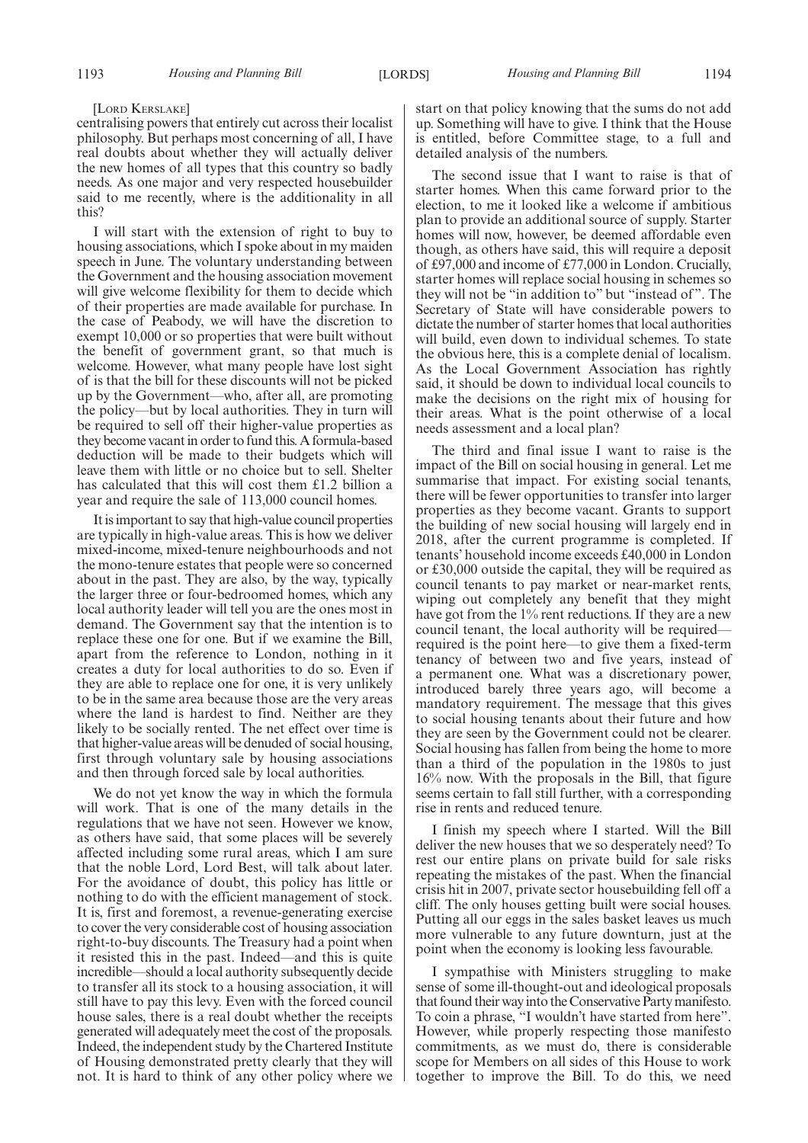#### [LORD KERSLAKE]

centralising powers that entirely cut across their localist philosophy. But perhaps most concerning of all, I have real doubts about whether they will actually deliver the new homes of all types that this country so badly needs. As one major and very respected housebuilder said to me recently, where is the additionality in all this?

I will start with the extension of right to buy to housing associations, which I spoke about in my maiden speech in June. The voluntary understanding between the Government and the housing association movement will give welcome flexibility for them to decide which of their properties are made available for purchase. In the case of Peabody, we will have the discretion to exempt 10,000 or so properties that were built without the benefit of government grant, so that much is welcome. However, what many people have lost sight of is that the bill for these discounts will not be picked up by the Government—who, after all, are promoting the policy—but by local authorities. They in turn will be required to sell off their higher-value properties as they become vacant in order to fund this. A formula-based deduction will be made to their budgets which will leave them with little or no choice but to sell. Shelter has calculated that this will cost them £1.2 billion a year and require the sale of 113,000 council homes.

It is important to say that high-value council properties are typically in high-value areas. This is how we deliver mixed-income, mixed-tenure neighbourhoods and not the mono-tenure estates that people were so concerned about in the past. They are also, by the way, typically the larger three or four-bedroomed homes, which any local authority leader will tell you are the ones most in demand. The Government say that the intention is to replace these one for one. But if we examine the Bill, apart from the reference to London, nothing in it creates a duty for local authorities to do so. Even if they are able to replace one for one, it is very unlikely to be in the same area because those are the very areas where the land is hardest to find. Neither are they likely to be socially rented. The net effect over time is that higher-value areas will be denuded of social housing, first through voluntary sale by housing associations and then through forced sale by local authorities.

We do not yet know the way in which the formula will work. That is one of the many details in the regulations that we have not seen. However we know, as others have said, that some places will be severely affected including some rural areas, which I am sure that the noble Lord, Lord Best, will talk about later. For the avoidance of doubt, this policy has little or nothing to do with the efficient management of stock. It is, first and foremost, a revenue-generating exercise to cover the very considerable cost of housing association right-to-buy discounts. The Treasury had a point when it resisted this in the past. Indeed—and this is quite incredible—should a local authority subsequently decide to transfer all its stock to a housing association, it will still have to pay this levy. Even with the forced council house sales, there is a real doubt whether the receipts generated will adequately meet the cost of the proposals. Indeed, the independent study by the Chartered Institute of Housing demonstrated pretty clearly that they will not. It is hard to think of any other policy where we start on that policy knowing that the sums do not add up. Something will have to give. I think that the House is entitled, before Committee stage, to a full and detailed analysis of the numbers.

The second issue that I want to raise is that of starter homes. When this came forward prior to the election, to me it looked like a welcome if ambitious plan to provide an additional source of supply. Starter homes will now, however, be deemed affordable even though, as others have said, this will require a deposit of £97,000 and income of £77,000 in London. Crucially, starter homes will replace social housing in schemes so they will not be "in addition to" but "instead of ". The Secretary of State will have considerable powers to dictate the number of starter homes that local authorities will build, even down to individual schemes. To state the obvious here, this is a complete denial of localism. As the Local Government Association has rightly said, it should be down to individual local councils to make the decisions on the right mix of housing for their areas. What is the point otherwise of a local needs assessment and a local plan?

The third and final issue I want to raise is the impact of the Bill on social housing in general. Let me summarise that impact. For existing social tenants, there will be fewer opportunities to transfer into larger properties as they become vacant. Grants to support the building of new social housing will largely end in 2018, after the current programme is completed. If tenants' household income exceeds £40,000 in London or £30,000 outside the capital, they will be required as council tenants to pay market or near-market rents, wiping out completely any benefit that they might have got from the 1% rent reductions. If they are a new council tenant, the local authority will be required required is the point here—to give them a fixed-term tenancy of between two and five years, instead of a permanent one. What was a discretionary power, introduced barely three years ago, will become a mandatory requirement. The message that this gives to social housing tenants about their future and how they are seen by the Government could not be clearer. Social housing has fallen from being the home to more than a third of the population in the 1980s to just 16% now. With the proposals in the Bill, that figure seems certain to fall still further, with a corresponding rise in rents and reduced tenure.

I finish my speech where I started. Will the Bill deliver the new houses that we so desperately need? To rest our entire plans on private build for sale risks repeating the mistakes of the past. When the financial crisis hit in 2007, private sector housebuilding fell off a cliff. The only houses getting built were social houses. Putting all our eggs in the sales basket leaves us much more vulnerable to any future downturn, just at the point when the economy is looking less favourable.

I sympathise with Ministers struggling to make sense of some ill-thought-out and ideological proposals that found their wayinto the Conservative Partymanifesto. To coin a phrase, "I wouldn't have started from here". However, while properly respecting those manifesto commitments, as we must do, there is considerable scope for Members on all sides of this House to work together to improve the Bill. To do this, we need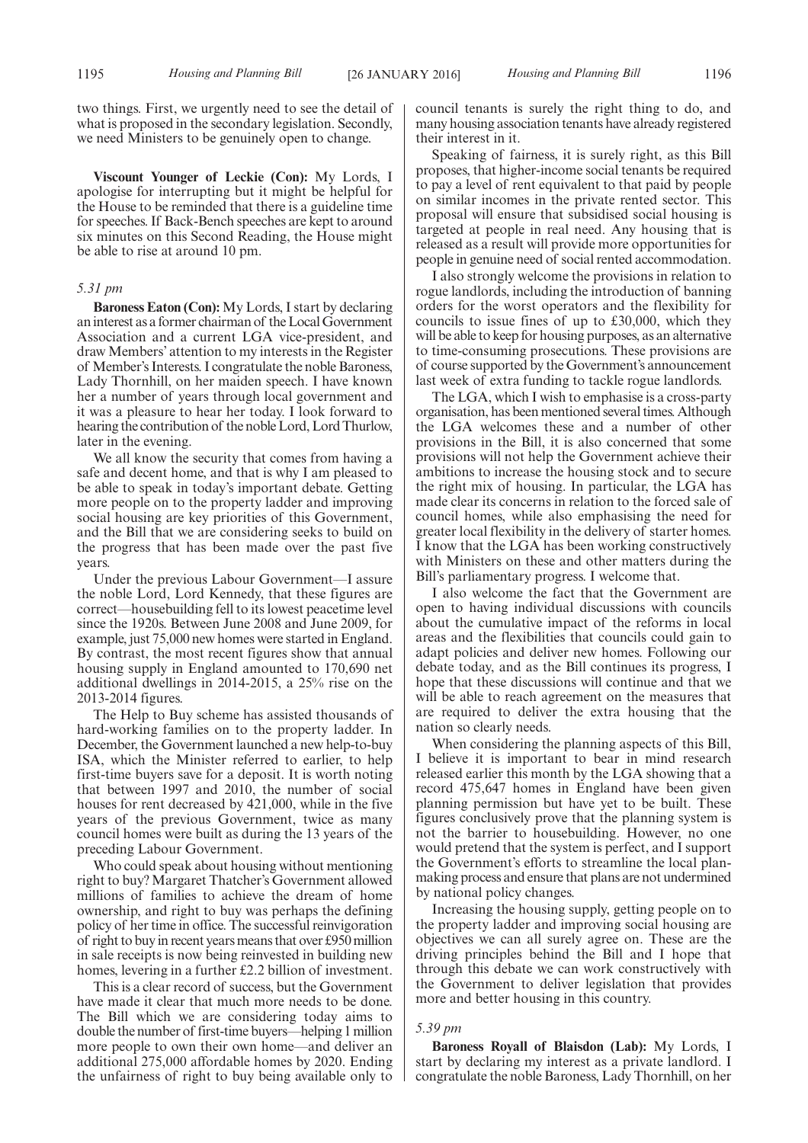two things. First, we urgently need to see the detail of what is proposed in the secondary legislation. Secondly, we need Ministers to be genuinely open to change.

**Viscount Younger of Leckie (Con):** My Lords, I apologise for interrupting but it might be helpful for the House to be reminded that there is a guideline time for speeches. If Back-Bench speeches are kept to around six minutes on this Second Reading, the House might be able to rise at around 10 pm.

#### *5.31 pm*

**Baroness Eaton (Con):** My Lords, I start by declaring an interest as a former chairman of the Local Government Association and a current LGA vice-president, and draw Members' attention to my interests in the Register of Member's Interests. I congratulate the noble Baroness, Lady Thornhill, on her maiden speech. I have known her a number of years through local government and it was a pleasure to hear her today. I look forward to hearing the contribution of the noble Lord, Lord Thurlow, later in the evening.

We all know the security that comes from having a safe and decent home, and that is why I am pleased to be able to speak in today's important debate. Getting more people on to the property ladder and improving social housing are key priorities of this Government, and the Bill that we are considering seeks to build on the progress that has been made over the past five years.

Under the previous Labour Government—I assure the noble Lord, Lord Kennedy, that these figures are correct—housebuilding fell to its lowest peacetime level since the 1920s. Between June 2008 and June 2009, for example, just 75,000 new homes were started in England. By contrast, the most recent figures show that annual housing supply in England amounted to 170,690 net additional dwellings in 2014-2015, a 25% rise on the 2013-2014 figures.

The Help to Buy scheme has assisted thousands of hard-working families on to the property ladder. In December, the Government launched a new help-to-buy ISA, which the Minister referred to earlier, to help first-time buyers save for a deposit. It is worth noting that between 1997 and 2010, the number of social houses for rent decreased by 421,000, while in the five years of the previous Government, twice as many council homes were built as during the 13 years of the preceding Labour Government.

Who could speak about housing without mentioning right to buy? Margaret Thatcher's Government allowed millions of families to achieve the dream of home ownership, and right to buy was perhaps the defining policy of her time in office. The successful reinvigoration of right to buy in recent years means that over £950 million in sale receipts is now being reinvested in building new homes, levering in a further £2.2 billion of investment.

This is a clear record of success, but the Government have made it clear that much more needs to be done. The Bill which we are considering today aims to double the number of first-time buyers—helping 1 million more people to own their own home—and deliver an additional 275,000 affordable homes by 2020. Ending the unfairness of right to buy being available only to council tenants is surely the right thing to do, and many housing association tenants have already registered their interest in it.

Speaking of fairness, it is surely right, as this Bill proposes, that higher-income social tenants be required to pay a level of rent equivalent to that paid by people on similar incomes in the private rented sector. This proposal will ensure that subsidised social housing is targeted at people in real need. Any housing that is released as a result will provide more opportunities for people in genuine need of social rented accommodation.

I also strongly welcome the provisions in relation to rogue landlords, including the introduction of banning orders for the worst operators and the flexibility for councils to issue fines of up to £30,000, which they will be able to keep for housing purposes, as an alternative to time-consuming prosecutions. These provisions are of course supported by the Government's announcement last week of extra funding to tackle rogue landlords.

The LGA, which I wish to emphasise is a cross-party organisation, has been mentioned several times. Although the LGA welcomes these and a number of other provisions in the Bill, it is also concerned that some provisions will not help the Government achieve their ambitions to increase the housing stock and to secure the right mix of housing. In particular, the LGA has made clear its concerns in relation to the forced sale of council homes, while also emphasising the need for greater local flexibility in the delivery of starter homes. I know that the LGA has been working constructively with Ministers on these and other matters during the Bill's parliamentary progress. I welcome that.

I also welcome the fact that the Government are open to having individual discussions with councils about the cumulative impact of the reforms in local areas and the flexibilities that councils could gain to adapt policies and deliver new homes. Following our debate today, and as the Bill continues its progress, I hope that these discussions will continue and that we will be able to reach agreement on the measures that are required to deliver the extra housing that the nation so clearly needs.

When considering the planning aspects of this Bill, I believe it is important to bear in mind research released earlier this month by the LGA showing that a record 475,647 homes in England have been given planning permission but have yet to be built. These figures conclusively prove that the planning system is not the barrier to housebuilding. However, no one would pretend that the system is perfect, and I support the Government's efforts to streamline the local planmaking process and ensure that plans are not undermined by national policy changes.

Increasing the housing supply, getting people on to the property ladder and improving social housing are objectives we can all surely agree on. These are the driving principles behind the Bill and I hope that through this debate we can work constructively with the Government to deliver legislation that provides more and better housing in this country.

#### *5.39 pm*

**Baroness Royall of Blaisdon (Lab):** My Lords, I start by declaring my interest as a private landlord. I congratulate the noble Baroness, Lady Thornhill, on her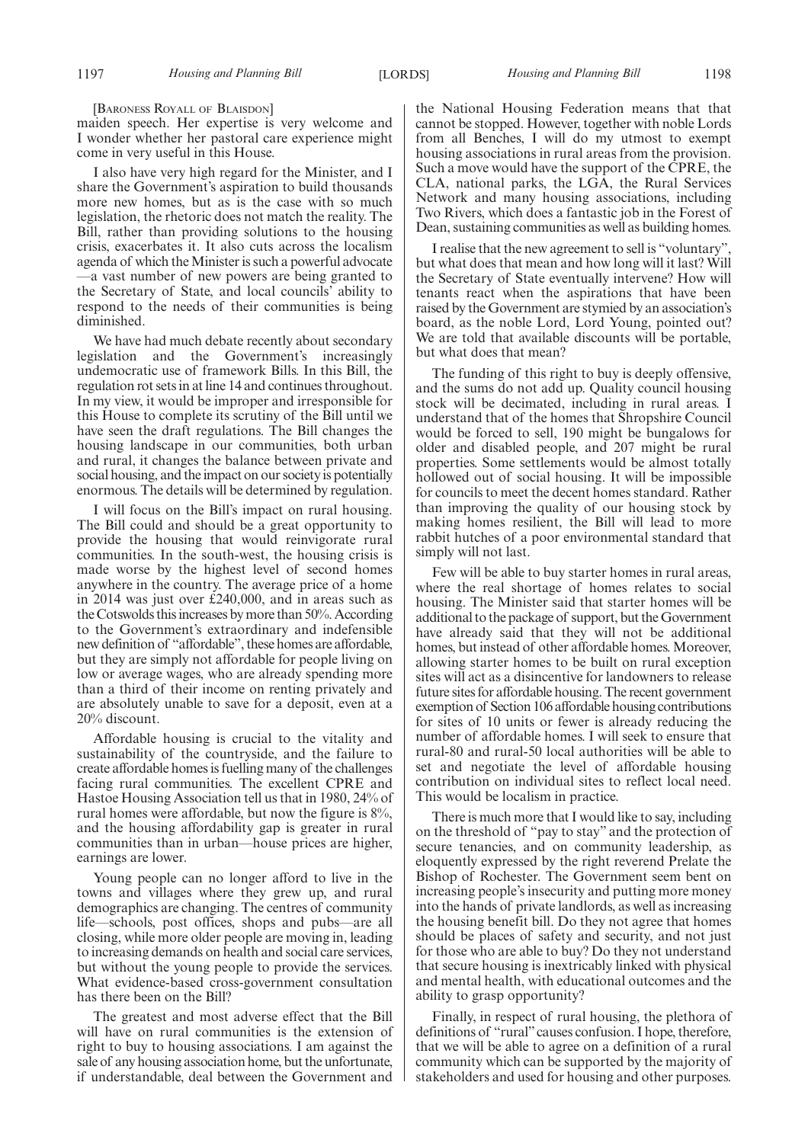[BARONESS ROYALL OF BLAISDON]

maiden speech. Her expertise is very welcome and I wonder whether her pastoral care experience might come in very useful in this House.

I also have very high regard for the Minister, and I share the Government's aspiration to build thousands more new homes, but as is the case with so much legislation, the rhetoric does not match the reality. The Bill, rather than providing solutions to the housing crisis, exacerbates it. It also cuts across the localism agenda of which theMinister is such a powerful advocate —a vast number of new powers are being granted to the Secretary of State, and local councils' ability to respond to the needs of their communities is being diminished.

We have had much debate recently about secondary legislation and the Government's increasingly undemocratic use of framework Bills. In this Bill, the regulation rot sets in at line 14 and continues throughout. In my view, it would be improper and irresponsible for this House to complete its scrutiny of the Bill until we have seen the draft regulations. The Bill changes the housing landscape in our communities, both urban and rural, it changes the balance between private and social housing, and the impact on our society is potentially enormous. The details will be determined by regulation.

I will focus on the Bill's impact on rural housing. The Bill could and should be a great opportunity to provide the housing that would reinvigorate rural communities. In the south-west, the housing crisis is made worse by the highest level of second homes anywhere in the country. The average price of a home in 2014 was just over £240,000, and in areas such as the Cotswolds this increases by more than 50%. According to the Government's extraordinary and indefensible new definition of "affordable", these homes are affordable, but they are simply not affordable for people living on low or average wages, who are already spending more than a third of their income on renting privately and are absolutely unable to save for a deposit, even at a 20% discount.

Affordable housing is crucial to the vitality and sustainability of the countryside, and the failure to create affordable homes is fuelling many of the challenges facing rural communities. The excellent CPRE and Hastoe Housing Association tell us that in 1980, 24% of rural homes were affordable, but now the figure is 8%, and the housing affordability gap is greater in rural communities than in urban—house prices are higher, earnings are lower.

Young people can no longer afford to live in the towns and villages where they grew up, and rural demographics are changing. The centres of community life—schools, post offices, shops and pubs—are all closing, while more older people are moving in, leading to increasing demands on health and social care services, but without the young people to provide the services. What evidence-based cross-government consultation has there been on the Bill?

The greatest and most adverse effect that the Bill will have on rural communities is the extension of right to buy to housing associations. I am against the sale of any housing association home, but the unfortunate, if understandable, deal between the Government and

the National Housing Federation means that that cannot be stopped. However, together with noble Lords from all Benches, I will do my utmost to exempt housing associations in rural areas from the provision. Such a move would have the support of the CPRE, the CLA, national parks, the LGA, the Rural Services Network and many housing associations, including Two Rivers, which does a fantastic job in the Forest of Dean, sustaining communities as well as building homes.

I realise that the new agreement to sell is "voluntary", but what does that mean and how long will it last? Will the Secretary of State eventually intervene? How will tenants react when the aspirations that have been raised by the Government are stymied by an association's board, as the noble Lord, Lord Young, pointed out? We are told that available discounts will be portable, but what does that mean?

The funding of this right to buy is deeply offensive, and the sums do not add up. Quality council housing stock will be decimated, including in rural areas. I understand that of the homes that Shropshire Council would be forced to sell, 190 might be bungalows for older and disabled people, and 207 might be rural properties. Some settlements would be almost totally hollowed out of social housing. It will be impossible for councils to meet the decent homes standard. Rather than improving the quality of our housing stock by making homes resilient, the Bill will lead to more rabbit hutches of a poor environmental standard that simply will not last.

Few will be able to buy starter homes in rural areas, where the real shortage of homes relates to social housing. The Minister said that starter homes will be additional to the package of support, but the Government have already said that they will not be additional homes, but instead of other affordable homes. Moreover, allowing starter homes to be built on rural exception sites will act as a disincentive for landowners to release future sites for affordable housing. The recent government exemption of Section 106 affordable housing contributions for sites of 10 units or fewer is already reducing the number of affordable homes. I will seek to ensure that rural-80 and rural-50 local authorities will be able to set and negotiate the level of affordable housing contribution on individual sites to reflect local need. This would be localism in practice.

There is much more that I would like to say, including on the threshold of "pay to stay" and the protection of secure tenancies, and on community leadership, as eloquently expressed by the right reverend Prelate the Bishop of Rochester. The Government seem bent on increasing people's insecurity and putting more money into the hands of private landlords, as well as increasing the housing benefit bill. Do they not agree that homes should be places of safety and security, and not just for those who are able to buy? Do they not understand that secure housing is inextricably linked with physical and mental health, with educational outcomes and the ability to grasp opportunity?

Finally, in respect of rural housing, the plethora of definitions of "rural" causes confusion. I hope, therefore, that we will be able to agree on a definition of a rural community which can be supported by the majority of stakeholders and used for housing and other purposes.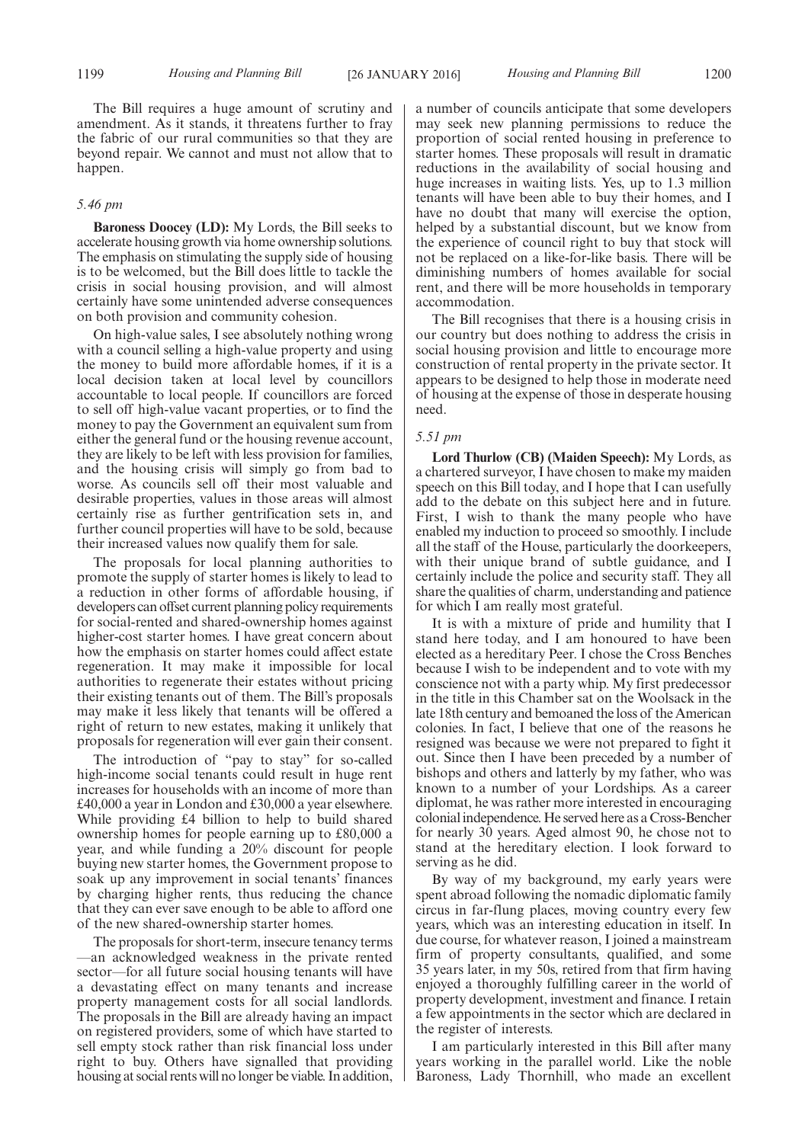The Bill requires a huge amount of scrutiny and amendment. As it stands, it threatens further to fray the fabric of our rural communities so that they are beyond repair. We cannot and must not allow that to happen.

#### *5.46 pm*

**Baroness Doocey (LD):** My Lords, the Bill seeks to accelerate housing growth via home ownership solutions. The emphasis on stimulating the supply side of housing is to be welcomed, but the Bill does little to tackle the crisis in social housing provision, and will almost certainly have some unintended adverse consequences on both provision and community cohesion.

On high-value sales, I see absolutely nothing wrong with a council selling a high-value property and using the money to build more affordable homes, if it is a local decision taken at local level by councillors accountable to local people. If councillors are forced to sell off high-value vacant properties, or to find the money to pay the Government an equivalent sum from either the general fund or the housing revenue account, they are likely to be left with less provision for families, and the housing crisis will simply go from bad to worse. As councils sell off their most valuable and desirable properties, values in those areas will almost certainly rise as further gentrification sets in, and further council properties will have to be sold, because their increased values now qualify them for sale.

The proposals for local planning authorities to promote the supply of starter homes is likely to lead to a reduction in other forms of affordable housing, if developers can offset current planning policy requirements for social-rented and shared-ownership homes against higher-cost starter homes. I have great concern about how the emphasis on starter homes could affect estate regeneration. It may make it impossible for local authorities to regenerate their estates without pricing their existing tenants out of them. The Bill's proposals may make it less likely that tenants will be offered a right of return to new estates, making it unlikely that proposals for regeneration will ever gain their consent.

The introduction of "pay to stay" for so-called high-income social tenants could result in huge rent increases for households with an income of more than £40,000 a year in London and £30,000 a year elsewhere. While providing £4 billion to help to build shared ownership homes for people earning up to £80,000 a year, and while funding a 20% discount for people buying new starter homes, the Government propose to soak up any improvement in social tenants' finances by charging higher rents, thus reducing the chance that they can ever save enough to be able to afford one of the new shared-ownership starter homes.

The proposals for short-term, insecure tenancy terms —an acknowledged weakness in the private rented sector—for all future social housing tenants will have a devastating effect on many tenants and increase property management costs for all social landlords. The proposals in the Bill are already having an impact on registered providers, some of which have started to sell empty stock rather than risk financial loss under right to buy. Others have signalled that providing housing at social rents will no longer be viable. In addition, a number of councils anticipate that some developers may seek new planning permissions to reduce the proportion of social rented housing in preference to starter homes. These proposals will result in dramatic reductions in the availability of social housing and huge increases in waiting lists. Yes, up to 1.3 million tenants will have been able to buy their homes, and I have no doubt that many will exercise the option, helped by a substantial discount, but we know from the experience of council right to buy that stock will not be replaced on a like-for-like basis. There will be diminishing numbers of homes available for social rent, and there will be more households in temporary accommodation.

The Bill recognises that there is a housing crisis in our country but does nothing to address the crisis in social housing provision and little to encourage more construction of rental property in the private sector. It appears to be designed to help those in moderate need of housing at the expense of those in desperate housing need.

#### *5.51 pm*

**Lord Thurlow (CB) (Maiden Speech):** My Lords, as a chartered surveyor, I have chosen to make my maiden speech on this Bill today, and I hope that I can usefully add to the debate on this subject here and in future. First, I wish to thank the many people who have enabled my induction to proceed so smoothly. I include all the staff of the House, particularly the doorkeepers, with their unique brand of subtle guidance, and I certainly include the police and security staff. They all share the qualities of charm, understanding and patience for which I am really most grateful.

It is with a mixture of pride and humility that I stand here today, and I am honoured to have been elected as a hereditary Peer. I chose the Cross Benches because I wish to be independent and to vote with my conscience not with a party whip. My first predecessor in the title in this Chamber sat on the Woolsack in the late 18th century and bemoaned the loss of the American colonies. In fact, I believe that one of the reasons he resigned was because we were not prepared to fight it out. Since then I have been preceded by a number of bishops and others and latterly by my father, who was known to a number of your Lordships. As a career diplomat, he was rather more interested in encouraging colonial independence. He served here as a Cross-Bencher for nearly 30 years. Aged almost 90, he chose not to stand at the hereditary election. I look forward to serving as he did.

By way of my background, my early years were spent abroad following the nomadic diplomatic family circus in far-flung places, moving country every few years, which was an interesting education in itself. In due course, for whatever reason, I joined a mainstream firm of property consultants, qualified, and some 35 years later, in my 50s, retired from that firm having enjoyed a thoroughly fulfilling career in the world of property development, investment and finance. I retain a few appointments in the sector which are declared in the register of interests.

I am particularly interested in this Bill after many years working in the parallel world. Like the noble Baroness, Lady Thornhill, who made an excellent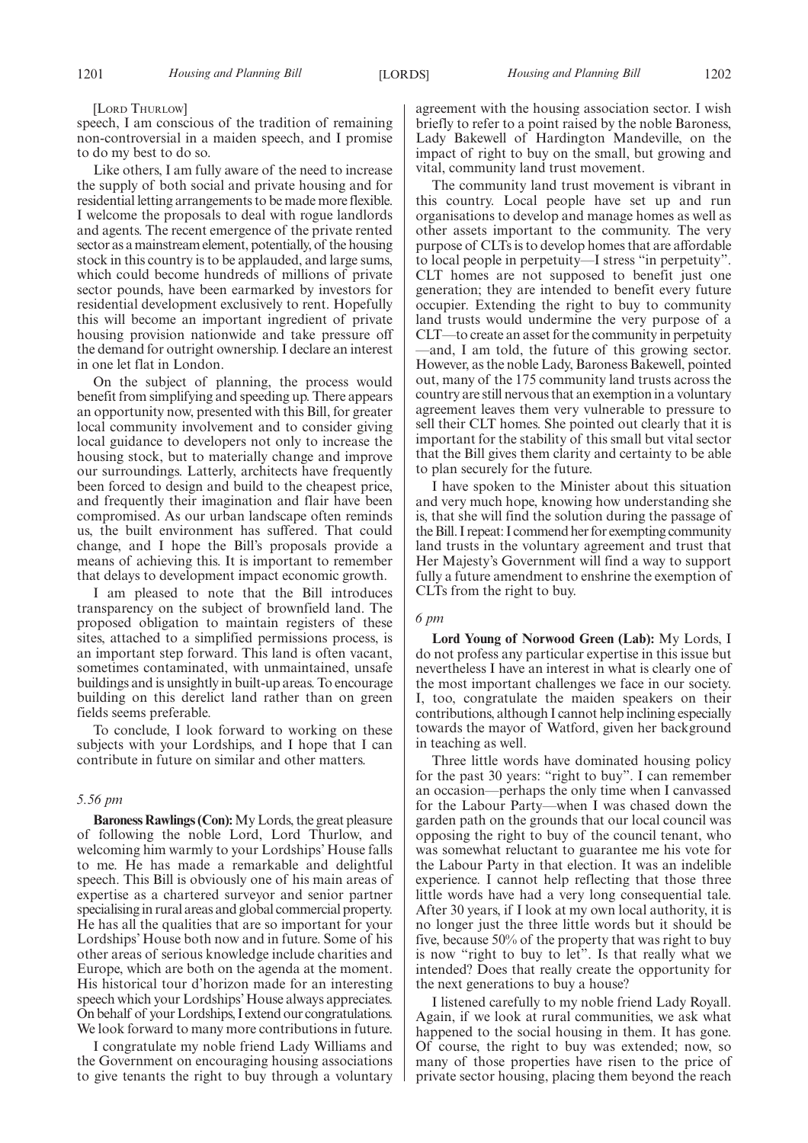#### [LORD THURLOW]

speech, I am conscious of the tradition of remaining non-controversial in a maiden speech, and I promise to do my best to do so.

Like others, I am fully aware of the need to increase the supply of both social and private housing and for residential letting arrangements to be made more flexible. I welcome the proposals to deal with rogue landlords and agents. The recent emergence of the private rented sector as a mainstream element, potentially, of the housing stock in this country is to be applauded, and large sums, which could become hundreds of millions of private sector pounds, have been earmarked by investors for residential development exclusively to rent. Hopefully this will become an important ingredient of private housing provision nationwide and take pressure off the demand for outright ownership. I declare an interest in one let flat in London.

On the subject of planning, the process would benefit from simplifying and speeding up. There appears an opportunity now, presented with this Bill, for greater local community involvement and to consider giving local guidance to developers not only to increase the housing stock, but to materially change and improve our surroundings. Latterly, architects have frequently been forced to design and build to the cheapest price, and frequently their imagination and flair have been compromised. As our urban landscape often reminds us, the built environment has suffered. That could change, and I hope the Bill's proposals provide a means of achieving this. It is important to remember that delays to development impact economic growth.

I am pleased to note that the Bill introduces transparency on the subject of brownfield land. The proposed obligation to maintain registers of these sites, attached to a simplified permissions process, is an important step forward. This land is often vacant, sometimes contaminated, with unmaintained, unsafe buildings and is unsightly in built-up areas. To encourage building on this derelict land rather than on green fields seems preferable.

To conclude, I look forward to working on these subjects with your Lordships, and I hope that I can contribute in future on similar and other matters.

#### *5.56 pm*

**Baroness Rawlings (Con):**My Lords, the great pleasure of following the noble Lord, Lord Thurlow, and welcoming him warmly to your Lordships' House falls to me. He has made a remarkable and delightful speech. This Bill is obviously one of his main areas of expertise as a chartered surveyor and senior partner specialising in rural areas and global commercial property. He has all the qualities that are so important for your Lordships' House both now and in future. Some of his other areas of serious knowledge include charities and Europe, which are both on the agenda at the moment. His historical tour d'horizon made for an interesting speech which your Lordships'House always appreciates. On behalf of your Lordships, I extend our congratulations. We look forward to many more contributions in future.

I congratulate my noble friend Lady Williams and the Government on encouraging housing associations to give tenants the right to buy through a voluntary agreement with the housing association sector. I wish briefly to refer to a point raised by the noble Baroness, Lady Bakewell of Hardington Mandeville, on the impact of right to buy on the small, but growing and vital, community land trust movement.

The community land trust movement is vibrant in this country. Local people have set up and run organisations to develop and manage homes as well as other assets important to the community. The very purpose of CLTs is to develop homes that are affordable to local people in perpetuity—I stress "in perpetuity". CLT homes are not supposed to benefit just one generation; they are intended to benefit every future occupier. Extending the right to buy to community land trusts would undermine the very purpose of a CLT—to create an asset for the community in perpetuity —and, I am told, the future of this growing sector. However, as the noble Lady, Baroness Bakewell, pointed out, many of the 175 community land trusts across the country are still nervous that an exemption in a voluntary agreement leaves them very vulnerable to pressure to sell their CLT homes. She pointed out clearly that it is important for the stability of this small but vital sector that the Bill gives them clarity and certainty to be able to plan securely for the future.

I have spoken to the Minister about this situation and very much hope, knowing how understanding she is, that she will find the solution during the passage of the Bill. I repeat: I commend her for exempting community land trusts in the voluntary agreement and trust that Her Majesty's Government will find a way to support fully a future amendment to enshrine the exemption of CLTs from the right to buy.

#### *6 pm*

**Lord Young of Norwood Green (Lab):** My Lords, I do not profess any particular expertise in this issue but nevertheless I have an interest in what is clearly one of the most important challenges we face in our society. I, too, congratulate the maiden speakers on their contributions, although I cannot help inclining especially towards the mayor of Watford, given her background in teaching as well.

Three little words have dominated housing policy for the past 30 years: "right to buy". I can remember an occasion—perhaps the only time when I canvassed for the Labour Party—when I was chased down the garden path on the grounds that our local council was opposing the right to buy of the council tenant, who was somewhat reluctant to guarantee me his vote for the Labour Party in that election. It was an indelible experience. I cannot help reflecting that those three little words have had a very long consequential tale. After 30 years, if I look at my own local authority, it is no longer just the three little words but it should be five, because 50% of the property that was right to buy is now "right to buy to let". Is that really what we intended? Does that really create the opportunity for the next generations to buy a house?

I listened carefully to my noble friend Lady Royall. Again, if we look at rural communities, we ask what happened to the social housing in them. It has gone. Of course, the right to buy was extended; now, so many of those properties have risen to the price of private sector housing, placing them beyond the reach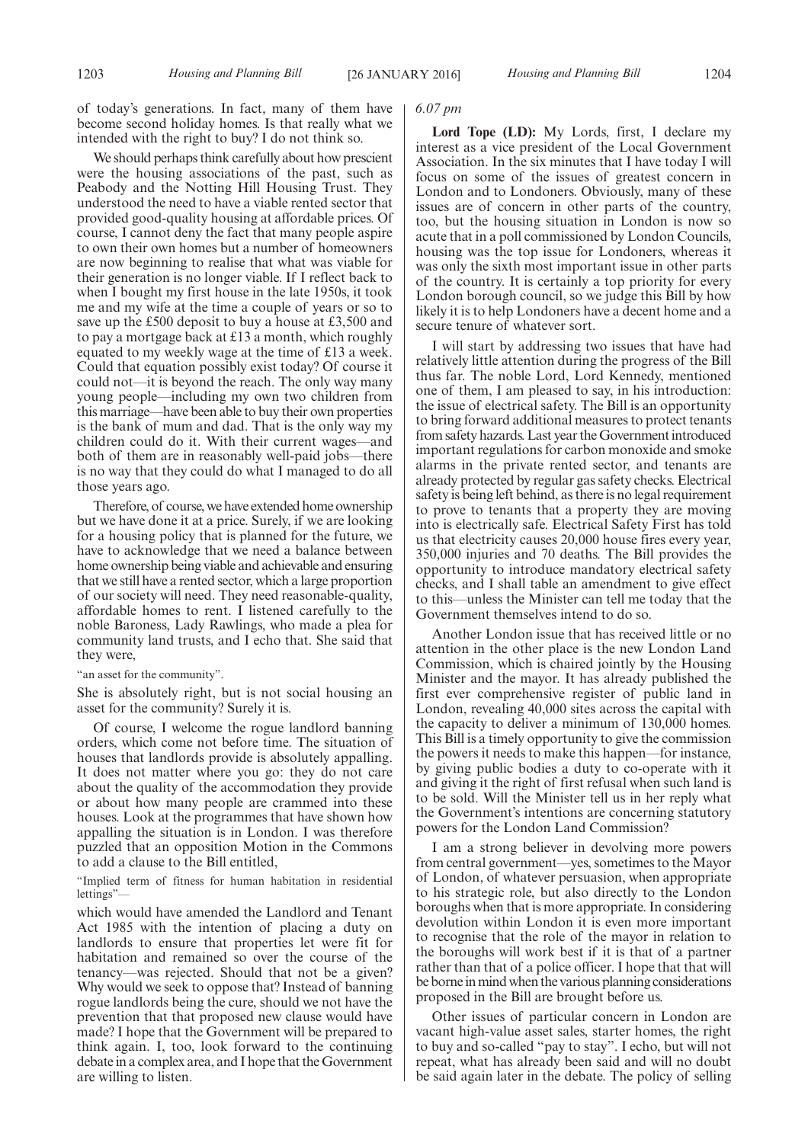of today's generations. In fact, many of them have become second holiday homes. Is that really what we intended with the right to buy? I do not think so.

We should perhaps think carefully about how prescient were the housing associations of the past, such as Peabody and the Notting Hill Housing Trust. They understood the need to have a viable rented sector that provided good-quality housing at affordable prices. Of course, I cannot deny the fact that many people aspire to own their own homes but a number of homeowners are now beginning to realise that what was viable for their generation is no longer viable. If I reflect back to when I bought my first house in the late 1950s, it took me and my wife at the time a couple of years or so to save up the £500 deposit to buy a house at £3,500 and to pay a mortgage back at £13 a month, which roughly equated to my weekly wage at the time of £13 a week. Could that equation possibly exist today? Of course it could not—it is beyond the reach. The only way many young people—including my own two children from this marriage—have been able to buy their own properties is the bank of mum and dad. That is the only way my children could do it. With their current wages—and both of them are in reasonably well-paid jobs—there is no way that they could do what I managed to do all those years ago.

Therefore, of course, we have extended home ownership but we have done it at a price. Surely, if we are looking for a housing policy that is planned for the future, we have to acknowledge that we need a balance between home ownership being viable and achievable and ensuring that we still have a rented sector, which a large proportion of our society will need. They need reasonable-quality, affordable homes to rent. I listened carefully to the noble Baroness, Lady Rawlings, who made a plea for community land trusts, and I echo that. She said that they were,

"an asset for the community".

She is absolutely right, but is not social housing an asset for the community? Surely it is.

Of course, I welcome the rogue landlord banning orders, which come not before time. The situation of houses that landlords provide is absolutely appalling. It does not matter where you go: they do not care about the quality of the accommodation they provide or about how many people are crammed into these houses. Look at the programmes that have shown how appalling the situation is in London. I was therefore puzzled that an opposition Motion in the Commons to add a clause to the Bill entitled,

"Implied term of fitness for human habitation in residential lettings"—

which would have amended the Landlord and Tenant Act 1985 with the intention of placing a duty on landlords to ensure that properties let were fit for habitation and remained so over the course of the tenancy—was rejected. Should that not be a given? Why would we seek to oppose that? Instead of banning rogue landlords being the cure, should we not have the prevention that that proposed new clause would have made? I hope that the Government will be prepared to think again. I, too, look forward to the continuing debate in a complex area, and I hope that the Government are willing to listen.

#### *6.07 pm*

**Lord Tope (LD):** My Lords, first, I declare my interest as a vice president of the Local Government Association. In the six minutes that I have today I will focus on some of the issues of greatest concern in London and to Londoners. Obviously, many of these issues are of concern in other parts of the country, too, but the housing situation in London is now so acute that in a poll commissioned by London Councils, housing was the top issue for Londoners, whereas it was only the sixth most important issue in other parts of the country. It is certainly a top priority for every London borough council, so we judge this Bill by how likely it is to help Londoners have a decent home and a secure tenure of whatever sort.

I will start by addressing two issues that have had relatively little attention during the progress of the Bill thus far. The noble Lord, Lord Kennedy, mentioned one of them, I am pleased to say, in his introduction: the issue of electrical safety. The Bill is an opportunity to bring forward additional measures to protect tenants from safety hazards. Last year the Government introduced important regulations for carbon monoxide and smoke alarms in the private rented sector, and tenants are already protected by regular gas safety checks. Electrical safety is being left behind, as there is no legal requirement to prove to tenants that a property they are moving into is electrically safe. Electrical Safety First has told us that electricity causes 20,000 house fires every year, 350,000 injuries and 70 deaths. The Bill provides the opportunity to introduce mandatory electrical safety checks, and I shall table an amendment to give effect to this—unless the Minister can tell me today that the Government themselves intend to do so.

Another London issue that has received little or no attention in the other place is the new London Land Commission, which is chaired jointly by the Housing Minister and the mayor. It has already published the first ever comprehensive register of public land in London, revealing 40,000 sites across the capital with the capacity to deliver a minimum of 130,000 homes. This Bill is a timely opportunity to give the commission the powers it needs to make this happen—for instance, by giving public bodies a duty to co-operate with it and giving it the right of first refusal when such land is to be sold. Will the Minister tell us in her reply what the Government's intentions are concerning statutory powers for the London Land Commission?

I am a strong believer in devolving more powers from central government—yes, sometimes to the Mayor of London, of whatever persuasion, when appropriate to his strategic role, but also directly to the London boroughs when that is more appropriate. In considering devolution within London it is even more important to recognise that the role of the mayor in relation to the boroughs will work best if it is that of a partner rather than that of a police officer. I hope that that will be borne in mind when the various planning considerations proposed in the Bill are brought before us.

Other issues of particular concern in London are vacant high-value asset sales, starter homes, the right to buy and so-called "pay to stay". I echo, but will not repeat, what has already been said and will no doubt be said again later in the debate. The policy of selling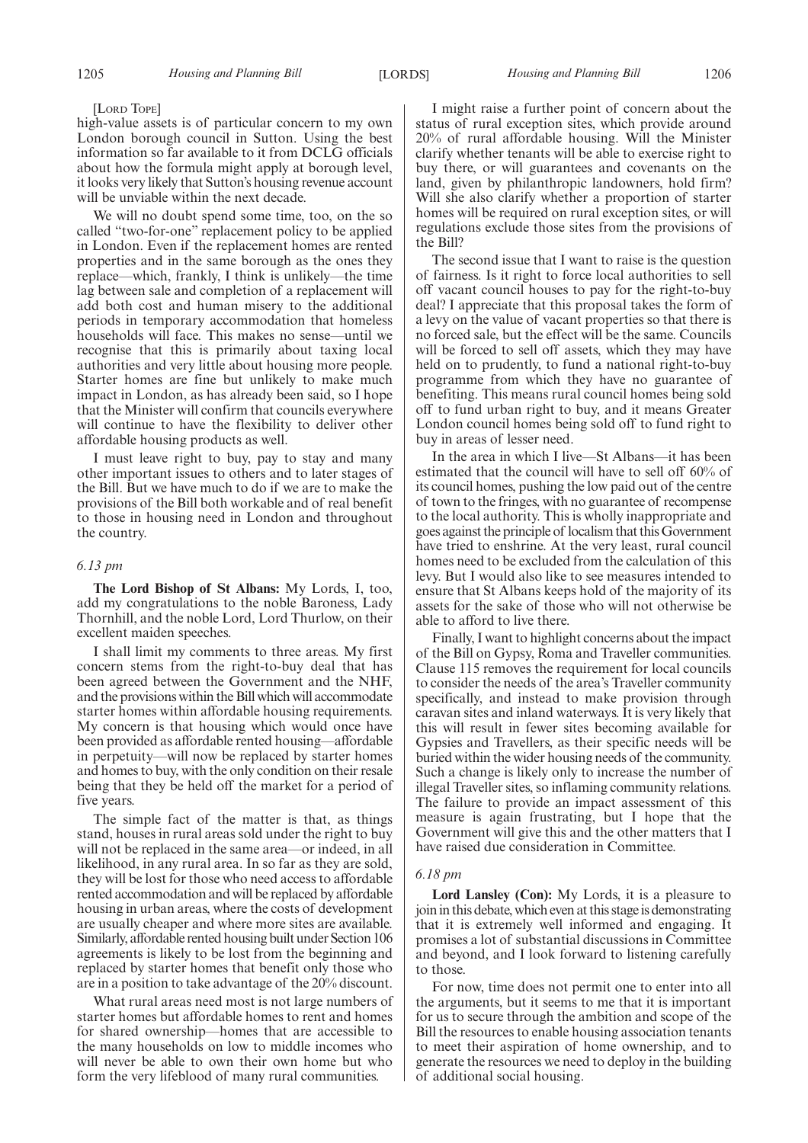#### [LORD TOPE]

high-value assets is of particular concern to my own London borough council in Sutton. Using the best information so far available to it from DCLG officials about how the formula might apply at borough level, it looks very likely that Sutton's housing revenue account will be unviable within the next decade.

We will no doubt spend some time, too, on the so called "two-for-one" replacement policy to be applied in London. Even if the replacement homes are rented properties and in the same borough as the ones they replace—which, frankly, I think is unlikely—the time lag between sale and completion of a replacement will add both cost and human misery to the additional periods in temporary accommodation that homeless households will face. This makes no sense—until we recognise that this is primarily about taxing local authorities and very little about housing more people. Starter homes are fine but unlikely to make much impact in London, as has already been said, so I hope that the Minister will confirm that councils everywhere will continue to have the flexibility to deliver other affordable housing products as well.

I must leave right to buy, pay to stay and many other important issues to others and to later stages of the Bill. But we have much to do if we are to make the provisions of the Bill both workable and of real benefit to those in housing need in London and throughout the country.

#### *6.13 pm*

**The Lord Bishop of St Albans:** My Lords, I, too, add my congratulations to the noble Baroness, Lady Thornhill, and the noble Lord, Lord Thurlow, on their excellent maiden speeches.

I shall limit my comments to three areas. My first concern stems from the right-to-buy deal that has been agreed between the Government and the NHF, and the provisions within the Bill which will accommodate starter homes within affordable housing requirements. My concern is that housing which would once have been provided as affordable rented housing—affordable in perpetuity—will now be replaced by starter homes and homes to buy, with the only condition on their resale being that they be held off the market for a period of five years.

The simple fact of the matter is that, as things stand, houses in rural areas sold under the right to buy will not be replaced in the same area—or indeed, in all likelihood, in any rural area. In so far as they are sold, they will be lost for those who need access to affordable rented accommodation and will be replaced by affordable housing in urban areas, where the costs of development are usually cheaper and where more sites are available. Similarly, affordable rented housing built under Section 106 agreements is likely to be lost from the beginning and replaced by starter homes that benefit only those who are in a position to take advantage of the 20% discount.

What rural areas need most is not large numbers of starter homes but affordable homes to rent and homes for shared ownership—homes that are accessible to the many households on low to middle incomes who will never be able to own their own home but who form the very lifeblood of many rural communities.

I might raise a further point of concern about the status of rural exception sites, which provide around 20% of rural affordable housing. Will the Minister clarify whether tenants will be able to exercise right to buy there, or will guarantees and covenants on the land, given by philanthropic landowners, hold firm? Will she also clarify whether a proportion of starter homes will be required on rural exception sites, or will regulations exclude those sites from the provisions of the Bill?

The second issue that I want to raise is the question of fairness. Is it right to force local authorities to sell off vacant council houses to pay for the right-to-buy deal? I appreciate that this proposal takes the form of a levy on the value of vacant properties so that there is no forced sale, but the effect will be the same. Councils will be forced to sell off assets, which they may have held on to prudently, to fund a national right-to-buy programme from which they have no guarantee of benefiting. This means rural council homes being sold off to fund urban right to buy, and it means Greater London council homes being sold off to fund right to buy in areas of lesser need.

In the area in which I live—St Albans—it has been estimated that the council will have to sell off 60% of its council homes, pushing the low paid out of the centre of town to the fringes, with no guarantee of recompense to the local authority. This is wholly inappropriate and goes against the principle of localism that thisGovernment have tried to enshrine. At the very least, rural council homes need to be excluded from the calculation of this levy. But I would also like to see measures intended to ensure that St Albans keeps hold of the majority of its assets for the sake of those who will not otherwise be able to afford to live there.

Finally, I want to highlight concerns about the impact of the Bill on Gypsy, Roma and Traveller communities. Clause 115 removes the requirement for local councils to consider the needs of the area's Traveller community specifically, and instead to make provision through caravan sites and inland waterways. It is very likely that this will result in fewer sites becoming available for Gypsies and Travellers, as their specific needs will be buried within the wider housing needs of the community. Such a change is likely only to increase the number of illegal Traveller sites, so inflaming community relations. The failure to provide an impact assessment of this measure is again frustrating, but I hope that the Government will give this and the other matters that I have raised due consideration in Committee.

#### *6.18 pm*

**Lord Lansley (Con):** My Lords, it is a pleasure to join in this debate, which even at this stage is demonstrating that it is extremely well informed and engaging. It promises a lot of substantial discussions in Committee and beyond, and I look forward to listening carefully to those.

For now, time does not permit one to enter into all the arguments, but it seems to me that it is important for us to secure through the ambition and scope of the Bill the resources to enable housing association tenants to meet their aspiration of home ownership, and to generate the resources we need to deploy in the building of additional social housing.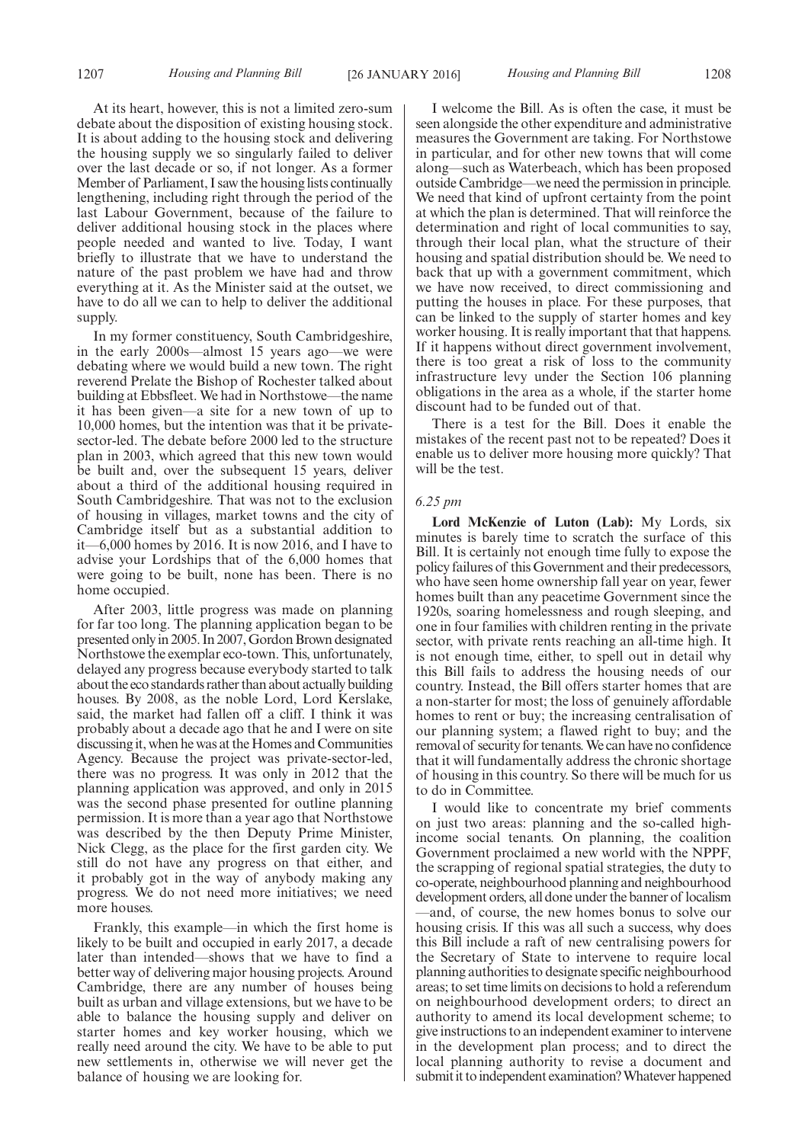At its heart, however, this is not a limited zero-sum debate about the disposition of existing housing stock. It is about adding to the housing stock and delivering the housing supply we so singularly failed to deliver over the last decade or so, if not longer. As a former Member of Parliament, I saw the housing lists continually lengthening, including right through the period of the last Labour Government, because of the failure to deliver additional housing stock in the places where people needed and wanted to live. Today, I want briefly to illustrate that we have to understand the nature of the past problem we have had and throw everything at it. As the Minister said at the outset, we have to do all we can to help to deliver the additional supply.

In my former constituency, South Cambridgeshire, in the early 2000s—almost 15 years ago—we were debating where we would build a new town. The right reverend Prelate the Bishop of Rochester talked about building at Ebbsfleet. We had in Northstowe—the name it has been given—a site for a new town of up to 10,000 homes, but the intention was that it be privatesector-led. The debate before 2000 led to the structure plan in 2003, which agreed that this new town would be built and, over the subsequent 15 years, deliver about a third of the additional housing required in South Cambridgeshire. That was not to the exclusion of housing in villages, market towns and the city of Cambridge itself but as a substantial addition to it—6,000 homes by 2016. It is now 2016, and I have to advise your Lordships that of the 6,000 homes that were going to be built, none has been. There is no home occupied.

After 2003, little progress was made on planning for far too long. The planning application began to be presented onlyin 2005. In 2007,Gordon Brown designated Northstowe the exemplar eco-town. This, unfortunately, delayed any progress because everybody started to talk about the eco standards rather than about actually building houses. By 2008, as the noble Lord, Lord Kerslake, said, the market had fallen off a cliff. I think it was probably about a decade ago that he and I were on site discussing it, when he was at the Homes and Communities Agency. Because the project was private-sector-led, there was no progress. It was only in 2012 that the planning application was approved, and only in 2015 was the second phase presented for outline planning permission. It is more than a year ago that Northstowe was described by the then Deputy Prime Minister, Nick Clegg, as the place for the first garden city. We still do not have any progress on that either, and it probably got in the way of anybody making any progress. We do not need more initiatives; we need more houses.

Frankly, this example—in which the first home is likely to be built and occupied in early 2017, a decade later than intended—shows that we have to find a better way of delivering major housing projects. Around Cambridge, there are any number of houses being built as urban and village extensions, but we have to be able to balance the housing supply and deliver on starter homes and key worker housing, which we really need around the city. We have to be able to put new settlements in, otherwise we will never get the balance of housing we are looking for.

I welcome the Bill. As is often the case, it must be seen alongside the other expenditure and administrative measures the Government are taking. For Northstowe in particular, and for other new towns that will come along—such as Waterbeach, which has been proposed outside Cambridge—we need the permission in principle. We need that kind of upfront certainty from the point at which the plan is determined. That will reinforce the determination and right of local communities to say, through their local plan, what the structure of their housing and spatial distribution should be. We need to back that up with a government commitment, which we have now received, to direct commissioning and putting the houses in place. For these purposes, that can be linked to the supply of starter homes and key worker housing. It is really important that that happens. If it happens without direct government involvement, there is too great a risk of loss to the community infrastructure levy under the Section 106 planning obligations in the area as a whole, if the starter home discount had to be funded out of that.

There is a test for the Bill. Does it enable the mistakes of the recent past not to be repeated? Does it enable us to deliver more housing more quickly? That will be the test.

#### *6.25 pm*

**Lord McKenzie of Luton (Lab):** My Lords, six minutes is barely time to scratch the surface of this Bill. It is certainly not enough time fully to expose the policy failures of this Government and their predecessors, who have seen home ownership fall year on year, fewer homes built than any peacetime Government since the 1920s, soaring homelessness and rough sleeping, and one in four families with children renting in the private sector, with private rents reaching an all-time high. It is not enough time, either, to spell out in detail why this Bill fails to address the housing needs of our country. Instead, the Bill offers starter homes that are a non-starter for most; the loss of genuinely affordable homes to rent or buy; the increasing centralisation of our planning system; a flawed right to buy; and the removal of security for tenants.We can have no confidence that it will fundamentally address the chronic shortage of housing in this country. So there will be much for us to do in Committee.

I would like to concentrate my brief comments on just two areas: planning and the so-called highincome social tenants. On planning, the coalition Government proclaimed a new world with the NPPF, the scrapping of regional spatial strategies, the duty to co-operate, neighbourhood planning and neighbourhood development orders, all done under the banner of localism —and, of course, the new homes bonus to solve our housing crisis. If this was all such a success, why does this Bill include a raft of new centralising powers for the Secretary of State to intervene to require local planning authorities to designate specific neighbourhood areas; to set time limits on decisions to hold a referendum on neighbourhood development orders; to direct an authority to amend its local development scheme; to give instructions to an independent examiner to intervene in the development plan process; and to direct the local planning authority to revise a document and submit it to independent examination? Whatever happened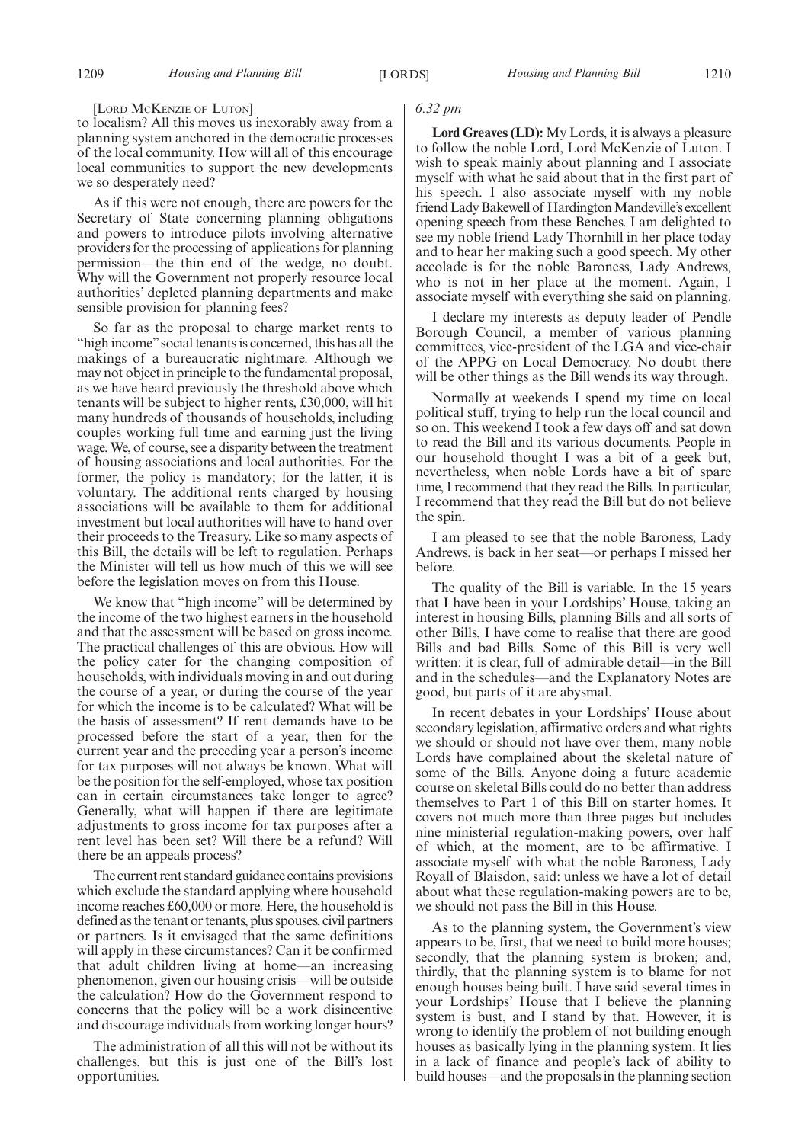#### [LORD MCKENZIE OF LUTON]

to localism? All this moves us inexorably away from a planning system anchored in the democratic processes of the local community. How will all of this encourage local communities to support the new developments we so desperately need?

As if this were not enough, there are powers for the Secretary of State concerning planning obligations and powers to introduce pilots involving alternative providers for the processing of applications for planning permission—the thin end of the wedge, no doubt. Why will the Government not properly resource local authorities' depleted planning departments and make sensible provision for planning fees?

So far as the proposal to charge market rents to "high income" social tenants is concerned, this has all the makings of a bureaucratic nightmare. Although we may not object in principle to the fundamental proposal, as we have heard previously the threshold above which tenants will be subject to higher rents, £30,000, will hit many hundreds of thousands of households, including couples working full time and earning just the living wage.We, of course, see a disparity between the treatment of housing associations and local authorities. For the former, the policy is mandatory; for the latter, it is voluntary. The additional rents charged by housing associations will be available to them for additional investment but local authorities will have to hand over their proceeds to the Treasury. Like so many aspects of this Bill, the details will be left to regulation. Perhaps the Minister will tell us how much of this we will see before the legislation moves on from this House.

We know that "high income" will be determined by the income of the two highest earners in the household and that the assessment will be based on gross income. The practical challenges of this are obvious. How will the policy cater for the changing composition of households, with individuals moving in and out during the course of a year, or during the course of the year for which the income is to be calculated? What will be the basis of assessment? If rent demands have to be processed before the start of a year, then for the current year and the preceding year a person's income for tax purposes will not always be known. What will be the position for the self-employed, whose tax position can in certain circumstances take longer to agree? Generally, what will happen if there are legitimate adjustments to gross income for tax purposes after a rent level has been set? Will there be a refund? Will there be an appeals process?

The current rent standard guidance contains provisions which exclude the standard applying where household income reaches £60,000 or more. Here, the household is defined as the tenant or tenants, plus spouses, civil partners or partners. Is it envisaged that the same definitions will apply in these circumstances? Can it be confirmed that adult children living at home—an increasing phenomenon, given our housing crisis—will be outside the calculation? How do the Government respond to concerns that the policy will be a work disincentive and discourage individuals from working longer hours?

The administration of all this will not be without its challenges, but this is just one of the Bill's lost opportunities.

#### *6.32 pm*

**Lord Greaves (LD):** My Lords, it is always a pleasure to follow the noble Lord, Lord McKenzie of Luton. I wish to speak mainly about planning and I associate myself with what he said about that in the first part of his speech. I also associate myself with my noble friend Lady Bakewell of Hardington Mandeville's excellent opening speech from these Benches. I am delighted to see my noble friend Lady Thornhill in her place today and to hear her making such a good speech. My other accolade is for the noble Baroness, Lady Andrews, who is not in her place at the moment. Again, I associate myself with everything she said on planning.

I declare my interests as deputy leader of Pendle Borough Council, a member of various planning committees, vice-president of the LGA and vice-chair of the APPG on Local Democracy. No doubt there will be other things as the Bill wends its way through.

Normally at weekends I spend my time on local political stuff, trying to help run the local council and so on. This weekend I took a few days off and sat down to read the Bill and its various documents. People in our household thought I was a bit of a geek but, nevertheless, when noble Lords have a bit of spare time, I recommend that they read the Bills. In particular, I recommend that they read the Bill but do not believe the spin.

I am pleased to see that the noble Baroness, Lady Andrews, is back in her seat—or perhaps I missed her before.

The quality of the Bill is variable. In the 15 years that I have been in your Lordships' House, taking an interest in housing Bills, planning Bills and all sorts of other Bills, I have come to realise that there are good Bills and bad Bills. Some of this Bill is very well written: it is clear, full of admirable detail—in the Bill and in the schedules—and the Explanatory Notes are good, but parts of it are abysmal.

In recent debates in your Lordships' House about secondary legislation, affirmative orders and what rights we should or should not have over them, many noble Lords have complained about the skeletal nature of some of the Bills. Anyone doing a future academic course on skeletal Bills could do no better than address themselves to Part 1 of this Bill on starter homes. It covers not much more than three pages but includes nine ministerial regulation-making powers, over half of which, at the moment, are to be affirmative. I associate myself with what the noble Baroness, Lady Royall of Blaisdon, said: unless we have a lot of detail about what these regulation-making powers are to be, we should not pass the Bill in this House.

As to the planning system, the Government's view appears to be, first, that we need to build more houses; secondly, that the planning system is broken; and, thirdly, that the planning system is to blame for not enough houses being built. I have said several times in your Lordships' House that I believe the planning system is bust, and I stand by that. However, it is wrong to identify the problem of not building enough houses as basically lying in the planning system. It lies in a lack of finance and people's lack of ability to build houses—and the proposals in the planning section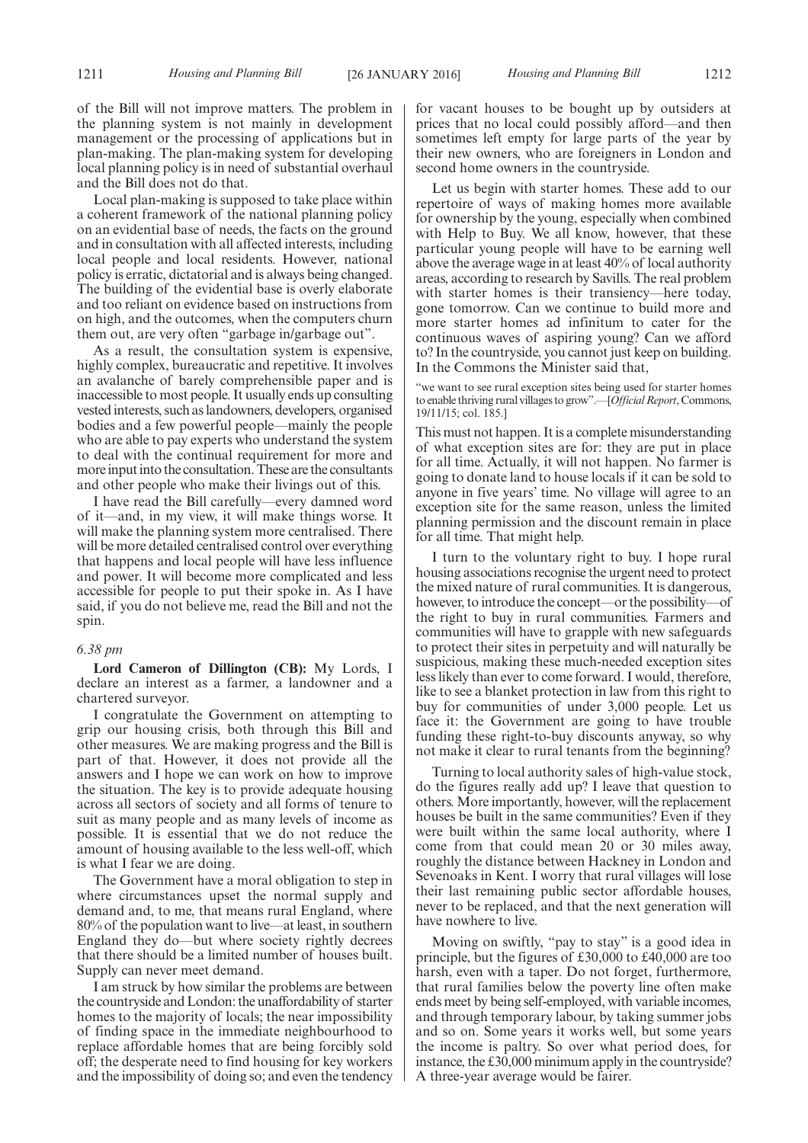Local plan-making is supposed to take place within a coherent framework of the national planning policy on an evidential base of needs, the facts on the ground and in consultation with all affected interests, including local people and local residents. However, national policy is erratic, dictatorial and is always being changed. The building of the evidential base is overly elaborate and too reliant on evidence based on instructions from on high, and the outcomes, when the computers churn them out, are very often "garbage in/garbage out".

As a result, the consultation system is expensive, highly complex, bureaucratic and repetitive. It involves an avalanche of barely comprehensible paper and is inaccessible to most people. It usually ends up consulting vested interests, such as landowners, developers, organised bodies and a few powerful people—mainly the people who are able to pay experts who understand the system to deal with the continual requirement for more and more input into the consultation. These are the consultants and other people who make their livings out of this.

I have read the Bill carefully—every damned word of it—and, in my view, it will make things worse. It will make the planning system more centralised. There will be more detailed centralised control over everything that happens and local people will have less influence and power. It will become more complicated and less accessible for people to put their spoke in. As I have said, if you do not believe me, read the Bill and not the spin.

#### *6.38 pm*

**Lord Cameron of Dillington (CB):** My Lords, I declare an interest as a farmer, a landowner and a chartered surveyor.

I congratulate the Government on attempting to grip our housing crisis, both through this Bill and other measures. We are making progress and the Bill is part of that. However, it does not provide all the answers and I hope we can work on how to improve the situation. The key is to provide adequate housing across all sectors of society and all forms of tenure to suit as many people and as many levels of income as possible. It is essential that we do not reduce the amount of housing available to the less well-off, which is what I fear we are doing.

The Government have a moral obligation to step in where circumstances upset the normal supply and demand and, to me, that means rural England, where 80% of the population want to live—at least, in southern England they do—but where society rightly decrees that there should be a limited number of houses built. Supply can never meet demand.

I am struck by how similar the problems are between the countryside and London: the unaffordability of starter homes to the majority of locals; the near impossibility of finding space in the immediate neighbourhood to replace affordable homes that are being forcibly sold off; the desperate need to find housing for key workers and the impossibility of doing so; and even the tendency for vacant houses to be bought up by outsiders at prices that no local could possibly afford—and then sometimes left empty for large parts of the year by their new owners, who are foreigners in London and second home owners in the countryside.

Let us begin with starter homes. These add to our repertoire of ways of making homes more available for ownership by the young, especially when combined with Help to Buy. We all know, however, that these particular young people will have to be earning well above the average wage in at least 40% of local authority areas, according to research by Savills. The real problem with starter homes is their transiency—here today, gone tomorrow. Can we continue to build more and more starter homes ad infinitum to cater for the continuous waves of aspiring young? Can we afford to? In the countryside, you cannot just keep on building. In the Commons the Minister said that,

we want to see rural exception sites being used for starter homes to enable thriving rural villages to grow".—[*Official Report*, Commons, 19/11/15; col. 185.]

This must not happen. It is a complete misunderstanding of what exception sites are for: they are put in place for all time. Actually, it will not happen. No farmer is going to donate land to house locals if it can be sold to anyone in five years' time. No village will agree to an exception site for the same reason, unless the limited planning permission and the discount remain in place for all time. That might help.

I turn to the voluntary right to buy. I hope rural housing associations recognise the urgent need to protect the mixed nature of rural communities. It is dangerous, however, to introduce the concept—or the possibility—of the right to buy in rural communities. Farmers and communities will have to grapple with new safeguards to protect their sites in perpetuity and will naturally be suspicious, making these much-needed exception sites less likely than ever to come forward. I would, therefore, like to see a blanket protection in law from this right to buy for communities of under 3,000 people. Let us face it: the Government are going to have trouble funding these right-to-buy discounts anyway, so why not make it clear to rural tenants from the beginning?

Turning to local authority sales of high-value stock, do the figures really add up? I leave that question to others. More importantly, however, will the replacement houses be built in the same communities? Even if they were built within the same local authority, where I come from that could mean 20 or 30 miles away, roughly the distance between Hackney in London and Sevenoaks in Kent. I worry that rural villages will lose their last remaining public sector affordable houses, never to be replaced, and that the next generation will have nowhere to live.

Moving on swiftly, "pay to stay" is a good idea in principle, but the figures of £30,000 to £40,000 are too harsh, even with a taper. Do not forget, furthermore, that rural families below the poverty line often make ends meet by being self-employed, with variable incomes, and through temporary labour, by taking summer jobs and so on. Some years it works well, but some years the income is paltry. So over what period does, for instance, the £30,000 minimum apply in the countryside? A three-year average would be fairer.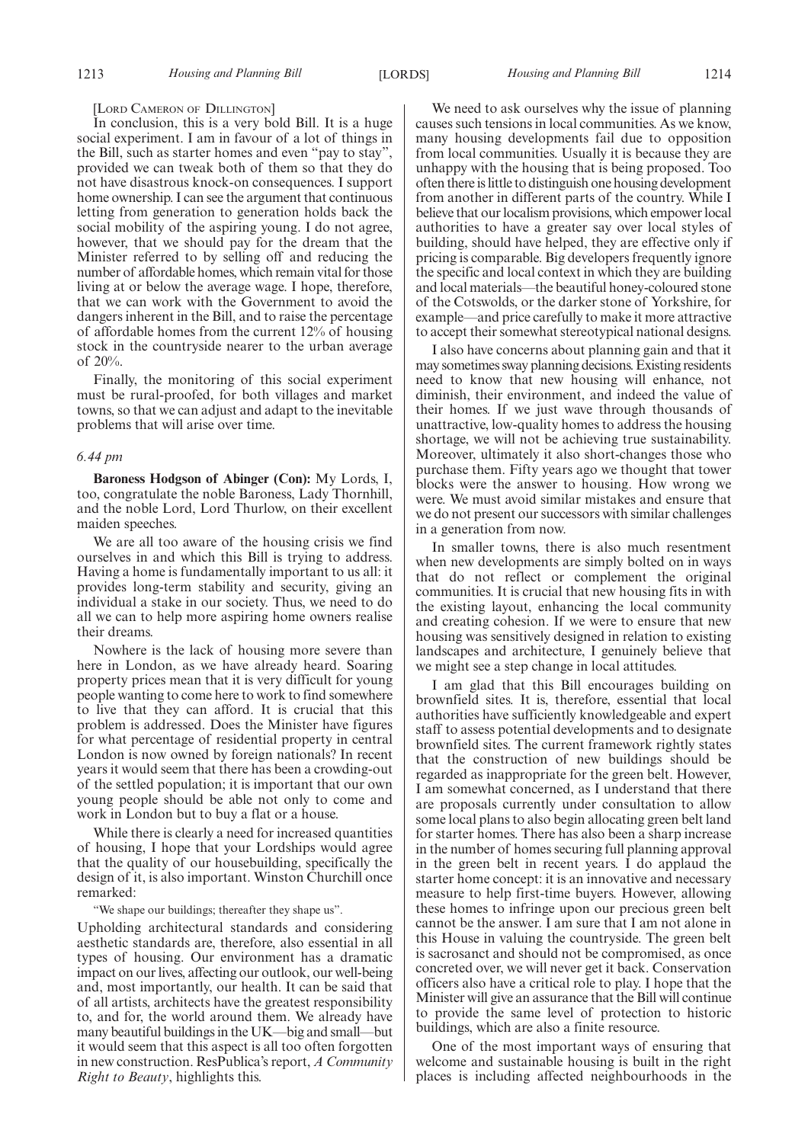#### [LORD CAMERON OF DILLINGTON]

In conclusion, this is a very bold Bill. It is a huge social experiment. I am in favour of a lot of things in the Bill, such as starter homes and even "pay to stay", provided we can tweak both of them so that they do not have disastrous knock-on consequences. I support home ownership. I can see the argument that continuous letting from generation to generation holds back the social mobility of the aspiring young. I do not agree, however, that we should pay for the dream that the Minister referred to by selling off and reducing the number of affordable homes, which remain vital for those living at or below the average wage. I hope, therefore, that we can work with the Government to avoid the dangers inherent in the Bill, and to raise the percentage of affordable homes from the current 12% of housing stock in the countryside nearer to the urban average of 20%.

Finally, the monitoring of this social experiment must be rural-proofed, for both villages and market towns, so that we can adjust and adapt to the inevitable problems that will arise over time.

#### *6.44 pm*

**Baroness Hodgson of Abinger (Con):** My Lords, I, too, congratulate the noble Baroness, Lady Thornhill, and the noble Lord, Lord Thurlow, on their excellent maiden speeches.

We are all too aware of the housing crisis we find ourselves in and which this Bill is trying to address. Having a home is fundamentally important to us all: it provides long-term stability and security, giving an individual a stake in our society. Thus, we need to do all we can to help more aspiring home owners realise their dreams.

Nowhere is the lack of housing more severe than here in London, as we have already heard. Soaring property prices mean that it is very difficult for young people wanting to come here to work to find somewhere to live that they can afford. It is crucial that this problem is addressed. Does the Minister have figures for what percentage of residential property in central London is now owned by foreign nationals? In recent years it would seem that there has been a crowding-out of the settled population; it is important that our own young people should be able not only to come and work in London but to buy a flat or a house.

While there is clearly a need for increased quantities of housing, I hope that your Lordships would agree that the quality of our housebuilding, specifically the design of it, is also important. Winston Churchill once remarked:

"We shape our buildings; thereafter they shape us".

Upholding architectural standards and considering aesthetic standards are, therefore, also essential in all types of housing. Our environment has a dramatic impact on our lives, affecting our outlook, our well-being and, most importantly, our health. It can be said that of all artists, architects have the greatest responsibility to, and for, the world around them. We already have many beautiful buildings in the UK—big and small—but it would seem that this aspect is all too often forgotten in new construction. ResPublica's report, *A Community Right to Beauty*, highlights this.

We need to ask ourselves why the issue of planning causes such tensions in local communities. As we know, many housing developments fail due to opposition from local communities. Usually it is because they are unhappy with the housing that is being proposed. Too often there is little to distinguish one housing development from another in different parts of the country. While I believe that our localism provisions, which empower local authorities to have a greater say over local styles of building, should have helped, they are effective only if pricing is comparable. Big developers frequently ignore the specific and local context in which they are building and local materials—the beautiful honey-coloured stone of the Cotswolds, or the darker stone of Yorkshire, for example—and price carefully to make it more attractive to accept their somewhat stereotypical national designs.

I also have concerns about planning gain and that it may sometimes sway planning decisions. Existing residents need to know that new housing will enhance, not diminish, their environment, and indeed the value of their homes. If we just wave through thousands of unattractive, low-quality homes to address the housing shortage, we will not be achieving true sustainability. Moreover, ultimately it also short-changes those who purchase them. Fifty years ago we thought that tower blocks were the answer to housing. How wrong we were. We must avoid similar mistakes and ensure that we do not present our successors with similar challenges in a generation from now.

In smaller towns, there is also much resentment when new developments are simply bolted on in ways that do not reflect or complement the original communities. It is crucial that new housing fits in with the existing layout, enhancing the local community and creating cohesion. If we were to ensure that new housing was sensitively designed in relation to existing landscapes and architecture, I genuinely believe that we might see a step change in local attitudes.

I am glad that this Bill encourages building on brownfield sites. It is, therefore, essential that local authorities have sufficiently knowledgeable and expert staff to assess potential developments and to designate brownfield sites. The current framework rightly states that the construction of new buildings should be regarded as inappropriate for the green belt. However, I am somewhat concerned, as I understand that there are proposals currently under consultation to allow some local plans to also begin allocating green belt land for starter homes. There has also been a sharp increase in the number of homes securing full planning approval in the green belt in recent years. I do applaud the starter home concept: it is an innovative and necessary measure to help first-time buyers. However, allowing these homes to infringe upon our precious green belt cannot be the answer. I am sure that I am not alone in this House in valuing the countryside. The green belt is sacrosanct and should not be compromised, as once concreted over, we will never get it back. Conservation officers also have a critical role to play. I hope that the Minister will give an assurance that the Bill will continue to provide the same level of protection to historic buildings, which are also a finite resource.

One of the most important ways of ensuring that welcome and sustainable housing is built in the right places is including affected neighbourhoods in the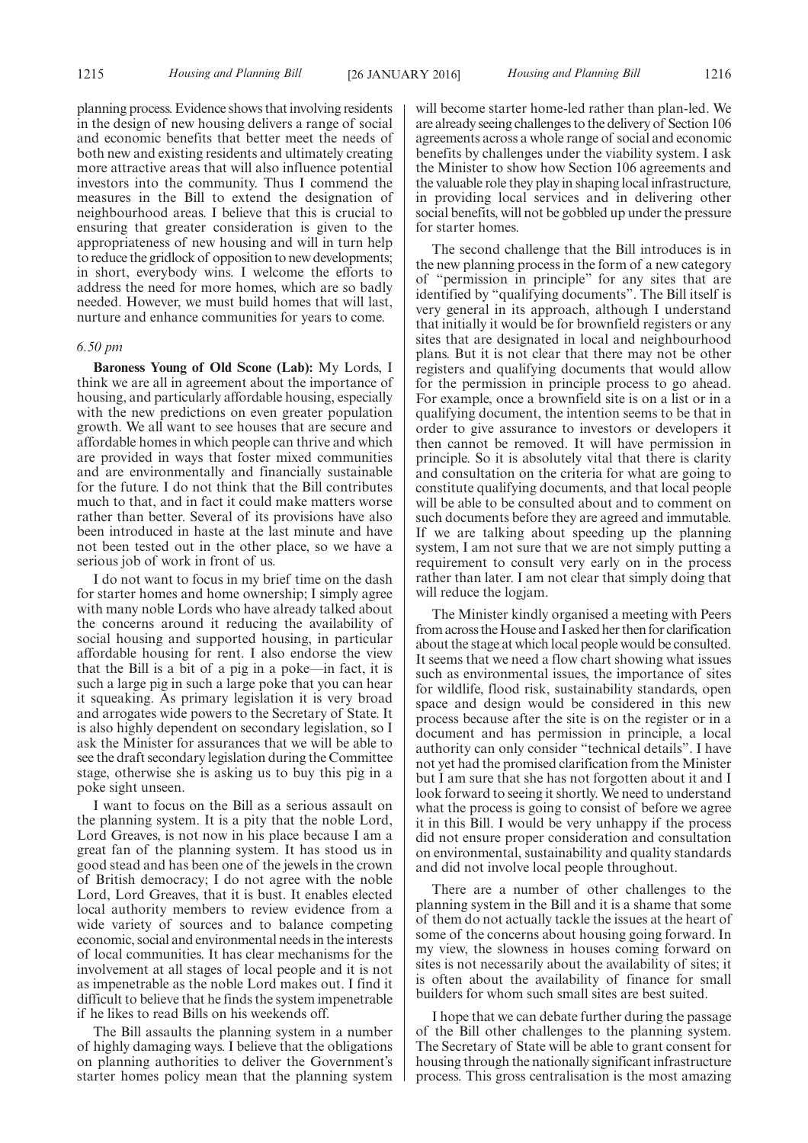1215 *Housing and Planning Bill Housing and Planning Bill* [26 JANUARY 2016] 1216

planning process. Evidence shows that involving residents in the design of new housing delivers a range of social and economic benefits that better meet the needs of both new and existing residents and ultimately creating more attractive areas that will also influence potential investors into the community. Thus I commend the measures in the Bill to extend the designation of neighbourhood areas. I believe that this is crucial to ensuring that greater consideration is given to the appropriateness of new housing and will in turn help to reduce the gridlock of opposition to new developments; in short, everybody wins. I welcome the efforts to address the need for more homes, which are so badly needed. However, we must build homes that will last, nurture and enhance communities for years to come.

#### *6.50 pm*

**Baroness Young of Old Scone (Lab):** My Lords, I think we are all in agreement about the importance of housing, and particularly affordable housing, especially with the new predictions on even greater population growth. We all want to see houses that are secure and affordable homes in which people can thrive and which are provided in ways that foster mixed communities and are environmentally and financially sustainable for the future. I do not think that the Bill contributes much to that, and in fact it could make matters worse rather than better. Several of its provisions have also been introduced in haste at the last minute and have not been tested out in the other place, so we have a serious job of work in front of us.

I do not want to focus in my brief time on the dash for starter homes and home ownership; I simply agree with many noble Lords who have already talked about the concerns around it reducing the availability of social housing and supported housing, in particular affordable housing for rent. I also endorse the view that the Bill is a bit of a pig in a poke—in fact, it is such a large pig in such a large poke that you can hear it squeaking. As primary legislation it is very broad and arrogates wide powers to the Secretary of State. It is also highly dependent on secondary legislation, so I ask the Minister for assurances that we will be able to see the draft secondary legislation during the Committee stage, otherwise she is asking us to buy this pig in a poke sight unseen.

I want to focus on the Bill as a serious assault on the planning system. It is a pity that the noble Lord, Lord Greaves, is not now in his place because I am a great fan of the planning system. It has stood us in good stead and has been one of the jewels in the crown of British democracy; I do not agree with the noble Lord, Lord Greaves, that it is bust. It enables elected local authority members to review evidence from a wide variety of sources and to balance competing economic, social and environmental needs in the interests of local communities. It has clear mechanisms for the involvement at all stages of local people and it is not as impenetrable as the noble Lord makes out. I find it difficult to believe that he finds the system impenetrable if he likes to read Bills on his weekends off.

The Bill assaults the planning system in a number of highly damaging ways. I believe that the obligations on planning authorities to deliver the Government's starter homes policy mean that the planning system will become starter home-led rather than plan-led. We are already seeing challenges to the delivery of Section 106 agreements across a whole range of social and economic benefits by challenges under the viability system. I ask the Minister to show how Section 106 agreements and the valuable role they play in shaping local infrastructure, in providing local services and in delivering other social benefits, will not be gobbled up under the pressure for starter homes.

The second challenge that the Bill introduces is in the new planning process in the form of a new category of "permission in principle" for any sites that are identified by "qualifying documents". The Bill itself is very general in its approach, although I understand that initially it would be for brownfield registers or any sites that are designated in local and neighbourhood plans. But it is not clear that there may not be other registers and qualifying documents that would allow for the permission in principle process to go ahead. For example, once a brownfield site is on a list or in a qualifying document, the intention seems to be that in order to give assurance to investors or developers it then cannot be removed. It will have permission in principle. So it is absolutely vital that there is clarity and consultation on the criteria for what are going to constitute qualifying documents, and that local people will be able to be consulted about and to comment on such documents before they are agreed and immutable. If we are talking about speeding up the planning system, I am not sure that we are not simply putting a requirement to consult very early on in the process rather than later. I am not clear that simply doing that will reduce the logjam.

The Minister kindly organised a meeting with Peers from across theHouse and I asked her then for clarification about the stage at which local people would be consulted. It seems that we need a flow chart showing what issues such as environmental issues, the importance of sites for wildlife, flood risk, sustainability standards, open space and design would be considered in this new process because after the site is on the register or in a document and has permission in principle, a local authority can only consider "technical details". I have not yet had the promised clarification from the Minister but I am sure that she has not forgotten about it and I look forward to seeing it shortly. We need to understand what the process is going to consist of before we agree it in this Bill. I would be very unhappy if the process did not ensure proper consideration and consultation on environmental, sustainability and quality standards and did not involve local people throughout.

There are a number of other challenges to the planning system in the Bill and it is a shame that some of them do not actually tackle the issues at the heart of some of the concerns about housing going forward. In my view, the slowness in houses coming forward on sites is not necessarily about the availability of sites; it is often about the availability of finance for small builders for whom such small sites are best suited.

I hope that we can debate further during the passage of the Bill other challenges to the planning system. The Secretary of State will be able to grant consent for housing through the nationally significant infrastructure process. This gross centralisation is the most amazing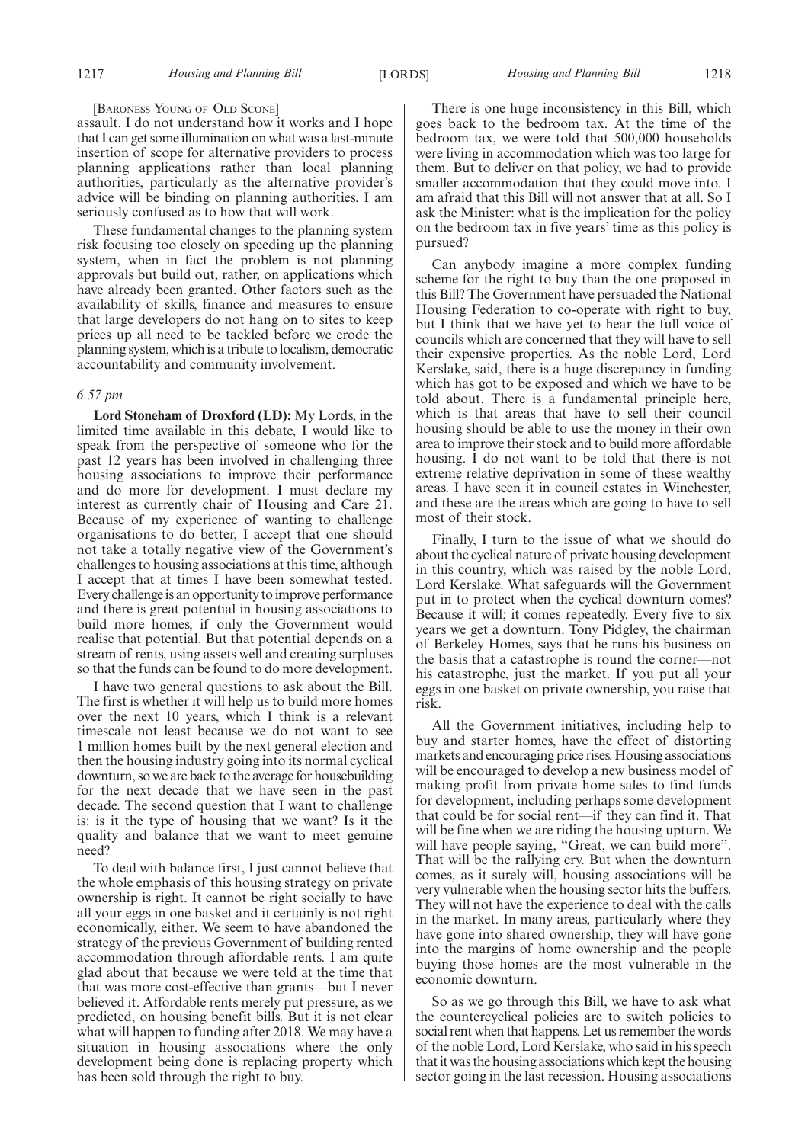#### [BARONESS YOUNG OF OLD SCONE]

assault. I do not understand how it works and I hope that I can get some illumination on what was a last-minute insertion of scope for alternative providers to process planning applications rather than local planning authorities, particularly as the alternative provider's advice will be binding on planning authorities. I am seriously confused as to how that will work.

These fundamental changes to the planning system risk focusing too closely on speeding up the planning system, when in fact the problem is not planning approvals but build out, rather, on applications which have already been granted. Other factors such as the availability of skills, finance and measures to ensure that large developers do not hang on to sites to keep prices up all need to be tackled before we erode the planning system, which is a tribute to localism, democratic accountability and community involvement.

#### *6.57 pm*

**Lord Stoneham of Droxford (LD):** My Lords, in the limited time available in this debate, I would like to speak from the perspective of someone who for the past 12 years has been involved in challenging three housing associations to improve their performance and do more for development. I must declare my interest as currently chair of Housing and Care 21. Because of my experience of wanting to challenge organisations to do better, I accept that one should not take a totally negative view of the Government's challenges to housing associations at this time, although I accept that at times I have been somewhat tested. Every challenge is an opportunity to improve performance and there is great potential in housing associations to build more homes, if only the Government would realise that potential. But that potential depends on a stream of rents, using assets well and creating surpluses so that the funds can be found to do more development.

I have two general questions to ask about the Bill. The first is whether it will help us to build more homes over the next 10 years, which I think is a relevant timescale not least because we do not want to see 1 million homes built by the next general election and then the housing industry going into its normal cyclical downturn, so we are back to the average for housebuilding for the next decade that we have seen in the past decade. The second question that I want to challenge is: is it the type of housing that we want? Is it the quality and balance that we want to meet genuine need?

To deal with balance first, I just cannot believe that the whole emphasis of this housing strategy on private ownership is right. It cannot be right socially to have all your eggs in one basket and it certainly is not right economically, either. We seem to have abandoned the strategy of the previous Government of building rented accommodation through affordable rents. I am quite glad about that because we were told at the time that that was more cost-effective than grants—but I never believed it. Affordable rents merely put pressure, as we predicted, on housing benefit bills. But it is not clear what will happen to funding after 2018. We may have a situation in housing associations where the only development being done is replacing property which has been sold through the right to buy.

There is one huge inconsistency in this Bill, which goes back to the bedroom tax. At the time of the bedroom tax, we were told that 500,000 households were living in accommodation which was too large for them. But to deliver on that policy, we had to provide smaller accommodation that they could move into. I am afraid that this Bill will not answer that at all. So I ask the Minister: what is the implication for the policy on the bedroom tax in five years' time as this policy is pursued?

Can anybody imagine a more complex funding scheme for the right to buy than the one proposed in this Bill? The Government have persuaded the National Housing Federation to co-operate with right to buy, but I think that we have yet to hear the full voice of councils which are concerned that they will have to sell their expensive properties. As the noble Lord, Lord Kerslake, said, there is a huge discrepancy in funding which has got to be exposed and which we have to be told about. There is a fundamental principle here, which is that areas that have to sell their council housing should be able to use the money in their own area to improve their stock and to build more affordable housing. I do not want to be told that there is not extreme relative deprivation in some of these wealthy areas. I have seen it in council estates in Winchester, and these are the areas which are going to have to sell most of their stock.

Finally, I turn to the issue of what we should do about the cyclical nature of private housing development in this country, which was raised by the noble Lord, Lord Kerslake. What safeguards will the Government put in to protect when the cyclical downturn comes? Because it will; it comes repeatedly. Every five to six years we get a downturn. Tony Pidgley, the chairman of Berkeley Homes, says that he runs his business on the basis that a catastrophe is round the corner—not his catastrophe, just the market. If you put all your eggs in one basket on private ownership, you raise that risk.

All the Government initiatives, including help to buy and starter homes, have the effect of distorting markets and encouraging price rises. Housing associations will be encouraged to develop a new business model of making profit from private home sales to find funds for development, including perhaps some development that could be for social rent—if they can find it. That will be fine when we are riding the housing upturn. We will have people saying, "Great, we can build more". That will be the rallying cry. But when the downturn comes, as it surely will, housing associations will be very vulnerable when the housing sector hits the buffers. They will not have the experience to deal with the calls in the market. In many areas, particularly where they have gone into shared ownership, they will have gone into the margins of home ownership and the people buying those homes are the most vulnerable in the economic downturn.

So as we go through this Bill, we have to ask what the countercyclical policies are to switch policies to social rent when that happens. Let us remember the words of the noble Lord, Lord Kerslake, who said in his speech that it was the housing associations which kept the housing sector going in the last recession. Housing associations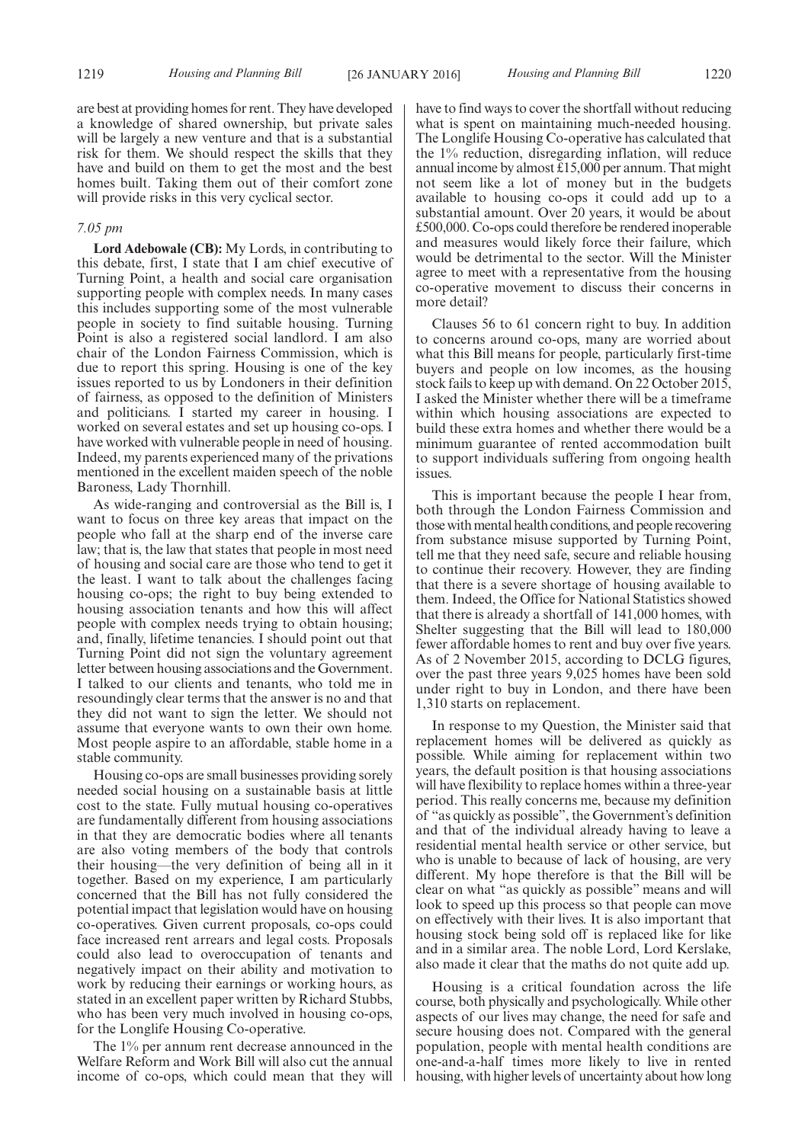are best at providing homes for rent. They have developed a knowledge of shared ownership, but private sales will be largely a new venture and that is a substantial risk for them. We should respect the skills that they have and build on them to get the most and the best homes built. Taking them out of their comfort zone will provide risks in this very cyclical sector.

#### *7.05 pm*

**Lord Adebowale (CB):** My Lords, in contributing to this debate, first, I state that I am chief executive of Turning Point, a health and social care organisation supporting people with complex needs. In many cases this includes supporting some of the most vulnerable people in society to find suitable housing. Turning Point is also a registered social landlord. I am also chair of the London Fairness Commission, which is due to report this spring. Housing is one of the key issues reported to us by Londoners in their definition of fairness, as opposed to the definition of Ministers and politicians. I started my career in housing. I worked on several estates and set up housing co-ops. I have worked with vulnerable people in need of housing. Indeed, my parents experienced many of the privations mentioned in the excellent maiden speech of the noble Baroness, Lady Thornhill.

As wide-ranging and controversial as the Bill is, I want to focus on three key areas that impact on the people who fall at the sharp end of the inverse care law; that is, the law that states that people in most need of housing and social care are those who tend to get it the least. I want to talk about the challenges facing housing co-ops; the right to buy being extended to housing association tenants and how this will affect people with complex needs trying to obtain housing; and, finally, lifetime tenancies. I should point out that Turning Point did not sign the voluntary agreement letter between housing associations and the Government. I talked to our clients and tenants, who told me in resoundingly clear terms that the answer is no and that they did not want to sign the letter. We should not assume that everyone wants to own their own home. Most people aspire to an affordable, stable home in a stable community.

Housing co-ops are small businesses providing sorely needed social housing on a sustainable basis at little cost to the state. Fully mutual housing co-operatives are fundamentally different from housing associations in that they are democratic bodies where all tenants are also voting members of the body that controls their housing—the very definition of being all in it together. Based on my experience, I am particularly concerned that the Bill has not fully considered the potential impact that legislation would have on housing co-operatives. Given current proposals, co-ops could face increased rent arrears and legal costs. Proposals could also lead to overoccupation of tenants and negatively impact on their ability and motivation to work by reducing their earnings or working hours, as stated in an excellent paper written by Richard Stubbs, who has been very much involved in housing co-ops, for the Longlife Housing Co-operative.

The 1% per annum rent decrease announced in the Welfare Reform and Work Bill will also cut the annual income of co-ops, which could mean that they will have to find ways to cover the shortfall without reducing what is spent on maintaining much-needed housing. The Longlife Housing Co-operative has calculated that the 1% reduction, disregarding inflation, will reduce annual income by almost £15,000 per annum. That might not seem like a lot of money but in the budgets available to housing co-ops it could add up to a substantial amount. Over 20 years, it would be about £500,000. Co-ops could therefore be rendered inoperable and measures would likely force their failure, which would be detrimental to the sector. Will the Minister agree to meet with a representative from the housing co-operative movement to discuss their concerns in more detail?

Clauses 56 to 61 concern right to buy. In addition to concerns around co-ops, many are worried about what this Bill means for people, particularly first-time buyers and people on low incomes, as the housing stock fails to keep up with demand. On 22 October 2015, I asked the Minister whether there will be a timeframe within which housing associations are expected to build these extra homes and whether there would be a minimum guarantee of rented accommodation built to support individuals suffering from ongoing health issues.

This is important because the people I hear from, both through the London Fairness Commission and those with mental health conditions, and people recovering from substance misuse supported by Turning Point, tell me that they need safe, secure and reliable housing to continue their recovery. However, they are finding that there is a severe shortage of housing available to them. Indeed, the Office for National Statistics showed that there is already a shortfall of 141,000 homes, with Shelter suggesting that the Bill will lead to 180,000 fewer affordable homes to rent and buy over five years. As of 2 November 2015, according to DCLG figures, over the past three years 9,025 homes have been sold under right to buy in London, and there have been 1,310 starts on replacement.

In response to my Question, the Minister said that replacement homes will be delivered as quickly as possible. While aiming for replacement within two years, the default position is that housing associations will have flexibility to replace homes within a three-year period. This really concerns me, because my definition of "as quickly as possible", the Government's definition and that of the individual already having to leave a residential mental health service or other service, but who is unable to because of lack of housing, are very different. My hope therefore is that the Bill will be clear on what "as quickly as possible" means and will look to speed up this process so that people can move on effectively with their lives. It is also important that housing stock being sold off is replaced like for like and in a similar area. The noble Lord, Lord Kerslake, also made it clear that the maths do not quite add up.

Housing is a critical foundation across the life course, both physically and psychologically. While other aspects of our lives may change, the need for safe and secure housing does not. Compared with the general population, people with mental health conditions are one-and-a-half times more likely to live in rented housing, with higher levels of uncertainty about how long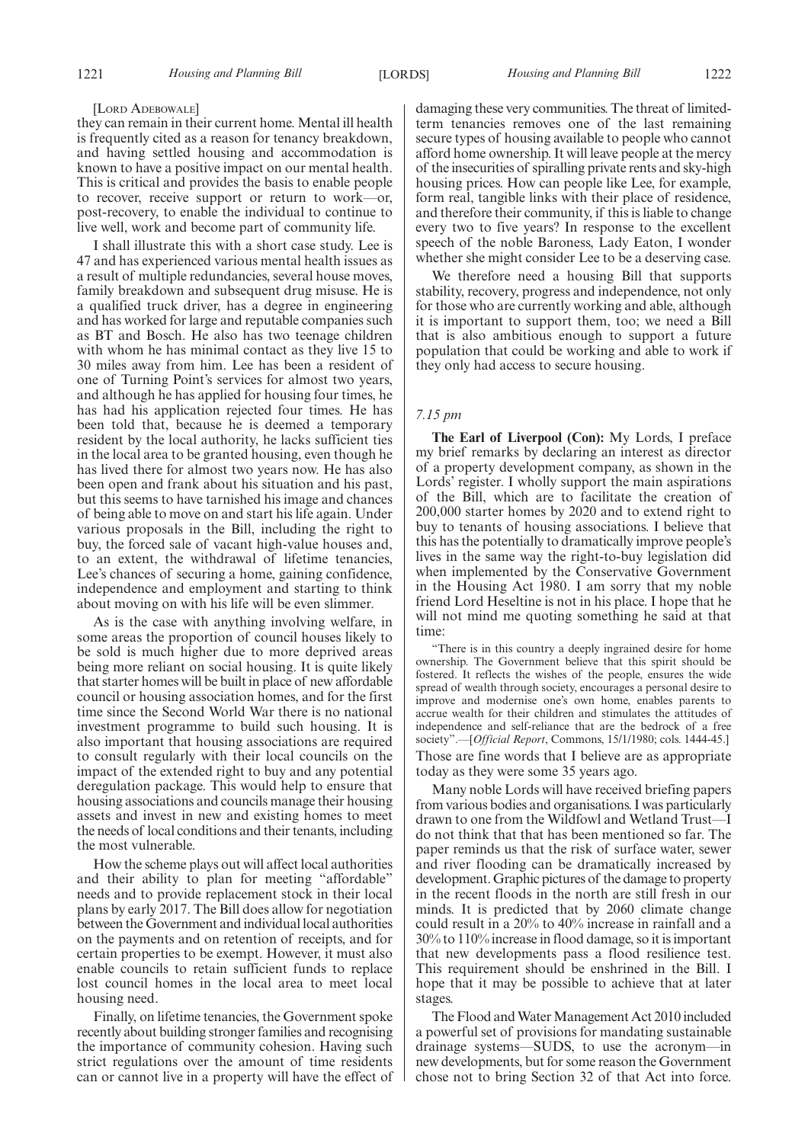#### [LORD ADEBOWALE]

they can remain in their current home. Mental ill health is frequently cited as a reason for tenancy breakdown, and having settled housing and accommodation is known to have a positive impact on our mental health. This is critical and provides the basis to enable people to recover, receive support or return to work—or, post-recovery, to enable the individual to continue to live well, work and become part of community life.

I shall illustrate this with a short case study. Lee is 47 and has experienced various mental health issues as a result of multiple redundancies, several house moves, family breakdown and subsequent drug misuse. He is a qualified truck driver, has a degree in engineering and has worked for large and reputable companies such as BT and Bosch. He also has two teenage children with whom he has minimal contact as they live 15 to 30 miles away from him. Lee has been a resident of one of Turning Point's services for almost two years, and although he has applied for housing four times, he has had his application rejected four times. He has been told that, because he is deemed a temporary resident by the local authority, he lacks sufficient ties in the local area to be granted housing, even though he has lived there for almost two years now. He has also been open and frank about his situation and his past, but this seems to have tarnished his image and chances of being able to move on and start his life again. Under various proposals in the Bill, including the right to buy, the forced sale of vacant high-value houses and, to an extent, the withdrawal of lifetime tenancies, Lee's chances of securing a home, gaining confidence, independence and employment and starting to think about moving on with his life will be even slimmer.

As is the case with anything involving welfare, in some areas the proportion of council houses likely to be sold is much higher due to more deprived areas being more reliant on social housing. It is quite likely that starter homes will be built in place of new affordable council or housing association homes, and for the first time since the Second World War there is no national investment programme to build such housing. It is also important that housing associations are required to consult regularly with their local councils on the impact of the extended right to buy and any potential deregulation package. This would help to ensure that housing associations and councils manage their housing assets and invest in new and existing homes to meet the needs of local conditions and their tenants, including the most vulnerable.

How the scheme plays out will affect local authorities and their ability to plan for meeting "affordable" needs and to provide replacement stock in their local plans by early 2017. The Bill does allow for negotiation between the Government and individual local authorities on the payments and on retention of receipts, and for certain properties to be exempt. However, it must also enable councils to retain sufficient funds to replace lost council homes in the local area to meet local housing need.

Finally, on lifetime tenancies, the Government spoke recently about building stronger families and recognising the importance of community cohesion. Having such strict regulations over the amount of time residents can or cannot live in a property will have the effect of damaging these very communities. The threat of limitedterm tenancies removes one of the last remaining secure types of housing available to people who cannot afford home ownership. It will leave people at the mercy of the insecurities of spiralling private rents and sky-high housing prices. How can people like Lee, for example, form real, tangible links with their place of residence, and therefore their community, if this is liable to change every two to five years? In response to the excellent speech of the noble Baroness, Lady Eaton, I wonder whether she might consider Lee to be a deserving case.

We therefore need a housing Bill that supports stability, recovery, progress and independence, not only for those who are currently working and able, although it is important to support them, too; we need a Bill that is also ambitious enough to support a future population that could be working and able to work if they only had access to secure housing.

#### *7.15 pm*

**The Earl of Liverpool (Con):** My Lords, I preface my brief remarks by declaring an interest as director of a property development company, as shown in the Lords' register. I wholly support the main aspirations of the Bill, which are to facilitate the creation of 200,000 starter homes by 2020 and to extend right to buy to tenants of housing associations. I believe that this has the potentially to dramatically improve people's lives in the same way the right-to-buy legislation did when implemented by the Conservative Government in the Housing Act 1980. I am sorry that my noble friend Lord Heseltine is not in his place. I hope that he will not mind me quoting something he said at that time:

"There is in this country a deeply ingrained desire for home ownership. The Government believe that this spirit should be fostered. It reflects the wishes of the people, ensures the wide spread of wealth through society, encourages a personal desire to improve and modernise one's own home, enables parents to accrue wealth for their children and stimulates the attitudes of independence and self-reliance that are the bedrock of a free society".—[*Official Report*, Commons, 15/1/1980; cols. 1444-45.] Those are fine words that I believe are as appropriate

today as they were some 35 years ago. Many noble Lords will have received briefing papers from various bodies and organisations. I was particularly drawn to one from the Wildfowl and Wetland Trust—I do not think that that has been mentioned so far. The paper reminds us that the risk of surface water, sewer and river flooding can be dramatically increased by development. Graphic pictures of the damage to property in the recent floods in the north are still fresh in our minds. It is predicted that by 2060 climate change could result in a 20% to 40% increase in rainfall and a 30% to 110% increase in flood damage, so it is important that new developments pass a flood resilience test. This requirement should be enshrined in the Bill. I hope that it may be possible to achieve that at later stages.

The Flood and Water Management Act 2010 included a powerful set of provisions for mandating sustainable drainage systems—SUDS, to use the acronym—in new developments, but for some reason the Government chose not to bring Section 32 of that Act into force.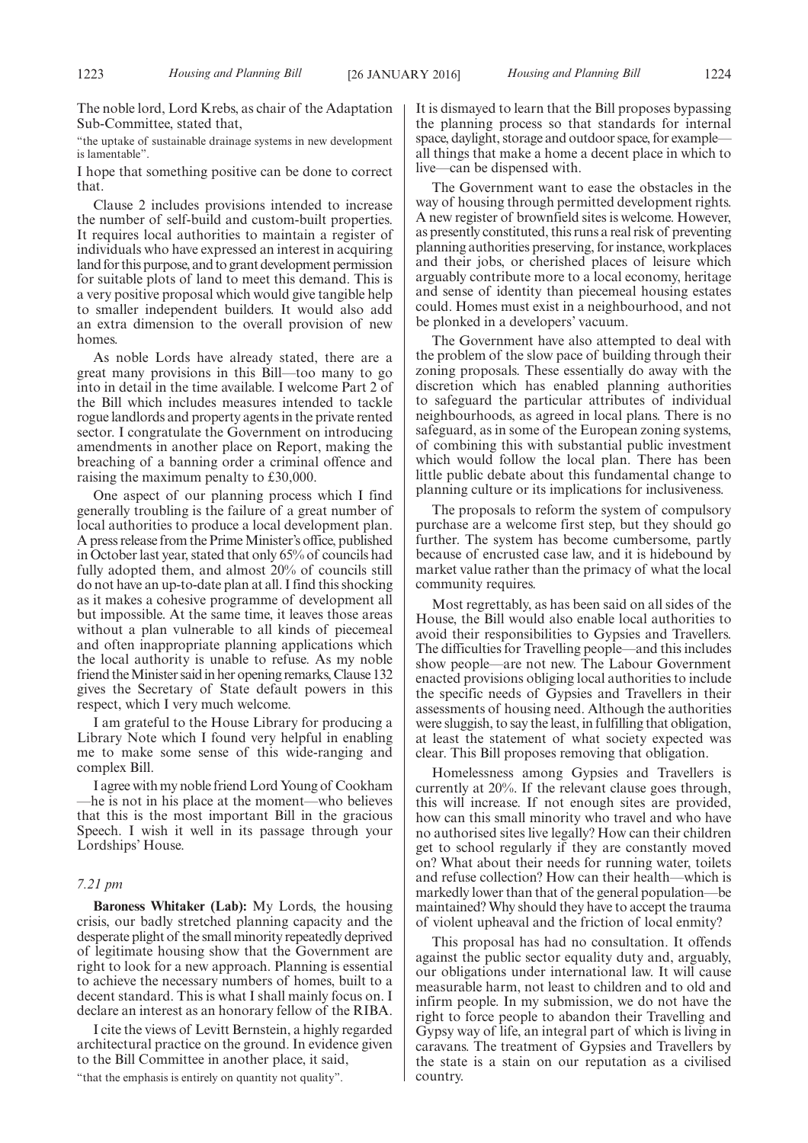The noble lord, Lord Krebs, as chair of the Adaptation Sub-Committee, stated that,

"the uptake of sustainable drainage systems in new development is lamentable".

I hope that something positive can be done to correct that.

Clause 2 includes provisions intended to increase the number of self-build and custom-built properties. It requires local authorities to maintain a register of individuals who have expressed an interest in acquiring land for this purpose, and to grant development permission for suitable plots of land to meet this demand. This is a very positive proposal which would give tangible help to smaller independent builders. It would also add an extra dimension to the overall provision of new homes.

As noble Lords have already stated, there are a great many provisions in this Bill—too many to go into in detail in the time available. I welcome Part 2 of the Bill which includes measures intended to tackle rogue landlords and property agents in the private rented sector. I congratulate the Government on introducing amendments in another place on Report, making the breaching of a banning order a criminal offence and raising the maximum penalty to £30,000.

One aspect of our planning process which I find generally troubling is the failure of a great number of local authorities to produce a local development plan. A press release from the Prime Minister's office, published in October last year, stated that only 65% of councils had fully adopted them, and almost 20% of councils still do not have an up-to-date plan at all. I find this shocking as it makes a cohesive programme of development all but impossible. At the same time, it leaves those areas without a plan vulnerable to all kinds of piecemeal and often inappropriate planning applications which the local authority is unable to refuse. As my noble friend the Minister said in her opening remarks, Clause 132 gives the Secretary of State default powers in this respect, which I very much welcome.

I am grateful to the House Library for producing a Library Note which I found very helpful in enabling me to make some sense of this wide-ranging and complex Bill.

I agree with my noble friend Lord Young of Cookham —he is not in his place at the moment—who believes that this is the most important Bill in the gracious Speech. I wish it well in its passage through your Lordships' House.

#### *7.21 pm*

**Baroness Whitaker (Lab):** My Lords, the housing crisis, our badly stretched planning capacity and the desperate plight of the small minority repeatedly deprived of legitimate housing show that the Government are right to look for a new approach. Planning is essential to achieve the necessary numbers of homes, built to a decent standard. This is what I shall mainly focus on. I declare an interest as an honorary fellow of the RIBA.

I cite the views of Levitt Bernstein, a highly regarded architectural practice on the ground. In evidence given to the Bill Committee in another place, it said,

"that the emphasis is entirely on quantity not quality".

It is dismayed to learn that the Bill proposes bypassing the planning process so that standards for internal space, daylight, storage and outdoor space, for example all things that make a home a decent place in which to live—can be dispensed with.

The Government want to ease the obstacles in the way of housing through permitted development rights. A new register of brownfield sites is welcome. However, as presently constituted, this runs a real risk of preventing planning authorities preserving, for instance, workplaces and their jobs, or cherished places of leisure which arguably contribute more to a local economy, heritage and sense of identity than piecemeal housing estates could. Homes must exist in a neighbourhood, and not be plonked in a developers' vacuum.

The Government have also attempted to deal with the problem of the slow pace of building through their zoning proposals. These essentially do away with the discretion which has enabled planning authorities to safeguard the particular attributes of individual neighbourhoods, as agreed in local plans. There is no safeguard, as in some of the European zoning systems, of combining this with substantial public investment which would follow the local plan. There has been little public debate about this fundamental change to planning culture or its implications for inclusiveness.

The proposals to reform the system of compulsory purchase are a welcome first step, but they should go further. The system has become cumbersome, partly because of encrusted case law, and it is hidebound by market value rather than the primacy of what the local community requires.

Most regrettably, as has been said on all sides of the House, the Bill would also enable local authorities to avoid their responsibilities to Gypsies and Travellers. The difficulties for Travelling people—and this includes show people—are not new. The Labour Government enacted provisions obliging local authorities to include the specific needs of Gypsies and Travellers in their assessments of housing need. Although the authorities were sluggish, to say the least, in fulfilling that obligation, at least the statement of what society expected was clear. This Bill proposes removing that obligation.

Homelessness among Gypsies and Travellers is currently at 20%. If the relevant clause goes through, this will increase. If not enough sites are provided, how can this small minority who travel and who have no authorised sites live legally? How can their children get to school regularly if they are constantly moved on? What about their needs for running water, toilets and refuse collection? How can their health—which is markedly lower than that of the general population—be maintained? Why should they have to accept the trauma of violent upheaval and the friction of local enmity?

This proposal has had no consultation. It offends against the public sector equality duty and, arguably, our obligations under international law. It will cause measurable harm, not least to children and to old and infirm people. In my submission, we do not have the right to force people to abandon their Travelling and Gypsy way of life, an integral part of which is living in caravans. The treatment of Gypsies and Travellers by the state is a stain on our reputation as a civilised country.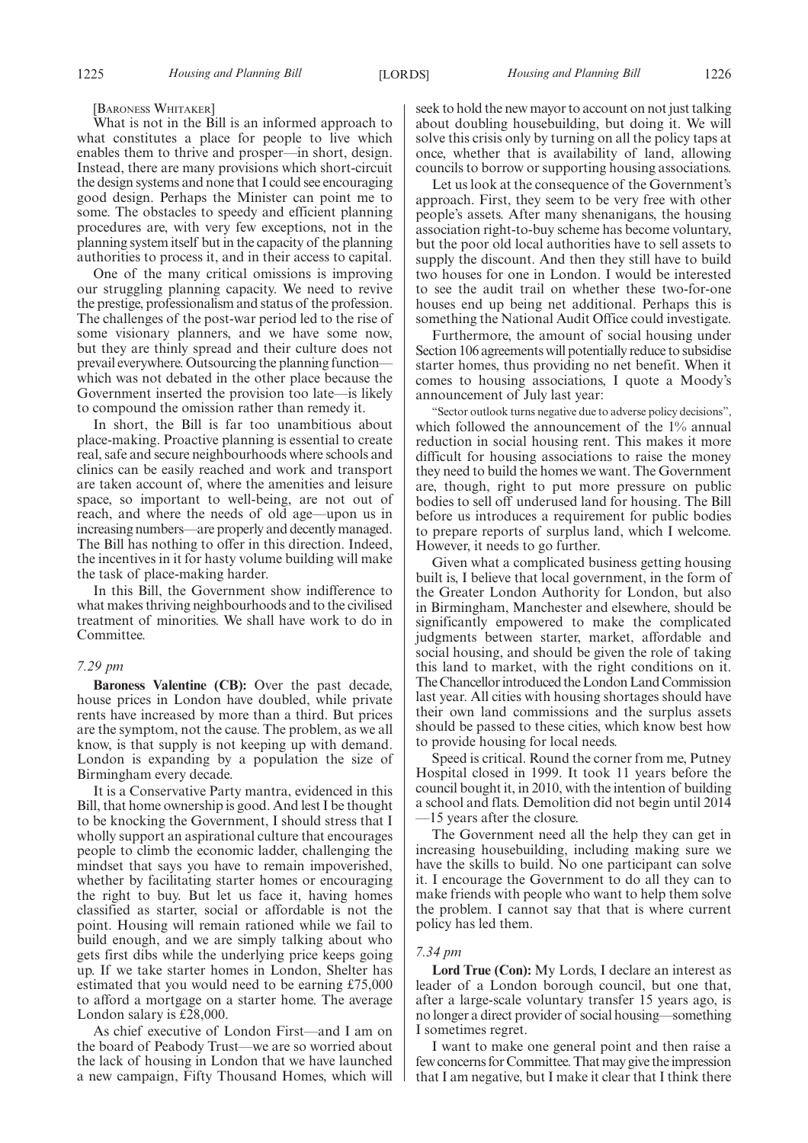[BARONESS WHITAKER]

What is not in the Bill is an informed approach to what constitutes a place for people to live which enables them to thrive and prosper—in short, design. Instead, there are many provisions which short-circuit the design systems and none that I could see encouraging good design. Perhaps the Minister can point me to some. The obstacles to speedy and efficient planning procedures are, with very few exceptions, not in the planning system itself but in the capacity of the planning authorities to process it, and in their access to capital.

One of the many critical omissions is improving our struggling planning capacity. We need to revive the prestige, professionalism and status of the profession. The challenges of the post-war period led to the rise of some visionary planners, and we have some now, but they are thinly spread and their culture does not prevail everywhere. Outsourcing the planning function which was not debated in the other place because the Government inserted the provision too late—is likely to compound the omission rather than remedy it.

In short, the Bill is far too unambitious about place-making. Proactive planning is essential to create real, safe and secure neighbourhoods where schools and clinics can be easily reached and work and transport are taken account of, where the amenities and leisure space, so important to well-being, are not out of reach, and where the needs of old age—upon us in increasing numbers—are properly and decently managed. The Bill has nothing to offer in this direction. Indeed, the incentives in it for hasty volume building will make the task of place-making harder.

In this Bill, the Government show indifference to what makes thriving neighbourhoods and to the civilised treatment of minorities. We shall have work to do in Committee.

#### *7.29 pm*

**Baroness Valentine (CB):** Over the past decade, house prices in London have doubled, while private rents have increased by more than a third. But prices are the symptom, not the cause. The problem, as we all know, is that supply is not keeping up with demand. London is expanding by a population the size of Birmingham every decade.

It is a Conservative Party mantra, evidenced in this Bill, that home ownership is good. And lest I be thought to be knocking the Government, I should stress that I wholly support an aspirational culture that encourages people to climb the economic ladder, challenging the mindset that says you have to remain impoverished, whether by facilitating starter homes or encouraging the right to buy. But let us face it, having homes classified as starter, social or affordable is not the point. Housing will remain rationed while we fail to build enough, and we are simply talking about who gets first dibs while the underlying price keeps going up. If we take starter homes in London, Shelter has estimated that you would need to be earning £75,000 to afford a mortgage on a starter home. The average London salary is £28,000.

As chief executive of London First—and I am on the board of Peabody Trust—we are so worried about the lack of housing in London that we have launched a new campaign, Fifty Thousand Homes, which will seek to hold the new mayor to account on not just talking about doubling housebuilding, but doing it. We will solve this crisis only by turning on all the policy taps at once, whether that is availability of land, allowing councils to borrow or supporting housing associations.

Let us look at the consequence of the Government's approach. First, they seem to be very free with other people's assets. After many shenanigans, the housing association right-to-buy scheme has become voluntary, but the poor old local authorities have to sell assets to supply the discount. And then they still have to build two houses for one in London. I would be interested to see the audit trail on whether these two-for-one houses end up being net additional. Perhaps this is something the National Audit Office could investigate.

Furthermore, the amount of social housing under Section 106 agreements will potentially reduce to subsidise starter homes, thus providing no net benefit. When it comes to housing associations, I quote a Moody's announcement of July last year:

"Sector outlook turns negative due to adverse policy decisions", which followed the announcement of the 1% annual reduction in social housing rent. This makes it more difficult for housing associations to raise the money they need to build the homes we want. The Government are, though, right to put more pressure on public bodies to sell off underused land for housing. The Bill before us introduces a requirement for public bodies to prepare reports of surplus land, which I welcome. However, it needs to go further.

Given what a complicated business getting housing built is, I believe that local government, in the form of the Greater London Authority for London, but also in Birmingham, Manchester and elsewhere, should be significantly empowered to make the complicated judgments between starter, market, affordable and social housing, and should be given the role of taking this land to market, with the right conditions on it. The Chancellor introduced the London Land Commission last year. All cities with housing shortages should have their own land commissions and the surplus assets should be passed to these cities, which know best how to provide housing for local needs.

Speed is critical. Round the corner from me, Putney Hospital closed in 1999. It took 11 years before the council bought it, in 2010, with the intention of building a school and flats. Demolition did not begin until 2014 —15 years after the closure.

The Government need all the help they can get in increasing housebuilding, including making sure we have the skills to build. No one participant can solve it. I encourage the Government to do all they can to make friends with people who want to help them solve the problem. I cannot say that that is where current policy has led them.

#### *7.34 pm*

**Lord True (Con):** My Lords, I declare an interest as leader of a London borough council, but one that, after a large-scale voluntary transfer 15 years ago, is no longer a direct provider of social housing—something I sometimes regret.

I want to make one general point and then raise a few concerns for Committee. That may give the impression that I am negative, but I make it clear that I think there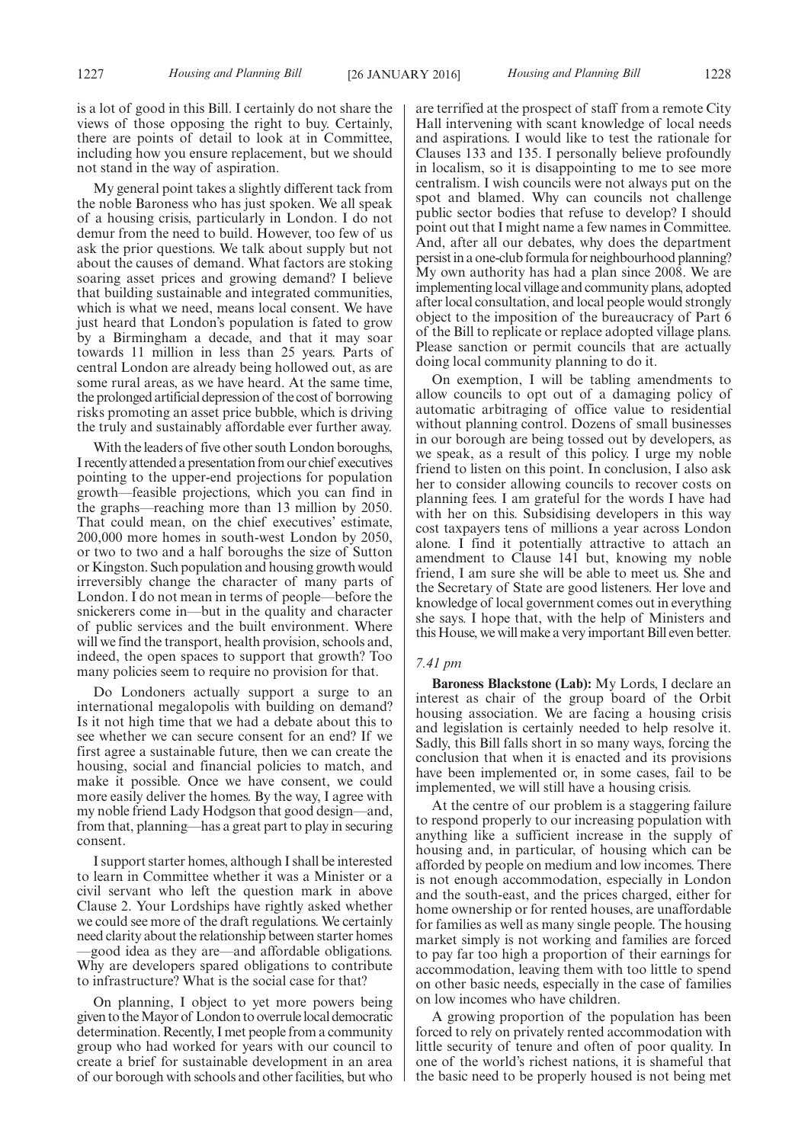is a lot of good in this Bill. I certainly do not share the views of those opposing the right to buy. Certainly, there are points of detail to look at in Committee, including how you ensure replacement, but we should not stand in the way of aspiration.

My general point takes a slightly different tack from the noble Baroness who has just spoken. We all speak of a housing crisis, particularly in London. I do not demur from the need to build. However, too few of us ask the prior questions. We talk about supply but not about the causes of demand. What factors are stoking soaring asset prices and growing demand? I believe that building sustainable and integrated communities, which is what we need, means local consent. We have just heard that London's population is fated to grow by a Birmingham a decade, and that it may soar towards 11 million in less than 25 years. Parts of central London are already being hollowed out, as are some rural areas, as we have heard. At the same time, the prolonged artificial depression of the cost of borrowing risks promoting an asset price bubble, which is driving the truly and sustainably affordable ever further away.

With the leaders of five other south London boroughs, I recently attended a presentation from our chief executives pointing to the upper-end projections for population growth—feasible projections, which you can find in the graphs—reaching more than 13 million by 2050. That could mean, on the chief executives' estimate, 200,000 more homes in south-west London by 2050, or two to two and a half boroughs the size of Sutton or Kingston. Such population and housing growth would irreversibly change the character of many parts of London. I do not mean in terms of people—before the snickerers come in—but in the quality and character of public services and the built environment. Where will we find the transport, health provision, schools and, indeed, the open spaces to support that growth? Too many policies seem to require no provision for that.

Do Londoners actually support a surge to an international megalopolis with building on demand? Is it not high time that we had a debate about this to see whether we can secure consent for an end? If we first agree a sustainable future, then we can create the housing, social and financial policies to match, and make it possible. Once we have consent, we could more easily deliver the homes. By the way, I agree with my noble friend Lady Hodgson that good design—and, from that, planning—has a great part to play in securing consent.

I support starter homes, although I shall be interested to learn in Committee whether it was a Minister or a civil servant who left the question mark in above Clause 2. Your Lordships have rightly asked whether we could see more of the draft regulations. We certainly need clarity about the relationship between starter homes —good idea as they are—and affordable obligations. Why are developers spared obligations to contribute to infrastructure? What is the social case for that?

On planning, I object to yet more powers being given to theMayor of London to overrulelocal democratic determination. Recently, I met people from a community group who had worked for years with our council to create a brief for sustainable development in an area of our borough with schools and other facilities, but who are terrified at the prospect of staff from a remote City Hall intervening with scant knowledge of local needs and aspirations. I would like to test the rationale for Clauses 133 and 135. I personally believe profoundly in localism, so it is disappointing to me to see more centralism. I wish councils were not always put on the spot and blamed. Why can councils not challenge public sector bodies that refuse to develop? I should point out that I might name a few names in Committee. And, after all our debates, why does the department persist in a one-club formula for neighbourhood planning? My own authority has had a plan since 2008. We are implementing local village and community plans, adopted after local consultation, and local people would strongly object to the imposition of the bureaucracy of Part 6 of the Bill to replicate or replace adopted village plans. Please sanction or permit councils that are actually doing local community planning to do it.

On exemption, I will be tabling amendments to allow councils to opt out of a damaging policy of automatic arbitraging of office value to residential without planning control. Dozens of small businesses in our borough are being tossed out by developers, as we speak, as a result of this policy. I urge my noble friend to listen on this point. In conclusion, I also ask her to consider allowing councils to recover costs on planning fees. I am grateful for the words I have had with her on this. Subsidising developers in this way cost taxpayers tens of millions a year across London alone. I find it potentially attractive to attach an amendment to Clause 141 but, knowing my noble friend, I am sure she will be able to meet us. She and the Secretary of State are good listeners. Her love and knowledge of local government comes out in everything she says. I hope that, with the help of Ministers and this House, we will make a very important Bill even better.

#### *7.41 pm*

**Baroness Blackstone (Lab):** My Lords, I declare an interest as chair of the group board of the Orbit housing association. We are facing a housing crisis and legislation is certainly needed to help resolve it. Sadly, this Bill falls short in so many ways, forcing the conclusion that when it is enacted and its provisions have been implemented or, in some cases, fail to be implemented, we will still have a housing crisis.

At the centre of our problem is a staggering failure to respond properly to our increasing population with anything like a sufficient increase in the supply of housing and, in particular, of housing which can be afforded by people on medium and low incomes. There is not enough accommodation, especially in London and the south-east, and the prices charged, either for home ownership or for rented houses, are unaffordable for families as well as many single people. The housing market simply is not working and families are forced to pay far too high a proportion of their earnings for accommodation, leaving them with too little to spend on other basic needs, especially in the case of families on low incomes who have children.

A growing proportion of the population has been forced to rely on privately rented accommodation with little security of tenure and often of poor quality. In one of the world's richest nations, it is shameful that the basic need to be properly housed is not being met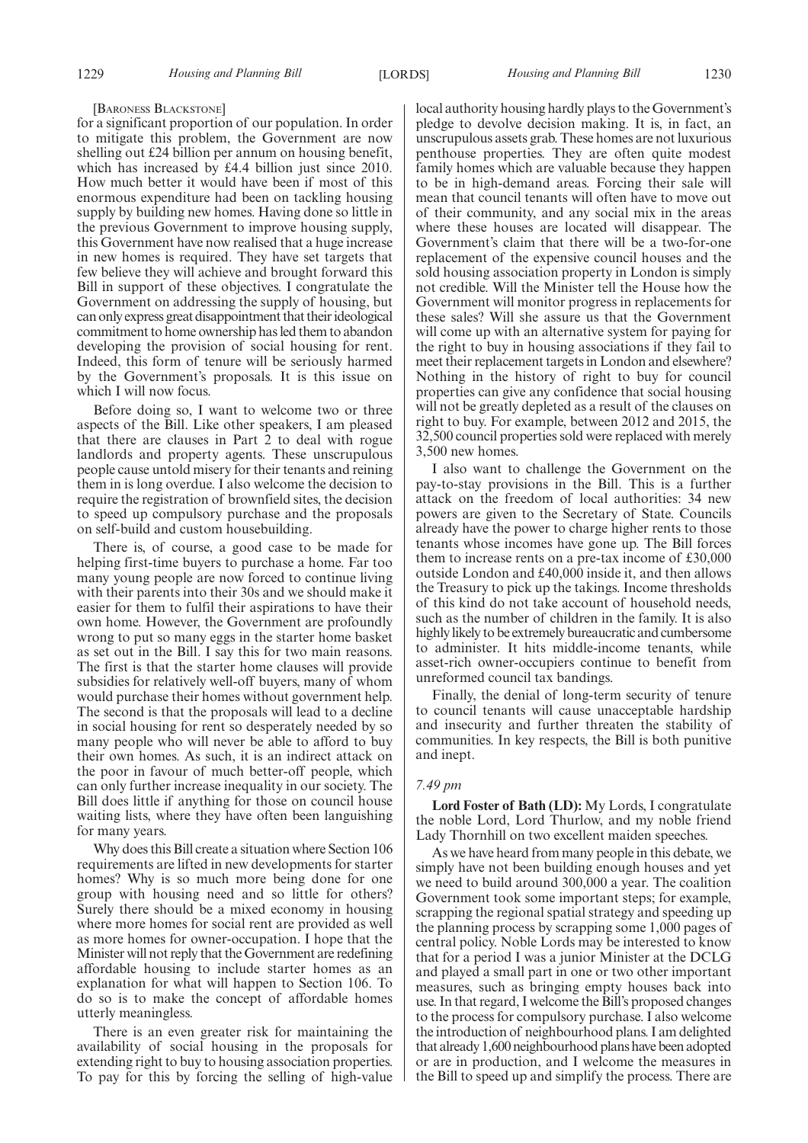#### [BARONESS BLACKSTONE]

for a significant proportion of our population. In order to mitigate this problem, the Government are now shelling out £24 billion per annum on housing benefit, which has increased by £4.4 billion just since 2010. How much better it would have been if most of this enormous expenditure had been on tackling housing supply by building new homes. Having done so little in the previous Government to improve housing supply, this Government have now realised that a huge increase in new homes is required. They have set targets that few believe they will achieve and brought forward this Bill in support of these objectives. I congratulate the Government on addressing the supply of housing, but can only express great disappointment that their ideological commitment to home ownership has led them to abandon developing the provision of social housing for rent. Indeed, this form of tenure will be seriously harmed by the Government's proposals. It is this issue on which I will now focus.

Before doing so, I want to welcome two or three aspects of the Bill. Like other speakers, I am pleased that there are clauses in Part 2 to deal with rogue landlords and property agents. These unscrupulous people cause untold misery for their tenants and reining them in is long overdue. I also welcome the decision to require the registration of brownfield sites, the decision to speed up compulsory purchase and the proposals on self-build and custom housebuilding.

There is, of course, a good case to be made for helping first-time buyers to purchase a home. Far too many young people are now forced to continue living with their parents into their 30s and we should make it easier for them to fulfil their aspirations to have their own home. However, the Government are profoundly wrong to put so many eggs in the starter home basket as set out in the Bill. I say this for two main reasons. The first is that the starter home clauses will provide subsidies for relatively well-off buyers, many of whom would purchase their homes without government help. The second is that the proposals will lead to a decline in social housing for rent so desperately needed by so many people who will never be able to afford to buy their own homes. As such, it is an indirect attack on the poor in favour of much better-off people, which can only further increase inequality in our society. The Bill does little if anything for those on council house waiting lists, where they have often been languishing for many years.

Why does this Bill create a situation where Section 106 requirements are lifted in new developments for starter homes? Why is so much more being done for one group with housing need and so little for others? Surely there should be a mixed economy in housing where more homes for social rent are provided as well as more homes for owner-occupation. I hope that the Minister will not reply that the Government are redefining affordable housing to include starter homes as an explanation for what will happen to Section 106. To do so is to make the concept of affordable homes utterly meaningless.

There is an even greater risk for maintaining the availability of social housing in the proposals for extending right to buy to housing association properties. To pay for this by forcing the selling of high-value local authority housing hardly plays to the Government's pledge to devolve decision making. It is, in fact, an unscrupulous assets grab. These homes are not luxurious penthouse properties. They are often quite modest family homes which are valuable because they happen to be in high-demand areas. Forcing their sale will mean that council tenants will often have to move out of their community, and any social mix in the areas where these houses are located will disappear. The Government's claim that there will be a two-for-one replacement of the expensive council houses and the sold housing association property in London is simply not credible. Will the Minister tell the House how the Government will monitor progress in replacements for these sales? Will she assure us that the Government will come up with an alternative system for paying for the right to buy in housing associations if they fail to meet their replacement targets in London and elsewhere? Nothing in the history of right to buy for council properties can give any confidence that social housing will not be greatly depleted as a result of the clauses on right to buy. For example, between 2012 and 2015, the 32,500 council properties sold were replaced with merely 3,500 new homes.

I also want to challenge the Government on the pay-to-stay provisions in the Bill. This is a further attack on the freedom of local authorities: 34 new powers are given to the Secretary of State. Councils already have the power to charge higher rents to those tenants whose incomes have gone up. The Bill forces them to increase rents on a pre-tax income of £30,000 outside London and £40,000 inside it, and then allows the Treasury to pick up the takings. Income thresholds of this kind do not take account of household needs, such as the number of children in the family. It is also highly likely to be extremely bureaucratic and cumbersome to administer. It hits middle-income tenants, while asset-rich owner-occupiers continue to benefit from unreformed council tax bandings.

Finally, the denial of long-term security of tenure to council tenants will cause unacceptable hardship and insecurity and further threaten the stability of communities. In key respects, the Bill is both punitive and inept.

#### *7.49 pm*

**Lord Foster of Bath (LD):** My Lords, I congratulate the noble Lord, Lord Thurlow, and my noble friend Lady Thornhill on two excellent maiden speeches.

As we have heard from many people in this debate, we simply have not been building enough houses and yet we need to build around 300,000 a year. The coalition Government took some important steps; for example, scrapping the regional spatial strategy and speeding up the planning process by scrapping some 1,000 pages of central policy. Noble Lords may be interested to know that for a period I was a junior Minister at the DCLG and played a small part in one or two other important measures, such as bringing empty houses back into use. In that regard, I welcome the Bill's proposed changes to the process for compulsory purchase. I also welcome the introduction of neighbourhood plans. I am delighted that already 1,600 neighbourhood plans have been adopted or are in production, and I welcome the measures in the Bill to speed up and simplify the process. There are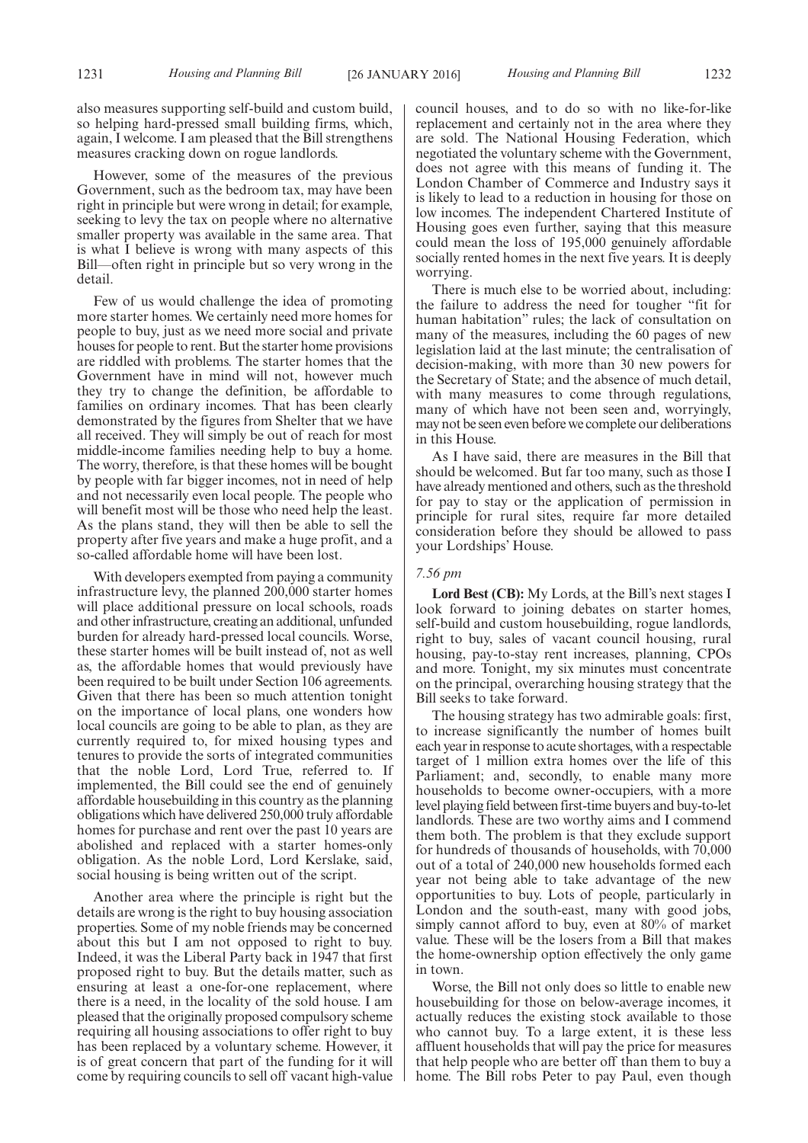also measures supporting self-build and custom build,

so helping hard-pressed small building firms, which, again, I welcome. I am pleased that the Bill strengthens measures cracking down on rogue landlords.

However, some of the measures of the previous Government, such as the bedroom tax, may have been right in principle but were wrong in detail; for example, seeking to levy the tax on people where no alternative smaller property was available in the same area. That is what I believe is wrong with many aspects of this Bill—often right in principle but so very wrong in the detail.

Few of us would challenge the idea of promoting more starter homes. We certainly need more homes for people to buy, just as we need more social and private houses for people to rent. But the starter home provisions are riddled with problems. The starter homes that the Government have in mind will not, however much they try to change the definition, be affordable to families on ordinary incomes. That has been clearly demonstrated by the figures from Shelter that we have all received. They will simply be out of reach for most middle-income families needing help to buy a home. The worry, therefore, is that these homes will be bought by people with far bigger incomes, not in need of help and not necessarily even local people. The people who will benefit most will be those who need help the least. As the plans stand, they will then be able to sell the property after five years and make a huge profit, and a so-called affordable home will have been lost.

With developers exempted from paying a community infrastructure levy, the planned 200,000 starter homes will place additional pressure on local schools, roads and other infrastructure, creating an additional, unfunded burden for already hard-pressed local councils. Worse, these starter homes will be built instead of, not as well as, the affordable homes that would previously have been required to be built under Section 106 agreements. Given that there has been so much attention tonight on the importance of local plans, one wonders how local councils are going to be able to plan, as they are currently required to, for mixed housing types and tenures to provide the sorts of integrated communities that the noble Lord, Lord True, referred to. If implemented, the Bill could see the end of genuinely affordable housebuilding in this country as the planning obligations which have delivered 250,000 truly affordable homes for purchase and rent over the past 10 years are abolished and replaced with a starter homes-only obligation. As the noble Lord, Lord Kerslake, said, social housing is being written out of the script.

Another area where the principle is right but the details are wrong is the right to buy housing association properties. Some of my noble friends may be concerned about this but I am not opposed to right to buy. Indeed, it was the Liberal Party back in 1947 that first proposed right to buy. But the details matter, such as ensuring at least a one-for-one replacement, where there is a need, in the locality of the sold house. I am pleased that the originally proposed compulsory scheme requiring all housing associations to offer right to buy has been replaced by a voluntary scheme. However, it is of great concern that part of the funding for it will come by requiring councils to sell off vacant high-value council houses, and to do so with no like-for-like replacement and certainly not in the area where they are sold. The National Housing Federation, which negotiated the voluntary scheme with the Government, does not agree with this means of funding it. The London Chamber of Commerce and Industry says it is likely to lead to a reduction in housing for those on low incomes. The independent Chartered Institute of Housing goes even further, saying that this measure could mean the loss of 195,000 genuinely affordable socially rented homes in the next five years. It is deeply worrying.

There is much else to be worried about, including: the failure to address the need for tougher "fit for human habitation" rules; the lack of consultation on many of the measures, including the 60 pages of new legislation laid at the last minute; the centralisation of decision-making, with more than 30 new powers for the Secretary of State; and the absence of much detail, with many measures to come through regulations, many of which have not been seen and, worryingly, may not be seen even before we complete our deliberations in this House.

As I have said, there are measures in the Bill that should be welcomed. But far too many, such as those I have already mentioned and others, such as the threshold for pay to stay or the application of permission in principle for rural sites, require far more detailed consideration before they should be allowed to pass your Lordships' House.

#### *7.56 pm*

**Lord Best (CB):** My Lords, at the Bill's next stages I look forward to joining debates on starter homes, self-build and custom housebuilding, rogue landlords, right to buy, sales of vacant council housing, rural housing, pay-to-stay rent increases, planning, CPOs and more. Tonight, my six minutes must concentrate on the principal, overarching housing strategy that the Bill seeks to take forward.

The housing strategy has two admirable goals: first, to increase significantly the number of homes built each year in response to acute shortages, with a respectable target of 1 million extra homes over the life of this Parliament; and, secondly, to enable many more households to become owner-occupiers, with a more level playing field between first-time buyers and buy-to-let landlords. These are two worthy aims and I commend them both. The problem is that they exclude support for hundreds of thousands of households, with 70,000 out of a total of 240,000 new households formed each year not being able to take advantage of the new opportunities to buy. Lots of people, particularly in London and the south-east, many with good jobs, simply cannot afford to buy, even at 80% of market value. These will be the losers from a Bill that makes the home-ownership option effectively the only game in town.

Worse, the Bill not only does so little to enable new housebuilding for those on below-average incomes, it actually reduces the existing stock available to those who cannot buy. To a large extent, it is these less affluent households that will pay the price for measures that help people who are better off than them to buy a home. The Bill robs Peter to pay Paul, even though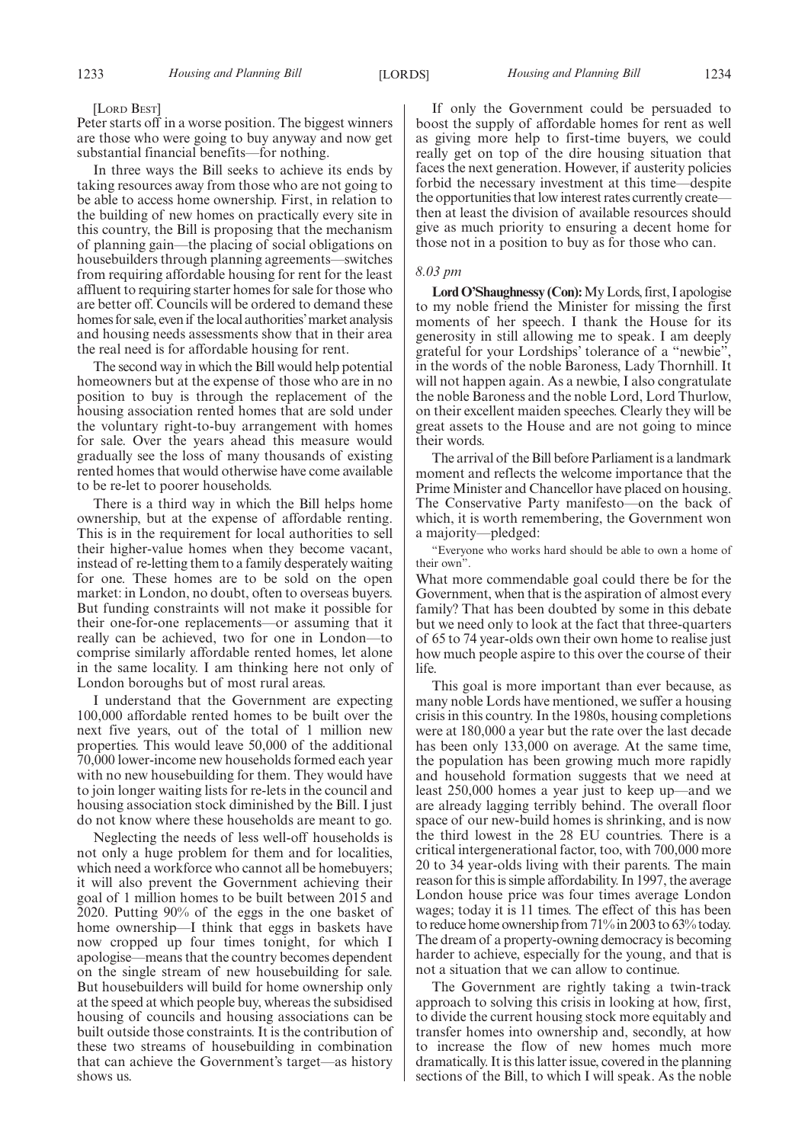[LORD BEST]

Peter starts off in a worse position. The biggest winners are those who were going to buy anyway and now get substantial financial benefits—for nothing.

In three ways the Bill seeks to achieve its ends by taking resources away from those who are not going to be able to access home ownership. First, in relation to the building of new homes on practically every site in this country, the Bill is proposing that the mechanism of planning gain—the placing of social obligations on housebuilders through planning agreements—switches from requiring affordable housing for rent for the least affluent to requiring starter homes for sale for those who are better off. Councils will be ordered to demand these homes for sale, even if the local authorities'market analysis and housing needs assessments show that in their area the real need is for affordable housing for rent.

The second way in which the Bill would help potential homeowners but at the expense of those who are in no position to buy is through the replacement of the housing association rented homes that are sold under the voluntary right-to-buy arrangement with homes for sale. Over the years ahead this measure would gradually see the loss of many thousands of existing rented homes that would otherwise have come available to be re-let to poorer households.

There is a third way in which the Bill helps home ownership, but at the expense of affordable renting. This is in the requirement for local authorities to sell their higher-value homes when they become vacant, instead of re-letting them to a family desperately waiting for one. These homes are to be sold on the open market: in London, no doubt, often to overseas buyers. But funding constraints will not make it possible for their one-for-one replacements—or assuming that it really can be achieved, two for one in London—to comprise similarly affordable rented homes, let alone in the same locality. I am thinking here not only of London boroughs but of most rural areas.

I understand that the Government are expecting 100,000 affordable rented homes to be built over the next five years, out of the total of 1 million new properties. This would leave 50,000 of the additional 70,000 lower-income new households formed each year with no new housebuilding for them. They would have to join longer waiting lists for re-lets in the council and housing association stock diminished by the Bill. I just do not know where these households are meant to go.

Neglecting the needs of less well-off households is not only a huge problem for them and for localities, which need a workforce who cannot all be homebuyers; it will also prevent the Government achieving their goal of 1 million homes to be built between 2015 and 2020. Putting 90% of the eggs in the one basket of home ownership—I think that eggs in baskets have now cropped up four times tonight, for which I apologise—means that the country becomes dependent on the single stream of new housebuilding for sale. But housebuilders will build for home ownership only at the speed at which people buy, whereas the subsidised housing of councils and housing associations can be built outside those constraints. It is the contribution of these two streams of housebuilding in combination that can achieve the Government's target—as history shows us.

If only the Government could be persuaded to boost the supply of affordable homes for rent as well as giving more help to first-time buyers, we could really get on top of the dire housing situation that faces the next generation. However, if austerity policies forbid the necessary investment at this time—despite the opportunities that low interest rates currently create then at least the division of available resources should give as much priority to ensuring a decent home for those not in a position to buy as for those who can.

#### *8.03 pm*

**Lord O'Shaughnessy (Con):**My Lords, first, I apologise to my noble friend the Minister for missing the first moments of her speech. I thank the House for its generosity in still allowing me to speak. I am deeply grateful for your Lordships' tolerance of a "newbie", in the words of the noble Baroness, Lady Thornhill. It will not happen again. As a newbie, I also congratulate the noble Baroness and the noble Lord, Lord Thurlow, on their excellent maiden speeches. Clearly they will be great assets to the House and are not going to mince their words.

The arrival of the Bill before Parliament is a landmark moment and reflects the welcome importance that the Prime Minister and Chancellor have placed on housing. The Conservative Party manifesto—on the back of which, it is worth remembering, the Government won a majority—pledged:

"Everyone who works hard should be able to own a home of their own".

What more commendable goal could there be for the Government, when that is the aspiration of almost every family? That has been doubted by some in this debate but we need only to look at the fact that three-quarters of 65 to 74 year-olds own their own home to realise just how much people aspire to this over the course of their life.

This goal is more important than ever because, as many noble Lords have mentioned, we suffer a housing crisis in this country. In the 1980s, housing completions were at 180,000 a year but the rate over the last decade has been only 133,000 on average. At the same time, the population has been growing much more rapidly and household formation suggests that we need at least 250,000 homes a year just to keep up—and we are already lagging terribly behind. The overall floor space of our new-build homes is shrinking, and is now the third lowest in the 28 EU countries. There is a critical intergenerational factor, too, with 700,000 more 20 to 34 year-olds living with their parents. The main reason for this is simple affordability. In 1997, the average London house price was four times average London wages; today it is 11 times. The effect of this has been to reduce home ownership from 71% in 2003 to 63% today. The dream of a property-owning democracy is becoming harder to achieve, especially for the young, and that is not a situation that we can allow to continue.

The Government are rightly taking a twin-track approach to solving this crisis in looking at how, first, to divide the current housing stock more equitably and transfer homes into ownership and, secondly, at how to increase the flow of new homes much more dramatically. It is this latter issue, covered in the planning sections of the Bill, to which I will speak. As the noble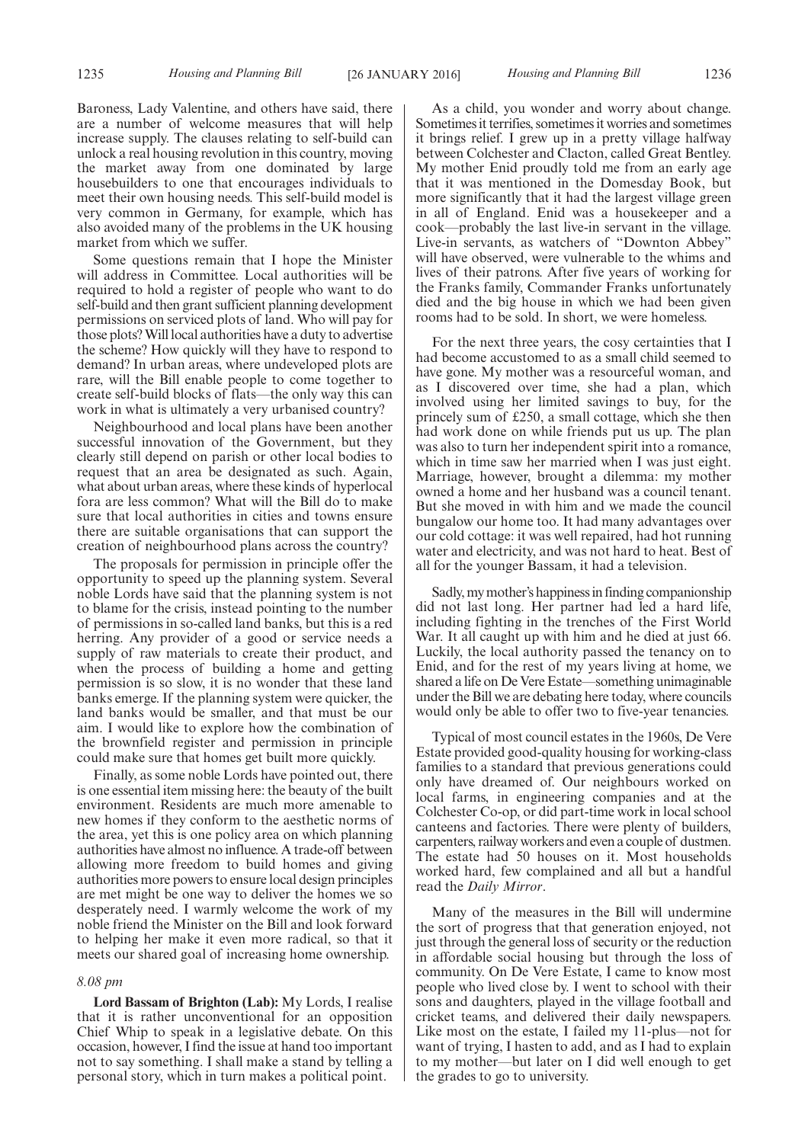Baroness, Lady Valentine, and others have said, there are a number of welcome measures that will help increase supply. The clauses relating to self-build can unlock a real housing revolution in this country, moving the market away from one dominated by large housebuilders to one that encourages individuals to meet their own housing needs. This self-build model is very common in Germany, for example, which has also avoided many of the problems in the UK housing market from which we suffer.

Some questions remain that I hope the Minister will address in Committee. Local authorities will be required to hold a register of people who want to do self-build and then grant sufficient planning development permissions on serviced plots of land. Who will pay for those plots?Will local authorities have a duty to advertise the scheme? How quickly will they have to respond to demand? In urban areas, where undeveloped plots are rare, will the Bill enable people to come together to create self-build blocks of flats—the only way this can work in what is ultimately a very urbanised country?

Neighbourhood and local plans have been another successful innovation of the Government, but they clearly still depend on parish or other local bodies to request that an area be designated as such. Again, what about urban areas, where these kinds of hyperlocal fora are less common? What will the Bill do to make sure that local authorities in cities and towns ensure there are suitable organisations that can support the creation of neighbourhood plans across the country?

The proposals for permission in principle offer the opportunity to speed up the planning system. Several noble Lords have said that the planning system is not to blame for the crisis, instead pointing to the number of permissions in so-called land banks, but this is a red herring. Any provider of a good or service needs a supply of raw materials to create their product, and when the process of building a home and getting permission is so slow, it is no wonder that these land banks emerge. If the planning system were quicker, the land banks would be smaller, and that must be our aim. I would like to explore how the combination of the brownfield register and permission in principle could make sure that homes get built more quickly.

Finally, as some noble Lords have pointed out, there is one essential item missing here: the beauty of the built environment. Residents are much more amenable to new homes if they conform to the aesthetic norms of the area, yet this is one policy area on which planning authorities have almost no influence. A trade-off between allowing more freedom to build homes and giving authorities more powers to ensure local design principles are met might be one way to deliver the homes we so desperately need. I warmly welcome the work of my noble friend the Minister on the Bill and look forward to helping her make it even more radical, so that it meets our shared goal of increasing home ownership.

#### *8.08 pm*

**Lord Bassam of Brighton (Lab):** My Lords, I realise that it is rather unconventional for an opposition Chief Whip to speak in a legislative debate. On this occasion, however, I find the issue at hand too important not to say something. I shall make a stand by telling a personal story, which in turn makes a political point.

As a child, you wonder and worry about change. Sometimes it terrifies, sometimes it worries and sometimes it brings relief. I grew up in a pretty village halfway between Colchester and Clacton, called Great Bentley. My mother Enid proudly told me from an early age that it was mentioned in the Domesday Book, but more significantly that it had the largest village green in all of England. Enid was a housekeeper and a cook—probably the last live-in servant in the village. Live-in servants, as watchers of "Downton Abbey" will have observed, were vulnerable to the whims and lives of their patrons. After five years of working for the Franks family, Commander Franks unfortunately died and the big house in which we had been given rooms had to be sold. In short, we were homeless.

For the next three years, the cosy certainties that I had become accustomed to as a small child seemed to have gone. My mother was a resourceful woman, and as I discovered over time, she had a plan, which involved using her limited savings to buy, for the princely sum of £250, a small cottage, which she then had work done on while friends put us up. The plan was also to turn her independent spirit into a romance, which in time saw her married when I was just eight. Marriage, however, brought a dilemma: my mother owned a home and her husband was a council tenant. But she moved in with him and we made the council bungalow our home too. It had many advantages over our cold cottage: it was well repaired, had hot running water and electricity, and was not hard to heat. Best of all for the younger Bassam, it had a television.

Sadly,mymother's happinessin finding companionship did not last long. Her partner had led a hard life, including fighting in the trenches of the First World War. It all caught up with him and he died at just 66. Luckily, the local authority passed the tenancy on to Enid, and for the rest of my years living at home, we shared a life on De Vere Estate—something unimaginable under the Bill we are debating here today, where councils would only be able to offer two to five-year tenancies.

Typical of most council estates in the 1960s, De Vere Estate provided good-quality housing for working-class families to a standard that previous generations could only have dreamed of. Our neighbours worked on local farms, in engineering companies and at the Colchester Co-op, or did part-time work in local school canteens and factories. There were plenty of builders, carpenters, railway workers and even a couple of dustmen. The estate had 50 houses on it. Most households worked hard, few complained and all but a handful read the *Daily Mirror*.

Many of the measures in the Bill will undermine the sort of progress that that generation enjoyed, not just through the general loss of security or the reduction in affordable social housing but through the loss of community. On De Vere Estate, I came to know most people who lived close by. I went to school with their sons and daughters, played in the village football and cricket teams, and delivered their daily newspapers. Like most on the estate, I failed my 11-plus—not for want of trying, I hasten to add, and as I had to explain to my mother—but later on I did well enough to get the grades to go to university.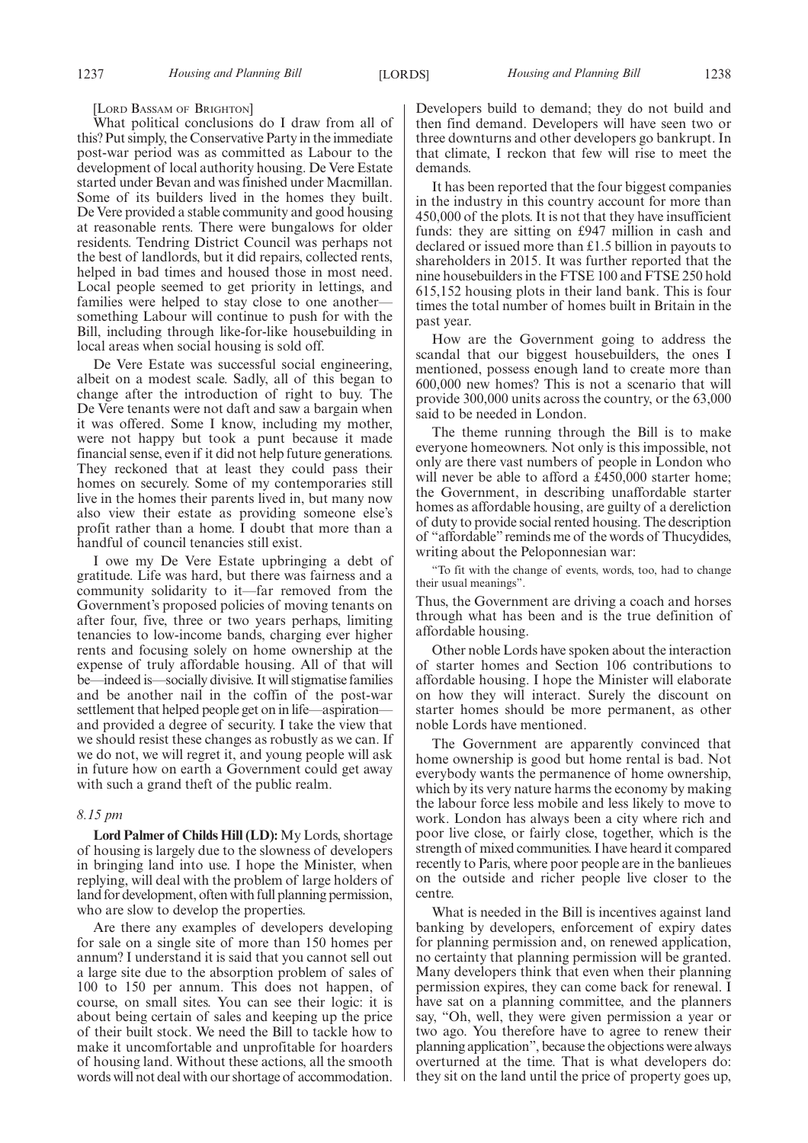[LORD BASSAM OF BRIGHTON]

What political conclusions do I draw from all of this? Put simply, the Conservative Party in the immediate post-war period was as committed as Labour to the development of local authority housing. De Vere Estate started under Bevan and was finished under Macmillan. Some of its builders lived in the homes they built. De Vere provided a stable community and good housing at reasonable rents. There were bungalows for older residents. Tendring District Council was perhaps not the best of landlords, but it did repairs, collected rents, helped in bad times and housed those in most need. Local people seemed to get priority in lettings, and families were helped to stay close to one anothersomething Labour will continue to push for with the Bill, including through like-for-like housebuilding in local areas when social housing is sold off.

De Vere Estate was successful social engineering, albeit on a modest scale. Sadly, all of this began to change after the introduction of right to buy. The De Vere tenants were not daft and saw a bargain when it was offered. Some I know, including my mother, were not happy but took a punt because it made financial sense, even if it did not help future generations. They reckoned that at least they could pass their homes on securely. Some of my contemporaries still live in the homes their parents lived in, but many now also view their estate as providing someone else's profit rather than a home. I doubt that more than a handful of council tenancies still exist.

I owe my De Vere Estate upbringing a debt of gratitude. Life was hard, but there was fairness and a community solidarity to it—far removed from the Government's proposed policies of moving tenants on after four, five, three or two years perhaps, limiting tenancies to low-income bands, charging ever higher rents and focusing solely on home ownership at the expense of truly affordable housing. All of that will be—indeed is—socially divisive. It will stigmatise families and be another nail in the coffin of the post-war settlement that helped people get on in life—aspiration and provided a degree of security. I take the view that we should resist these changes as robustly as we can. If we do not, we will regret it, and young people will ask in future how on earth a Government could get away with such a grand theft of the public realm.

#### *8.15 pm*

**Lord Palmer of Childs Hill (LD):** My Lords, shortage of housing is largely due to the slowness of developers in bringing land into use. I hope the Minister, when replying, will deal with the problem of large holders of land for development, often with full planning permission, who are slow to develop the properties.

Are there any examples of developers developing for sale on a single site of more than 150 homes per annum? I understand it is said that you cannot sell out a large site due to the absorption problem of sales of 100 to 150 per annum. This does not happen, of course, on small sites. You can see their logic: it is about being certain of sales and keeping up the price of their built stock. We need the Bill to tackle how to make it uncomfortable and unprofitable for hoarders of housing land. Without these actions, all the smooth words will not deal with our shortage of accommodation.

Developers build to demand; they do not build and then find demand. Developers will have seen two or three downturns and other developers go bankrupt. In that climate, I reckon that few will rise to meet the demands.

It has been reported that the four biggest companies in the industry in this country account for more than 450,000 of the plots. It is not that they have insufficient funds: they are sitting on £947 million in cash and declared or issued more than £1.5 billion in payouts to shareholders in 2015. It was further reported that the nine housebuilders in the FTSE 100 and FTSE 250 hold 615,152 housing plots in their land bank. This is four times the total number of homes built in Britain in the past year.

How are the Government going to address the scandal that our biggest housebuilders, the ones I mentioned, possess enough land to create more than 600,000 new homes? This is not a scenario that will provide 300,000 units across the country, or the 63,000 said to be needed in London.

The theme running through the Bill is to make everyone homeowners. Not only is this impossible, not only are there vast numbers of people in London who will never be able to afford a  $E450,000$  starter home; the Government, in describing unaffordable starter homes as affordable housing, are guilty of a dereliction of duty to provide social rented housing. The description of "affordable" reminds me of the words of Thucydides, writing about the Peloponnesian war:

"To fit with the change of events, words, too, had to change their usual meanings".

Thus, the Government are driving a coach and horses through what has been and is the true definition of affordable housing.

Other noble Lords have spoken about the interaction of starter homes and Section 106 contributions to affordable housing. I hope the Minister will elaborate on how they will interact. Surely the discount on starter homes should be more permanent, as other noble Lords have mentioned.

The Government are apparently convinced that home ownership is good but home rental is bad. Not everybody wants the permanence of home ownership, which by its very nature harms the economy by making the labour force less mobile and less likely to move to work. London has always been a city where rich and poor live close, or fairly close, together, which is the strength of mixed communities. I have heard it compared recently to Paris, where poor people are in the banlieues on the outside and richer people live closer to the centre.

What is needed in the Bill is incentives against land banking by developers, enforcement of expiry dates for planning permission and, on renewed application, no certainty that planning permission will be granted. Many developers think that even when their planning permission expires, they can come back for renewal. I have sat on a planning committee, and the planners say, "Oh, well, they were given permission a year or two ago. You therefore have to agree to renew their planning application", because the objections were always overturned at the time. That is what developers do: they sit on the land until the price of property goes up,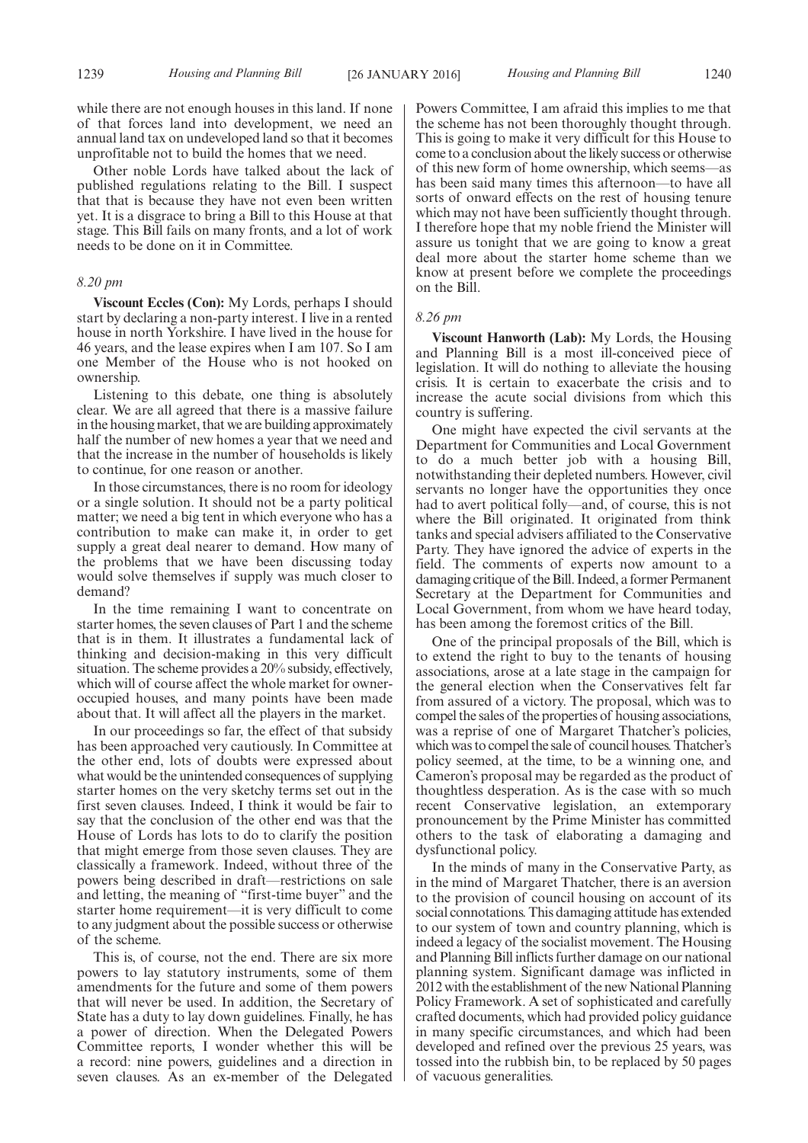while there are not enough houses in this land. If none of that forces land into development, we need an annual land tax on undeveloped land so that it becomes unprofitable not to build the homes that we need.

Other noble Lords have talked about the lack of published regulations relating to the Bill. I suspect that that is because they have not even been written yet. It is a disgrace to bring a Bill to this House at that stage. This Bill fails on many fronts, and a lot of work needs to be done on it in Committee.

#### *8.20 pm*

**Viscount Eccles (Con):** My Lords, perhaps I should start by declaring a non-party interest. I live in a rented house in north Yorkshire. I have lived in the house for 46 years, and the lease expires when I am 107. So I am one Member of the House who is not hooked on ownership.

Listening to this debate, one thing is absolutely clear. We are all agreed that there is a massive failure in the housing market, that we are building approximately half the number of new homes a year that we need and that the increase in the number of households is likely to continue, for one reason or another.

In those circumstances, there is no room for ideology or a single solution. It should not be a party political matter; we need a big tent in which everyone who has a contribution to make can make it, in order to get supply a great deal nearer to demand. How many of the problems that we have been discussing today would solve themselves if supply was much closer to demand?

In the time remaining I want to concentrate on starter homes, the seven clauses of Part 1 and the scheme that is in them. It illustrates a fundamental lack of thinking and decision-making in this very difficult situation. The scheme provides a 20% subsidy, effectively, which will of course affect the whole market for owneroccupied houses, and many points have been made about that. It will affect all the players in the market.

In our proceedings so far, the effect of that subsidy has been approached very cautiously. In Committee at the other end, lots of doubts were expressed about what would be the unintended consequences of supplying starter homes on the very sketchy terms set out in the first seven clauses. Indeed, I think it would be fair to say that the conclusion of the other end was that the House of Lords has lots to do to clarify the position that might emerge from those seven clauses. They are classically a framework. Indeed, without three of the powers being described in draft—restrictions on sale and letting, the meaning of "first-time buyer" and the starter home requirement—it is very difficult to come to any judgment about the possible success or otherwise of the scheme.

This is, of course, not the end. There are six more powers to lay statutory instruments, some of them amendments for the future and some of them powers that will never be used. In addition, the Secretary of State has a duty to lay down guidelines. Finally, he has a power of direction. When the Delegated Powers Committee reports, I wonder whether this will be a record: nine powers, guidelines and a direction in seven clauses. As an ex-member of the Delegated

Powers Committee, I am afraid this implies to me that the scheme has not been thoroughly thought through. This is going to make it very difficult for this House to come to a conclusion about the likely success or otherwise of this new form of home ownership, which seems—as has been said many times this afternoon—to have all sorts of onward effects on the rest of housing tenure which may not have been sufficiently thought through. I therefore hope that my noble friend the Minister will assure us tonight that we are going to know a great deal more about the starter home scheme than we know at present before we complete the proceedings on the Bill.

#### *8.26 pm*

**Viscount Hanworth (Lab):** My Lords, the Housing and Planning Bill is a most ill-conceived piece of legislation. It will do nothing to alleviate the housing crisis. It is certain to exacerbate the crisis and to increase the acute social divisions from which this country is suffering.

One might have expected the civil servants at the Department for Communities and Local Government to do a much better job with a housing Bill, notwithstanding their depleted numbers. However, civil servants no longer have the opportunities they once had to avert political folly—and, of course, this is not where the Bill originated. It originated from think tanks and special advisers affiliated to the Conservative Party. They have ignored the advice of experts in the field. The comments of experts now amount to a damaging critique of the Bill. Indeed, a former Permanent Secretary at the Department for Communities and Local Government, from whom we have heard today, has been among the foremost critics of the Bill.

One of the principal proposals of the Bill, which is to extend the right to buy to the tenants of housing associations, arose at a late stage in the campaign for the general election when the Conservatives felt far from assured of a victory. The proposal, which was to compel the sales of the properties of housing associations, was a reprise of one of Margaret Thatcher's policies, which was to compel the sale of council houses. Thatcher's policy seemed, at the time, to be a winning one, and Cameron's proposal may be regarded as the product of thoughtless desperation. As is the case with so much recent Conservative legislation, an extemporary pronouncement by the Prime Minister has committed others to the task of elaborating a damaging and dysfunctional policy.

In the minds of many in the Conservative Party, as in the mind of Margaret Thatcher, there is an aversion to the provision of council housing on account of its social connotations. This damaging attitude has extended to our system of town and country planning, which is indeed a legacy of the socialist movement. The Housing and Planning Bill inflicts further damage on our national planning system. Significant damage was inflicted in 2012 with the establishment of the new National Planning Policy Framework. A set of sophisticated and carefully crafted documents, which had provided policy guidance in many specific circumstances, and which had been developed and refined over the previous 25 years, was tossed into the rubbish bin, to be replaced by 50 pages of vacuous generalities.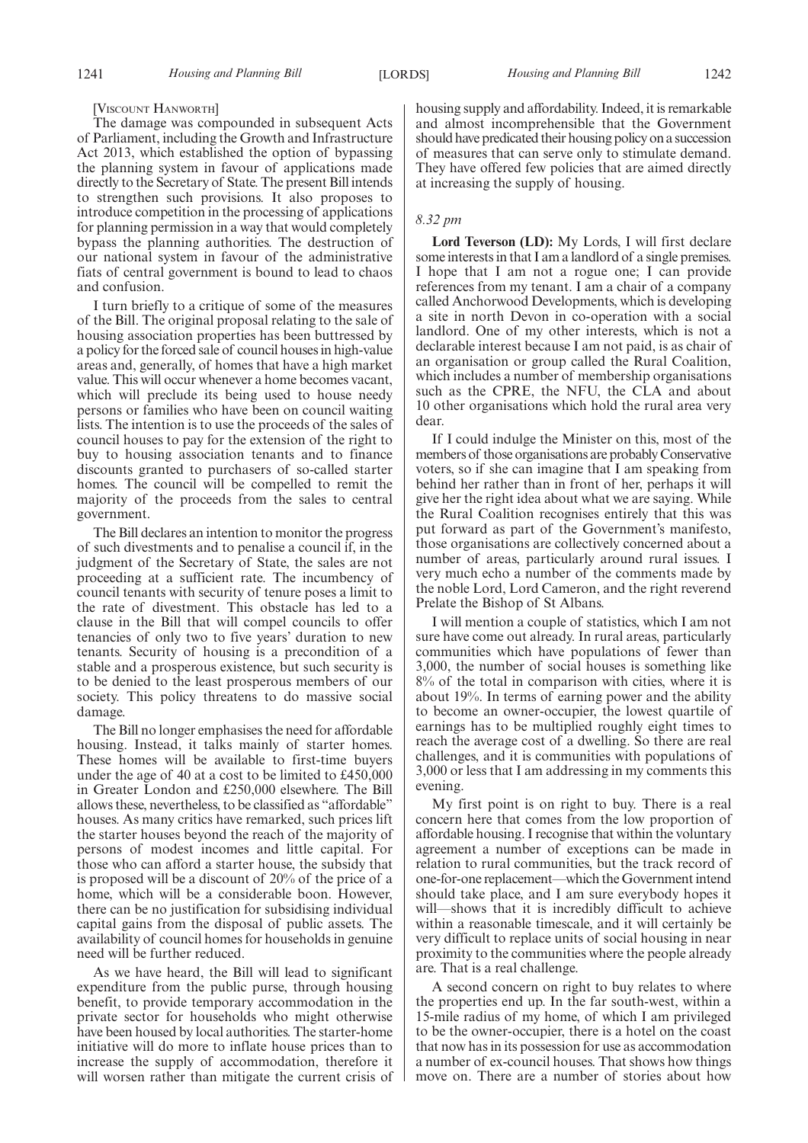#### [VISCOUNT HANWORTH]

The damage was compounded in subsequent Acts of Parliament, including the Growth and Infrastructure Act 2013, which established the option of bypassing the planning system in favour of applications made directly to the Secretary of State. The present Bill intends to strengthen such provisions. It also proposes to introduce competition in the processing of applications for planning permission in a way that would completely bypass the planning authorities. The destruction of our national system in favour of the administrative fiats of central government is bound to lead to chaos and confusion.

I turn briefly to a critique of some of the measures of the Bill. The original proposal relating to the sale of housing association properties has been buttressed by a policy for the forced sale of council houses in high-value areas and, generally, of homes that have a high market value. This will occur whenever a home becomes vacant, which will preclude its being used to house needy persons or families who have been on council waiting lists. The intention is to use the proceeds of the sales of council houses to pay for the extension of the right to buy to housing association tenants and to finance discounts granted to purchasers of so-called starter homes. The council will be compelled to remit the majority of the proceeds from the sales to central government.

The Bill declares an intention to monitor the progress of such divestments and to penalise a council if, in the judgment of the Secretary of State, the sales are not proceeding at a sufficient rate. The incumbency of council tenants with security of tenure poses a limit to the rate of divestment. This obstacle has led to a clause in the Bill that will compel councils to offer tenancies of only two to five years' duration to new tenants. Security of housing is a precondition of a stable and a prosperous existence, but such security is to be denied to the least prosperous members of our society. This policy threatens to do massive social damage.

The Bill no longer emphasises the need for affordable housing. Instead, it talks mainly of starter homes. These homes will be available to first-time buyers under the age of 40 at a cost to be limited to £450,000 in Greater London and £250,000 elsewhere. The Bill allows these, nevertheless, to be classified as "affordable" houses. As many critics have remarked, such prices lift the starter houses beyond the reach of the majority of persons of modest incomes and little capital. For those who can afford a starter house, the subsidy that is proposed will be a discount of 20% of the price of a home, which will be a considerable boon. However, there can be no justification for subsidising individual capital gains from the disposal of public assets. The availability of council homes for households in genuine need will be further reduced.

As we have heard, the Bill will lead to significant expenditure from the public purse, through housing benefit, to provide temporary accommodation in the private sector for households who might otherwise have been housed by local authorities. The starter-home initiative will do more to inflate house prices than to increase the supply of accommodation, therefore it will worsen rather than mitigate the current crisis of housing supply and affordability. Indeed, it is remarkable and almost incomprehensible that the Government should have predicated their housing policy on a succession of measures that can serve only to stimulate demand. They have offered few policies that are aimed directly at increasing the supply of housing.

#### *8.32 pm*

**Lord Teverson (LD):** My Lords, I will first declare some interests in that I am a landlord of a single premises. I hope that I am not a rogue one; I can provide references from my tenant. I am a chair of a company called Anchorwood Developments, which is developing a site in north Devon in co-operation with a social landlord. One of my other interests, which is not a declarable interest because I am not paid, is as chair of an organisation or group called the Rural Coalition, which includes a number of membership organisations such as the CPRE, the NFU, the CLA and about 10 other organisations which hold the rural area very dear.

If I could indulge the Minister on this, most of the members of those organisations are probably Conservative voters, so if she can imagine that I am speaking from behind her rather than in front of her, perhaps it will give her the right idea about what we are saying. While the Rural Coalition recognises entirely that this was put forward as part of the Government's manifesto, those organisations are collectively concerned about a number of areas, particularly around rural issues. I very much echo a number of the comments made by the noble Lord, Lord Cameron, and the right reverend Prelate the Bishop of St Albans.

I will mention a couple of statistics, which I am not sure have come out already. In rural areas, particularly communities which have populations of fewer than 3,000, the number of social houses is something like 8% of the total in comparison with cities, where it is about 19%. In terms of earning power and the ability to become an owner-occupier, the lowest quartile of earnings has to be multiplied roughly eight times to reach the average cost of a dwelling. So there are real challenges, and it is communities with populations of 3,000 or less that I am addressing in my comments this evening.

My first point is on right to buy. There is a real concern here that comes from the low proportion of affordable housing. I recognise that within the voluntary agreement a number of exceptions can be made in relation to rural communities, but the track record of one-for-one replacement—which the Government intend should take place, and I am sure everybody hopes it will—shows that it is incredibly difficult to achieve within a reasonable timescale, and it will certainly be very difficult to replace units of social housing in near proximity to the communities where the people already are. That is a real challenge.

A second concern on right to buy relates to where the properties end up. In the far south-west, within a 15-mile radius of my home, of which I am privileged to be the owner-occupier, there is a hotel on the coast that now has in its possession for use as accommodation a number of ex-council houses. That shows how things move on. There are a number of stories about how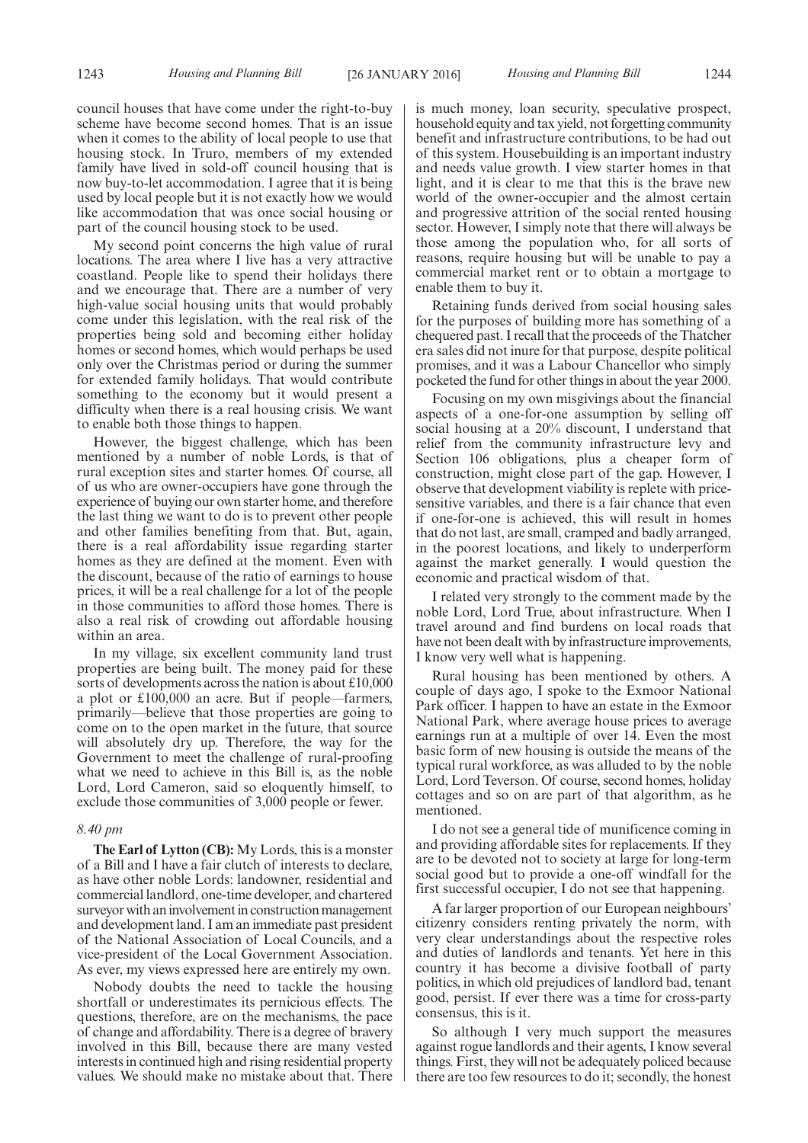council houses that have come under the right-to-buy scheme have become second homes. That is an issue when it comes to the ability of local people to use that housing stock. In Truro, members of my extended family have lived in sold-off council housing that is now buy-to-let accommodation. I agree that it is being used by local people but it is not exactly how we would like accommodation that was once social housing or part of the council housing stock to be used.

My second point concerns the high value of rural locations. The area where I live has a very attractive coastland. People like to spend their holidays there and we encourage that. There are a number of very high-value social housing units that would probably come under this legislation, with the real risk of the properties being sold and becoming either holiday homes or second homes, which would perhaps be used only over the Christmas period or during the summer for extended family holidays. That would contribute something to the economy but it would present a difficulty when there is a real housing crisis. We want to enable both those things to happen.

However, the biggest challenge, which has been mentioned by a number of noble Lords, is that of rural exception sites and starter homes. Of course, all of us who are owner-occupiers have gone through the experience of buying our own starter home, and therefore the last thing we want to do is to prevent other people and other families benefiting from that. But, again, there is a real affordability issue regarding starter homes as they are defined at the moment. Even with the discount, because of the ratio of earnings to house prices, it will be a real challenge for a lot of the people in those communities to afford those homes. There is also a real risk of crowding out affordable housing within an area.

In my village, six excellent community land trust properties are being built. The money paid for these sorts of developments across the nation is about £10,000 a plot or £100,000 an acre. But if people—farmers, primarily—believe that those properties are going to come on to the open market in the future, that source will absolutely dry up. Therefore, the way for the Government to meet the challenge of rural-proofing what we need to achieve in this Bill is, as the noble Lord, Lord Cameron, said so eloquently himself, to exclude those communities of 3,000 people or fewer.

#### *8.40 pm*

**The Earl of Lytton (CB):** My Lords, this is a monster of a Bill and I have a fair clutch of interests to declare, as have other noble Lords: landowner, residential and commercial landlord, one-time developer, and chartered surveyor with an involvement in construction management and development land. I am an immediate past president of the National Association of Local Councils, and a vice-president of the Local Government Association. As ever, my views expressed here are entirely my own.

Nobody doubts the need to tackle the housing shortfall or underestimates its pernicious effects. The questions, therefore, are on the mechanisms, the pace of change and affordability. There is a degree of bravery involved in this Bill, because there are many vested interests in continued high and rising residential property values. We should make no mistake about that. There is much money, loan security, speculative prospect, household equity and tax yield, not forgetting community benefit and infrastructure contributions, to be had out of this system. Housebuilding is an important industry and needs value growth. I view starter homes in that light, and it is clear to me that this is the brave new world of the owner-occupier and the almost certain and progressive attrition of the social rented housing sector. However, I simply note that there will always be those among the population who, for all sorts of reasons, require housing but will be unable to pay a commercial market rent or to obtain a mortgage to enable them to buy it.

Retaining funds derived from social housing sales for the purposes of building more has something of a chequered past. I recall that the proceeds of the Thatcher era sales did not inure for that purpose, despite political promises, and it was a Labour Chancellor who simply pocketed the fund for other things in about the year 2000.

Focusing on my own misgivings about the financial aspects of a one-for-one assumption by selling off social housing at a 20% discount, I understand that relief from the community infrastructure levy and Section 106 obligations, plus a cheaper form of construction, might close part of the gap. However, I observe that development viability is replete with pricesensitive variables, and there is a fair chance that even if one-for-one is achieved, this will result in homes that do not last, are small, cramped and badly arranged, in the poorest locations, and likely to underperform against the market generally. I would question the economic and practical wisdom of that.

I related very strongly to the comment made by the noble Lord, Lord True, about infrastructure. When I travel around and find burdens on local roads that have not been dealt with by infrastructure improvements, I know very well what is happening.

Rural housing has been mentioned by others. A couple of days ago, I spoke to the Exmoor National Park officer. I happen to have an estate in the Exmoor National Park, where average house prices to average earnings run at a multiple of over 14. Even the most basic form of new housing is outside the means of the typical rural workforce, as was alluded to by the noble Lord, Lord Teverson. Of course, second homes, holiday cottages and so on are part of that algorithm, as he mentioned.

I do not see a general tide of munificence coming in and providing affordable sites for replacements. If they are to be devoted not to society at large for long-term social good but to provide a one-off windfall for the first successful occupier, I do not see that happening.

A far larger proportion of our European neighbours' citizenry considers renting privately the norm, with very clear understandings about the respective roles and duties of landlords and tenants. Yet here in this country it has become a divisive football of party politics, in which old prejudices of landlord bad, tenant good, persist. If ever there was a time for cross-party consensus, this is it.

So although I very much support the measures against rogue landlords and their agents, I know several things. First, they will not be adequately policed because there are too few resources to do it; secondly, the honest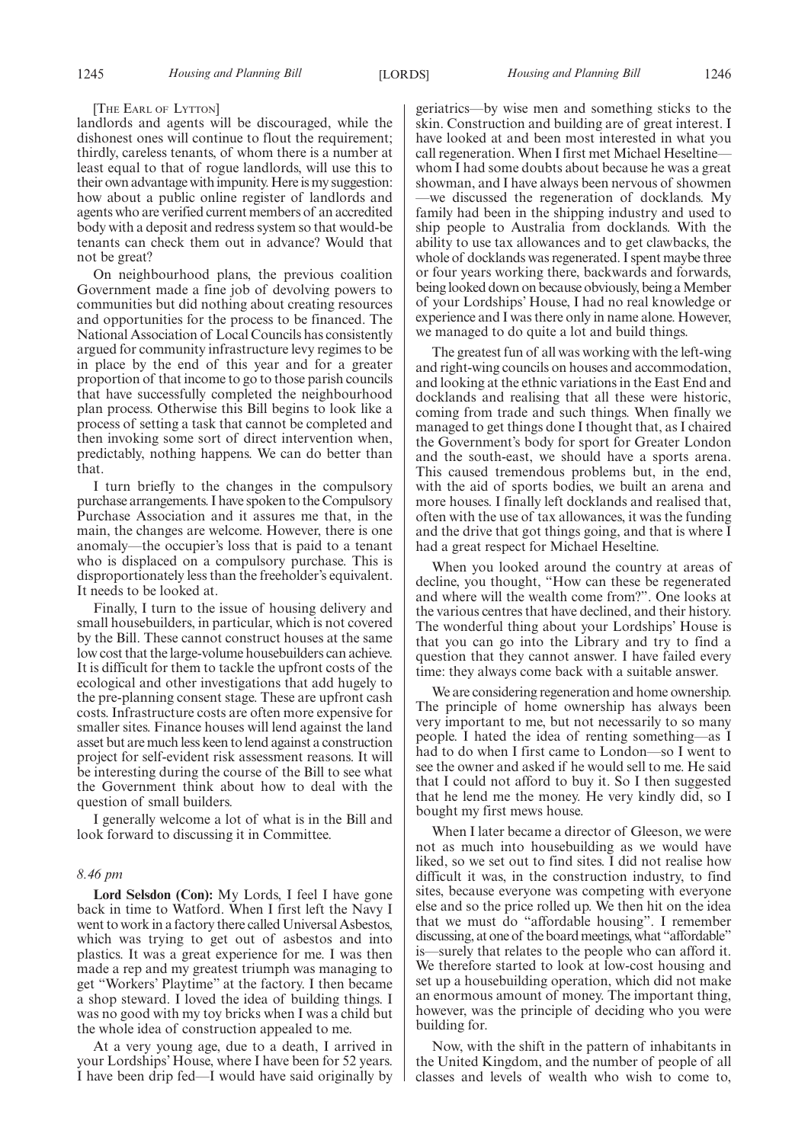#### [THE EARL OF LYTTON]

landlords and agents will be discouraged, while the dishonest ones will continue to flout the requirement; thirdly, careless tenants, of whom there is a number at least equal to that of rogue landlords, will use this to their own advantage with impunity. Here is my suggestion: how about a public online register of landlords and agents who are verified current members of an accredited body with a deposit and redress system so that would-be tenants can check them out in advance? Would that not be great?

On neighbourhood plans, the previous coalition Government made a fine job of devolving powers to communities but did nothing about creating resources and opportunities for the process to be financed. The National Association of Local Councils has consistently argued for community infrastructure levy regimes to be in place by the end of this year and for a greater proportion of that income to go to those parish councils that have successfully completed the neighbourhood plan process. Otherwise this Bill begins to look like a process of setting a task that cannot be completed and then invoking some sort of direct intervention when, predictably, nothing happens. We can do better than that.

I turn briefly to the changes in the compulsory purchase arrangements. I have spoken to the Compulsory Purchase Association and it assures me that, in the main, the changes are welcome. However, there is one anomaly—the occupier's loss that is paid to a tenant who is displaced on a compulsory purchase. This is disproportionately less than the freeholder's equivalent. It needs to be looked at.

Finally, I turn to the issue of housing delivery and small housebuilders, in particular, which is not covered by the Bill. These cannot construct houses at the same low cost that the large-volume housebuilders can achieve. It is difficult for them to tackle the upfront costs of the ecological and other investigations that add hugely to the pre-planning consent stage. These are upfront cash costs. Infrastructure costs are often more expensive for smaller sites. Finance houses will lend against the land asset but are much less keen to lend against a construction project for self-evident risk assessment reasons. It will be interesting during the course of the Bill to see what the Government think about how to deal with the question of small builders.

I generally welcome a lot of what is in the Bill and look forward to discussing it in Committee.

#### *8.46 pm*

**Lord Selsdon (Con):** My Lords, I feel I have gone back in time to Watford. When I first left the Navy I went to work in a factory there called Universal Asbestos, which was trying to get out of asbestos and into plastics. It was a great experience for me. I was then made a rep and my greatest triumph was managing to get "Workers' Playtime" at the factory. I then became a shop steward. I loved the idea of building things. I was no good with my toy bricks when I was a child but the whole idea of construction appealed to me.

At a very young age, due to a death, I arrived in your Lordships' House, where I have been for 52 years. I have been drip fed—I would have said originally by geriatrics—by wise men and something sticks to the skin. Construction and building are of great interest. I have looked at and been most interested in what you call regeneration. When I first met Michael Heseltine whom I had some doubts about because he was a great showman, and I have always been nervous of showmen —we discussed the regeneration of docklands. My family had been in the shipping industry and used to ship people to Australia from docklands. With the ability to use tax allowances and to get clawbacks, the whole of docklands was regenerated. I spent maybe three or four years working there, backwards and forwards, being looked down on because obviously, being a Member of your Lordships' House, I had no real knowledge or experience and I was there only in name alone. However, we managed to do quite a lot and build things.

The greatest fun of all was working with the left-wing and right-wing councils on houses and accommodation, and looking at the ethnic variations in the East End and docklands and realising that all these were historic, coming from trade and such things. When finally we managed to get things done I thought that, as I chaired the Government's body for sport for Greater London and the south-east, we should have a sports arena. This caused tremendous problems but, in the end, with the aid of sports bodies, we built an arena and more houses. I finally left docklands and realised that, often with the use of tax allowances, it was the funding and the drive that got things going, and that is where I had a great respect for Michael Heseltine.

When you looked around the country at areas of decline, you thought, "How can these be regenerated and where will the wealth come from?". One looks at the various centres that have declined, and their history. The wonderful thing about your Lordships' House is that you can go into the Library and try to find a question that they cannot answer. I have failed every time: they always come back with a suitable answer.

We are considering regeneration and home ownership. The principle of home ownership has always been very important to me, but not necessarily to so many people. I hated the idea of renting something—as I had to do when I first came to London—so I went to see the owner and asked if he would sell to me. He said that I could not afford to buy it. So I then suggested that he lend me the money. He very kindly did, so I bought my first mews house.

When I later became a director of Gleeson, we were not as much into housebuilding as we would have liked, so we set out to find sites. I did not realise how difficult it was, in the construction industry, to find sites, because everyone was competing with everyone else and so the price rolled up. We then hit on the idea that we must do "affordable housing". I remember discussing, at one of the board meetings, what "affordable" is—surely that relates to the people who can afford it. We therefore started to look at low-cost housing and set up a housebuilding operation, which did not make an enormous amount of money. The important thing, however, was the principle of deciding who you were building for.

Now, with the shift in the pattern of inhabitants in the United Kingdom, and the number of people of all classes and levels of wealth who wish to come to,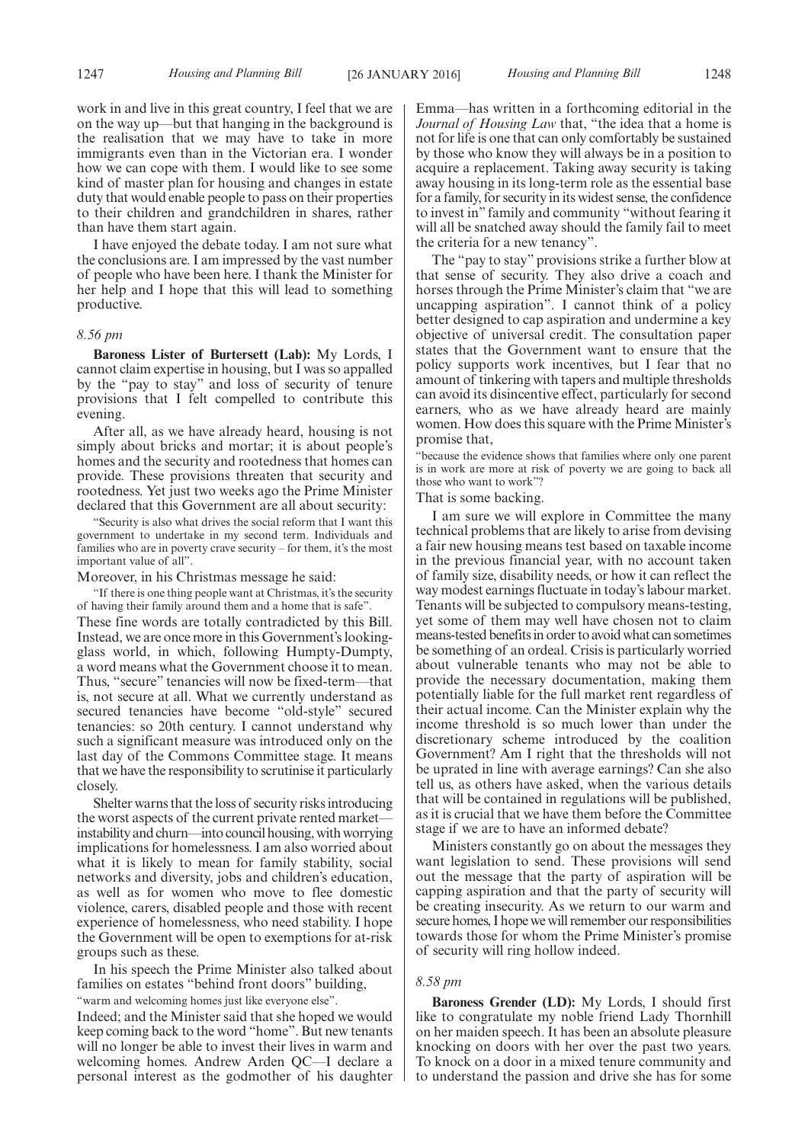work in and live in this great country, I feel that we are on the way up—but that hanging in the background is the realisation that we may have to take in more immigrants even than in the Victorian era. I wonder how we can cope with them. I would like to see some kind of master plan for housing and changes in estate duty that would enable people to pass on their properties to their children and grandchildren in shares, rather than have them start again.

I have enjoyed the debate today. I am not sure what the conclusions are. I am impressed by the vast number of people who have been here. I thank the Minister for her help and I hope that this will lead to something productive.

#### *8.56 pm*

**Baroness Lister of Burtersett (Lab):** My Lords, I cannot claim expertise in housing, but I was so appalled by the "pay to stay" and loss of security of tenure provisions that I felt compelled to contribute this evening.

After all, as we have already heard, housing is not simply about bricks and mortar; it is about people's homes and the security and rootedness that homes can provide. These provisions threaten that security and rootedness. Yet just two weeks ago the Prime Minister declared that this Government are all about security:

"Security is also what drives the social reform that I want this government to undertake in my second term. Individuals and families who are in poverty crave security – for them, it's the most important value of all".

Moreover, in his Christmas message he said:

"If there is one thing people want at Christmas, it's the security of having their family around them and a home that is safe". These fine words are totally contradicted by this Bill. Instead, we are once more in this Government's lookingglass world, in which, following Humpty-Dumpty, a word means what the Government choose it to mean. Thus, "secure" tenancies will now be fixed-term—that is, not secure at all. What we currently understand as secured tenancies have become "old-style" secured tenancies: so 20th century. I cannot understand why such a significant measure was introduced only on the last day of the Commons Committee stage. It means that we have the responsibility to scrutinise it particularly closely.

Shelter warns that the loss of security risks introducing the worst aspects of the current private rented market instability and churn—into council housing, with worrying implications for homelessness. I am also worried about what it is likely to mean for family stability, social networks and diversity, jobs and children's education, as well as for women who move to flee domestic violence, carers, disabled people and those with recent experience of homelessness, who need stability. I hope the Government will be open to exemptions for at-risk groups such as these.

In his speech the Prime Minister also talked about families on estates "behind front doors" building,

"warm and welcoming homes just like everyone else".

Indeed; and the Minister said that she hoped we would keep coming back to the word "home". But new tenants will no longer be able to invest their lives in warm and welcoming homes. Andrew Arden QC—I declare a personal interest as the godmother of his daughter Emma—has written in a forthcoming editorial in the *Journal of Housing Law* that, "the idea that a home is not for life is one that can only comfortably be sustained by those who know they will always be in a position to acquire a replacement. Taking away security is taking away housing in its long-term role as the essential base for a family, for security in its widest sense, the confidence to invest in" family and community "without fearing it will all be snatched away should the family fail to meet the criteria for a new tenancy".

The "pay to stay" provisions strike a further blow at that sense of security. They also drive a coach and horses through the Prime Minister's claim that "we are uncapping aspiration". I cannot think of a policy better designed to cap aspiration and undermine a key objective of universal credit. The consultation paper states that the Government want to ensure that the policy supports work incentives, but I fear that no amount of tinkering with tapers and multiple thresholds can avoid its disincentive effect, particularly for second earners, who as we have already heard are mainly women. How does this square with the Prime Minister's promise that,

"because the evidence shows that families where only one parent is in work are more at risk of poverty we are going to back all those who want to work"?

#### That is some backing.

I am sure we will explore in Committee the many technical problems that are likely to arise from devising a fair new housing means test based on taxable income in the previous financial year, with no account taken of family size, disability needs, or how it can reflect the way modest earnings fluctuate in today's labour market. Tenants will be subjected to compulsory means-testing, yet some of them may well have chosen not to claim means-tested benefitsin order to avoid what can sometimes be something of an ordeal. Crisis is particularly worried about vulnerable tenants who may not be able to provide the necessary documentation, making them potentially liable for the full market rent regardless of their actual income. Can the Minister explain why the income threshold is so much lower than under the discretionary scheme introduced by the coalition Government? Am I right that the thresholds will not be uprated in line with average earnings? Can she also tell us, as others have asked, when the various details that will be contained in regulations will be published, as it is crucial that we have them before the Committee stage if we are to have an informed debate?

Ministers constantly go on about the messages they want legislation to send. These provisions will send out the message that the party of aspiration will be capping aspiration and that the party of security will be creating insecurity. As we return to our warm and secure homes, I hope we will remember our responsibilities towards those for whom the Prime Minister's promise of security will ring hollow indeed.

#### *8.58 pm*

**Baroness Grender (LD):** My Lords, I should first like to congratulate my noble friend Lady Thornhill on her maiden speech. It has been an absolute pleasure knocking on doors with her over the past two years. To knock on a door in a mixed tenure community and to understand the passion and drive she has for some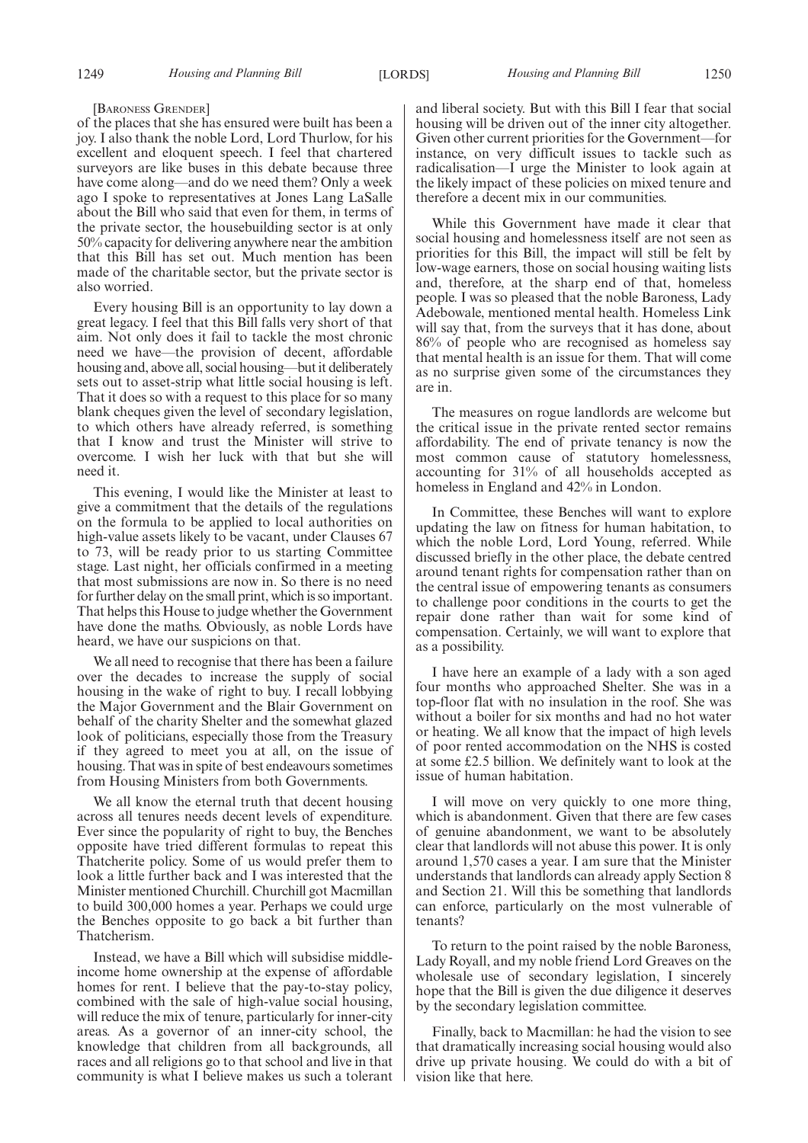#### [BARONESS GRENDER]

of the places that she has ensured were built has been a joy. I also thank the noble Lord, Lord Thurlow, for his excellent and eloquent speech. I feel that chartered surveyors are like buses in this debate because three have come along—and do we need them? Only a week ago I spoke to representatives at Jones Lang LaSalle about the Bill who said that even for them, in terms of the private sector, the housebuilding sector is at only 50% capacity for delivering anywhere near the ambition that this Bill has set out. Much mention has been made of the charitable sector, but the private sector is also worried.

Every housing Bill is an opportunity to lay down a great legacy. I feel that this Bill falls very short of that aim. Not only does it fail to tackle the most chronic need we have—the provision of decent, affordable housing and, above all, social housing—but it deliberately sets out to asset-strip what little social housing is left. That it does so with a request to this place for so many blank cheques given the level of secondary legislation, to which others have already referred, is something that I know and trust the Minister will strive to overcome. I wish her luck with that but she will need it.

This evening, I would like the Minister at least to give a commitment that the details of the regulations on the formula to be applied to local authorities on high-value assets likely to be vacant, under Clauses 67 to 73, will be ready prior to us starting Committee stage. Last night, her officials confirmed in a meeting that most submissions are now in. So there is no need for further delay on the small print, which is so important. That helps this House to judge whether the Government have done the maths. Obviously, as noble Lords have heard, we have our suspicions on that.

We all need to recognise that there has been a failure over the decades to increase the supply of social housing in the wake of right to buy. I recall lobbying the Major Government and the Blair Government on behalf of the charity Shelter and the somewhat glazed look of politicians, especially those from the Treasury if they agreed to meet you at all, on the issue of housing. That was in spite of best endeavours sometimes from Housing Ministers from both Governments.

We all know the eternal truth that decent housing across all tenures needs decent levels of expenditure. Ever since the popularity of right to buy, the Benches opposite have tried different formulas to repeat this Thatcherite policy. Some of us would prefer them to look a little further back and I was interested that the Minister mentioned Churchill. Churchill got Macmillan to build 300,000 homes a year. Perhaps we could urge the Benches opposite to go back a bit further than Thatcherism.

Instead, we have a Bill which will subsidise middleincome home ownership at the expense of affordable homes for rent. I believe that the pay-to-stay policy, combined with the sale of high-value social housing, will reduce the mix of tenure, particularly for inner-city areas. As a governor of an inner-city school, the knowledge that children from all backgrounds, all races and all religions go to that school and live in that community is what I believe makes us such a tolerant and liberal society. But with this Bill I fear that social housing will be driven out of the inner city altogether. Given other current priorities for the Government—for instance, on very difficult issues to tackle such as radicalisation—I urge the Minister to look again at the likely impact of these policies on mixed tenure and therefore a decent mix in our communities.

While this Government have made it clear that social housing and homelessness itself are not seen as priorities for this Bill, the impact will still be felt by low-wage earners, those on social housing waiting lists and, therefore, at the sharp end of that, homeless people. I was so pleased that the noble Baroness, Lady Adebowale, mentioned mental health. Homeless Link will say that, from the surveys that it has done, about 86% of people who are recognised as homeless say that mental health is an issue for them. That will come as no surprise given some of the circumstances they are in.

The measures on rogue landlords are welcome but the critical issue in the private rented sector remains affordability. The end of private tenancy is now the most common cause of statutory homelessness, accounting for 31% of all households accepted as homeless in England and 42% in London.

In Committee, these Benches will want to explore updating the law on fitness for human habitation, to which the noble Lord, Lord Young, referred. While discussed briefly in the other place, the debate centred around tenant rights for compensation rather than on the central issue of empowering tenants as consumers to challenge poor conditions in the courts to get the repair done rather than wait for some kind of compensation. Certainly, we will want to explore that as a possibility.

I have here an example of a lady with a son aged four months who approached Shelter. She was in a top-floor flat with no insulation in the roof. She was without a boiler for six months and had no hot water or heating. We all know that the impact of high levels of poor rented accommodation on the NHS is costed at some £2.5 billion. We definitely want to look at the issue of human habitation.

I will move on very quickly to one more thing, which is abandonment. Given that there are few cases of genuine abandonment, we want to be absolutely clear that landlords will not abuse this power. It is only around 1,570 cases a year. I am sure that the Minister understands that landlords can already apply Section 8 and Section 21. Will this be something that landlords can enforce, particularly on the most vulnerable of tenants?

To return to the point raised by the noble Baroness, Lady Royall, and my noble friend Lord Greaves on the wholesale use of secondary legislation, I sincerely hope that the Bill is given the due diligence it deserves by the secondary legislation committee.

Finally, back to Macmillan: he had the vision to see that dramatically increasing social housing would also drive up private housing. We could do with a bit of vision like that here.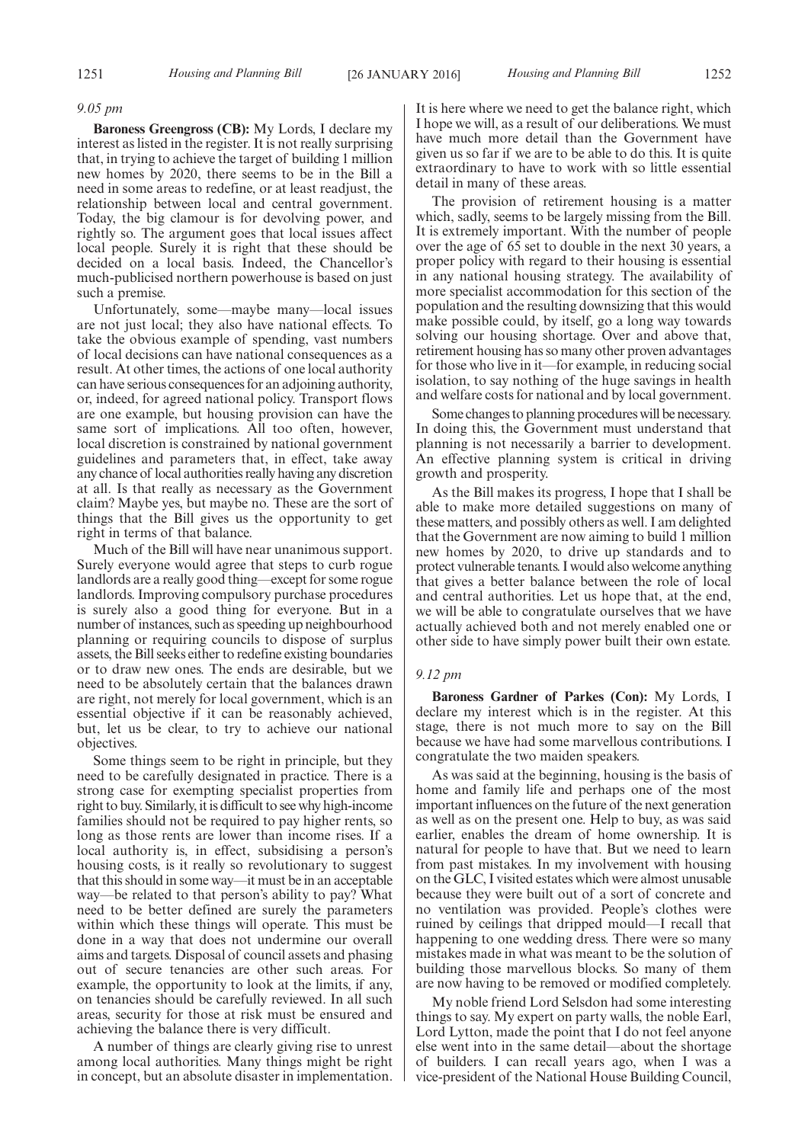#### *9.05 pm*

**Baroness Greengross (CB):** My Lords, I declare my interest as listed in the register. It is not really surprising that, in trying to achieve the target of building 1 million new homes by 2020, there seems to be in the Bill a need in some areas to redefine, or at least readjust, the relationship between local and central government. Today, the big clamour is for devolving power, and rightly so. The argument goes that local issues affect local people. Surely it is right that these should be decided on a local basis. Indeed, the Chancellor's much-publicised northern powerhouse is based on just such a premise.

Unfortunately, some—maybe many—local issues are not just local; they also have national effects. To take the obvious example of spending, vast numbers of local decisions can have national consequences as a result. At other times, the actions of one local authority can have serious consequences for an adjoining authority, or, indeed, for agreed national policy. Transport flows are one example, but housing provision can have the same sort of implications. All too often, however, local discretion is constrained by national government guidelines and parameters that, in effect, take away any chance of local authorities really having any discretion at all. Is that really as necessary as the Government claim? Maybe yes, but maybe no. These are the sort of things that the Bill gives us the opportunity to get right in terms of that balance.

Much of the Bill will have near unanimous support. Surely everyone would agree that steps to curb rogue landlords are a really good thing—except for some rogue landlords. Improving compulsory purchase procedures is surely also a good thing for everyone. But in a number of instances, such as speeding up neighbourhood planning or requiring councils to dispose of surplus assets, the Bill seeks either to redefine existing boundaries or to draw new ones. The ends are desirable, but we need to be absolutely certain that the balances drawn are right, not merely for local government, which is an essential objective if it can be reasonably achieved, but, let us be clear, to try to achieve our national objectives.

Some things seem to be right in principle, but they need to be carefully designated in practice. There is a strong case for exempting specialist properties from right to buy. Similarly, it is difficult to see why high-income families should not be required to pay higher rents, so long as those rents are lower than income rises. If a local authority is, in effect, subsidising a person's housing costs, is it really so revolutionary to suggest that this should in some way—it must be in an acceptable way—be related to that person's ability to pay? What need to be better defined are surely the parameters within which these things will operate. This must be done in a way that does not undermine our overall aims and targets. Disposal of council assets and phasing out of secure tenancies are other such areas. For example, the opportunity to look at the limits, if any, on tenancies should be carefully reviewed. In all such areas, security for those at risk must be ensured and achieving the balance there is very difficult.

A number of things are clearly giving rise to unrest among local authorities. Many things might be right in concept, but an absolute disaster in implementation. It is here where we need to get the balance right, which I hope we will, as a result of our deliberations. We must have much more detail than the Government have given us so far if we are to be able to do this. It is quite extraordinary to have to work with so little essential detail in many of these areas.

The provision of retirement housing is a matter which, sadly, seems to be largely missing from the Bill. It is extremely important. With the number of people over the age of 65 set to double in the next 30 years, a proper policy with regard to their housing is essential in any national housing strategy. The availability of more specialist accommodation for this section of the population and the resulting downsizing that this would make possible could, by itself, go a long way towards solving our housing shortage. Over and above that, retirement housing has so many other proven advantages for those who live in it—for example, in reducing social isolation, to say nothing of the huge savings in health and welfare costs for national and by local government.

Some changes to planning procedures will be necessary. In doing this, the Government must understand that planning is not necessarily a barrier to development. An effective planning system is critical in driving growth and prosperity.

As the Bill makes its progress, I hope that I shall be able to make more detailed suggestions on many of these matters, and possibly others as well. I am delighted that the Government are now aiming to build 1 million new homes by 2020, to drive up standards and to protect vulnerable tenants. I would also welcome anything that gives a better balance between the role of local and central authorities. Let us hope that, at the end, we will be able to congratulate ourselves that we have actually achieved both and not merely enabled one or other side to have simply power built their own estate.

#### *9.12 pm*

**Baroness Gardner of Parkes (Con):** My Lords, I declare my interest which is in the register. At this stage, there is not much more to say on the Bill because we have had some marvellous contributions. I congratulate the two maiden speakers.

As was said at the beginning, housing is the basis of home and family life and perhaps one of the most important influences on the future of the next generation as well as on the present one. Help to buy, as was said earlier, enables the dream of home ownership. It is natural for people to have that. But we need to learn from past mistakes. In my involvement with housing on the GLC, I visited estates which were almost unusable because they were built out of a sort of concrete and no ventilation was provided. People's clothes were ruined by ceilings that dripped mould—I recall that happening to one wedding dress. There were so many mistakes made in what was meant to be the solution of building those marvellous blocks. So many of them are now having to be removed or modified completely.

My noble friend Lord Selsdon had some interesting things to say. My expert on party walls, the noble Earl, Lord Lytton, made the point that I do not feel anyone else went into in the same detail—about the shortage of builders. I can recall years ago, when I was a vice-president of the National House Building Council,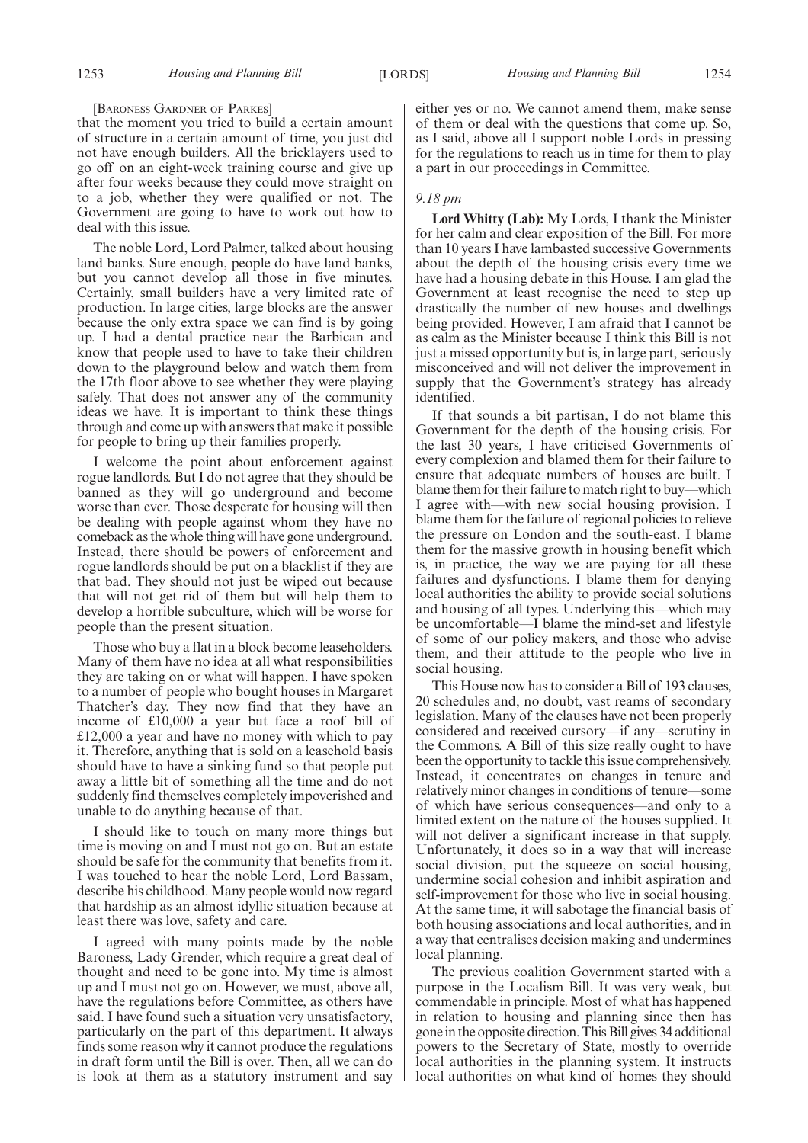#### [BARONESS GARDNER OF PARKES]

that the moment you tried to build a certain amount of structure in a certain amount of time, you just did not have enough builders. All the bricklayers used to go off on an eight-week training course and give up after four weeks because they could move straight on to a job, whether they were qualified or not. The Government are going to have to work out how to deal with this issue.

The noble Lord, Lord Palmer, talked about housing land banks. Sure enough, people do have land banks, but you cannot develop all those in five minutes. Certainly, small builders have a very limited rate of production. In large cities, large blocks are the answer because the only extra space we can find is by going up. I had a dental practice near the Barbican and know that people used to have to take their children down to the playground below and watch them from the 17th floor above to see whether they were playing safely. That does not answer any of the community ideas we have. It is important to think these things through and come up with answers that make it possible for people to bring up their families properly.

I welcome the point about enforcement against rogue landlords. But I do not agree that they should be banned as they will go underground and become worse than ever. Those desperate for housing will then be dealing with people against whom they have no comeback as the whole thing will have gone underground. Instead, there should be powers of enforcement and rogue landlords should be put on a blacklist if they are that bad. They should not just be wiped out because that will not get rid of them but will help them to develop a horrible subculture, which will be worse for people than the present situation.

Those who buy a flat in a block become leaseholders. Many of them have no idea at all what responsibilities they are taking on or what will happen. I have spoken to a number of people who bought houses in Margaret Thatcher's day. They now find that they have an income of £10,000 a year but face a roof bill of £12,000 a year and have no money with which to pay it. Therefore, anything that is sold on a leasehold basis should have to have a sinking fund so that people put away a little bit of something all the time and do not suddenly find themselves completely impoverished and unable to do anything because of that.

I should like to touch on many more things but time is moving on and I must not go on. But an estate should be safe for the community that benefits from it. I was touched to hear the noble Lord, Lord Bassam, describe his childhood. Many people would now regard that hardship as an almost idyllic situation because at least there was love, safety and care.

I agreed with many points made by the noble Baroness, Lady Grender, which require a great deal of thought and need to be gone into. My time is almost up and I must not go on. However, we must, above all, have the regulations before Committee, as others have said. I have found such a situation very unsatisfactory, particularly on the part of this department. It always finds some reason why it cannot produce the regulations in draft form until the Bill is over. Then, all we can do is look at them as a statutory instrument and say

either yes or no. We cannot amend them, make sense of them or deal with the questions that come up. So, as I said, above all I support noble Lords in pressing for the regulations to reach us in time for them to play a part in our proceedings in Committee.

#### *9.18 pm*

**Lord Whitty (Lab):** My Lords, I thank the Minister for her calm and clear exposition of the Bill. For more than 10 years I have lambasted successive Governments about the depth of the housing crisis every time we have had a housing debate in this House. I am glad the Government at least recognise the need to step up drastically the number of new houses and dwellings being provided. However, I am afraid that I cannot be as calm as the Minister because I think this Bill is not just a missed opportunity but is, in large part, seriously misconceived and will not deliver the improvement in supply that the Government's strategy has already identified.

If that sounds a bit partisan, I do not blame this Government for the depth of the housing crisis. For the last 30 years, I have criticised Governments of every complexion and blamed them for their failure to ensure that adequate numbers of houses are built. I blame them for their failure to match right to buy—which I agree with—with new social housing provision. I blame them for the failure of regional policies to relieve the pressure on London and the south-east. I blame them for the massive growth in housing benefit which is, in practice, the way we are paying for all these failures and dysfunctions. I blame them for denying local authorities the ability to provide social solutions and housing of all types. Underlying this—which may be uncomfortable—I blame the mind-set and lifestyle of some of our policy makers, and those who advise them, and their attitude to the people who live in social housing.

This House now has to consider a Bill of 193 clauses, 20 schedules and, no doubt, vast reams of secondary legislation. Many of the clauses have not been properly considered and received cursory—if any—scrutiny in the Commons. A Bill of this size really ought to have been the opportunity to tackle this issue comprehensively. Instead, it concentrates on changes in tenure and relatively minor changes in conditions of tenure—some of which have serious consequences—and only to a limited extent on the nature of the houses supplied. It will not deliver a significant increase in that supply. Unfortunately, it does so in a way that will increase social division, put the squeeze on social housing, undermine social cohesion and inhibit aspiration and self-improvement for those who live in social housing. At the same time, it will sabotage the financial basis of both housing associations and local authorities, and in a way that centralises decision making and undermines local planning.

The previous coalition Government started with a purpose in the Localism Bill. It was very weak, but commendable in principle. Most of what has happened in relation to housing and planning since then has gone in the opposite direction. This Bill gives 34 additional powers to the Secretary of State, mostly to override local authorities in the planning system. It instructs local authorities on what kind of homes they should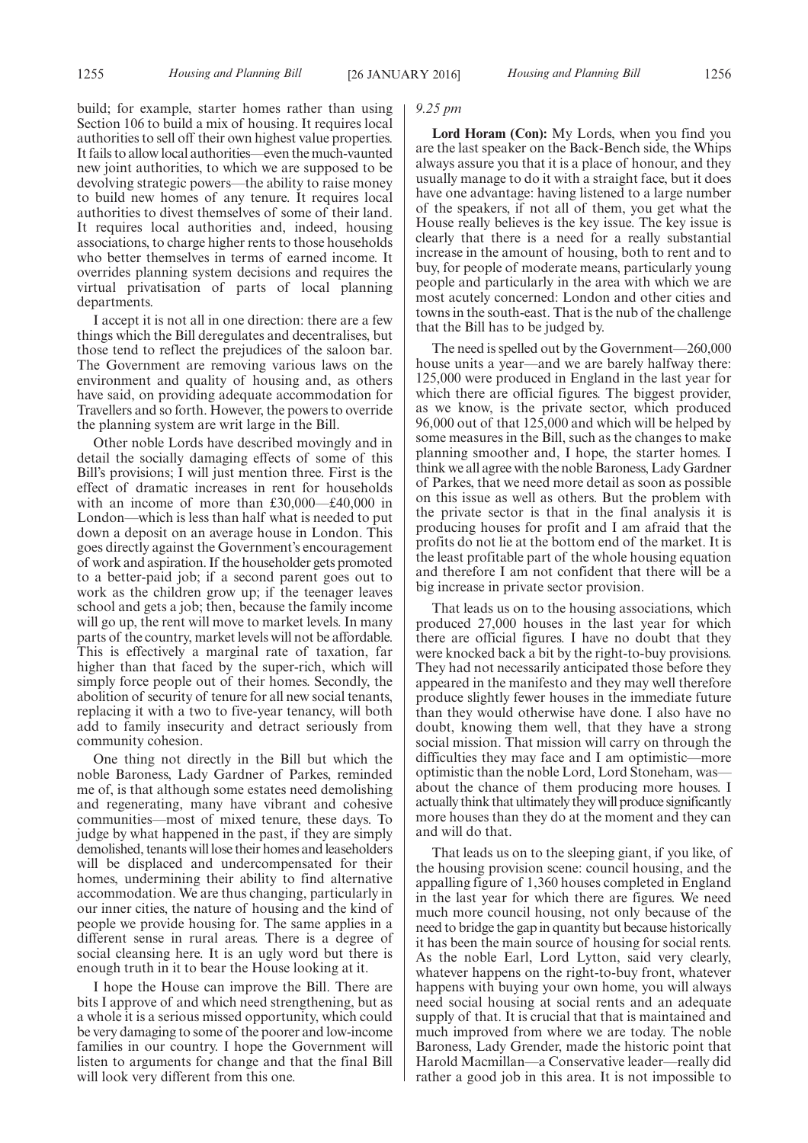build; for example, starter homes rather than using Section 106 to build a mix of housing. It requires local authorities to sell off their own highest value properties. It fails to allow local authorities—even the much-vaunted new joint authorities, to which we are supposed to be devolving strategic powers—the ability to raise money to build new homes of any tenure. It requires local authorities to divest themselves of some of their land. It requires local authorities and, indeed, housing associations, to charge higher rents to those households who better themselves in terms of earned income. It overrides planning system decisions and requires the virtual privatisation of parts of local planning departments.

I accept it is not all in one direction: there are a few things which the Bill deregulates and decentralises, but those tend to reflect the prejudices of the saloon bar. The Government are removing various laws on the environment and quality of housing and, as others have said, on providing adequate accommodation for Travellers and so forth. However, the powers to override the planning system are writ large in the Bill.

Other noble Lords have described movingly and in detail the socially damaging effects of some of this Bill's provisions; I will just mention three. First is the effect of dramatic increases in rent for households with an income of more than £30,000—£40,000 in London—which is less than half what is needed to put down a deposit on an average house in London. This goes directly against the Government's encouragement of work and aspiration. If the householder gets promoted to a better-paid job; if a second parent goes out to work as the children grow up; if the teenager leaves school and gets a job; then, because the family income will go up, the rent will move to market levels. In many parts of the country, market levels will not be affordable. This is effectively a marginal rate of taxation, far higher than that faced by the super-rich, which will simply force people out of their homes. Secondly, the abolition of security of tenure for all new social tenants, replacing it with a two to five-year tenancy, will both add to family insecurity and detract seriously from community cohesion.

One thing not directly in the Bill but which the noble Baroness, Lady Gardner of Parkes, reminded me of, is that although some estates need demolishing and regenerating, many have vibrant and cohesive communities—most of mixed tenure, these days. To judge by what happened in the past, if they are simply demolished, tenants will lose their homes and leaseholders will be displaced and undercompensated for their homes, undermining their ability to find alternative accommodation. We are thus changing, particularly in our inner cities, the nature of housing and the kind of people we provide housing for. The same applies in a different sense in rural areas. There is a degree of social cleansing here. It is an ugly word but there is enough truth in it to bear the House looking at it.

I hope the House can improve the Bill. There are bits I approve of and which need strengthening, but as a whole it is a serious missed opportunity, which could be very damaging to some of the poorer and low-income families in our country. I hope the Government will listen to arguments for change and that the final Bill will look very different from this one.

#### *9.25 pm*

**Lord Horam (Con):** My Lords, when you find you are the last speaker on the Back-Bench side, the Whips always assure you that it is a place of honour, and they usually manage to do it with a straight face, but it does have one advantage: having listened to a large number of the speakers, if not all of them, you get what the House really believes is the key issue. The key issue is clearly that there is a need for a really substantial increase in the amount of housing, both to rent and to buy, for people of moderate means, particularly young people and particularly in the area with which we are most acutely concerned: London and other cities and towns in the south-east. That is the nub of the challenge that the Bill has to be judged by.

The need is spelled out by the Government—260,000 house units a year—and we are barely halfway there: 125,000 were produced in England in the last year for which there are official figures. The biggest provider, as we know, is the private sector, which produced 96,000 out of that 125,000 and which will be helped by some measures in the Bill, such as the changes to make planning smoother and, I hope, the starter homes. I think we all agree with the noble Baroness, Lady Gardner of Parkes, that we need more detail as soon as possible on this issue as well as others. But the problem with the private sector is that in the final analysis it is producing houses for profit and I am afraid that the profits do not lie at the bottom end of the market. It is the least profitable part of the whole housing equation and therefore I am not confident that there will be a big increase in private sector provision.

That leads us on to the housing associations, which produced 27,000 houses in the last year for which there are official figures. I have no doubt that they were knocked back a bit by the right-to-buy provisions. They had not necessarily anticipated those before they appeared in the manifesto and they may well therefore produce slightly fewer houses in the immediate future than they would otherwise have done. I also have no doubt, knowing them well, that they have a strong social mission. That mission will carry on through the difficulties they may face and I am optimistic—more optimistic than the noble Lord, Lord Stoneham, was about the chance of them producing more houses. I actually think that ultimately they will produce significantly more houses than they do at the moment and they can and will do that.

That leads us on to the sleeping giant, if you like, of the housing provision scene: council housing, and the appalling figure of 1,360 houses completed in England in the last year for which there are figures. We need much more council housing, not only because of the need to bridge the gap in quantity but because historically it has been the main source of housing for social rents. As the noble Earl, Lord Lytton, said very clearly, whatever happens on the right-to-buy front, whatever happens with buying your own home, you will always need social housing at social rents and an adequate supply of that. It is crucial that that is maintained and much improved from where we are today. The noble Baroness, Lady Grender, made the historic point that Harold Macmillan—a Conservative leader—really did rather a good job in this area. It is not impossible to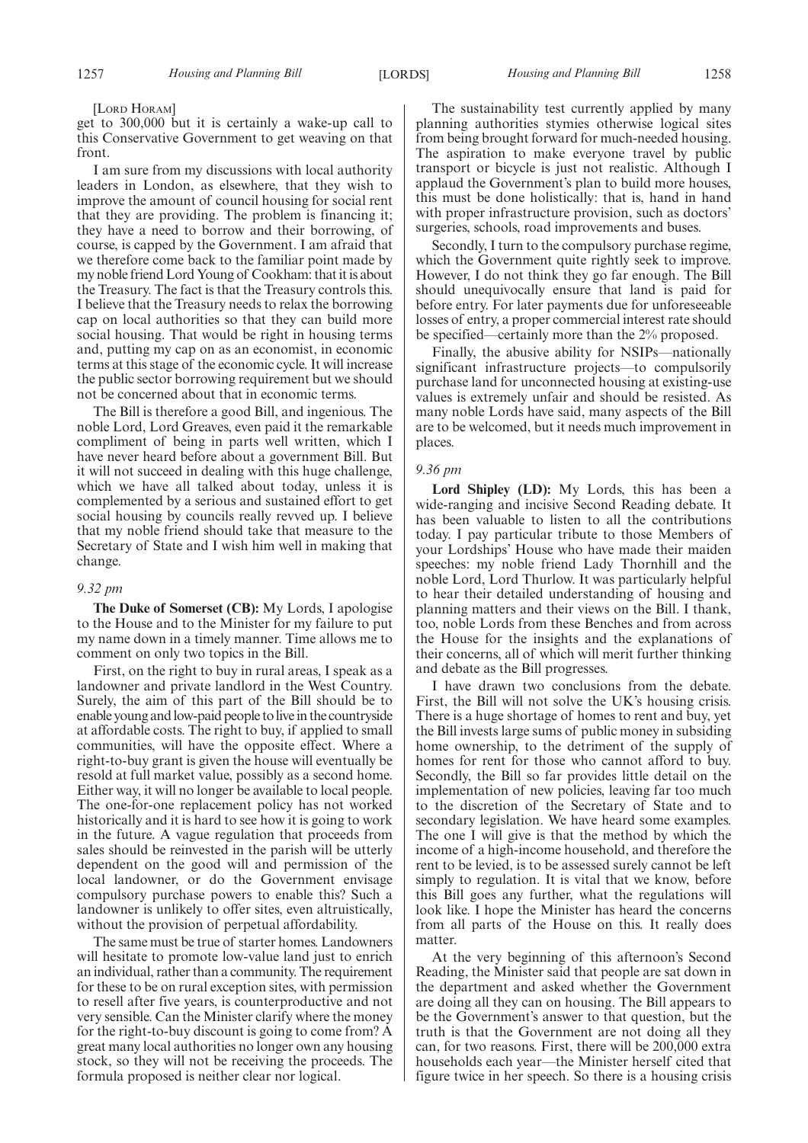#### [LORD HORAM]

get to 300,000 but it is certainly a wake-up call to this Conservative Government to get weaving on that front.

I am sure from my discussions with local authority leaders in London, as elsewhere, that they wish to improve the amount of council housing for social rent that they are providing. The problem is financing it; they have a need to borrow and their borrowing, of course, is capped by the Government. I am afraid that we therefore come back to the familiar point made by my noble friend Lord Young of Cookham: that it is about the Treasury. The fact is that the Treasury controls this. I believe that the Treasury needs to relax the borrowing cap on local authorities so that they can build more social housing. That would be right in housing terms and, putting my cap on as an economist, in economic terms at this stage of the economic cycle. It will increase the public sector borrowing requirement but we should not be concerned about that in economic terms.

The Bill is therefore a good Bill, and ingenious. The noble Lord, Lord Greaves, even paid it the remarkable compliment of being in parts well written, which I have never heard before about a government Bill. But it will not succeed in dealing with this huge challenge, which we have all talked about today, unless it is complemented by a serious and sustained effort to get social housing by councils really revved up. I believe that my noble friend should take that measure to the Secretary of State and I wish him well in making that change.

#### *9.32 pm*

**The Duke of Somerset (CB):** My Lords, I apologise to the House and to the Minister for my failure to put my name down in a timely manner. Time allows me to comment on only two topics in the Bill.

First, on the right to buy in rural areas, I speak as a landowner and private landlord in the West Country. Surely, the aim of this part of the Bill should be to enable young and low-paid people to live in the countryside at affordable costs. The right to buy, if applied to small communities, will have the opposite effect. Where a right-to-buy grant is given the house will eventually be resold at full market value, possibly as a second home. Either way, it will no longer be available to local people. The one-for-one replacement policy has not worked historically and it is hard to see how it is going to work in the future. A vague regulation that proceeds from sales should be reinvested in the parish will be utterly dependent on the good will and permission of the local landowner, or do the Government envisage compulsory purchase powers to enable this? Such a landowner is unlikely to offer sites, even altruistically, without the provision of perpetual affordability.

The same must be true of starter homes. Landowners will hesitate to promote low-value land just to enrich an individual, rather than a community. The requirement for these to be on rural exception sites, with permission to resell after five years, is counterproductive and not very sensible. Can the Minister clarify where the money for the right-to-buy discount is going to come from? A great many local authorities no longer own any housing stock, so they will not be receiving the proceeds. The formula proposed is neither clear nor logical.

The sustainability test currently applied by many planning authorities stymies otherwise logical sites from being brought forward for much-needed housing. The aspiration to make everyone travel by public transport or bicycle is just not realistic. Although I applaud the Government's plan to build more houses, this must be done holistically: that is, hand in hand with proper infrastructure provision, such as doctors' surgeries, schools, road improvements and buses.

Secondly, I turn to the compulsory purchase regime, which the Government quite rightly seek to improve. However, I do not think they go far enough. The Bill should unequivocally ensure that land is paid for before entry. For later payments due for unforeseeable losses of entry, a proper commercial interest rate should be specified—certainly more than the 2% proposed.

Finally, the abusive ability for NSIPs—nationally significant infrastructure projects—to compulsorily purchase land for unconnected housing at existing-use values is extremely unfair and should be resisted. As many noble Lords have said, many aspects of the Bill are to be welcomed, but it needs much improvement in places.

#### *9.36 pm*

**Lord Shipley (LD):** My Lords, this has been a wide-ranging and incisive Second Reading debate. It has been valuable to listen to all the contributions today. I pay particular tribute to those Members of your Lordships' House who have made their maiden speeches: my noble friend Lady Thornhill and the noble Lord, Lord Thurlow. It was particularly helpful to hear their detailed understanding of housing and planning matters and their views on the Bill. I thank, too, noble Lords from these Benches and from across the House for the insights and the explanations of their concerns, all of which will merit further thinking and debate as the Bill progresses.

I have drawn two conclusions from the debate. First, the Bill will not solve the UK's housing crisis. There is a huge shortage of homes to rent and buy, yet the Bill invests large sums of public money in subsiding home ownership, to the detriment of the supply of homes for rent for those who cannot afford to buy. Secondly, the Bill so far provides little detail on the implementation of new policies, leaving far too much to the discretion of the Secretary of State and to secondary legislation. We have heard some examples. The one I will give is that the method by which the income of a high-income household, and therefore the rent to be levied, is to be assessed surely cannot be left simply to regulation. It is vital that we know, before this Bill goes any further, what the regulations will look like. I hope the Minister has heard the concerns from all parts of the House on this. It really does matter.

At the very beginning of this afternoon's Second Reading, the Minister said that people are sat down in the department and asked whether the Government are doing all they can on housing. The Bill appears to be the Government's answer to that question, but the truth is that the Government are not doing all they can, for two reasons. First, there will be 200,000 extra households each year—the Minister herself cited that figure twice in her speech. So there is a housing crisis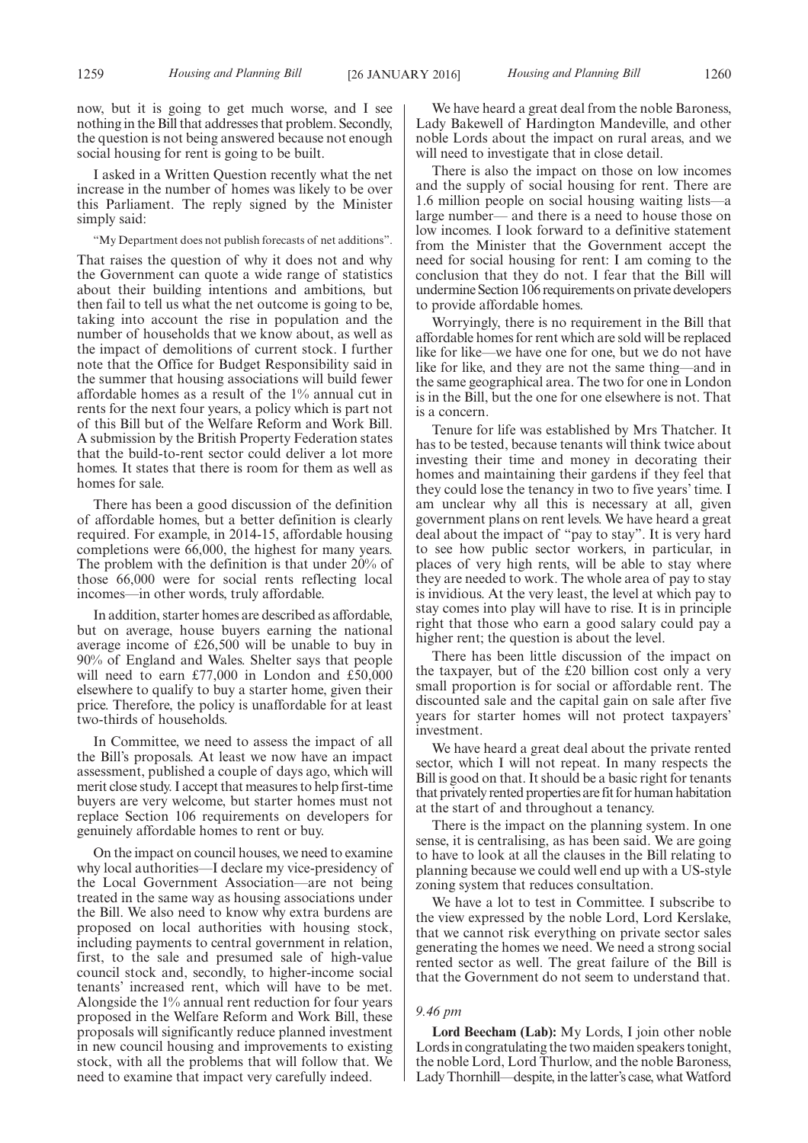now, but it is going to get much worse, and I see nothing in the Bill that addresses that problem. Secondly, the question is not being answered because not enough social housing for rent is going to be built.

I asked in a Written Question recently what the net increase in the number of homes was likely to be over this Parliament. The reply signed by the Minister simply said:

"My Department does not publish forecasts of net additions".

That raises the question of why it does not and why the Government can quote a wide range of statistics about their building intentions and ambitions, but then fail to tell us what the net outcome is going to be, taking into account the rise in population and the number of households that we know about, as well as the impact of demolitions of current stock. I further note that the Office for Budget Responsibility said in the summer that housing associations will build fewer affordable homes as a result of the 1% annual cut in rents for the next four years, a policy which is part not of this Bill but of the Welfare Reform and Work Bill. A submission by the British Property Federation states that the build-to-rent sector could deliver a lot more homes. It states that there is room for them as well as homes for sale.

There has been a good discussion of the definition of affordable homes, but a better definition is clearly required. For example, in 2014-15, affordable housing completions were 66,000, the highest for many years. The problem with the definition is that under 20% of those 66,000 were for social rents reflecting local incomes—in other words, truly affordable.

In addition, starter homes are described as affordable, but on average, house buyers earning the national average income of £26,500 will be unable to buy in 90% of England and Wales. Shelter says that people will need to earn £77,000 in London and £50,000 elsewhere to qualify to buy a starter home, given their price. Therefore, the policy is unaffordable for at least two-thirds of households.

In Committee, we need to assess the impact of all the Bill's proposals. At least we now have an impact assessment, published a couple of days ago, which will merit close study. I accept that measures to help first-time buyers are very welcome, but starter homes must not replace Section 106 requirements on developers for genuinely affordable homes to rent or buy.

On the impact on council houses, we need to examine why local authorities—I declare my vice-presidency of the Local Government Association—are not being treated in the same way as housing associations under the Bill. We also need to know why extra burdens are proposed on local authorities with housing stock, including payments to central government in relation, first, to the sale and presumed sale of high-value council stock and, secondly, to higher-income social tenants' increased rent, which will have to be met. Alongside the 1% annual rent reduction for four years proposed in the Welfare Reform and Work Bill, these proposals will significantly reduce planned investment in new council housing and improvements to existing stock, with all the problems that will follow that. We need to examine that impact very carefully indeed.

We have heard a great deal from the noble Baroness, Lady Bakewell of Hardington Mandeville, and other noble Lords about the impact on rural areas, and we will need to investigate that in close detail.

There is also the impact on those on low incomes and the supply of social housing for rent. There are 1.6 million people on social housing waiting lists—a large number— and there is a need to house those on low incomes. I look forward to a definitive statement from the Minister that the Government accept the need for social housing for rent: I am coming to the conclusion that they do not. I fear that the Bill will undermine Section 106 requirements on private developers to provide affordable homes.

Worryingly, there is no requirement in the Bill that affordable homes for rent which are sold will be replaced like for like—we have one for one, but we do not have like for like, and they are not the same thing—and in the same geographical area. The two for one in London is in the Bill, but the one for one elsewhere is not. That is a concern.

Tenure for life was established by Mrs Thatcher. It has to be tested, because tenants will think twice about investing their time and money in decorating their homes and maintaining their gardens if they feel that they could lose the tenancy in two to five years' time. I am unclear why all this is necessary at all, given government plans on rent levels. We have heard a great deal about the impact of "pay to stay". It is very hard to see how public sector workers, in particular, in places of very high rents, will be able to stay where they are needed to work. The whole area of pay to stay is invidious. At the very least, the level at which pay to stay comes into play will have to rise. It is in principle right that those who earn a good salary could pay a higher rent; the question is about the level.

There has been little discussion of the impact on the taxpayer, but of the £20 billion cost only a very small proportion is for social or affordable rent. The discounted sale and the capital gain on sale after five years for starter homes will not protect taxpayers' investment.

We have heard a great deal about the private rented sector, which I will not repeat. In many respects the Bill is good on that. It should be a basic right for tenants that privately rented properties are fit for human habitation at the start of and throughout a tenancy.

There is the impact on the planning system. In one sense, it is centralising, as has been said. We are going to have to look at all the clauses in the Bill relating to planning because we could well end up with a US-style zoning system that reduces consultation.

We have a lot to test in Committee. I subscribe to the view expressed by the noble Lord, Lord Kerslake, that we cannot risk everything on private sector sales generating the homes we need. We need a strong social rented sector as well. The great failure of the Bill is that the Government do not seem to understand that.

#### *9.46 pm*

**Lord Beecham (Lab):** My Lords, I join other noble Lords in congratulating the two maiden speakers tonight, the noble Lord, Lord Thurlow, and the noble Baroness, Lady Thornhill—despite, in the latter's case, what Watford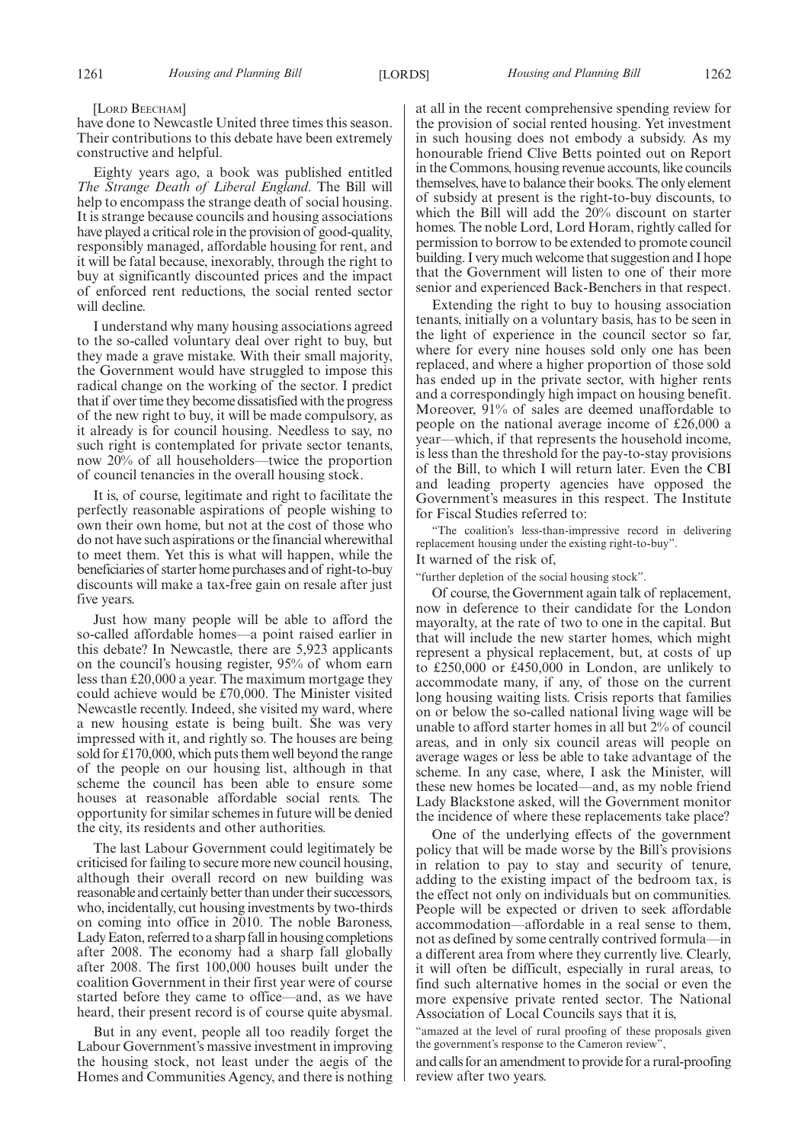#### [LORD BEECHAM]

have done to Newcastle United three times this season. Their contributions to this debate have been extremely constructive and helpful.

Eighty years ago, a book was published entitled *The Strange Death of Liberal England*. The Bill will help to encompass the strange death of social housing. It is strange because councils and housing associations have played a critical role in the provision of good-quality, responsibly managed, affordable housing for rent, and it will be fatal because, inexorably, through the right to buy at significantly discounted prices and the impact of enforced rent reductions, the social rented sector will decline.

I understand why many housing associations agreed to the so-called voluntary deal over right to buy, but they made a grave mistake. With their small majority, the Government would have struggled to impose this radical change on the working of the sector. I predict that if over time they become dissatisfied with the progress of the new right to buy, it will be made compulsory, as it already is for council housing. Needless to say, no such right is contemplated for private sector tenants, now 20% of all householders—twice the proportion of council tenancies in the overall housing stock.

It is, of course, legitimate and right to facilitate the perfectly reasonable aspirations of people wishing to own their own home, but not at the cost of those who do not have such aspirations or the financial wherewithal to meet them. Yet this is what will happen, while the beneficiaries of starter home purchases and of right-to-buy discounts will make a tax-free gain on resale after just five years.

Just how many people will be able to afford the so-called affordable homes—a point raised earlier in this debate? In Newcastle, there are 5,923 applicants on the council's housing register, 95% of whom earn less than £20,000 a year. The maximum mortgage they could achieve would be £70,000. The Minister visited Newcastle recently. Indeed, she visited my ward, where a new housing estate is being built. She was very impressed with it, and rightly so. The houses are being sold for £170,000, which puts them well beyond the range of the people on our housing list, although in that scheme the council has been able to ensure some houses at reasonable affordable social rents. The opportunity for similar schemes in future will be denied the city, its residents and other authorities.

The last Labour Government could legitimately be criticised for failing to secure more new council housing, although their overall record on new building was reasonable and certainly better than under their successors, who, incidentally, cut housing investments by two-thirds on coming into office in 2010. The noble Baroness, Lady Eaton, referred to a sharp fallin housing completions after 2008. The economy had a sharp fall globally after 2008. The first 100,000 houses built under the coalition Government in their first year were of course started before they came to office—and, as we have heard, their present record is of course quite abysmal.

But in any event, people all too readily forget the Labour Government's massive investment in improving the housing stock, not least under the aegis of the Homes and Communities Agency, and there is nothing at all in the recent comprehensive spending review for the provision of social rented housing. Yet investment in such housing does not embody a subsidy. As my honourable friend Clive Betts pointed out on Report in the Commons, housing revenue accounts, like councils themselves, have to balance their books. The only element of subsidy at present is the right-to-buy discounts, to which the Bill will add the 20% discount on starter homes. The noble Lord, Lord Horam, rightly called for permission to borrow to be extended to promote council building. I very much welcome that suggestion and I hope that the Government will listen to one of their more senior and experienced Back-Benchers in that respect.

Extending the right to buy to housing association tenants, initially on a voluntary basis, has to be seen in the light of experience in the council sector so far, where for every nine houses sold only one has been replaced, and where a higher proportion of those sold has ended up in the private sector, with higher rents and a correspondingly high impact on housing benefit. Moreover, 91% of sales are deemed unaffordable to people on the national average income of £26,000 a year—which, if that represents the household income, is less than the threshold for the pay-to-stay provisions of the Bill, to which I will return later. Even the CBI and leading property agencies have opposed the Government's measures in this respect. The Institute for Fiscal Studies referred to:

The coalition's less-than-impressive record in delivering replacement housing under the existing right-to-buy".

It warned of the risk of,

"further depletion of the social housing stock".

Of course, the Government again talk of replacement, now in deference to their candidate for the London mayoralty, at the rate of two to one in the capital. But that will include the new starter homes, which might represent a physical replacement, but, at costs of up to £250,000 or £450,000 in London, are unlikely to accommodate many, if any, of those on the current long housing waiting lists. Crisis reports that families on or below the so-called national living wage will be unable to afford starter homes in all but 2% of council areas, and in only six council areas will people on average wages or less be able to take advantage of the scheme. In any case, where, I ask the Minister, will these new homes be located—and, as my noble friend Lady Blackstone asked, will the Government monitor the incidence of where these replacements take place?

One of the underlying effects of the government policy that will be made worse by the Bill's provisions in relation to pay to stay and security of tenure, adding to the existing impact of the bedroom tax, is the effect not only on individuals but on communities. People will be expected or driven to seek affordable accommodation—affordable in a real sense to them, not as defined by some centrally contrived formula—in a different area from where they currently live. Clearly, it will often be difficult, especially in rural areas, to find such alternative homes in the social or even the more expensive private rented sector. The National Association of Local Councils says that it is,

"amazed at the level of rural proofing of these proposals given the government's response to the Cameron review",

and calls for an amendment to provide for a rural-proofing review after two years.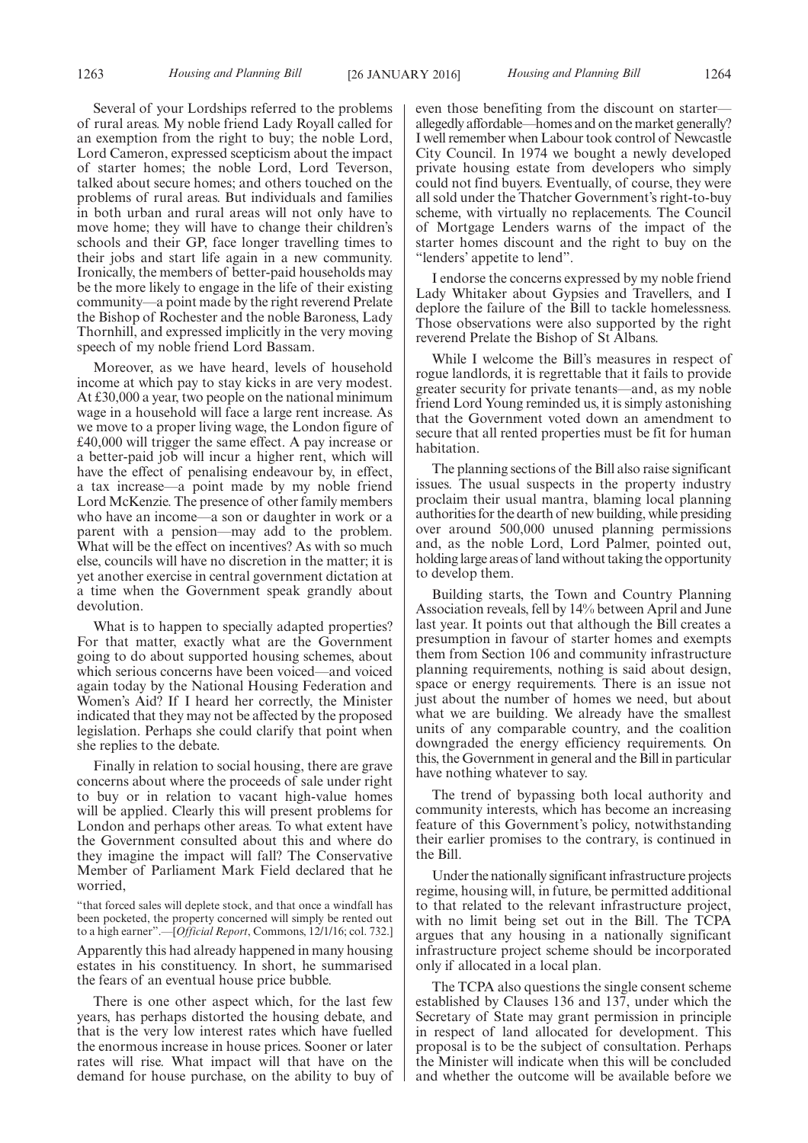Several of your Lordships referred to the problems of rural areas. My noble friend Lady Royall called for an exemption from the right to buy; the noble Lord, Lord Cameron, expressed scepticism about the impact of starter homes; the noble Lord, Lord Teverson, talked about secure homes; and others touched on the problems of rural areas. But individuals and families in both urban and rural areas will not only have to move home; they will have to change their children's schools and their GP, face longer travelling times to their jobs and start life again in a new community. Ironically, the members of better-paid households may be the more likely to engage in the life of their existing community—a point made by the right reverend Prelate the Bishop of Rochester and the noble Baroness, Lady Thornhill, and expressed implicitly in the very moving speech of my noble friend Lord Bassam.

Moreover, as we have heard, levels of household income at which pay to stay kicks in are very modest. At £30,000 a year, two people on the national minimum wage in a household will face a large rent increase. As we move to a proper living wage, the London figure of £40,000 will trigger the same effect. A pay increase or a better-paid job will incur a higher rent, which will have the effect of penalising endeavour by, in effect, a tax increase—a point made by my noble friend Lord McKenzie. The presence of other family members who have an income—a son or daughter in work or a parent with a pension—may add to the problem. What will be the effect on incentives? As with so much else, councils will have no discretion in the matter; it is yet another exercise in central government dictation at a time when the Government speak grandly about devolution.

What is to happen to specially adapted properties? For that matter, exactly what are the Government going to do about supported housing schemes, about which serious concerns have been voiced—and voiced again today by the National Housing Federation and Women's Aid? If I heard her correctly, the Minister indicated that they may not be affected by the proposed legislation. Perhaps she could clarify that point when she replies to the debate.

Finally in relation to social housing, there are grave concerns about where the proceeds of sale under right to buy or in relation to vacant high-value homes will be applied. Clearly this will present problems for London and perhaps other areas. To what extent have the Government consulted about this and where do they imagine the impact will fall? The Conservative Member of Parliament Mark Field declared that he worried,

"that forced sales will deplete stock, and that once a windfall has been pocketed, the property concerned will simply be rented out to a high earner".—[*Official Report*, Commons, 12/1/16; col. 732.]

Apparently this had already happened in many housing estates in his constituency. In short, he summarised the fears of an eventual house price bubble.

There is one other aspect which, for the last few years, has perhaps distorted the housing debate, and that is the very low interest rates which have fuelled the enormous increase in house prices. Sooner or later rates will rise. What impact will that have on the demand for house purchase, on the ability to buy of even those benefiting from the discount on starter allegedly affordable—homes and on the market generally? I well remember when Labour took control of Newcastle City Council. In 1974 we bought a newly developed private housing estate from developers who simply could not find buyers. Eventually, of course, they were all sold under the Thatcher Government's right-to-buy scheme, with virtually no replacements. The Council of Mortgage Lenders warns of the impact of the starter homes discount and the right to buy on the "lenders' appetite to lend".

I endorse the concerns expressed by my noble friend Lady Whitaker about Gypsies and Travellers, and I deplore the failure of the Bill to tackle homelessness. Those observations were also supported by the right reverend Prelate the Bishop of St Albans.

While I welcome the Bill's measures in respect of rogue landlords, it is regrettable that it fails to provide greater security for private tenants—and, as my noble friend Lord Young reminded us, it is simply astonishing that the Government voted down an amendment to secure that all rented properties must be fit for human habitation.

The planning sections of the Bill also raise significant issues. The usual suspects in the property industry proclaim their usual mantra, blaming local planning authorities for the dearth of new building, while presiding over around 500,000 unused planning permissions and, as the noble Lord, Lord Palmer, pointed out, holding large areas of land without taking the opportunity to develop them.

Building starts, the Town and Country Planning Association reveals, fell by 14% between April and June last year. It points out that although the Bill creates a presumption in favour of starter homes and exempts them from Section 106 and community infrastructure planning requirements, nothing is said about design, space or energy requirements. There is an issue not just about the number of homes we need, but about what we are building. We already have the smallest units of any comparable country, and the coalition downgraded the energy efficiency requirements. On this, the Government in general and the Bill in particular have nothing whatever to say.

The trend of bypassing both local authority and community interests, which has become an increasing feature of this Government's policy, notwithstanding their earlier promises to the contrary, is continued in the Bill.

Under the nationally significant infrastructure projects regime, housing will, in future, be permitted additional to that related to the relevant infrastructure project, with no limit being set out in the Bill. The TCPA argues that any housing in a nationally significant infrastructure project scheme should be incorporated only if allocated in a local plan.

The TCPA also questions the single consent scheme established by Clauses 136 and 137, under which the Secretary of State may grant permission in principle in respect of land allocated for development. This proposal is to be the subject of consultation. Perhaps the Minister will indicate when this will be concluded and whether the outcome will be available before we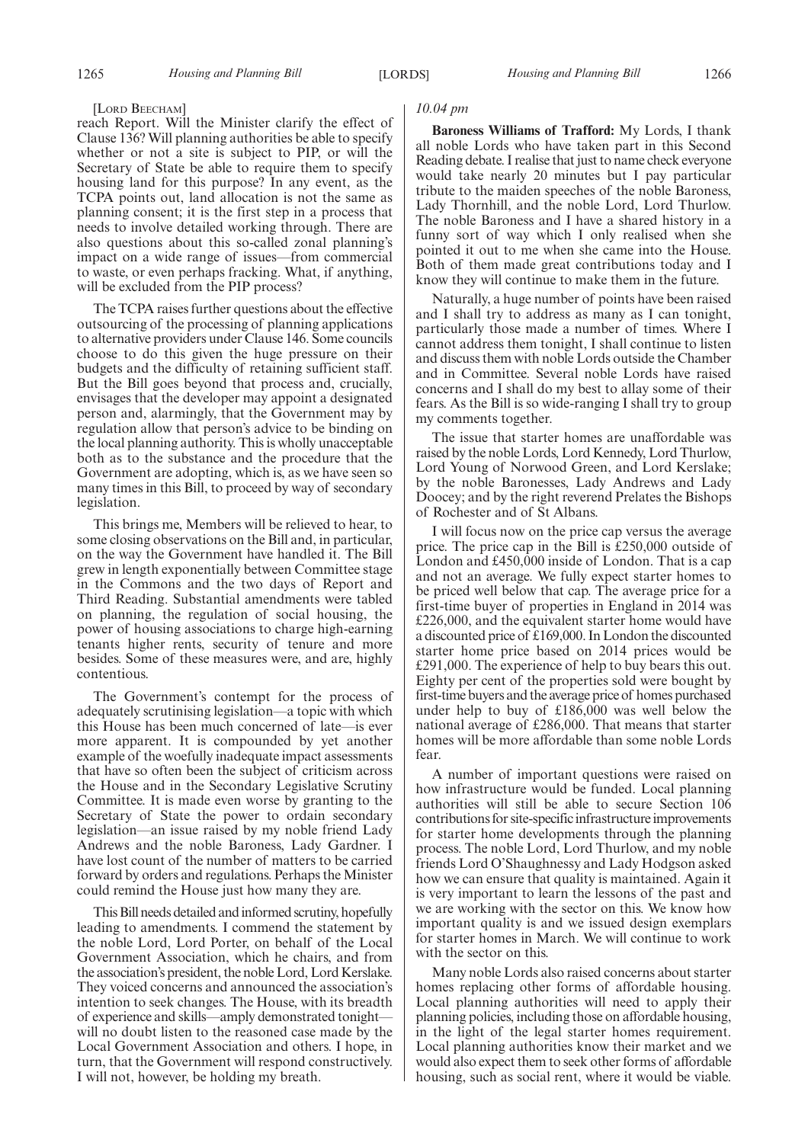#### [LORD BEECHAM]

reach Report. Will the Minister clarify the effect of Clause 136? Will planning authorities be able to specify whether or not a site is subject to PIP, or will the Secretary of State be able to require them to specify housing land for this purpose? In any event, as the TCPA points out, land allocation is not the same as planning consent; it is the first step in a process that needs to involve detailed working through. There are also questions about this so-called zonal planning's impact on a wide range of issues—from commercial to waste, or even perhaps fracking. What, if anything, will be excluded from the PIP process?

The TCPA raises further questions about the effective outsourcing of the processing of planning applications to alternative providers under Clause 146. Some councils choose to do this given the huge pressure on their budgets and the difficulty of retaining sufficient staff. But the Bill goes beyond that process and, crucially, envisages that the developer may appoint a designated person and, alarmingly, that the Government may by regulation allow that person's advice to be binding on the local planning authority. This is wholly unacceptable both as to the substance and the procedure that the Government are adopting, which is, as we have seen so many times in this Bill, to proceed by way of secondary legislation.

This brings me, Members will be relieved to hear, to some closing observations on the Bill and, in particular, on the way the Government have handled it. The Bill grew in length exponentially between Committee stage in the Commons and the two days of Report and Third Reading. Substantial amendments were tabled on planning, the regulation of social housing, the power of housing associations to charge high-earning tenants higher rents, security of tenure and more besides. Some of these measures were, and are, highly contentious.

The Government's contempt for the process of adequately scrutinising legislation—a topic with which this House has been much concerned of late—is ever more apparent. It is compounded by yet another example of the woefully inadequate impact assessments that have so often been the subject of criticism across the House and in the Secondary Legislative Scrutiny Committee. It is made even worse by granting to the Secretary of State the power to ordain secondary legislation—an issue raised by my noble friend Lady Andrews and the noble Baroness, Lady Gardner. I have lost count of the number of matters to be carried forward by orders and regulations. Perhaps the Minister could remind the House just how many they are.

This Bill needs detailed and informed scrutiny, hopefully leading to amendments. I commend the statement by the noble Lord, Lord Porter, on behalf of the Local Government Association, which he chairs, and from the association's president, the noble Lord, Lord Kerslake. They voiced concerns and announced the association's intention to seek changes. The House, with its breadth of experience and skills—amply demonstrated tonight will no doubt listen to the reasoned case made by the Local Government Association and others. I hope, in turn, that the Government will respond constructively. I will not, however, be holding my breath.

#### *10.04 pm*

**Baroness Williams of Trafford:** My Lords, I thank all noble Lords who have taken part in this Second Reading debate. I realise that just to name check everyone would take nearly 20 minutes but I pay particular tribute to the maiden speeches of the noble Baroness, Lady Thornhill, and the noble Lord, Lord Thurlow. The noble Baroness and I have a shared history in a funny sort of way which I only realised when she pointed it out to me when she came into the House. Both of them made great contributions today and I know they will continue to make them in the future.

Naturally, a huge number of points have been raised and I shall try to address as many as I can tonight, particularly those made a number of times. Where I cannot address them tonight, I shall continue to listen and discuss them with noble Lords outside the Chamber and in Committee. Several noble Lords have raised concerns and I shall do my best to allay some of their fears. As the Bill is so wide-ranging I shall try to group my comments together.

The issue that starter homes are unaffordable was raised by the noble Lords, Lord Kennedy, Lord Thurlow, Lord Young of Norwood Green, and Lord Kerslake; by the noble Baronesses, Lady Andrews and Lady Doocey; and by the right reverend Prelates the Bishops of Rochester and of St Albans.

I will focus now on the price cap versus the average price. The price cap in the Bill is £250,000 outside of London and £450,000 inside of London. That is a cap and not an average. We fully expect starter homes to be priced well below that cap. The average price for a first-time buyer of properties in England in 2014 was £226,000, and the equivalent starter home would have a discounted price of £169,000. In London the discounted starter home price based on 2014 prices would be £291,000. The experience of help to buy bears this out. Eighty per cent of the properties sold were bought by first-time buyers and the average price of homes purchased under help to buy of £186,000 was well below the national average of £286,000. That means that starter homes will be more affordable than some noble Lords fear.

A number of important questions were raised on how infrastructure would be funded. Local planning authorities will still be able to secure Section 106 contributions for site-specific infrastructure improvements for starter home developments through the planning process. The noble Lord, Lord Thurlow, and my noble friends Lord O'Shaughnessy and Lady Hodgson asked how we can ensure that quality is maintained. Again it is very important to learn the lessons of the past and we are working with the sector on this. We know how important quality is and we issued design exemplars for starter homes in March. We will continue to work with the sector on this.

Many noble Lords also raised concerns about starter homes replacing other forms of affordable housing. Local planning authorities will need to apply their planning policies, including those on affordable housing, in the light of the legal starter homes requirement. Local planning authorities know their market and we would also expect them to seek other forms of affordable housing, such as social rent, where it would be viable.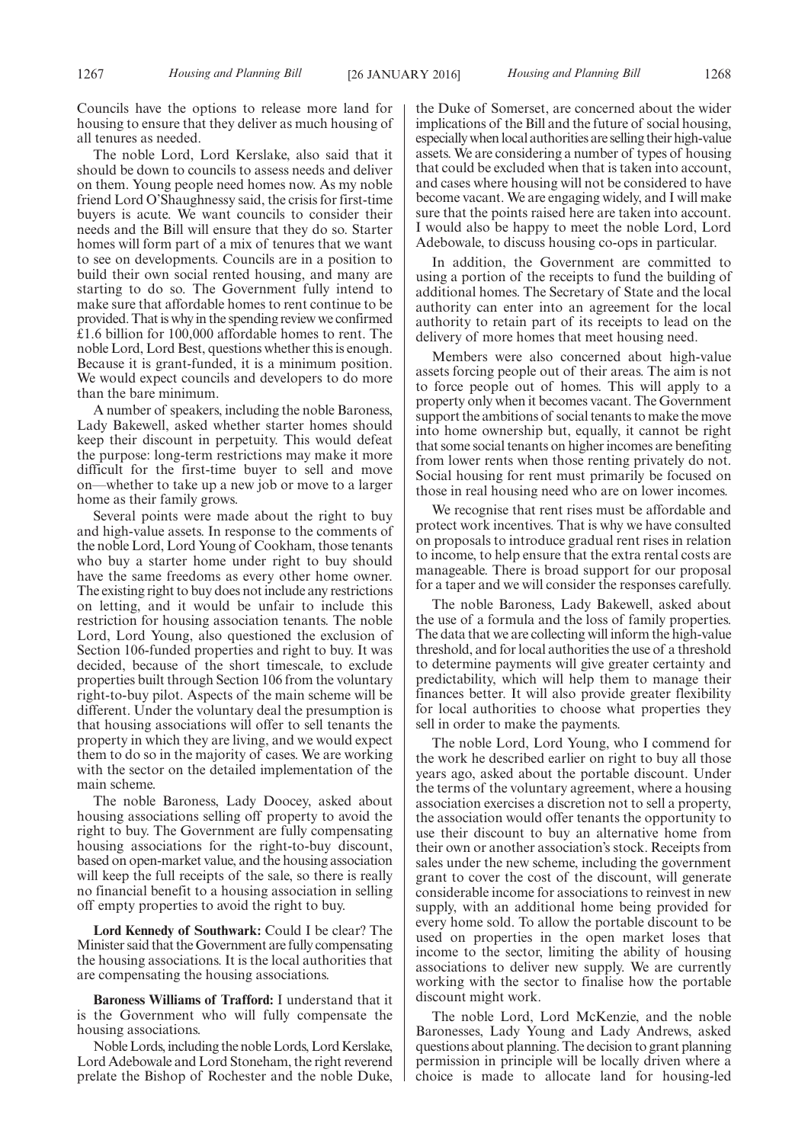Councils have the options to release more land for housing to ensure that they deliver as much housing of all tenures as needed.

The noble Lord, Lord Kerslake, also said that it should be down to councils to assess needs and deliver on them. Young people need homes now. As my noble friend Lord O'Shaughnessy said, the crisis for first-time buyers is acute. We want councils to consider their needs and the Bill will ensure that they do so. Starter homes will form part of a mix of tenures that we want to see on developments. Councils are in a position to build their own social rented housing, and many are starting to do so. The Government fully intend to make sure that affordable homes to rent continue to be provided. That is why in the spending review we confirmed £1.6 billion for 100,000 affordable homes to rent. The noble Lord, Lord Best, questions whether this is enough. Because it is grant-funded, it is a minimum position. We would expect councils and developers to do more than the bare minimum.

A number of speakers, including the noble Baroness, Lady Bakewell, asked whether starter homes should keep their discount in perpetuity. This would defeat the purpose: long-term restrictions may make it more difficult for the first-time buyer to sell and move on—whether to take up a new job or move to a larger home as their family grows.

Several points were made about the right to buy and high-value assets. In response to the comments of the noble Lord, Lord Young of Cookham, those tenants who buy a starter home under right to buy should have the same freedoms as every other home owner. The existing right to buy does not include any restrictions on letting, and it would be unfair to include this restriction for housing association tenants. The noble Lord, Lord Young, also questioned the exclusion of Section 106-funded properties and right to buy. It was decided, because of the short timescale, to exclude properties built through Section 106 from the voluntary right-to-buy pilot. Aspects of the main scheme will be different. Under the voluntary deal the presumption is that housing associations will offer to sell tenants the property in which they are living, and we would expect them to do so in the majority of cases. We are working with the sector on the detailed implementation of the main scheme.

The noble Baroness, Lady Doocey, asked about housing associations selling off property to avoid the right to buy. The Government are fully compensating housing associations for the right-to-buy discount, based on open-market value, and the housing association will keep the full receipts of the sale, so there is really no financial benefit to a housing association in selling off empty properties to avoid the right to buy.

**Lord Kennedy of Southwark:** Could I be clear? The Minister said that the Government are fully compensating the housing associations. It is the local authorities that are compensating the housing associations.

**Baroness Williams of Trafford:** I understand that it is the Government who will fully compensate the housing associations.

Noble Lords, including the noble Lords, Lord Kerslake, Lord Adebowale and Lord Stoneham, the right reverend prelate the Bishop of Rochester and the noble Duke, the Duke of Somerset, are concerned about the wider implications of the Bill and the future of social housing, especially when local authorities are selling their high-value assets. We are considering a number of types of housing that could be excluded when that is taken into account, and cases where housing will not be considered to have become vacant. We are engaging widely, and I will make sure that the points raised here are taken into account. I would also be happy to meet the noble Lord, Lord Adebowale, to discuss housing co-ops in particular.

In addition, the Government are committed to using a portion of the receipts to fund the building of additional homes. The Secretary of State and the local authority can enter into an agreement for the local authority to retain part of its receipts to lead on the delivery of more homes that meet housing need.

Members were also concerned about high-value assets forcing people out of their areas. The aim is not to force people out of homes. This will apply to a property only when it becomes vacant. The Government support the ambitions of social tenants to make the move into home ownership but, equally, it cannot be right that some social tenants on higher incomes are benefiting from lower rents when those renting privately do not. Social housing for rent must primarily be focused on those in real housing need who are on lower incomes.

We recognise that rent rises must be affordable and protect work incentives. That is why we have consulted on proposals to introduce gradual rent rises in relation to income, to help ensure that the extra rental costs are manageable. There is broad support for our proposal for a taper and we will consider the responses carefully.

The noble Baroness, Lady Bakewell, asked about the use of a formula and the loss of family properties. The data that we are collecting will inform the high-value threshold, and for local authorities the use of a threshold to determine payments will give greater certainty and predictability, which will help them to manage their finances better. It will also provide greater flexibility for local authorities to choose what properties they sell in order to make the payments.

The noble Lord, Lord Young, who I commend for the work he described earlier on right to buy all those years ago, asked about the portable discount. Under the terms of the voluntary agreement, where a housing association exercises a discretion not to sell a property, the association would offer tenants the opportunity to use their discount to buy an alternative home from their own or another association's stock. Receipts from sales under the new scheme, including the government grant to cover the cost of the discount, will generate considerable income for associations to reinvest in new supply, with an additional home being provided for every home sold. To allow the portable discount to be used on properties in the open market loses that income to the sector, limiting the ability of housing associations to deliver new supply. We are currently working with the sector to finalise how the portable discount might work.

The noble Lord, Lord McKenzie, and the noble Baronesses, Lady Young and Lady Andrews, asked questions about planning. The decision to grant planning permission in principle will be locally driven where a choice is made to allocate land for housing-led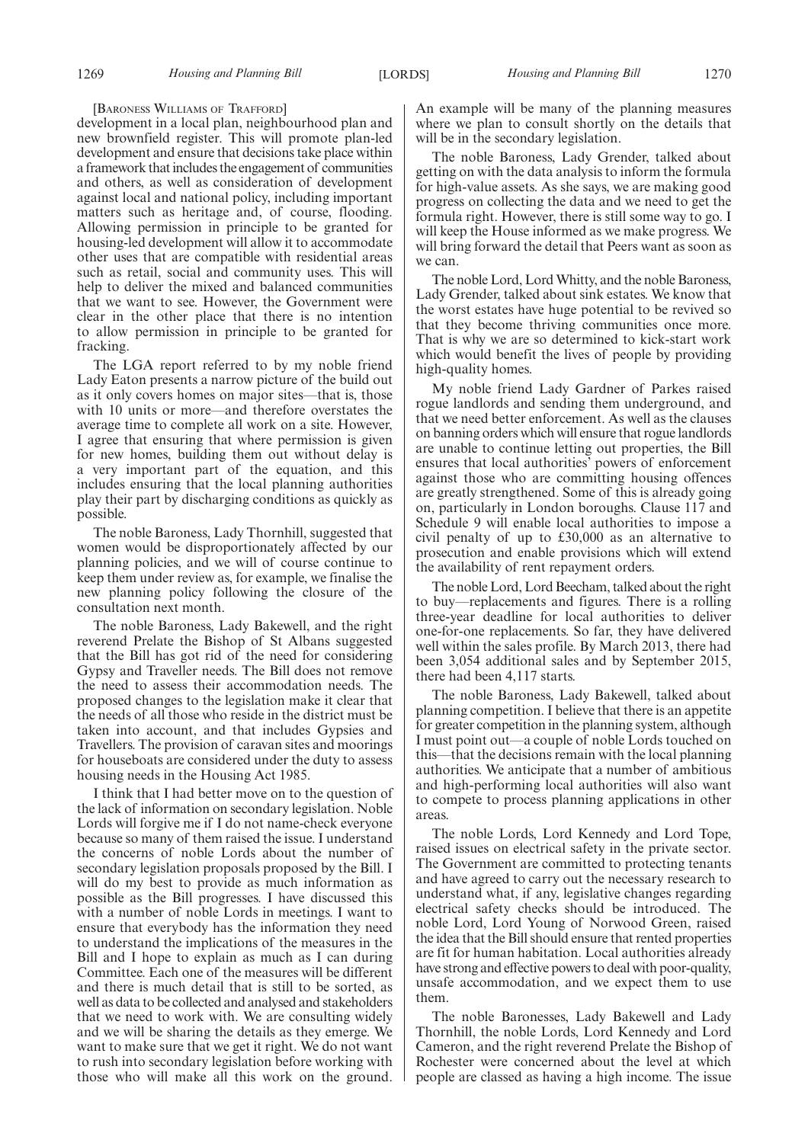#### [BARONESS WILLIAMS OF TRAFFORD]

development in a local plan, neighbourhood plan and new brownfield register. This will promote plan-led development and ensure that decisions take place within a framework that includes the engagement of communities and others, as well as consideration of development against local and national policy, including important matters such as heritage and, of course, flooding. Allowing permission in principle to be granted for housing-led development will allow it to accommodate other uses that are compatible with residential areas such as retail, social and community uses. This will help to deliver the mixed and balanced communities that we want to see. However, the Government were clear in the other place that there is no intention to allow permission in principle to be granted for fracking.

The LGA report referred to by my noble friend Lady Eaton presents a narrow picture of the build out as it only covers homes on major sites—that is, those with 10 units or more—and therefore overstates the average time to complete all work on a site. However, I agree that ensuring that where permission is given for new homes, building them out without delay is a very important part of the equation, and this includes ensuring that the local planning authorities play their part by discharging conditions as quickly as possible.

The noble Baroness, Lady Thornhill, suggested that women would be disproportionately affected by our planning policies, and we will of course continue to keep them under review as, for example, we finalise the new planning policy following the closure of the consultation next month.

The noble Baroness, Lady Bakewell, and the right reverend Prelate the Bishop of St Albans suggested that the Bill has got rid of the need for considering Gypsy and Traveller needs. The Bill does not remove the need to assess their accommodation needs. The proposed changes to the legislation make it clear that the needs of all those who reside in the district must be taken into account, and that includes Gypsies and Travellers. The provision of caravan sites and moorings for houseboats are considered under the duty to assess housing needs in the Housing Act 1985.

I think that I had better move on to the question of the lack of information on secondary legislation. Noble Lords will forgive me if I do not name-check everyone because so many of them raised the issue. I understand the concerns of noble Lords about the number of secondary legislation proposals proposed by the Bill. I will do my best to provide as much information as possible as the Bill progresses. I have discussed this with a number of noble Lords in meetings. I want to ensure that everybody has the information they need to understand the implications of the measures in the Bill and I hope to explain as much as I can during Committee. Each one of the measures will be different and there is much detail that is still to be sorted, as well as data to be collected and analysed and stakeholders that we need to work with. We are consulting widely and we will be sharing the details as they emerge. We want to make sure that we get it right. We do not want to rush into secondary legislation before working with those who will make all this work on the ground.

An example will be many of the planning measures where we plan to consult shortly on the details that will be in the secondary legislation.

The noble Baroness, Lady Grender, talked about getting on with the data analysis to inform the formula for high-value assets. As she says, we are making good progress on collecting the data and we need to get the formula right. However, there is still some way to go. I will keep the House informed as we make progress. We will bring forward the detail that Peers want as soon as we can.

The noble Lord, Lord Whitty, and the noble Baroness, Lady Grender, talked about sink estates. We know that the worst estates have huge potential to be revived so that they become thriving communities once more. That is why we are so determined to kick-start work which would benefit the lives of people by providing high-quality homes.

My noble friend Lady Gardner of Parkes raised rogue landlords and sending them underground, and that we need better enforcement. As well as the clauses on banning orders which will ensure that rogue landlords are unable to continue letting out properties, the Bill ensures that local authorities' powers of enforcement against those who are committing housing offences are greatly strengthened. Some of this is already going on, particularly in London boroughs. Clause 117 and Schedule 9 will enable local authorities to impose a civil penalty of up to £30,000 as an alternative to prosecution and enable provisions which will extend the availability of rent repayment orders.

The noble Lord, Lord Beecham, talked about the right to buy—replacements and figures. There is a rolling three-year deadline for local authorities to deliver one-for-one replacements. So far, they have delivered well within the sales profile. By March 2013, there had been 3,054 additional sales and by September 2015, there had been 4,117 starts.

The noble Baroness, Lady Bakewell, talked about planning competition. I believe that there is an appetite for greater competition in the planning system, although I must point out—a couple of noble Lords touched on this—that the decisions remain with the local planning authorities. We anticipate that a number of ambitious and high-performing local authorities will also want to compete to process planning applications in other areas.

The noble Lords, Lord Kennedy and Lord Tope, raised issues on electrical safety in the private sector. The Government are committed to protecting tenants and have agreed to carry out the necessary research to understand what, if any, legislative changes regarding electrical safety checks should be introduced. The noble Lord, Lord Young of Norwood Green, raised the idea that the Bill should ensure that rented properties are fit for human habitation. Local authorities already have strong and effective powers to deal with poor-quality, unsafe accommodation, and we expect them to use them.

The noble Baronesses, Lady Bakewell and Lady Thornhill, the noble Lords, Lord Kennedy and Lord Cameron, and the right reverend Prelate the Bishop of Rochester were concerned about the level at which people are classed as having a high income. The issue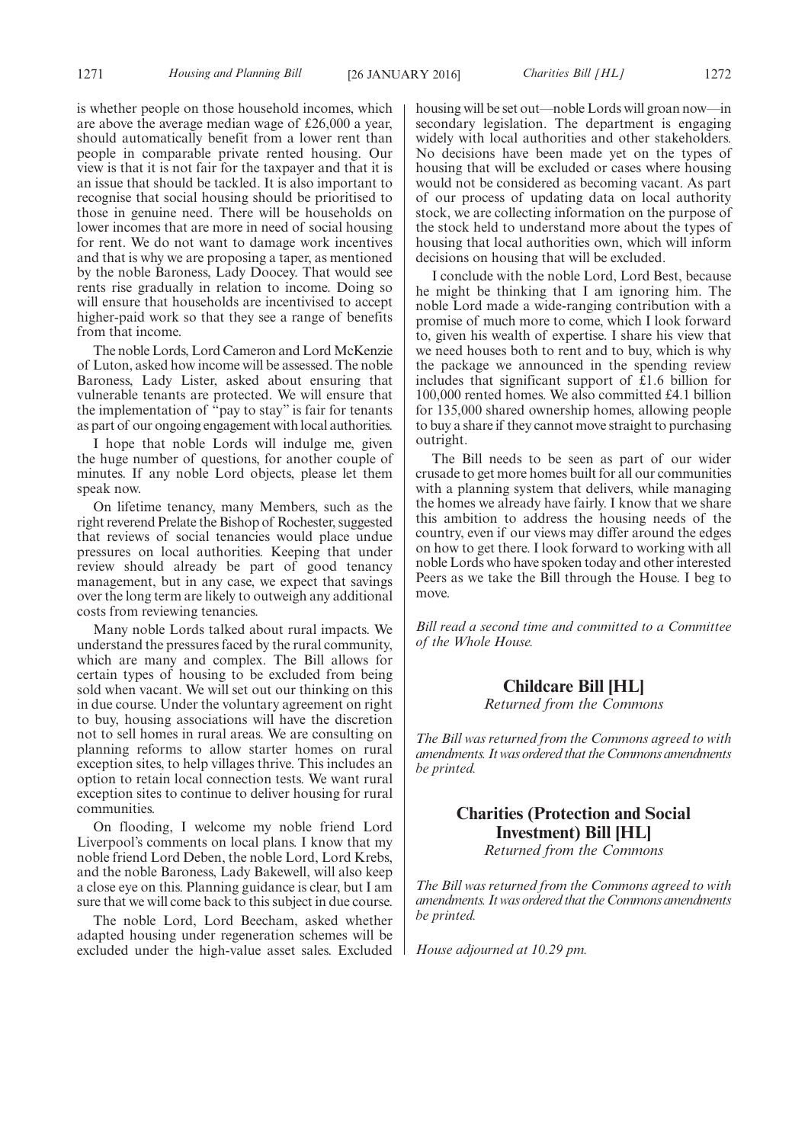is whether people on those household incomes, which are above the average median wage of £26,000 a year, should automatically benefit from a lower rent than people in comparable private rented housing. Our view is that it is not fair for the taxpayer and that it is an issue that should be tackled. It is also important to recognise that social housing should be prioritised to those in genuine need. There will be households on lower incomes that are more in need of social housing for rent. We do not want to damage work incentives and that is why we are proposing a taper, as mentioned by the noble Baroness, Lady Doocey. That would see rents rise gradually in relation to income. Doing so will ensure that households are incentivised to accept higher-paid work so that they see a range of benefits from that income.

The noble Lords, Lord Cameron and Lord McKenzie of Luton, asked how income will be assessed. The noble Baroness, Lady Lister, asked about ensuring that vulnerable tenants are protected. We will ensure that the implementation of "pay to stay" is fair for tenants as part of our ongoing engagement with local authorities.

I hope that noble Lords will indulge me, given the huge number of questions, for another couple of minutes. If any noble Lord objects, please let them speak now.

On lifetime tenancy, many Members, such as the right reverend Prelate the Bishop of Rochester, suggested that reviews of social tenancies would place undue pressures on local authorities. Keeping that under review should already be part of good tenancy management, but in any case, we expect that savings over the long term are likely to outweigh any additional costs from reviewing tenancies.

Many noble Lords talked about rural impacts. We understand the pressures faced by the rural community, which are many and complex. The Bill allows for certain types of housing to be excluded from being sold when vacant. We will set out our thinking on this in due course. Under the voluntary agreement on right to buy, housing associations will have the discretion not to sell homes in rural areas. We are consulting on planning reforms to allow starter homes on rural exception sites, to help villages thrive. This includes an option to retain local connection tests. We want rural exception sites to continue to deliver housing for rural communities.

On flooding, I welcome my noble friend Lord Liverpool's comments on local plans. I know that my noble friend Lord Deben, the noble Lord, Lord Krebs, and the noble Baroness, Lady Bakewell, will also keep a close eye on this. Planning guidance is clear, but I am sure that we will come back to this subject in due course.

The noble Lord, Lord Beecham, asked whether adapted housing under regeneration schemes will be excluded under the high-value asset sales. Excluded housing will be set out—noble Lords will groan now—in secondary legislation. The department is engaging widely with local authorities and other stakeholders. No decisions have been made yet on the types of housing that will be excluded or cases where housing would not be considered as becoming vacant. As part of our process of updating data on local authority stock, we are collecting information on the purpose of the stock held to understand more about the types of housing that local authorities own, which will inform decisions on housing that will be excluded.

I conclude with the noble Lord, Lord Best, because he might be thinking that I am ignoring him. The noble Lord made a wide-ranging contribution with a promise of much more to come, which I look forward to, given his wealth of expertise. I share his view that we need houses both to rent and to buy, which is why the package we announced in the spending review includes that significant support of £1.6 billion for 100,000 rented homes. We also committed £4.1 billion for 135,000 shared ownership homes, allowing people to buy a share if they cannot move straight to purchasing outright.

The Bill needs to be seen as part of our wider crusade to get more homes built for all our communities with a planning system that delivers, while managing the homes we already have fairly. I know that we share this ambition to address the housing needs of the country, even if our views may differ around the edges on how to get there. I look forward to working with all noble Lords who have spoken today and other interested Peers as we take the Bill through the House. I beg to move.

*Bill read a second time and committed to a Committee of the Whole House.*

## **Childcare Bill [HL]** *Returned from the Commons*

*The Bill was returned from the Commons agreed to with amendments. It was ordered that the Commons amendments be printed.*

# **Charities (Protection and Social Investment) Bill [HL]**

*Returned from the Commons*

*The Bill was returned from the Commons agreed to with amendments. It was ordered that the Commons amendments be printed.*

*House adjourned at 10.29 pm.*